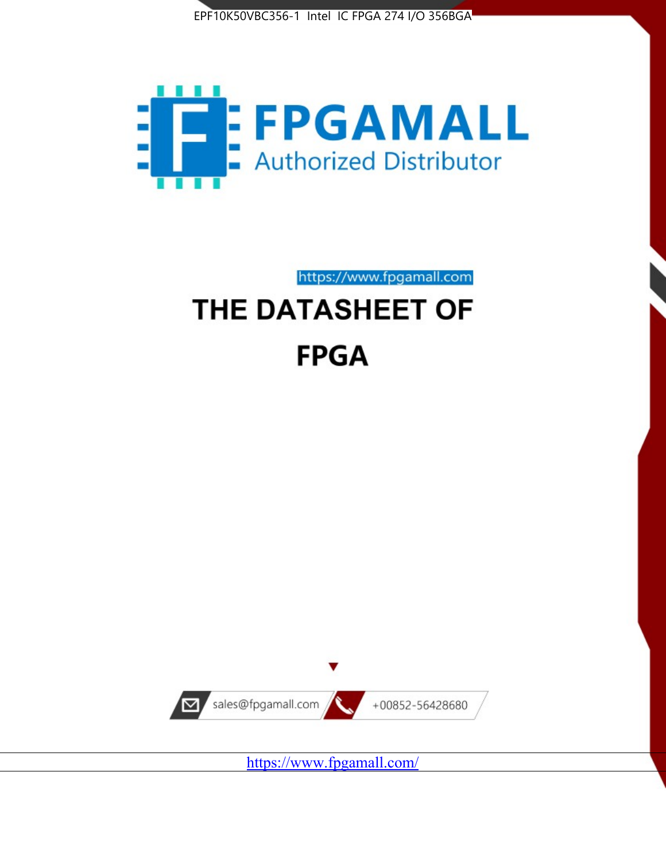



https://www.fpgamall.com

# THE DATASHEET OF **FPGA**



<https://www.fpgamall.com/>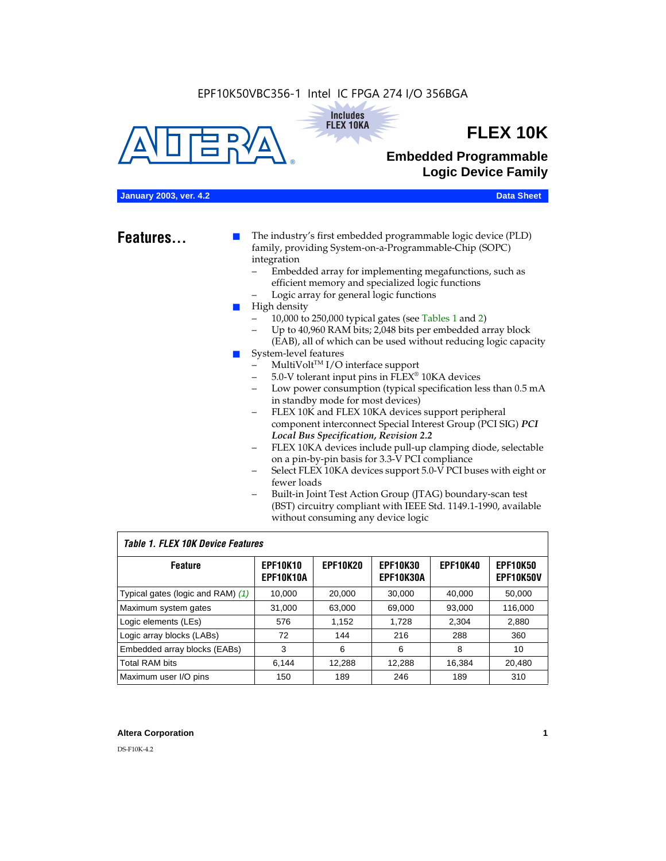#### EPF10K50VBC356-1 Intel IC FPGA 274 I/O 356BGA





## **FLEX 10K**

### **Embedded Programmable Logic Device Family**

#### **January 2003, ver. 4.2 Data Sheet**

**Features...** ■ The industry's first embedded programmable logic device (PLD) family, providing System-on-a-Programmable-Chip (SOPC) integration

- Embedded array for implementing megafunctions, such as efficient memory and specialized logic functions
- Logic array for general logic functions
- High density
	- 10,000 to 250,000 typical gates (see Tables 1 and 2)
	- Up to 40,960 RAM bits; 2,048 bits per embedded array block (EAB), all of which can be used without reducing logic capacity
- System-level features
	- $MultiVolt<sup>TM</sup> I/O interface support$
	- 5.0-V tolerant input pins in FLEX® 10KA devices
	- Low power consumption (typical specification less than 0.5 mA in standby mode for most devices)
	- FLEX 10K and FLEX 10KA devices support peripheral component interconnect Special Interest Group (PCI SIG) *PCI Local Bus Specification, Revision 2.2*
	- FLEX 10KA devices include pull-up clamping diode, selectable on a pin-by-pin basis for 3.3-V PCI compliance
	- Select FLEX 10KA devices support 5.0-V PCI buses with eight or fewer loads
	- Built-in Joint Test Action Group (JTAG) boundary-scan test (BST) circuitry compliant with IEEE Std. 1149.1-1990, available without consuming any device logic

#### *Table 1. FLEX 10K Device Features*

| <b>Feature</b>                    | <b>EPF10K10</b><br>EPF10K10A | <b>EPF10K20</b> | <b>EPF10K30</b><br><b>EPF10K30A</b> | <b>EPF10K40</b> | <b>EPF10K50</b><br><b>EPF10K50V</b> |
|-----------------------------------|------------------------------|-----------------|-------------------------------------|-----------------|-------------------------------------|
| Typical gates (logic and RAM) (1) | 10,000                       | 20,000          | 30,000                              | 40,000          | 50,000                              |
| Maximum system gates              | 31,000                       | 63,000          | 69,000                              | 93,000          | 116,000                             |
| Logic elements (LEs)              | 576                          | 1,152           | 1,728                               | 2,304           | 2,880                               |
| Logic array blocks (LABs)         | 72                           | 144             | 216                                 | 288             | 360                                 |
| Embedded array blocks (EABs)      | 3                            | 6               | 6                                   | 8               | 10                                  |
| <b>Total RAM bits</b>             | 6.144                        | 12,288          | 12,288                              | 16,384          | 20,480                              |
| Maximum user I/O pins             | 150                          | 189             | 246                                 | 189             | 310                                 |

#### **Altera Corporation 1**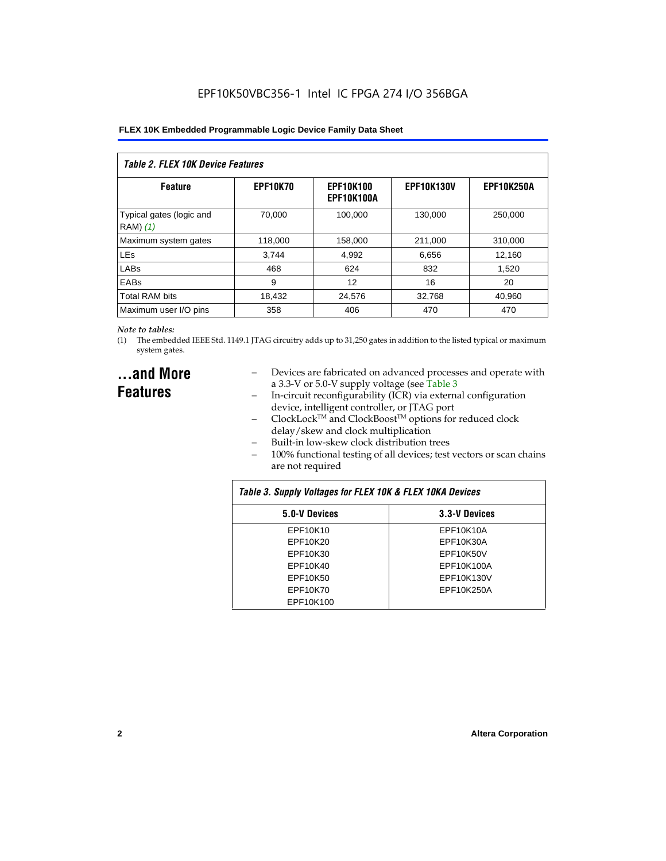| Table 2. FLEX 10K Device Features    |                 |                                |                   |                   |  |
|--------------------------------------|-----------------|--------------------------------|-------------------|-------------------|--|
| <b>Feature</b>                       | <b>EPF10K70</b> | <b>EPF10K100</b><br>EPF10K100A | <b>EPF10K130V</b> | <b>EPF10K250A</b> |  |
| Typical gates (logic and<br>RAM) (1) | 70.000          | 100.000                        | 130.000           | 250,000           |  |
| Maximum system gates                 | 118,000         | 158,000                        | 211,000           | 310,000           |  |
| <b>LEs</b>                           | 3.744           | 4,992                          | 6,656             | 12,160            |  |
| LABs                                 | 468             | 624                            | 832               | 1,520             |  |
| EABs                                 | 9               | 12                             | 16                | 20                |  |
| <b>Total RAM bits</b>                | 18,432          | 24,576                         | 32,768            | 40,960            |  |
| Maximum user I/O pins                | 358             | 406                            | 470               | 470               |  |

#### *Note to tables:*

(1) The embedded IEEE Std. 1149.1 JTAG circuitry adds up to 31,250 gates in addition to the listed typical or maximum system gates.

### **...and More Features**

- Devices are fabricated on advanced processes and operate with a 3.3-V or 5.0-V supply voltage (see Table 3
- In-circuit reconfigurability (ICR) via external configuration device, intelligent controller, or JTAG port
- $ClockLock^{TM}$  and  $ClockBoost^{TM}$  options for reduced clock delay/skew and clock multiplication
- Built-in low-skew clock distribution trees
- 100% functional testing of all devices; test vectors or scan chains are not required

| Table 3. Supply Voltages for FLEX 10K & FLEX 10KA Devices |               |  |  |  |
|-----------------------------------------------------------|---------------|--|--|--|
| 5.0-V Devices                                             | 3.3-V Devices |  |  |  |
| EPF10K10                                                  | EPF10K10A     |  |  |  |
| EPF10K20                                                  | EPF10K30A     |  |  |  |
| EPF10K30                                                  | EPF10K50V     |  |  |  |
| EPF10K40                                                  | EPF10K100A    |  |  |  |
| FPF10K50                                                  | EPF10K130V    |  |  |  |
| EPF10K70                                                  | EPF10K250A    |  |  |  |
| EPF10K100                                                 |               |  |  |  |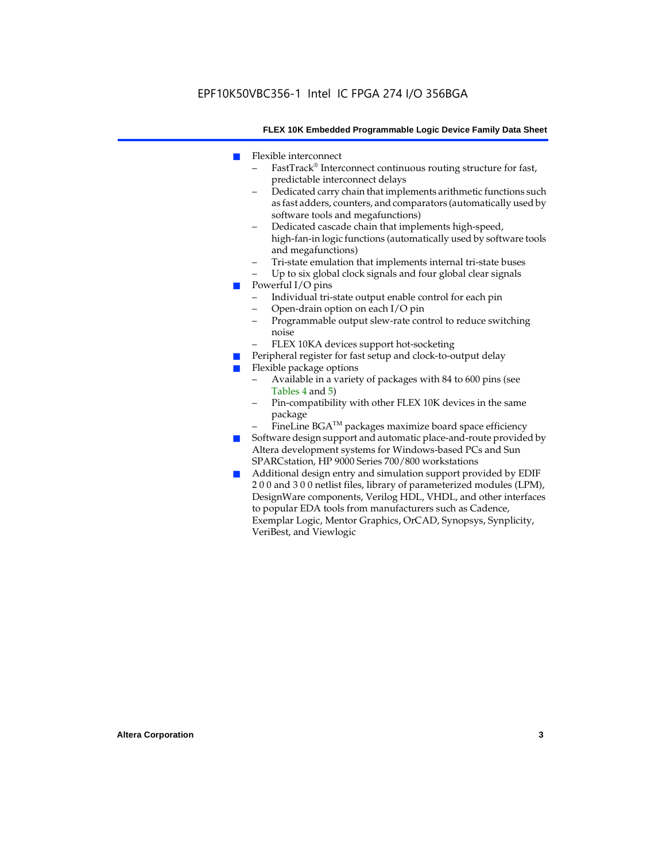- Flexible interconnect
	- FastTrack<sup>®</sup> Interconnect continuous routing structure for fast, predictable interconnect delays
	- Dedicated carry chain that implements arithmetic functions such as fast adders, counters, and comparators (automatically used by software tools and megafunctions)
	- Dedicated cascade chain that implements high-speed, high-fan-in logic functions (automatically used by software tools and megafunctions)
	- Tri-state emulation that implements internal tri-state buses
	- Up to six global clock signals and four global clear signals
- Powerful I/O pins
	- Individual tri-state output enable control for each pin
	- Open-drain option on each I/O pin
	- Programmable output slew-rate control to reduce switching noise
	- FLEX 10KA devices support hot-socketing
- Peripheral register for fast setup and clock-to-output delay
- Flexible package options
	- Available in a variety of packages with 84 to 600 pins (see Tables 4 and 5)
	- Pin-compatibility with other FLEX 10K devices in the same package
	- FineLine BGA<sup>TM</sup> packages maximize board space efficiency
- Software design support and automatic place-and-route provided by Altera development systems for Windows-based PCs and Sun SPARCstation, HP 9000 Series 700/800 workstations
- Additional design entry and simulation support provided by EDIF 2 0 0 and 3 0 0 netlist files, library of parameterized modules (LPM), DesignWare components, Verilog HDL, VHDL, and other interfaces to popular EDA tools from manufacturers such as Cadence, Exemplar Logic, Mentor Graphics, OrCAD, Synopsys, Synplicity, VeriBest, and Viewlogic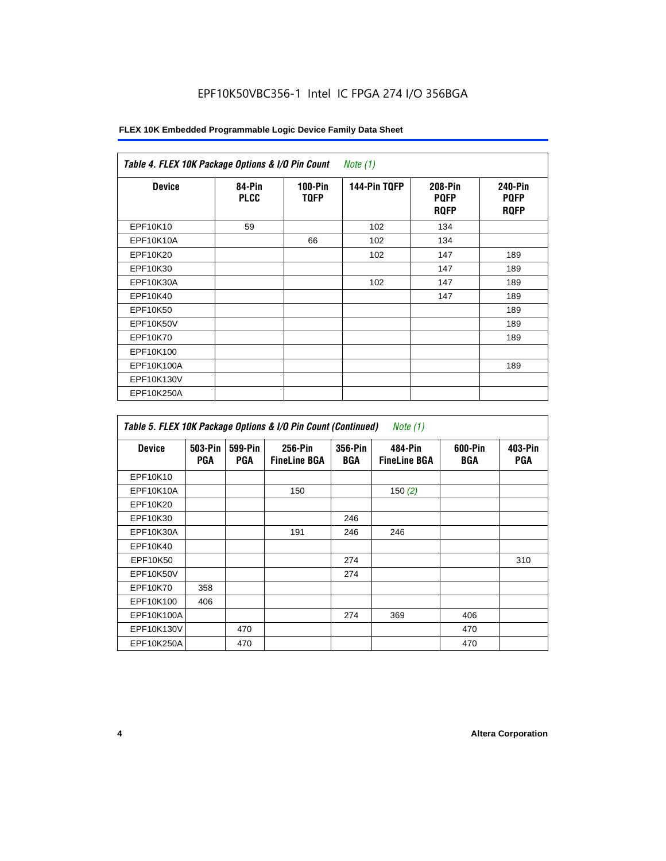| FLEX 10K Embedded Programmable Logic Device Family Data Sheet |  |
|---------------------------------------------------------------|--|
|---------------------------------------------------------------|--|

| <b>Device</b> | 84-Pin<br><b>PLCC</b> | $100-Pin$<br><b>TQFP</b> | 144-Pin TQFP | 208-Pin<br><b>PQFP</b><br><b>ROFP</b> | 240-Pin<br><b>PQFP</b><br><b>ROFP</b> |
|---------------|-----------------------|--------------------------|--------------|---------------------------------------|---------------------------------------|
| EPF10K10      | 59                    |                          | 102          | 134                                   |                                       |
| EPF10K10A     |                       | 66                       | 102          | 134                                   |                                       |
| EPF10K20      |                       |                          | 102          | 147                                   | 189                                   |
| EPF10K30      |                       |                          |              | 147                                   | 189                                   |
| EPF10K30A     |                       |                          | 102          | 147                                   | 189                                   |
| EPF10K40      |                       |                          |              | 147                                   | 189                                   |
| EPF10K50      |                       |                          |              |                                       | 189                                   |
| EPF10K50V     |                       |                          |              |                                       | 189                                   |
| EPF10K70      |                       |                          |              |                                       | 189                                   |
| EPF10K100     |                       |                          |              |                                       |                                       |
| EPF10K100A    |                       |                          |              |                                       | 189                                   |
| EPF10K130V    |                       |                          |              |                                       |                                       |
| EPF10K250A    |                       |                          |              |                                       |                                       |

| Table 5. FLEX 10K Package Options & I/O Pin Count (Continued)<br>Note $(1)$ |                |                       |                                |                       |                                |                |                |
|-----------------------------------------------------------------------------|----------------|-----------------------|--------------------------------|-----------------------|--------------------------------|----------------|----------------|
| <b>Device</b>                                                               | 503-Pin<br>PGA | 599-Pin<br><b>PGA</b> | 256-Pin<br><b>FineLine BGA</b> | 356-Pin<br><b>BGA</b> | 484-Pin<br><b>FineLine BGA</b> | 600-Pin<br>BGA | 403-Pin<br>PGA |
| EPF10K10                                                                    |                |                       |                                |                       |                                |                |                |
| EPF10K10A                                                                   |                |                       | 150                            |                       | 150 $(2)$                      |                |                |
| EPF10K20                                                                    |                |                       |                                |                       |                                |                |                |
| EPF10K30                                                                    |                |                       |                                | 246                   |                                |                |                |
| EPF10K30A                                                                   |                |                       | 191                            | 246                   | 246                            |                |                |
| EPF10K40                                                                    |                |                       |                                |                       |                                |                |                |
| EPF10K50                                                                    |                |                       |                                | 274                   |                                |                | 310            |
| EPF10K50V                                                                   |                |                       |                                | 274                   |                                |                |                |
| EPF10K70                                                                    | 358            |                       |                                |                       |                                |                |                |
| EPF10K100                                                                   | 406            |                       |                                |                       |                                |                |                |
| EPF10K100A                                                                  |                |                       |                                | 274                   | 369                            | 406            |                |
| EPF10K130V                                                                  |                | 470                   |                                |                       |                                | 470            |                |
| EPF10K250A                                                                  |                | 470                   |                                |                       |                                | 470            |                |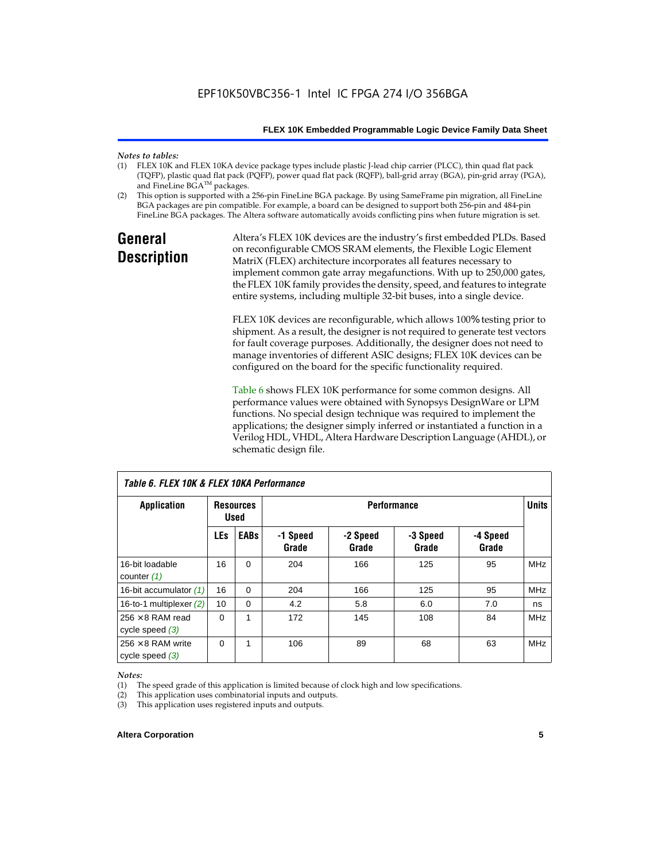### *Notes to tables:*

- FLEX 10K and FLEX 10KA device package types include plastic J-lead chip carrier (PLCC), thin quad flat pack (TQFP), plastic quad flat pack (PQFP), power quad flat pack (RQFP), ball-grid array (BGA), pin-grid array (PGA), and FineLine BGA™ packages.
- (2) This option is supported with a 256-pin FineLine BGA package. By using SameFrame pin migration, all FineLine BGA packages are pin compatible. For example, a board can be designed to support both 256-pin and 484-pin FineLine BGA packages. The Altera software automatically avoids conflicting pins when future migration is set.

### **General Description**

Altera's FLEX 10K devices are the industry's first embedded PLDs. Based on reconfigurable CMOS SRAM elements, the Flexible Logic Element MatriX (FLEX) architecture incorporates all features necessary to implement common gate array megafunctions. With up to 250,000 gates, the FLEX 10K family provides the density, speed, and features to integrate entire systems, including multiple 32-bit buses, into a single device.

FLEX 10K devices are reconfigurable, which allows 100% testing prior to shipment. As a result, the designer is not required to generate test vectors for fault coverage purposes. Additionally, the designer does not need to manage inventories of different ASIC designs; FLEX 10K devices can be configured on the board for the specific functionality required.

Table 6 shows FLEX 10K performance for some common designs. All performance values were obtained with Synopsys DesignWare or LPM functions. No special design technique was required to implement the applications; the designer simply inferred or instantiated a function in a Verilog HDL, VHDL, Altera Hardware Description Language (AHDL), or schematic design file.

| TADIE D. FLEA TUN & FLEA TUNA FEITUITUAILLE   |            |                                 |                   |                    |                   |                   |              |
|-----------------------------------------------|------------|---------------------------------|-------------------|--------------------|-------------------|-------------------|--------------|
| <b>Application</b>                            |            | <b>Resources</b><br><b>Used</b> |                   | <b>Performance</b> |                   |                   | <b>Units</b> |
|                                               | <b>LEs</b> | <b>EABs</b>                     | -1 Speed<br>Grade | -2 Speed<br>Grade  | -3 Speed<br>Grade | -4 Speed<br>Grade |              |
| 16-bit loadable<br>counter $(1)$              | 16         | $\Omega$                        | 204               | 166                | 125               | 95                | <b>MHz</b>   |
| 16-bit accumulator (1)                        | 16         | $\Omega$                        | 204               | 166                | 125               | 95                | <b>MHz</b>   |
| 16-to-1 multiplexer $(2)$                     | 10         | $\Omega$                        | 4.2               | 5.8                | 6.0               | 7.0               | ns           |
| $256 \times 8$ RAM read<br>cycle speed $(3)$  | 0          | 1                               | 172               | 145                | 108               | 84                | <b>MHz</b>   |
| 256 $\times$ 8 RAM write<br>cycle speed $(3)$ | 0          | 1                               | 106               | 89                 | 68                | 63                | <b>MHz</b>   |

*Table 6. FLEX 10K & FLEX 10KA Performance*

#### *Notes:*

(1) The speed grade of this application is limited because of clock high and low specifications.

(2) This application uses combinatorial inputs and outputs.

(3) This application uses registered inputs and outputs.

#### **Altera Corporation 5**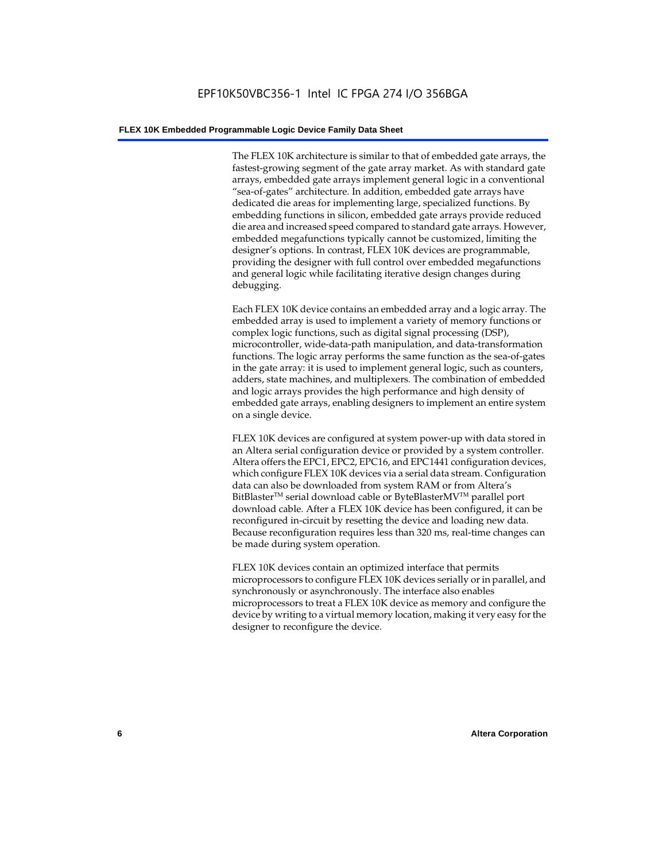The FLEX 10K architecture is similar to that of embedded gate arrays, the fastest-growing segment of the gate array market. As with standard gate arrays, embedded gate arrays implement general logic in a conventional "sea-of-gates" architecture. In addition, embedded gate arrays have dedicated die areas for implementing large, specialized functions. By embedding functions in silicon, embedded gate arrays provide reduced die area and increased speed compared to standard gate arrays. However, embedded megafunctions typically cannot be customized, limiting the designer's options. In contrast, FLEX 10K devices are programmable, providing the designer with full control over embedded megafunctions and general logic while facilitating iterative design changes during debugging.

Each FLEX 10K device contains an embedded array and a logic array. The embedded array is used to implement a variety of memory functions or complex logic functions, such as digital signal processing (DSP), microcontroller, wide-data-path manipulation, and data-transformation functions. The logic array performs the same function as the sea-of-gates in the gate array: it is used to implement general logic, such as counters, adders, state machines, and multiplexers. The combination of embedded and logic arrays provides the high performance and high density of embedded gate arrays, enabling designers to implement an entire system on a single device.

FLEX 10K devices are configured at system power-up with data stored in an Altera serial configuration device or provided by a system controller. Altera offers the EPC1, EPC2, EPC16, and EPC1441 configuration devices, which configure FLEX 10K devices via a serial data stream. Configuration data can also be downloaded from system RAM or from Altera's BitBlaster<sup>™</sup> serial download cable or ByteBlasterMV<sup>™</sup> parallel port download cable. After a FLEX 10K device has been configured, it can be reconfigured in-circuit by resetting the device and loading new data. Because reconfiguration requires less than 320 ms, real-time changes can be made during system operation.

FLEX 10K devices contain an optimized interface that permits microprocessors to configure FLEX 10K devices serially or in parallel, and synchronously or asynchronously. The interface also enables microprocessors to treat a FLEX 10K device as memory and configure the device by writing to a virtual memory location, making it very easy for the designer to reconfigure the device.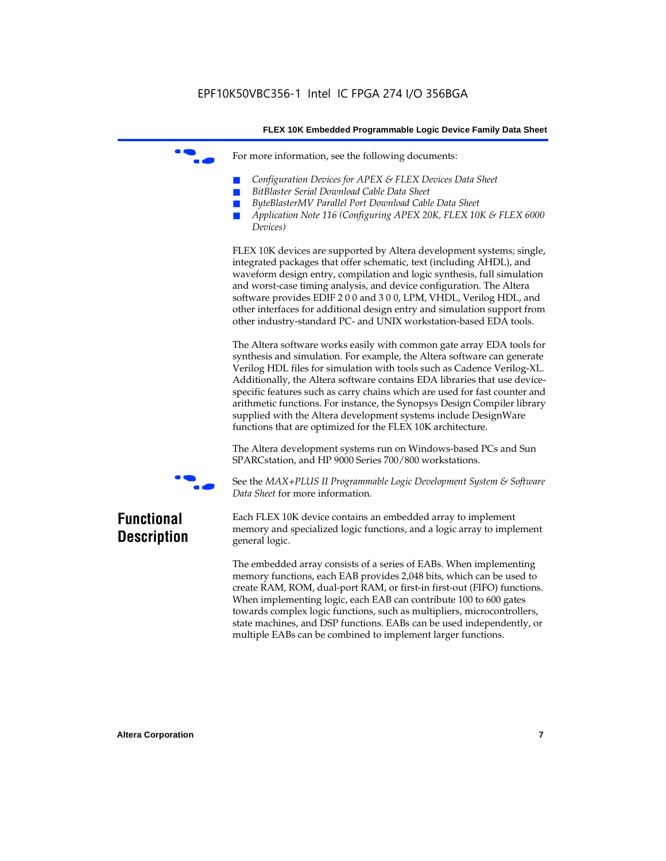For more information, see the following documents:

- *Configuration Devices for APEX & FLEX Devices Data Sheet*
- $BitBlaster$  Serial Download Cable Data Sheet
- *ByteBlasterMV Parallel Port Download Cable Data Sheet*
- *Application Note 116 (Configuring APEX 20K, FLEX 10K & FLEX 6000 Devices)*

FLEX 10K devices are supported by Altera development systems; single, integrated packages that offer schematic, text (including AHDL), and waveform design entry, compilation and logic synthesis, full simulation and worst-case timing analysis, and device configuration. The Altera software provides EDIF 2 0 0 and 3 0 0, LPM, VHDL, Verilog HDL, and other interfaces for additional design entry and simulation support from other industry-standard PC- and UNIX workstation-based EDA tools.

The Altera software works easily with common gate array EDA tools for synthesis and simulation. For example, the Altera software can generate Verilog HDL files for simulation with tools such as Cadence Verilog-XL. Additionally, the Altera software contains EDA libraries that use devicespecific features such as carry chains which are used for fast counter and arithmetic functions. For instance, the Synopsys Design Compiler library supplied with the Altera development systems include DesignWare functions that are optimized for the FLEX 10K architecture.

The Altera development systems run on Windows-based PCs and Sun SPARCstation, and HP 9000 Series 700/800 workstations.



f See the *MAX+PLUS II Programmable Logic Development System & Software Data Sheet* for more information.

### **Functional Description**

Each FLEX 10K device contains an embedded array to implement memory and specialized logic functions, and a logic array to implement general logic.

The embedded array consists of a series of EABs. When implementing memory functions, each EAB provides 2,048 bits, which can be used to create RAM, ROM, dual-port RAM, or first-in first-out (FIFO) functions. When implementing logic, each EAB can contribute 100 to 600 gates towards complex logic functions, such as multipliers, microcontrollers, state machines, and DSP functions. EABs can be used independently, or multiple EABs can be combined to implement larger functions.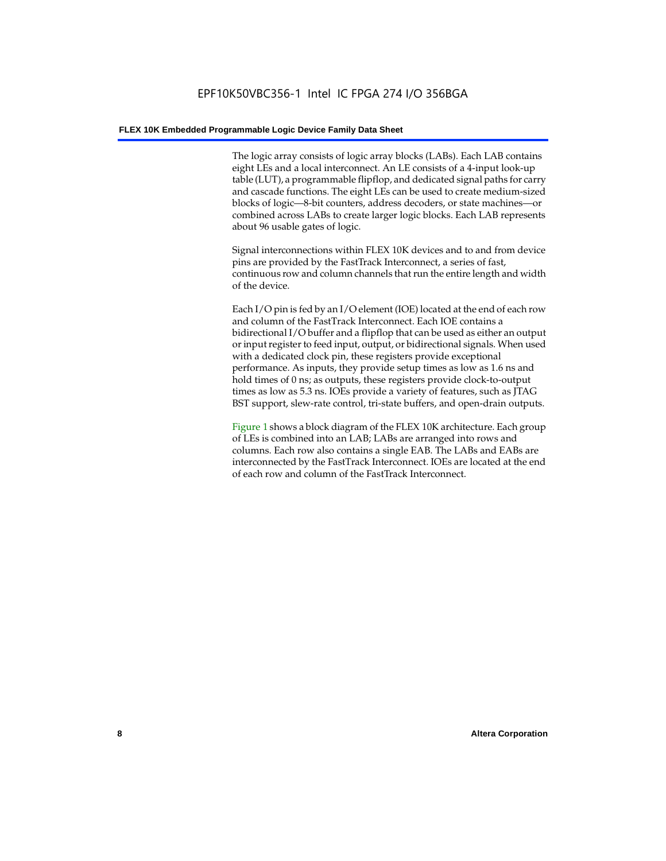The logic array consists of logic array blocks (LABs). Each LAB contains eight LEs and a local interconnect. An LE consists of a 4-input look-up table (LUT), a programmable flipflop, and dedicated signal paths for carry and cascade functions. The eight LEs can be used to create medium-sized blocks of logic—8-bit counters, address decoders, or state machines—or combined across LABs to create larger logic blocks. Each LAB represents about 96 usable gates of logic.

Signal interconnections within FLEX 10K devices and to and from device pins are provided by the FastTrack Interconnect, a series of fast, continuous row and column channels that run the entire length and width of the device.

Each I/O pin is fed by an I/O element (IOE) located at the end of each row and column of the FastTrack Interconnect. Each IOE contains a bidirectional I/O buffer and a flipflop that can be used as either an output or input register to feed input, output, or bidirectional signals. When used with a dedicated clock pin, these registers provide exceptional performance. As inputs, they provide setup times as low as 1.6 ns and hold times of 0 ns; as outputs, these registers provide clock-to-output times as low as 5.3 ns. IOEs provide a variety of features, such as JTAG BST support, slew-rate control, tri-state buffers, and open-drain outputs.

Figure 1 shows a block diagram of the FLEX 10K architecture. Each group of LEs is combined into an LAB; LABs are arranged into rows and columns. Each row also contains a single EAB. The LABs and EABs are interconnected by the FastTrack Interconnect. IOEs are located at the end of each row and column of the FastTrack Interconnect.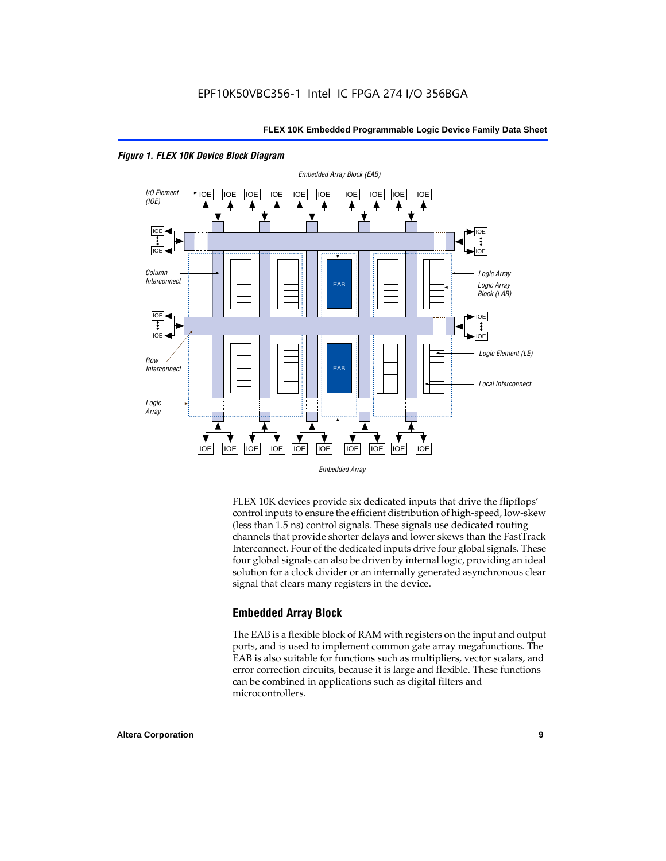

*Figure 1. FLEX 10K Device Block Diagram*

FLEX 10K devices provide six dedicated inputs that drive the flipflops' control inputs to ensure the efficient distribution of high-speed, low-skew (less than 1.5 ns) control signals. These signals use dedicated routing channels that provide shorter delays and lower skews than the FastTrack Interconnect. Four of the dedicated inputs drive four global signals. These four global signals can also be driven by internal logic, providing an ideal solution for a clock divider or an internally generated asynchronous clear signal that clears many registers in the device.

#### **Embedded Array Block**

The EAB is a flexible block of RAM with registers on the input and output ports, and is used to implement common gate array megafunctions. The EAB is also suitable for functions such as multipliers, vector scalars, and error correction circuits, because it is large and flexible. These functions can be combined in applications such as digital filters and microcontrollers.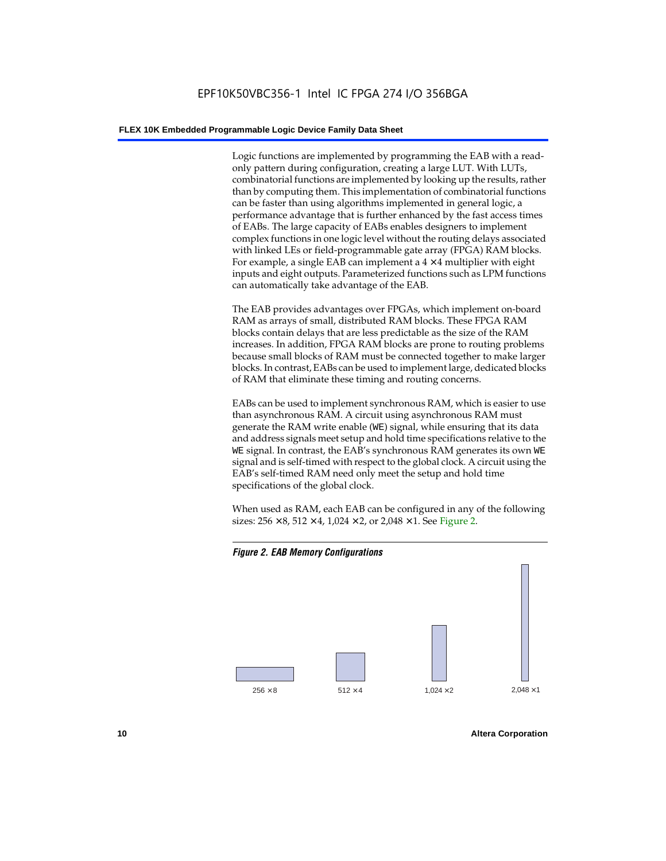Logic functions are implemented by programming the EAB with a readonly pattern during configuration, creating a large LUT. With LUTs, combinatorial functions are implemented by looking up the results, rather than by computing them. This implementation of combinatorial functions can be faster than using algorithms implemented in general logic, a performance advantage that is further enhanced by the fast access times of EABs. The large capacity of EABs enables designers to implement complex functions in one logic level without the routing delays associated with linked LEs or field-programmable gate array (FPGA) RAM blocks. For example, a single EAB can implement a  $4 \times 4$  multiplier with eight inputs and eight outputs. Parameterized functions such as LPM functions can automatically take advantage of the EAB.

The EAB provides advantages over FPGAs, which implement on-board RAM as arrays of small, distributed RAM blocks. These FPGA RAM blocks contain delays that are less predictable as the size of the RAM increases. In addition, FPGA RAM blocks are prone to routing problems because small blocks of RAM must be connected together to make larger blocks. In contrast, EABs can be used to implement large, dedicated blocks of RAM that eliminate these timing and routing concerns.

EABs can be used to implement synchronous RAM, which is easier to use than asynchronous RAM. A circuit using asynchronous RAM must generate the RAM write enable (WE) signal, while ensuring that its data and address signals meet setup and hold time specifications relative to the WE signal. In contrast, the EAB's synchronous RAM generates its own WE signal and is self-timed with respect to the global clock. A circuit using the EAB's self-timed RAM need only meet the setup and hold time specifications of the global clock.

When used as RAM, each EAB can be configured in any of the following sizes:  $256 \times 8$ ,  $512 \times 4$ ,  $1,024 \times 2$ , or  $2,048 \times 1$ . See Figure 2.



**10 Altera Corporation**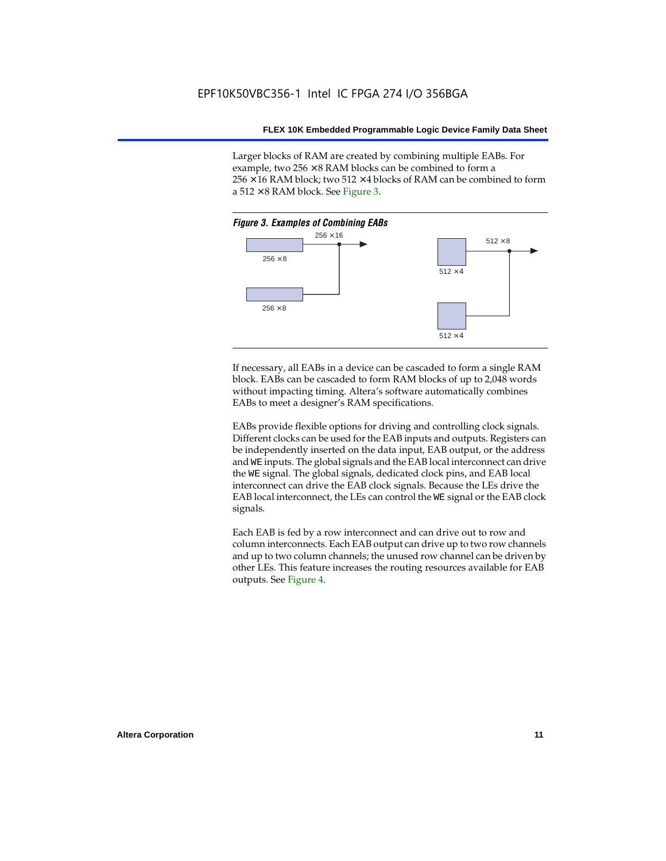Larger blocks of RAM are created by combining multiple EABs. For example, two  $256 \times 8$  RAM blocks can be combined to form a  $256 \times 16$  RAM block; two 512  $\times$  4 blocks of RAM can be combined to form a  $512 \times 8$  RAM block. See Figure 3.



If necessary, all EABs in a device can be cascaded to form a single RAM block. EABs can be cascaded to form RAM blocks of up to 2,048 words without impacting timing. Altera's software automatically combines EABs to meet a designer's RAM specifications.

EABs provide flexible options for driving and controlling clock signals. Different clocks can be used for the EAB inputs and outputs. Registers can be independently inserted on the data input, EAB output, or the address and WE inputs. The global signals and the EAB local interconnect can drive the WE signal. The global signals, dedicated clock pins, and EAB local interconnect can drive the EAB clock signals. Because the LEs drive the EAB local interconnect, the LEs can control the WE signal or the EAB clock signals.

Each EAB is fed by a row interconnect and can drive out to row and column interconnects. Each EAB output can drive up to two row channels and up to two column channels; the unused row channel can be driven by other LEs. This feature increases the routing resources available for EAB outputs. See Figure 4.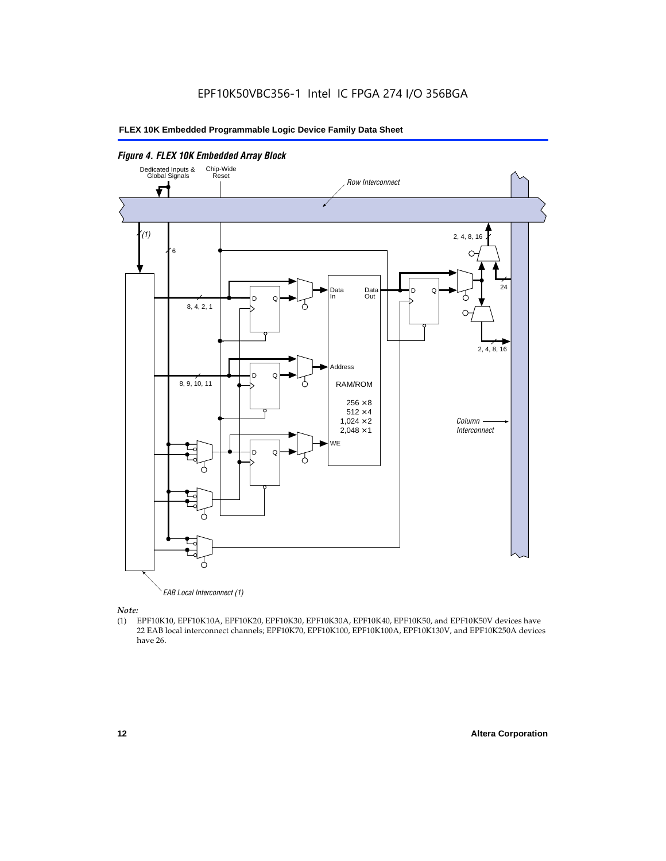

EAB Local Interconnect (1)

*Note:*<br>(1) **H** 

(1) EPF10K10, EPF10K10A, EPF10K20, EPF10K30, EPF10K30A, EPF10K40, EPF10K50, and EPF10K50V devices have 22 EAB local interconnect channels; EPF10K70, EPF10K100, EPF10K100A, EPF10K130V, and EPF10K250A devices have 26.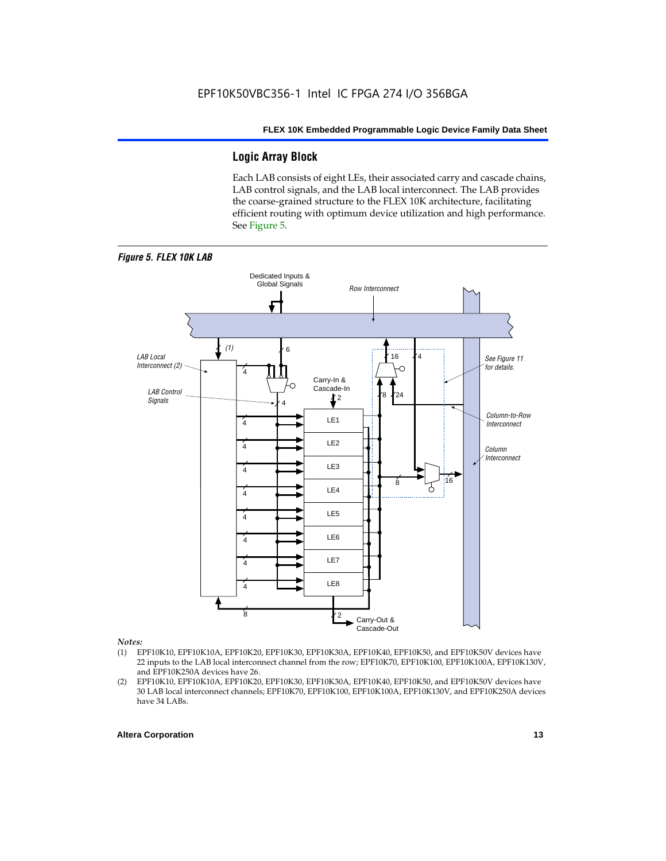#### **Logic Array Block**

Each LAB consists of eight LEs, their associated carry and cascade chains, LAB control signals, and the LAB local interconnect. The LAB provides the coarse-grained structure to the FLEX 10K architecture, facilitating efficient routing with optimum device utilization and high performance. See Figure 5.



#### *Notes:*

- (1) EPF10K10, EPF10K10A, EPF10K20, EPF10K30, EPF10K30A, EPF10K40, EPF10K50, and EPF10K50V devices have 22 inputs to the LAB local interconnect channel from the row; EPF10K70, EPF10K100, EPF10K100A, EPF10K130V, and EPF10K250A devices have 26.
- (2) EPF10K10, EPF10K10A, EPF10K20, EPF10K30, EPF10K30A, EPF10K40, EPF10K50, and EPF10K50V devices have 30 LAB local interconnect channels; EPF10K70, EPF10K100, EPF10K100A, EPF10K130V, and EPF10K250A devices have 34 LABs.

#### **Altera Corporation 13 13**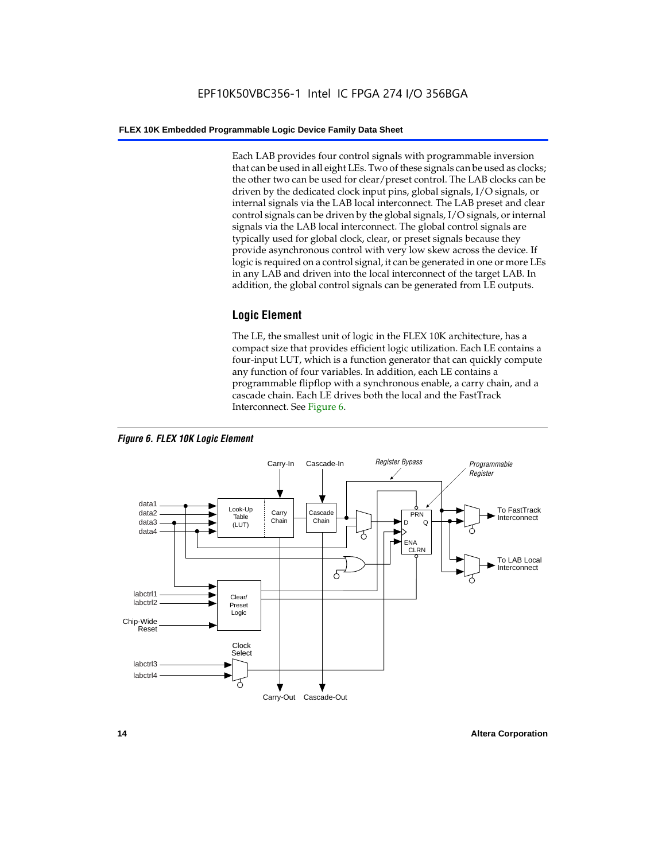Each LAB provides four control signals with programmable inversion that can be used in all eight LEs. Two of these signals can be used as clocks; the other two can be used for clear/preset control. The LAB clocks can be driven by the dedicated clock input pins, global signals, I/O signals, or internal signals via the LAB local interconnect. The LAB preset and clear control signals can be driven by the global signals, I/O signals, or internal signals via the LAB local interconnect. The global control signals are typically used for global clock, clear, or preset signals because they provide asynchronous control with very low skew across the device. If logic is required on a control signal, it can be generated in one or more LEs in any LAB and driven into the local interconnect of the target LAB. In addition, the global control signals can be generated from LE outputs.

#### **Logic Element**

The LE, the smallest unit of logic in the FLEX 10K architecture, has a compact size that provides efficient logic utilization. Each LE contains a four-input LUT, which is a function generator that can quickly compute any function of four variables. In addition, each LE contains a programmable flipflop with a synchronous enable, a carry chain, and a cascade chain. Each LE drives both the local and the FastTrack Interconnect. See Figure 6.



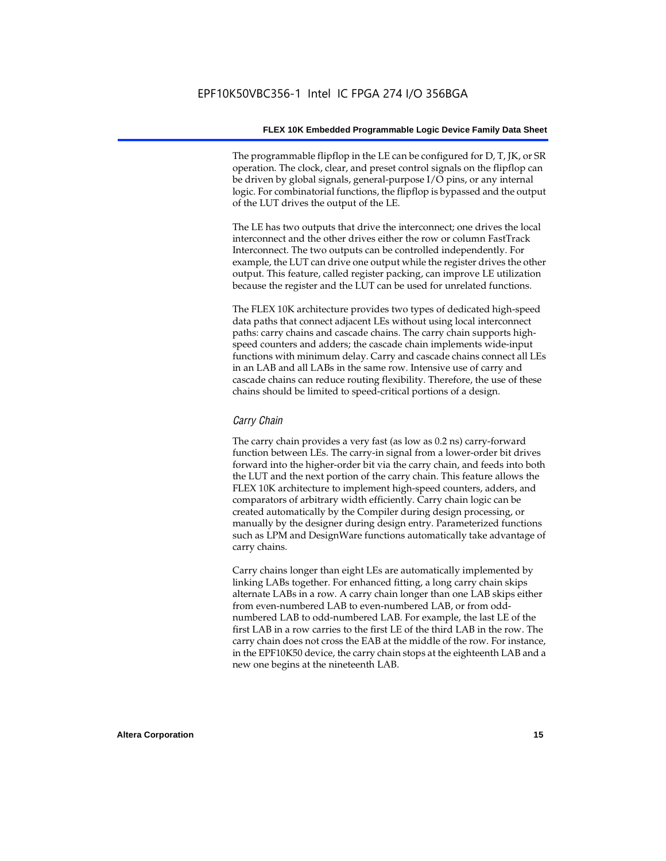The programmable flipflop in the LE can be configured for D, T, JK, or SR operation. The clock, clear, and preset control signals on the flipflop can be driven by global signals, general-purpose I/O pins, or any internal logic. For combinatorial functions, the flipflop is bypassed and the output of the LUT drives the output of the LE.

The LE has two outputs that drive the interconnect; one drives the local interconnect and the other drives either the row or column FastTrack Interconnect. The two outputs can be controlled independently. For example, the LUT can drive one output while the register drives the other output. This feature, called register packing, can improve LE utilization because the register and the LUT can be used for unrelated functions.

The FLEX 10K architecture provides two types of dedicated high-speed data paths that connect adjacent LEs without using local interconnect paths: carry chains and cascade chains. The carry chain supports highspeed counters and adders; the cascade chain implements wide-input functions with minimum delay. Carry and cascade chains connect all LEs in an LAB and all LABs in the same row. Intensive use of carry and cascade chains can reduce routing flexibility. Therefore, the use of these chains should be limited to speed-critical portions of a design.

#### *Carry Chain*

The carry chain provides a very fast (as low as 0.2 ns) carry-forward function between LEs. The carry-in signal from a lower-order bit drives forward into the higher-order bit via the carry chain, and feeds into both the LUT and the next portion of the carry chain. This feature allows the FLEX 10K architecture to implement high-speed counters, adders, and comparators of arbitrary width efficiently. Carry chain logic can be created automatically by the Compiler during design processing, or manually by the designer during design entry. Parameterized functions such as LPM and DesignWare functions automatically take advantage of carry chains.

Carry chains longer than eight LEs are automatically implemented by linking LABs together. For enhanced fitting, a long carry chain skips alternate LABs in a row. A carry chain longer than one LAB skips either from even-numbered LAB to even-numbered LAB, or from oddnumbered LAB to odd-numbered LAB. For example, the last LE of the first LAB in a row carries to the first LE of the third LAB in the row. The carry chain does not cross the EAB at the middle of the row. For instance, in the EPF10K50 device, the carry chain stops at the eighteenth LAB and a new one begins at the nineteenth LAB.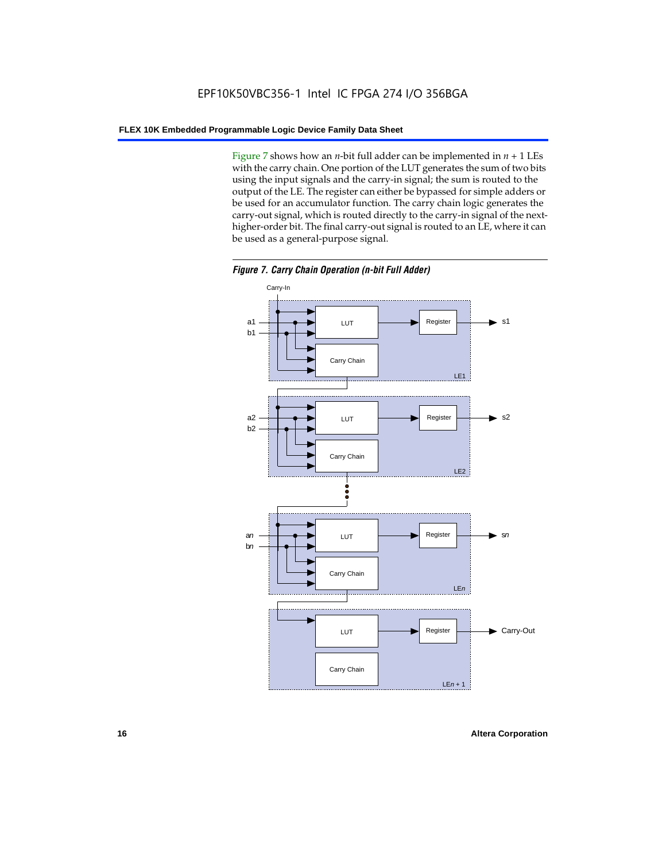Figure 7 shows how an *n*-bit full adder can be implemented in  $n + 1$  LEs with the carry chain. One portion of the LUT generates the sum of two bits using the input signals and the carry-in signal; the sum is routed to the output of the LE. The register can either be bypassed for simple adders or be used for an accumulator function. The carry chain logic generates the carry-out signal, which is routed directly to the carry-in signal of the nexthigher-order bit. The final carry-out signal is routed to an LE, where it can be used as a general-purpose signal.



*Figure 7. Carry Chain Operation (n-bit Full Adder)*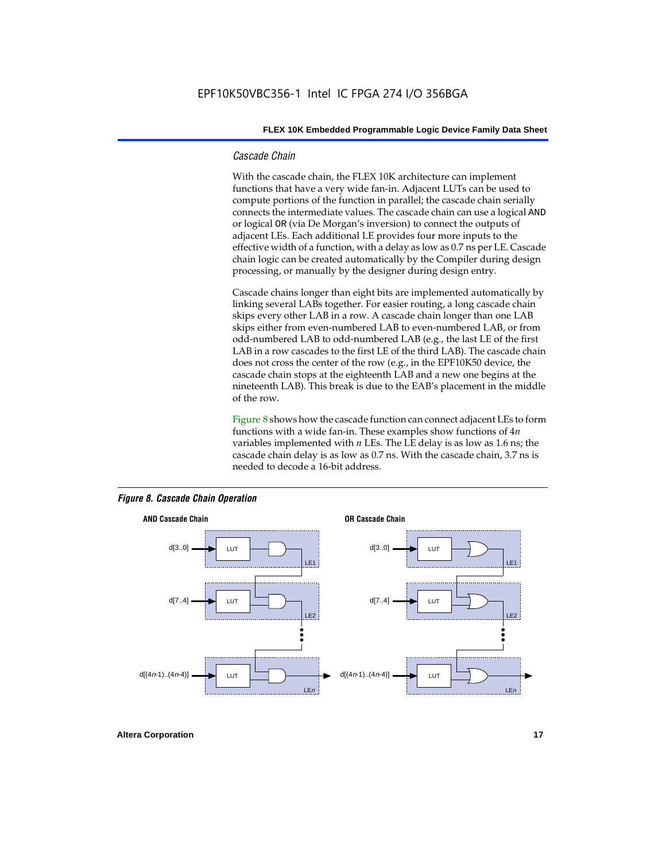#### *Cascade Chain*

With the cascade chain, the FLEX 10K architecture can implement functions that have a very wide fan-in. Adjacent LUTs can be used to compute portions of the function in parallel; the cascade chain serially connects the intermediate values. The cascade chain can use a logical AND or logical OR (via De Morgan's inversion) to connect the outputs of adjacent LEs. Each additional LE provides four more inputs to the effective width of a function, with a delay as low as 0.7 ns per LE. Cascade chain logic can be created automatically by the Compiler during design processing, or manually by the designer during design entry.

Cascade chains longer than eight bits are implemented automatically by linking several LABs together. For easier routing, a long cascade chain skips every other LAB in a row. A cascade chain longer than one LAB skips either from even-numbered LAB to even-numbered LAB, or from odd-numbered LAB to odd-numbered LAB (e.g., the last LE of the first LAB in a row cascades to the first LE of the third LAB). The cascade chain does not cross the center of the row (e.g., in the EPF10K50 device, the cascade chain stops at the eighteenth LAB and a new one begins at the nineteenth LAB). This break is due to the EAB's placement in the middle of the row.

Figure 8 shows how the cascade function can connect adjacent LEs to form functions with a wide fan-in. These examples show functions of 4*n* variables implemented with *n* LEs. The LE delay is as low as 1.6 ns; the cascade chain delay is as low as 0.7 ns. With the cascade chain, 3.7 ns is needed to decode a 16-bit address.



#### *Figure 8. Cascade Chain Operation*

**Altera Corporation 17 17**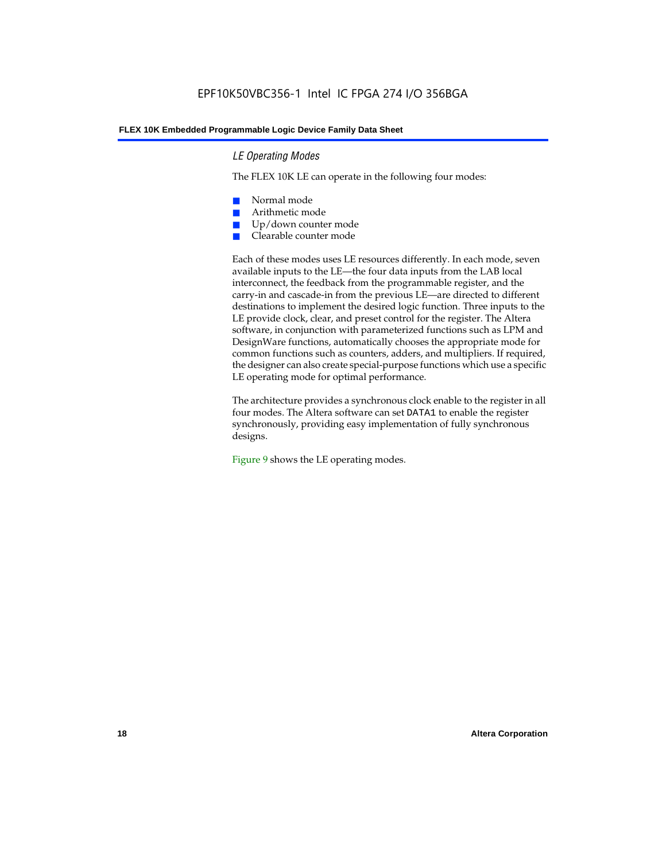#### *LE Operating Modes*

The FLEX 10K LE can operate in the following four modes:

- Normal mode
- Arithmetic mode
- Up/down counter mode
- Clearable counter mode

Each of these modes uses LE resources differently. In each mode, seven available inputs to the LE—the four data inputs from the LAB local interconnect, the feedback from the programmable register, and the carry-in and cascade-in from the previous LE—are directed to different destinations to implement the desired logic function. Three inputs to the LE provide clock, clear, and preset control for the register. The Altera software, in conjunction with parameterized functions such as LPM and DesignWare functions, automatically chooses the appropriate mode for common functions such as counters, adders, and multipliers. If required, the designer can also create special-purpose functions which use a specific LE operating mode for optimal performance.

The architecture provides a synchronous clock enable to the register in all four modes. The Altera software can set DATA1 to enable the register synchronously, providing easy implementation of fully synchronous designs.

Figure 9 shows the LE operating modes.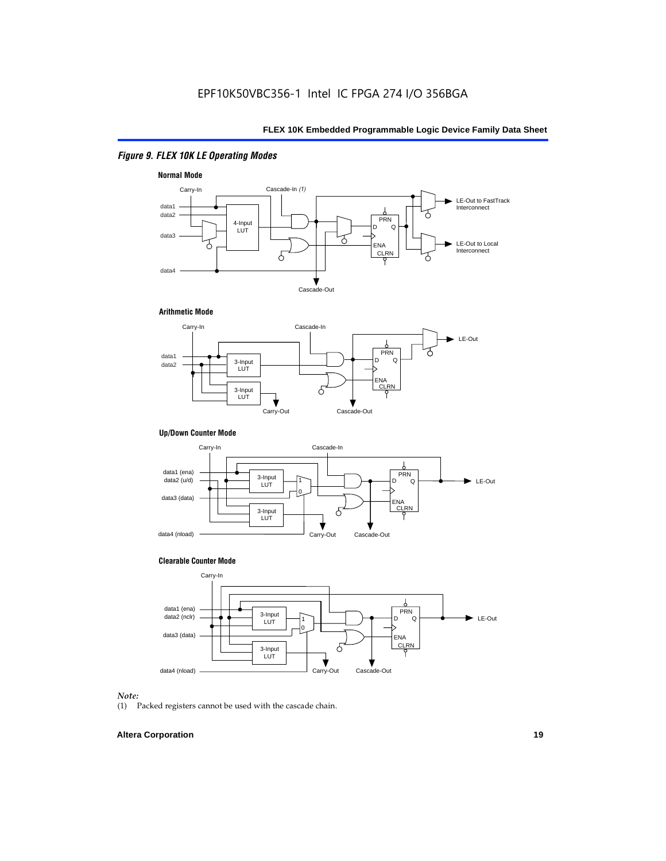#### *Figure 9. FLEX 10K LE Operating Modes*



#### **Arithmetic Mode**



#### **Up/Down Counter Mode**



#### **Clearable Counter Mode**



#### *Note:*

(1) Packed registers cannot be used with the cascade chain.

#### **Altera Corporation 19**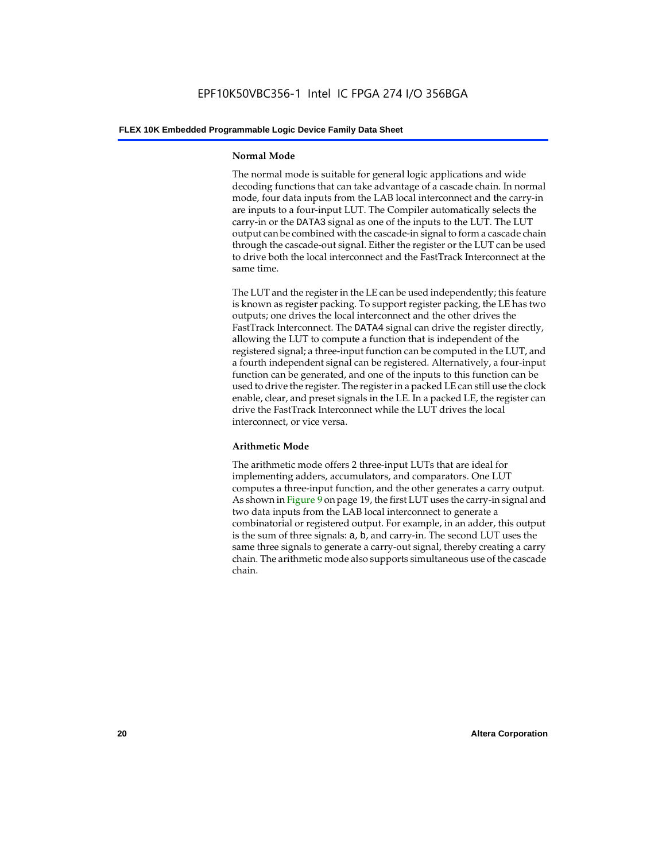#### **Normal Mode**

The normal mode is suitable for general logic applications and wide decoding functions that can take advantage of a cascade chain. In normal mode, four data inputs from the LAB local interconnect and the carry-in are inputs to a four-input LUT. The Compiler automatically selects the carry-in or the DATA3 signal as one of the inputs to the LUT. The LUT output can be combined with the cascade-in signal to form a cascade chain through the cascade-out signal. Either the register or the LUT can be used to drive both the local interconnect and the FastTrack Interconnect at the same time.

The LUT and the register in the LE can be used independently; this feature is known as register packing. To support register packing, the LE has two outputs; one drives the local interconnect and the other drives the FastTrack Interconnect. The DATA4 signal can drive the register directly, allowing the LUT to compute a function that is independent of the registered signal; a three-input function can be computed in the LUT, and a fourth independent signal can be registered. Alternatively, a four-input function can be generated, and one of the inputs to this function can be used to drive the register. The register in a packed LE can still use the clock enable, clear, and preset signals in the LE. In a packed LE, the register can drive the FastTrack Interconnect while the LUT drives the local interconnect, or vice versa.

#### **Arithmetic Mode**

The arithmetic mode offers 2 three-input LUTs that are ideal for implementing adders, accumulators, and comparators. One LUT computes a three-input function, and the other generates a carry output. As shown in Figure 9 on page 19, the first LUT uses the carry-in signal and two data inputs from the LAB local interconnect to generate a combinatorial or registered output. For example, in an adder, this output is the sum of three signals: a, b, and carry-in. The second LUT uses the same three signals to generate a carry-out signal, thereby creating a carry chain. The arithmetic mode also supports simultaneous use of the cascade chain.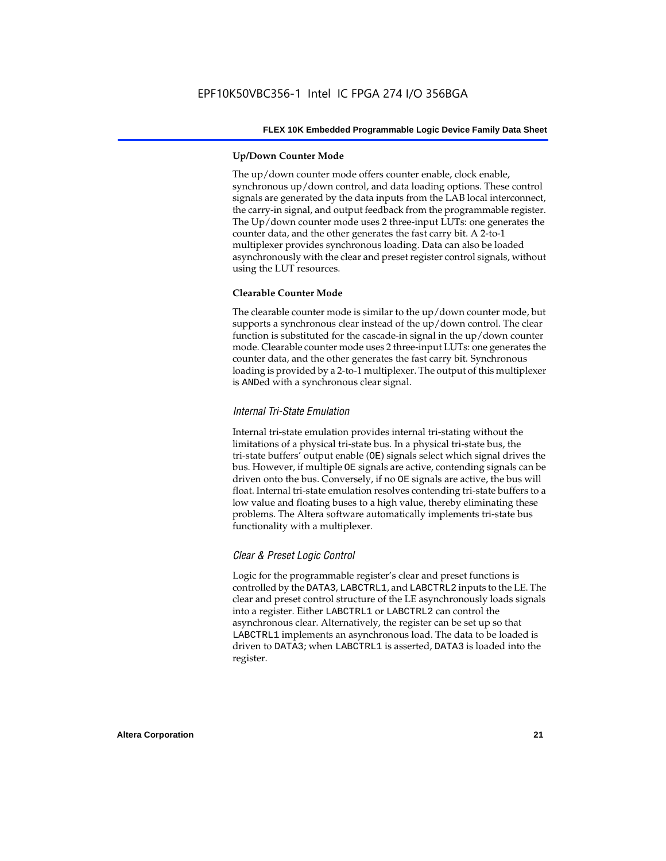#### **Up/Down Counter Mode**

The up/down counter mode offers counter enable, clock enable, synchronous up/down control, and data loading options. These control signals are generated by the data inputs from the LAB local interconnect, the carry-in signal, and output feedback from the programmable register. The Up/down counter mode uses 2 three-input LUTs: one generates the counter data, and the other generates the fast carry bit. A 2-to-1 multiplexer provides synchronous loading. Data can also be loaded asynchronously with the clear and preset register control signals, without using the LUT resources.

#### **Clearable Counter Mode**

The clearable counter mode is similar to the up/down counter mode, but supports a synchronous clear instead of the up/down control. The clear function is substituted for the cascade-in signal in the up/down counter mode. Clearable counter mode uses 2 three-input LUTs: one generates the counter data, and the other generates the fast carry bit. Synchronous loading is provided by a 2-to-1 multiplexer. The output of this multiplexer is ANDed with a synchronous clear signal.

#### *Internal Tri-State Emulation*

Internal tri-state emulation provides internal tri-stating without the limitations of a physical tri-state bus. In a physical tri-state bus, the tri-state buffers' output enable (OE) signals select which signal drives the bus. However, if multiple OE signals are active, contending signals can be driven onto the bus. Conversely, if no OE signals are active, the bus will float. Internal tri-state emulation resolves contending tri-state buffers to a low value and floating buses to a high value, thereby eliminating these problems. The Altera software automatically implements tri-state bus functionality with a multiplexer.

#### *Clear & Preset Logic Control*

Logic for the programmable register's clear and preset functions is controlled by the DATA3, LABCTRL1, and LABCTRL2 inputs to the LE. The clear and preset control structure of the LE asynchronously loads signals into a register. Either LABCTRL1 or LABCTRL2 can control the asynchronous clear. Alternatively, the register can be set up so that LABCTRL1 implements an asynchronous load. The data to be loaded is driven to DATA3; when LABCTRL1 is asserted, DATA3 is loaded into the register.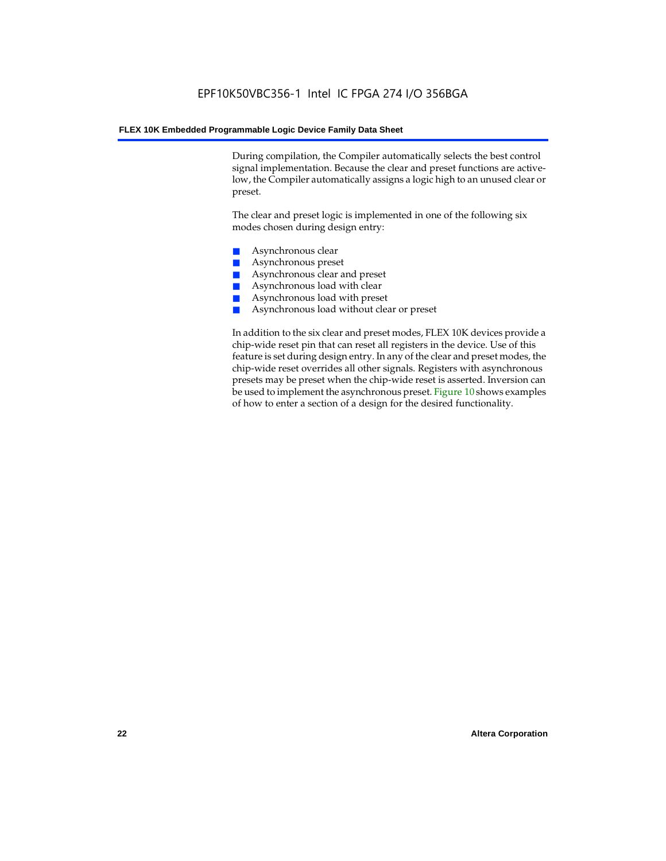During compilation, the Compiler automatically selects the best control signal implementation. Because the clear and preset functions are activelow, the Compiler automatically assigns a logic high to an unused clear or preset.

The clear and preset logic is implemented in one of the following six modes chosen during design entry:

- Asynchronous clear
- Asynchronous preset
- Asynchronous clear and preset
- Asynchronous load with clear
- Asynchronous load with preset
- Asynchronous load without clear or preset

In addition to the six clear and preset modes, FLEX 10K devices provide a chip-wide reset pin that can reset all registers in the device. Use of this feature is set during design entry. In any of the clear and preset modes, the chip-wide reset overrides all other signals. Registers with asynchronous presets may be preset when the chip-wide reset is asserted. Inversion can be used to implement the asynchronous preset. Figure 10 shows examples of how to enter a section of a design for the desired functionality.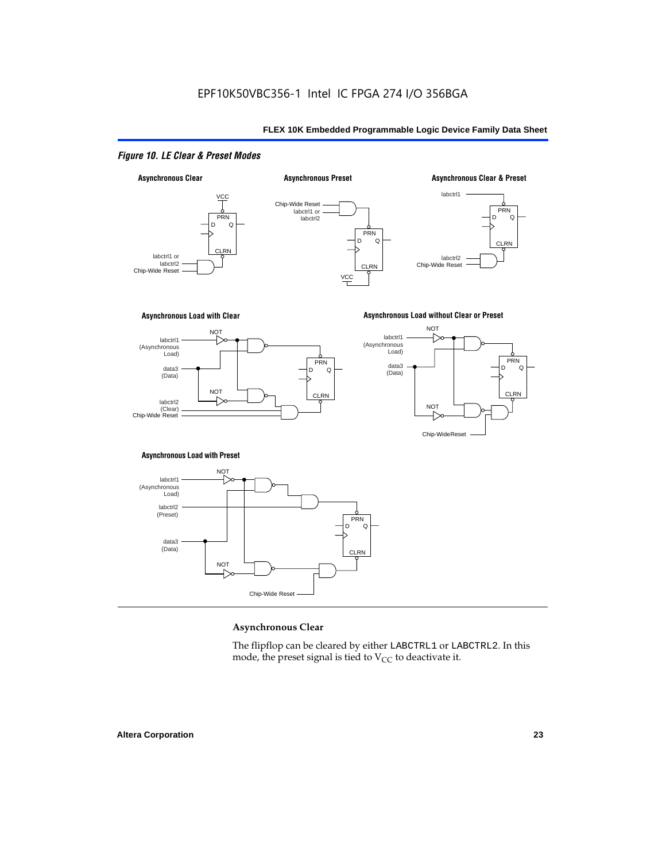### *Figure 10. LE Clear & Preset Modes*



#### **Asynchronous Clear**

The flipflop can be cleared by either LABCTRL1 or LABCTRL2. In this mode, the preset signal is tied to  $V_{CC}$  to deactivate it.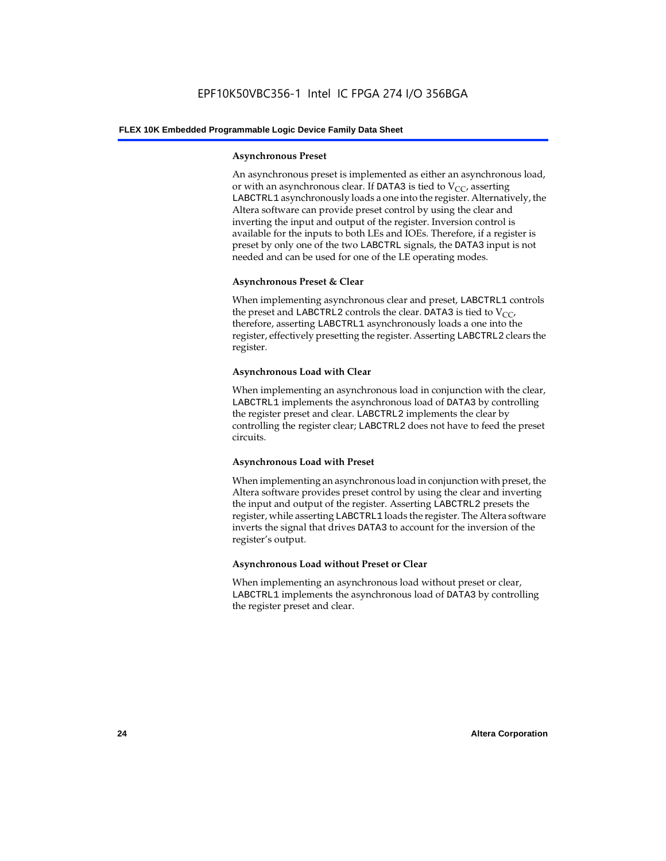#### **Asynchronous Preset**

An asynchronous preset is implemented as either an asynchronous load, or with an asynchronous clear. If DATA3 is tied to  $V_{CC}$ , asserting LABCTRL1 asynchronously loads a one into the register. Alternatively, the Altera software can provide preset control by using the clear and inverting the input and output of the register. Inversion control is available for the inputs to both LEs and IOEs. Therefore, if a register is preset by only one of the two LABCTRL signals, the DATA3 input is not needed and can be used for one of the LE operating modes.

#### **Asynchronous Preset & Clear**

When implementing asynchronous clear and preset, LABCTRL1 controls the preset and LABCTRL2 controls the clear. DATA3 is tied to  $V_{CC}$ , therefore, asserting LABCTRL1 asynchronously loads a one into the register, effectively presetting the register. Asserting LABCTRL2 clears the register.

#### **Asynchronous Load with Clear**

When implementing an asynchronous load in conjunction with the clear, LABCTRL1 implements the asynchronous load of DATA3 by controlling the register preset and clear. LABCTRL2 implements the clear by controlling the register clear; LABCTRL2 does not have to feed the preset circuits.

#### **Asynchronous Load with Preset**

When implementing an asynchronous load in conjunction with preset, the Altera software provides preset control by using the clear and inverting the input and output of the register. Asserting LABCTRL2 presets the register, while asserting LABCTRL1 loads the register. The Altera software inverts the signal that drives DATA3 to account for the inversion of the register's output.

#### **Asynchronous Load without Preset or Clear**

When implementing an asynchronous load without preset or clear, LABCTRL1 implements the asynchronous load of DATA3 by controlling the register preset and clear.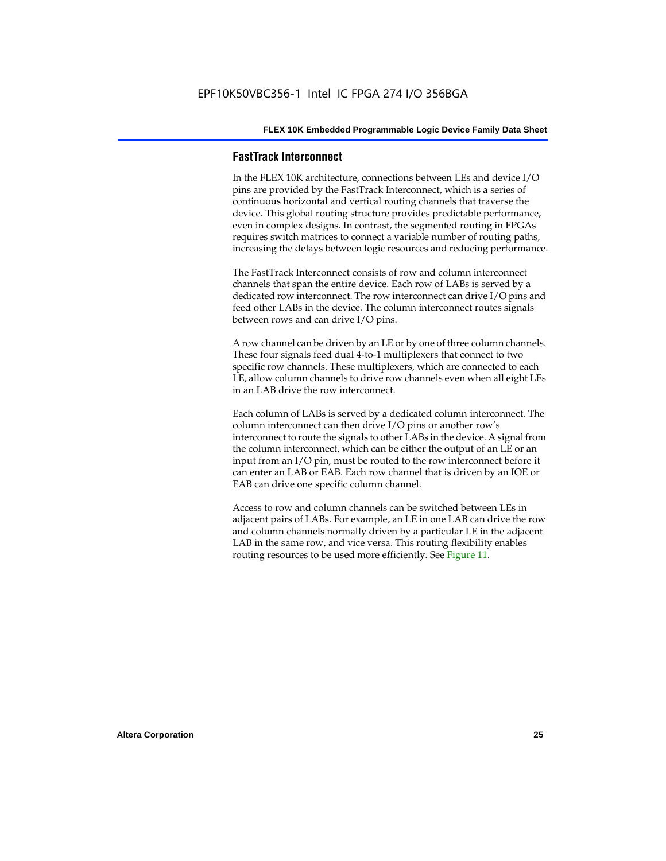#### **FastTrack Interconnect**

In the FLEX 10K architecture, connections between LEs and device I/O pins are provided by the FastTrack Interconnect, which is a series of continuous horizontal and vertical routing channels that traverse the device. This global routing structure provides predictable performance, even in complex designs. In contrast, the segmented routing in FPGAs requires switch matrices to connect a variable number of routing paths, increasing the delays between logic resources and reducing performance.

The FastTrack Interconnect consists of row and column interconnect channels that span the entire device. Each row of LABs is served by a dedicated row interconnect. The row interconnect can drive I/O pins and feed other LABs in the device. The column interconnect routes signals between rows and can drive I/O pins.

A row channel can be driven by an LE or by one of three column channels. These four signals feed dual 4-to-1 multiplexers that connect to two specific row channels. These multiplexers, which are connected to each LE, allow column channels to drive row channels even when all eight LEs in an LAB drive the row interconnect.

Each column of LABs is served by a dedicated column interconnect. The column interconnect can then drive I/O pins or another row's interconnect to route the signals to other LABs in the device. A signal from the column interconnect, which can be either the output of an LE or an input from an I/O pin, must be routed to the row interconnect before it can enter an LAB or EAB. Each row channel that is driven by an IOE or EAB can drive one specific column channel.

Access to row and column channels can be switched between LEs in adjacent pairs of LABs. For example, an LE in one LAB can drive the row and column channels normally driven by a particular LE in the adjacent LAB in the same row, and vice versa. This routing flexibility enables routing resources to be used more efficiently. See Figure 11.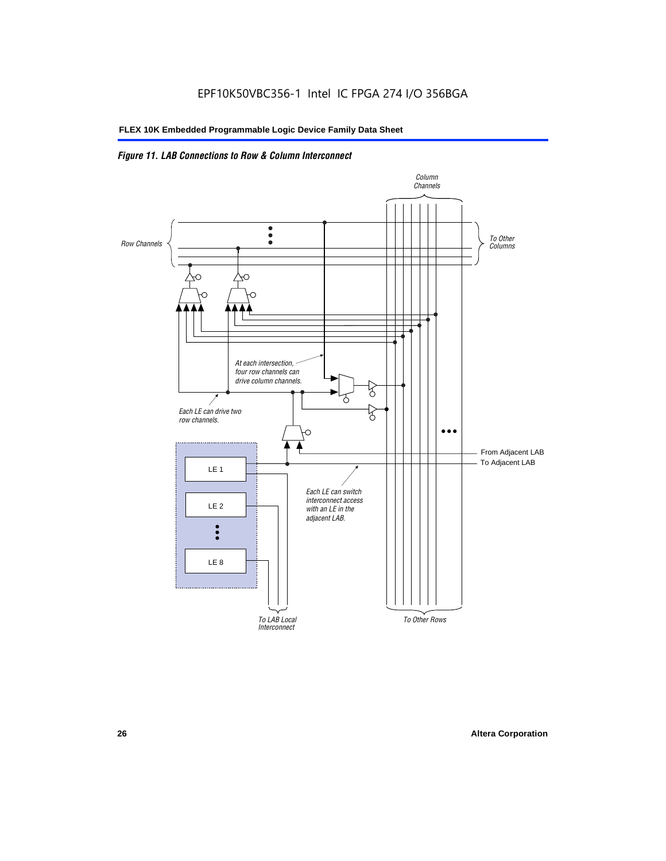#### *Figure 11. LAB Connections to Row & Column Interconnect*

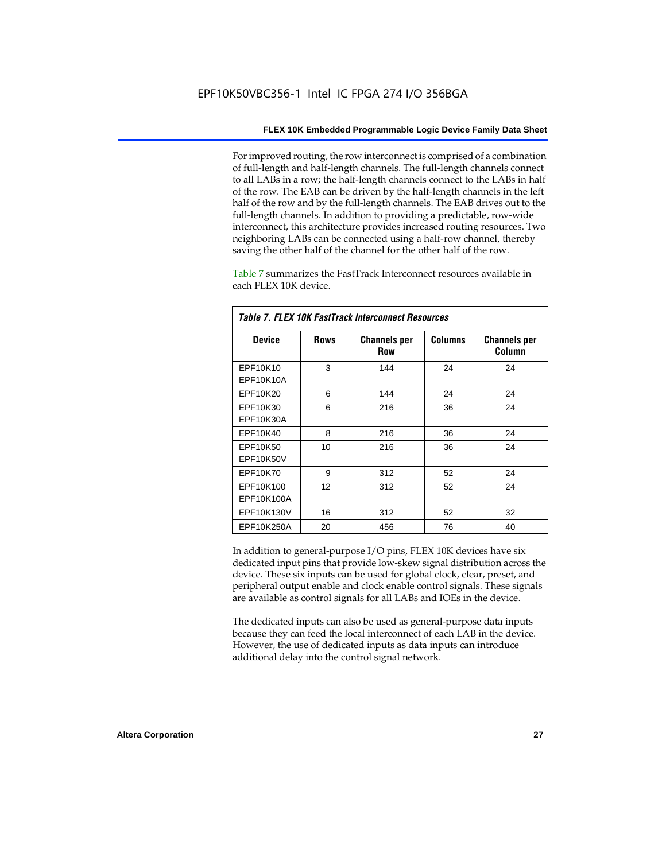For improved routing, the row interconnect is comprised of a combination of full-length and half-length channels. The full-length channels connect to all LABs in a row; the half-length channels connect to the LABs in half of the row. The EAB can be driven by the half-length channels in the left half of the row and by the full-length channels. The EAB drives out to the full-length channels. In addition to providing a predictable, row-wide interconnect, this architecture provides increased routing resources. Two neighboring LABs can be connected using a half-row channel, thereby saving the other half of the channel for the other half of the row.

Table 7 summarizes the FastTrack Interconnect resources available in each FLEX 10K device.

| Tadie 7. Flex Tur Fastitack Mieicumieci Resuulces |      |                            |                |                               |  |
|---------------------------------------------------|------|----------------------------|----------------|-------------------------------|--|
| <b>Device</b>                                     | Rows | <b>Channels per</b><br>Row | <b>Columns</b> | <b>Channels per</b><br>Column |  |
| EPF10K10                                          | 3    | 144                        | 24             | 24                            |  |
| EPF10K10A                                         |      |                            |                |                               |  |
| EPF10K20                                          | 6    | 144                        | 24             | 24                            |  |
| EPF10K30                                          | 6    | 216                        | 36             | 24                            |  |
| EPF10K30A                                         |      |                            |                |                               |  |
| EPF10K40                                          | 8    | 216                        | 36             | 24                            |  |
| EPF10K50                                          | 10   | 216                        | 36             | 24                            |  |
| EPF10K50V                                         |      |                            |                |                               |  |
| EPF10K70                                          | 9    | 312                        | 52             | 24                            |  |
| EPF10K100                                         | 12   | 312                        | 52             | 24                            |  |
| EPF10K100A                                        |      |                            |                |                               |  |
| EPF10K130V                                        | 16   | 312                        | 52             | 32                            |  |
| EPF10K250A                                        | 20   | 456                        | 76             | 40                            |  |

*Table 7. FLEX 10K FastTrack Interconnect Resources*

In addition to general-purpose I/O pins, FLEX 10K devices have six dedicated input pins that provide low-skew signal distribution across the device. These six inputs can be used for global clock, clear, preset, and peripheral output enable and clock enable control signals. These signals are available as control signals for all LABs and IOEs in the device.

The dedicated inputs can also be used as general-purpose data inputs because they can feed the local interconnect of each LAB in the device. However, the use of dedicated inputs as data inputs can introduce additional delay into the control signal network.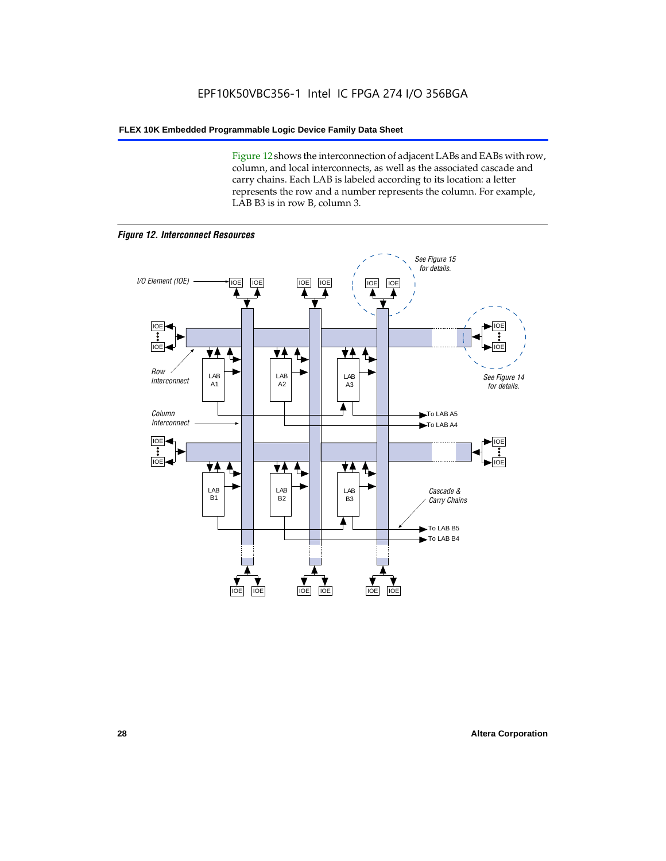Figure 12 shows the interconnection of adjacent LABs and EABs with row, column, and local interconnects, as well as the associated cascade and carry chains. Each LAB is labeled according to its location: a letter represents the row and a number represents the column. For example, LAB B3 is in row B, column 3.



*Figure 12. Interconnect Resources*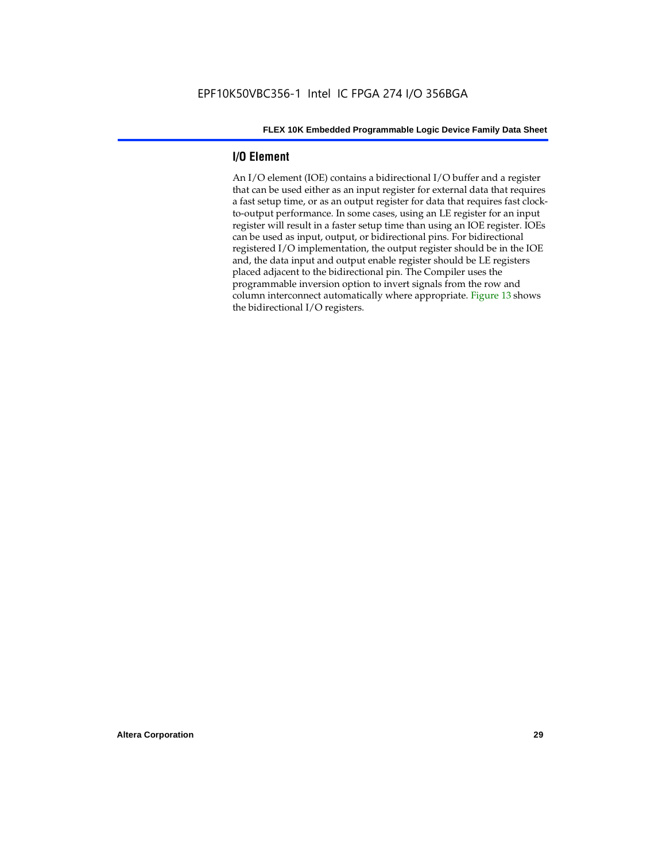#### **I/O Element**

An I/O element (IOE) contains a bidirectional I/O buffer and a register that can be used either as an input register for external data that requires a fast setup time, or as an output register for data that requires fast clockto-output performance. In some cases, using an LE register for an input register will result in a faster setup time than using an IOE register. IOEs can be used as input, output, or bidirectional pins. For bidirectional registered I/O implementation, the output register should be in the IOE and, the data input and output enable register should be LE registers placed adjacent to the bidirectional pin. The Compiler uses the programmable inversion option to invert signals from the row and column interconnect automatically where appropriate. Figure 13 shows the bidirectional I/O registers.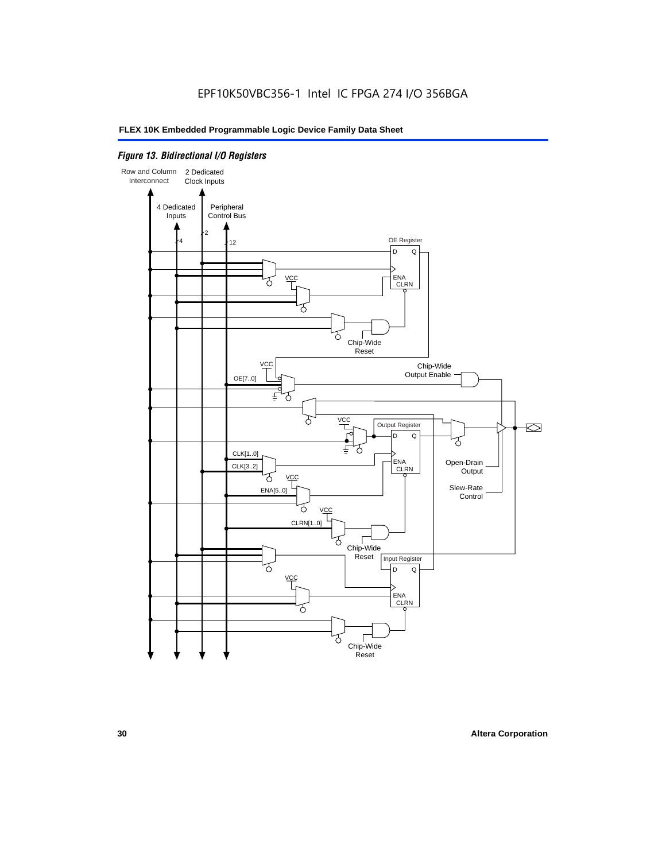#### *Figure 13. Bidirectional I/O Registers*

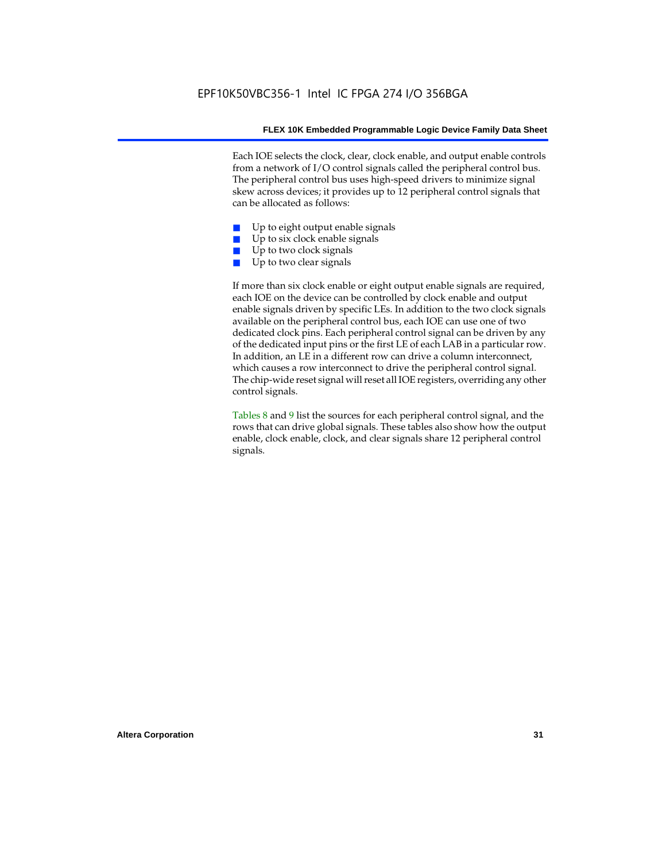Each IOE selects the clock, clear, clock enable, and output enable controls from a network of I/O control signals called the peripheral control bus. The peripheral control bus uses high-speed drivers to minimize signal skew across devices; it provides up to 12 peripheral control signals that can be allocated as follows:

- Up to eight output enable signals
- Up to six clock enable signals
- Up to two clock signals
- Up to two clear signals

If more than six clock enable or eight output enable signals are required, each IOE on the device can be controlled by clock enable and output enable signals driven by specific LEs. In addition to the two clock signals available on the peripheral control bus, each IOE can use one of two dedicated clock pins. Each peripheral control signal can be driven by any of the dedicated input pins or the first LE of each LAB in a particular row. In addition, an LE in a different row can drive a column interconnect, which causes a row interconnect to drive the peripheral control signal. The chip-wide reset signal will reset all IOE registers, overriding any other control signals.

Tables 8 and 9 list the sources for each peripheral control signal, and the rows that can drive global signals. These tables also show how the output enable, clock enable, clock, and clear signals share 12 peripheral control signals.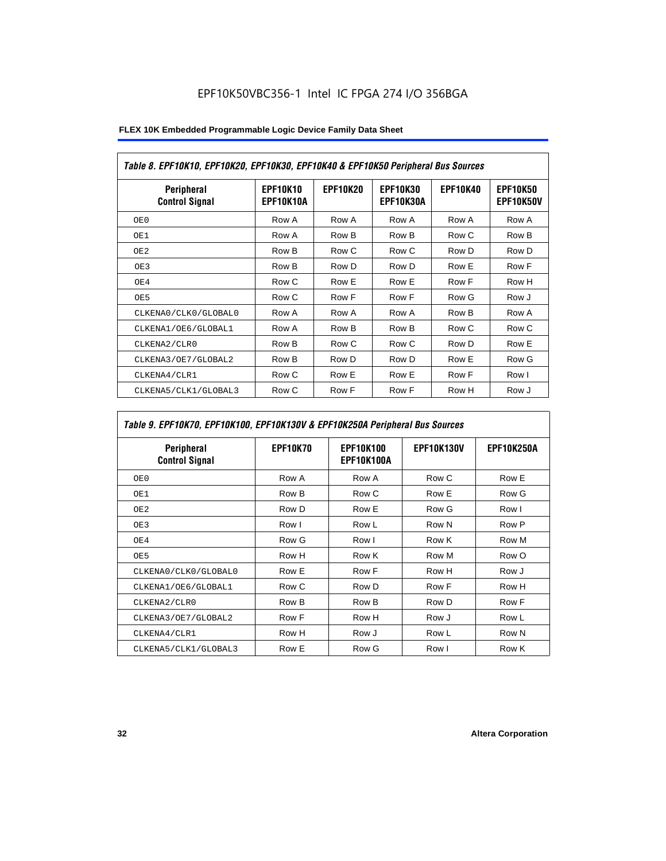| Table 8. EPF10K10, EPF10K20, EPF10K30, EPF10K40 & EPF10K50 Peripheral Bus Sources |                              |                 |                              |                 |                              |  |
|-----------------------------------------------------------------------------------|------------------------------|-----------------|------------------------------|-----------------|------------------------------|--|
| <b>Peripheral</b><br><b>Control Signal</b>                                        | <b>EPF10K10</b><br>EPF10K10A | <b>EPF10K20</b> | <b>EPF10K30</b><br>EPF10K30A | <b>EPF10K40</b> | <b>EPF10K50</b><br>EPF10K50V |  |
| OE0                                                                               | Row A                        | Row A           | Row A                        | Row A           | Row A                        |  |
| OE1                                                                               | Row A                        | Row B           | Row B                        | Row C           | Row B                        |  |
| OE <sub>2</sub>                                                                   | Row B                        | Row C           | Row C                        | Row D           | Row D                        |  |
| OE3                                                                               | Row B                        | Row D           | Row D                        | Row E           | Row F                        |  |
| OE4                                                                               | Row C                        | Row E           | Row E                        | Row F           | Row H                        |  |
| OE5                                                                               | Row C                        | Row F           | Row F                        | Row G           | Row J                        |  |
| CLKENA0/CLK0/GLOBAL0                                                              | Row A                        | Row A           | Row A                        | Row B           | Row A                        |  |
| CLKENA1/OE6/GLOBAL1                                                               | Row A                        | Row B           | Row B                        | Row C           | Row C                        |  |
| CLKENA2/CLR0                                                                      | Row B                        | Row C           | Row C                        | Row D           | Row E                        |  |
| CLKENA3/OE7/GLOBAL2                                                               | Row B                        | Row D           | Row D                        | Row E           | Row G                        |  |
| CLKENA4/CLR1                                                                      | Row C                        | Row E           | Row E                        | Row F           | Row I                        |  |
| CLKENA5/CLK1/GLOBAL3                                                              | Row C                        | Row F           | Row F                        | Row H           | Row J                        |  |

#### *Table 9. EPF10K70, EPF10K100, EPF10K130V & EPF10K250A Peripheral Bus Sources*

| Peripheral<br><b>Control Signal</b> | <b>EPF10K70</b> | <b>EPF10K100</b><br><b>EPF10K100A</b> | <b>EPF10K130V</b> | <b>EPF10K250A</b> |
|-------------------------------------|-----------------|---------------------------------------|-------------------|-------------------|
| OE0                                 | Row A           | Row A                                 | Row C             | Row E             |
| OE1                                 | Row B           | Row C                                 | Row E             | Row G             |
| OE <sub>2</sub>                     | Row D           | Row E                                 | Row G             | Row I             |
| OE3                                 | Row I           | Row L                                 | Row N             | Row P             |
| OE4                                 | Row G           | Row I                                 | Row K             | Row M             |
| OE5                                 | Row H           | Row K                                 | Row M             | Row O             |
| CLKENA0/CLK0/GLOBAL0                | Row E           | Row F                                 | Row H             | Row J             |
| CLKENA1/OE6/GLOBAL1                 | Row C           | Row D                                 | Row F             | Row H             |
| CLKENA2/CLR0                        | Row B           | Row B                                 | Row D             | Row F             |
| CLKENA3/OE7/GLOBAL2                 | Row F           | Row H                                 | Row J             | Row L             |
| CLKENA4/CLR1                        | Row H           | Row J                                 | Row L             | Row N             |
| CLKENA5/CLK1/GLOBAL3                | Row E           | Row G                                 | Row I             | Row K             |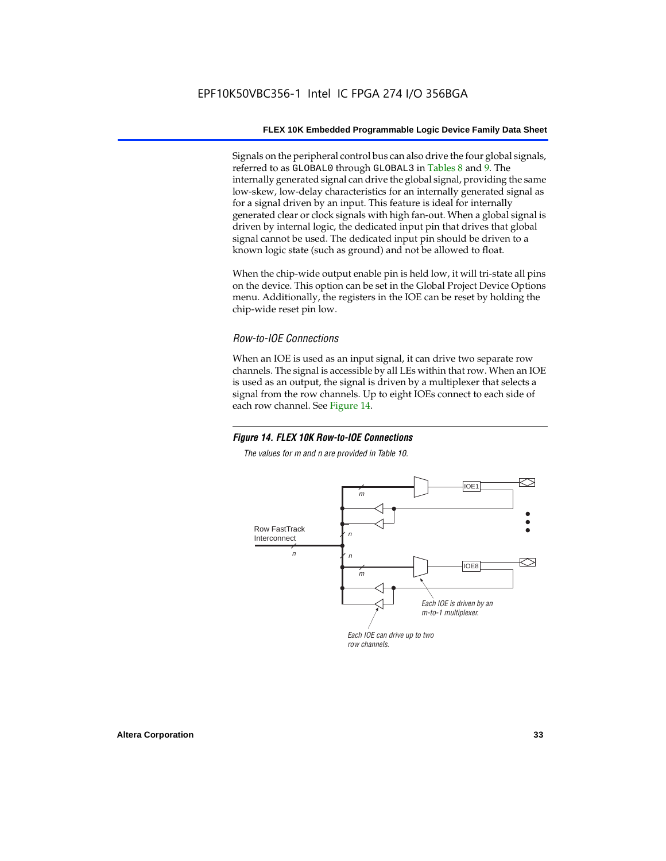Signals on the peripheral control bus can also drive the four global signals, referred to as GLOBAL0 through GLOBAL3 in Tables 8 and 9. The internally generated signal can drive the global signal, providing the same low-skew, low-delay characteristics for an internally generated signal as for a signal driven by an input. This feature is ideal for internally generated clear or clock signals with high fan-out. When a global signal is driven by internal logic, the dedicated input pin that drives that global signal cannot be used. The dedicated input pin should be driven to a known logic state (such as ground) and not be allowed to float.

When the chip-wide output enable pin is held low, it will tri-state all pins on the device. This option can be set in the Global Project Device Options menu. Additionally, the registers in the IOE can be reset by holding the chip-wide reset pin low.

#### *Row-to-IOE Connections*

When an IOE is used as an input signal, it can drive two separate row channels. The signal is accessible by all LEs within that row. When an IOE is used as an output, the signal is driven by a multiplexer that selects a signal from the row channels. Up to eight IOEs connect to each side of each row channel. See Figure 14.

#### *Figure 14. FLEX 10K Row-to-IOE Connections*

*The values for m and n are provided in Table 10.*

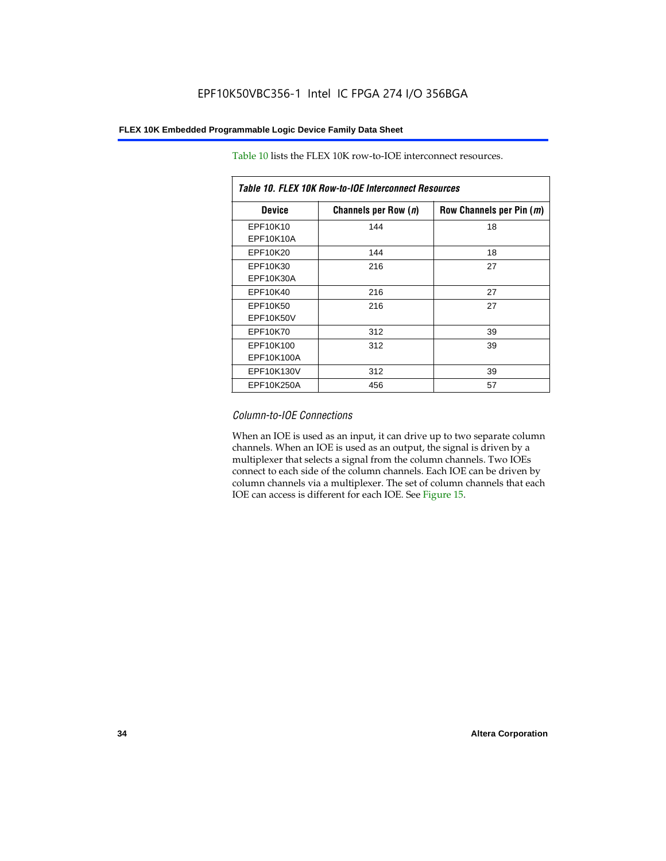| Table 10. FLEX 10K Row-to-IOE Interconnect Resources |                      |                          |  |  |  |
|------------------------------------------------------|----------------------|--------------------------|--|--|--|
| <b>Device</b>                                        | Channels per Row (n) | Row Channels per Pin (m) |  |  |  |
| EPF10K10<br>EPF10K10A                                | 144                  | 18                       |  |  |  |
| EPF10K20                                             | 144                  | 18                       |  |  |  |
| EPF10K30<br>EPF10K30A                                | 216                  | 27                       |  |  |  |
| EPF10K40                                             | 216                  | 27                       |  |  |  |
| EPF10K50<br>EPF10K50V                                | 216                  | 27                       |  |  |  |
| EPF10K70                                             | 312                  | 39                       |  |  |  |
| EPF10K100<br>EPF10K100A                              | 312                  | 39                       |  |  |  |
| EPF10K130V                                           | 312                  | 39                       |  |  |  |
| EPF10K250A                                           | 456                  | 57                       |  |  |  |

Table 10 lists the FLEX 10K row-to-IOE interconnect resources.

#### *Column-to-IOE Connections*

When an IOE is used as an input, it can drive up to two separate column channels. When an IOE is used as an output, the signal is driven by a multiplexer that selects a signal from the column channels. Two IOEs connect to each side of the column channels. Each IOE can be driven by column channels via a multiplexer. The set of column channels that each IOE can access is different for each IOE. See Figure 15.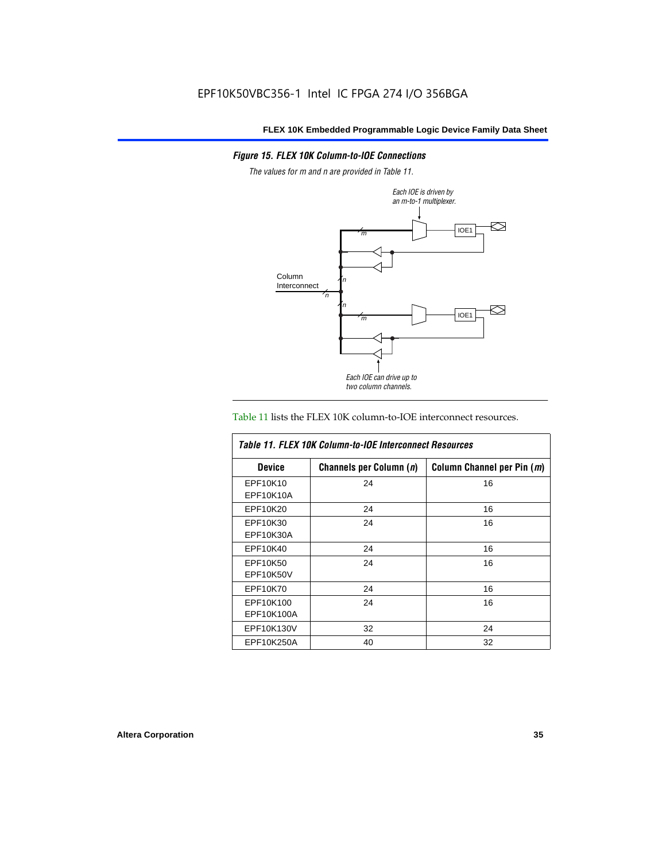#### *Figure 15. FLEX 10K Column-to-IOE Connections*

*The values for m and n are provided in Table 11.*



#### Table 11 lists the FLEX 10K column-to-IOE interconnect resources.

| Table 11, FLEX 10K Column-to-IOE Interconnect Resources |                         |                            |  |  |  |
|---------------------------------------------------------|-------------------------|----------------------------|--|--|--|
| <b>Device</b>                                           | Channels per Column (n) | Column Channel per Pin (m) |  |  |  |
| EPF10K10                                                | 24                      | 16                         |  |  |  |
| EPF10K10A                                               |                         |                            |  |  |  |
| EPF10K20                                                | 24                      | 16                         |  |  |  |
| EPF10K30                                                | 24                      | 16                         |  |  |  |
| EPF10K30A                                               |                         |                            |  |  |  |
| EPF10K40                                                | 24                      | 16                         |  |  |  |
| EPF10K50                                                | 24                      | 16                         |  |  |  |
| EPF10K50V                                               |                         |                            |  |  |  |
| EPF10K70                                                | 24                      | 16                         |  |  |  |
| EPF10K100                                               | 24                      | 16                         |  |  |  |
| EPF10K100A                                              |                         |                            |  |  |  |
| EPF10K130V                                              | 32                      | 24                         |  |  |  |
| EPF10K250A                                              | 40                      | 32                         |  |  |  |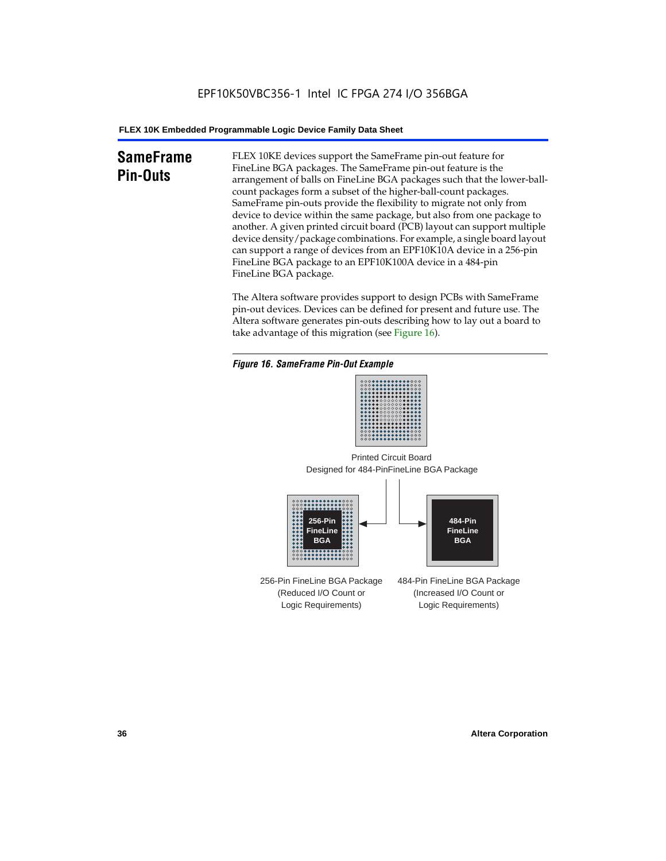# **SameFrame Pin-Outs**

FLEX 10KE devices support the SameFrame pin-out feature for FineLine BGA packages. The SameFrame pin-out feature is the arrangement of balls on FineLine BGA packages such that the lower-ballcount packages form a subset of the higher-ball-count packages. SameFrame pin-outs provide the flexibility to migrate not only from device to device within the same package, but also from one package to another. A given printed circuit board (PCB) layout can support multiple device density/package combinations. For example, a single board layout can support a range of devices from an EPF10K10A device in a 256-pin FineLine BGA package to an EPF10K100A device in a 484-pin FineLine BGA package.

The Altera software provides support to design PCBs with SameFrame pin-out devices. Devices can be defined for present and future use. The Altera software generates pin-outs describing how to lay out a board to take advantage of this migration (see Figure 16).







256-Pin FineLine BGA Package (Reduced I/O Count or Logic Requirements) 484-Pin FineLine BGA Package (Increased I/O Count or Logic Requirements)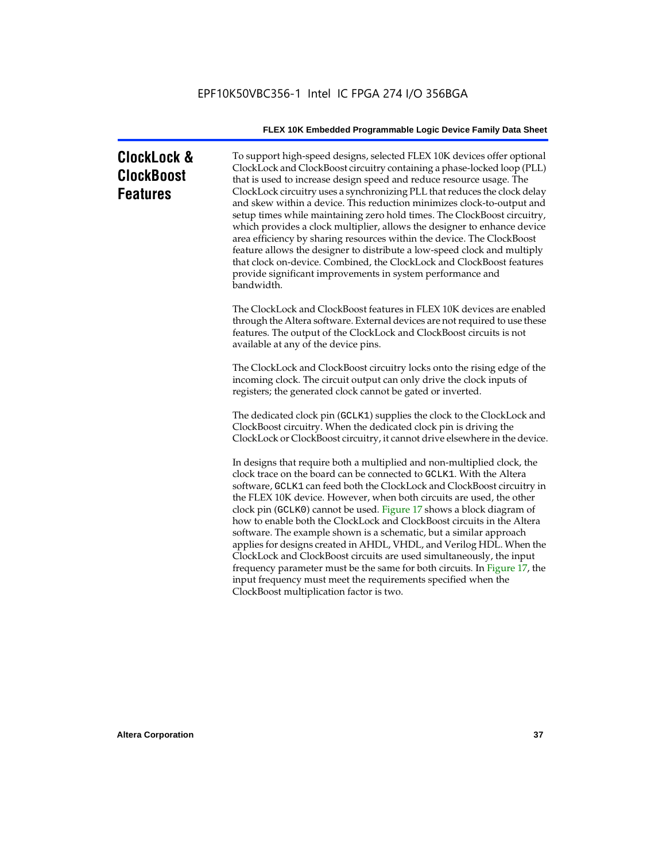| <b>ClockLock &amp;</b><br><b>ClockBoost</b><br><b>Features</b> | To support high-speed designs, selected FLEX 10K devices offer optional<br>ClockLock and ClockBoost circuitry containing a phase-locked loop (PLL)<br>that is used to increase design speed and reduce resource usage. The<br>ClockLock circuitry uses a synchronizing PLL that reduces the clock delay<br>and skew within a device. This reduction minimizes clock-to-output and<br>setup times while maintaining zero hold times. The ClockBoost circuitry,<br>which provides a clock multiplier, allows the designer to enhance device<br>area efficiency by sharing resources within the device. The ClockBoost<br>feature allows the designer to distribute a low-speed clock and multiply<br>that clock on-device. Combined, the ClockLock and ClockBoost features<br>provide significant improvements in system performance and<br>bandwidth.                |
|----------------------------------------------------------------|---------------------------------------------------------------------------------------------------------------------------------------------------------------------------------------------------------------------------------------------------------------------------------------------------------------------------------------------------------------------------------------------------------------------------------------------------------------------------------------------------------------------------------------------------------------------------------------------------------------------------------------------------------------------------------------------------------------------------------------------------------------------------------------------------------------------------------------------------------------------|
|                                                                | The ClockLock and ClockBoost features in FLEX 10K devices are enabled<br>through the Altera software. External devices are not required to use these<br>features. The output of the ClockLock and ClockBoost circuits is not<br>available at any of the device pins.                                                                                                                                                                                                                                                                                                                                                                                                                                                                                                                                                                                                |
|                                                                | The ClockLock and ClockBoost circuitry locks onto the rising edge of the<br>incoming clock. The circuit output can only drive the clock inputs of<br>registers; the generated clock cannot be gated or inverted.                                                                                                                                                                                                                                                                                                                                                                                                                                                                                                                                                                                                                                                    |
|                                                                | The dedicated clock pin (GCLK1) supplies the clock to the ClockLock and<br>ClockBoost circuitry. When the dedicated clock pin is driving the<br>ClockLock or ClockBoost circuitry, it cannot drive elsewhere in the device.                                                                                                                                                                                                                                                                                                                                                                                                                                                                                                                                                                                                                                         |
|                                                                | In designs that require both a multiplied and non-multiplied clock, the<br>clock trace on the board can be connected to GCLK1. With the Altera<br>software, GCLK1 can feed both the ClockLock and ClockBoost circuitry in<br>the FLEX 10K device. However, when both circuits are used, the other<br>clock pin (GCLK0) cannot be used. Figure 17 shows a block diagram of<br>how to enable both the ClockLock and ClockBoost circuits in the Altera<br>software. The example shown is a schematic, but a similar approach<br>applies for designs created in AHDL, VHDL, and Verilog HDL. When the<br>ClockLock and ClockBoost circuits are used simultaneously, the input<br>frequency parameter must be the same for both circuits. In Figure 17, the<br>input frequency must meet the requirements specified when the<br>ClockBoost multiplication factor is two. |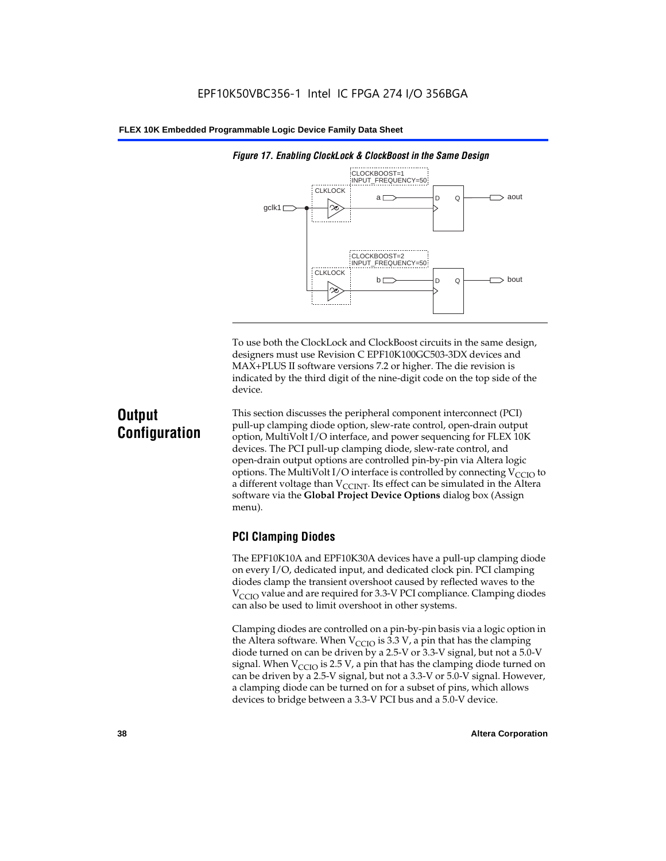

*Figure 17. Enabling ClockLock & ClockBoost in the Same Design*

To use both the ClockLock and ClockBoost circuits in the same design, designers must use Revision C EPF10K100GC503-3DX devices and MAX+PLUS II software versions 7.2 or higher. The die revision is indicated by the third digit of the nine-digit code on the top side of the device.

# **Output Configuration**

This section discusses the peripheral component interconnect (PCI) pull-up clamping diode option, slew-rate control, open-drain output option, MultiVolt I/O interface, and power sequencing for FLEX 10K devices. The PCI pull-up clamping diode, slew-rate control, and open-drain output options are controlled pin-by-pin via Altera logic options. The MultiVolt I/O interface is controlled by connecting  $V_{\text{CCIO}}$  to a different voltage than  $V_{\text{CCINT}}$ . Its effect can be simulated in the Altera software via the **Global Project Device Options** dialog box (Assign menu).

# **PCI Clamping Diodes**

The EPF10K10A and EPF10K30A devices have a pull-up clamping diode on every I/O, dedicated input, and dedicated clock pin. PCI clamping diodes clamp the transient overshoot caused by reflected waves to the  $V_{\text{CCIO}}$  value and are required for 3.3-V PCI compliance. Clamping diodes can also be used to limit overshoot in other systems.

Clamping diodes are controlled on a pin-by-pin basis via a logic option in the Altera software. When  $V_{\text{CCIO}}$  is 3.3 V, a pin that has the clamping diode turned on can be driven by a 2.5-V or 3.3-V signal, but not a 5.0-V signal. When  $V_{\text{CCIO}}$  is 2.5 V, a pin that has the clamping diode turned on can be driven by a 2.5-V signal, but not a 3.3-V or 5.0-V signal. However, a clamping diode can be turned on for a subset of pins, which allows devices to bridge between a 3.3-V PCI bus and a 5.0-V device.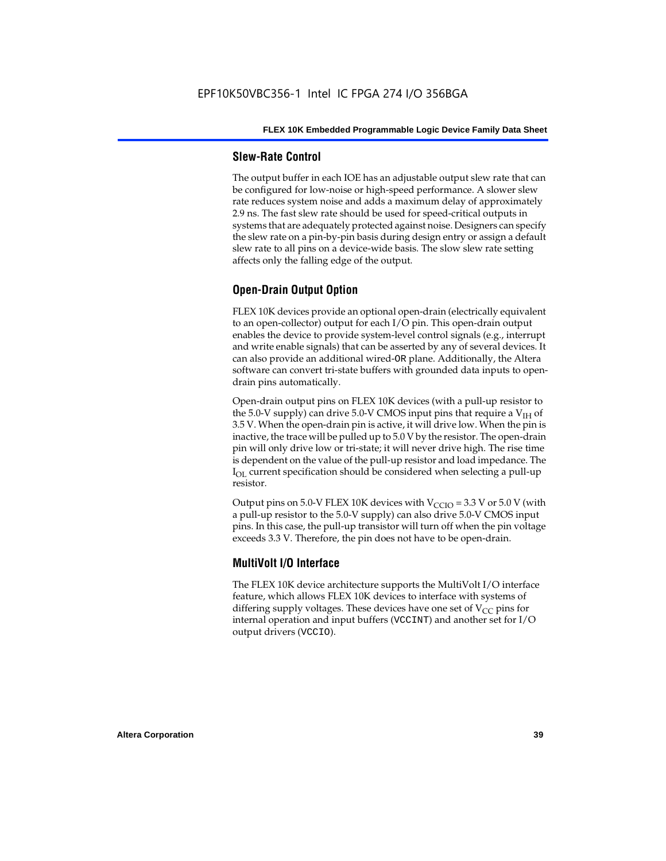## **Slew-Rate Control**

The output buffer in each IOE has an adjustable output slew rate that can be configured for low-noise or high-speed performance. A slower slew rate reduces system noise and adds a maximum delay of approximately 2.9 ns. The fast slew rate should be used for speed-critical outputs in systems that are adequately protected against noise. Designers can specify the slew rate on a pin-by-pin basis during design entry or assign a default slew rate to all pins on a device-wide basis. The slow slew rate setting affects only the falling edge of the output.

# **Open-Drain Output Option**

FLEX 10K devices provide an optional open-drain (electrically equivalent to an open-collector) output for each I/O pin. This open-drain output enables the device to provide system-level control signals (e.g., interrupt and write enable signals) that can be asserted by any of several devices. It can also provide an additional wired-OR plane. Additionally, the Altera software can convert tri-state buffers with grounded data inputs to opendrain pins automatically.

Open-drain output pins on FLEX 10K devices (with a pull-up resistor to the 5.0-V supply) can drive 5.0-V CMOS input pins that require a  $V<sub>IH</sub>$  of 3.5 V. When the open-drain pin is active, it will drive low. When the pin is inactive, the trace will be pulled up to 5.0 V by the resistor. The open-drain pin will only drive low or tri-state; it will never drive high. The rise time is dependent on the value of the pull-up resistor and load impedance. The  $I_{\text{OL}}$  current specification should be considered when selecting a pull-up resistor.

Output pins on 5.0-V FLEX 10K devices with  $V_{\text{CCIO}} = 3.3$  V or 5.0 V (with a pull-up resistor to the 5.0-V supply) can also drive 5.0-V CMOS input pins. In this case, the pull-up transistor will turn off when the pin voltage exceeds 3.3 V. Therefore, the pin does not have to be open-drain.

# **MultiVolt I/O Interface**

The FLEX 10K device architecture supports the MultiVolt I/O interface feature, which allows FLEX 10K devices to interface with systems of differing supply voltages. These devices have one set of  $V_{CC}$  pins for internal operation and input buffers (VCCINT) and another set for I/O output drivers (VCCIO).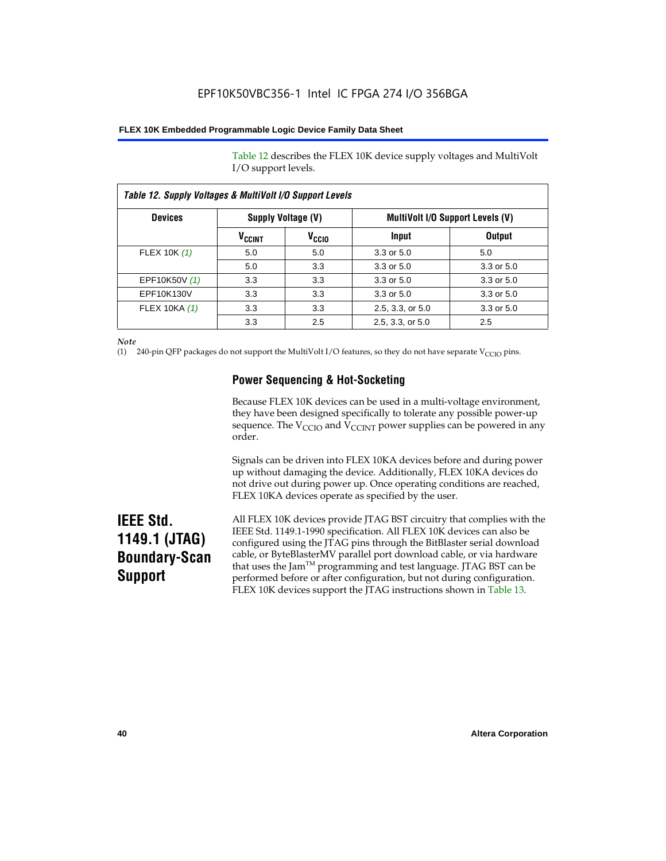Table 12 describes the FLEX 10K device supply voltages and MultiVolt I/O support levels.

| <b>Devices</b> | Supply Voltage (V)       |                   | <b>MultiVolt I/O Support Levels (V)</b> |                |
|----------------|--------------------------|-------------------|-----------------------------------------|----------------|
|                | <b>V<sub>CCINT</sub></b> | V <sub>CCIO</sub> | Input                                   | <b>Output</b>  |
| FLEX 10K (1)   | 5.0                      | 5.0               | 3.3 or 5.0                              | 5.0            |
|                | 5.0                      | 3.3               | 3.3 or 5.0                              | 3.3 or 5.0     |
| EPF10K50V (1)  | 3.3                      | 3.3               | $3.3$ or $5.0$                          | $3.3$ or $5.0$ |
| EPF10K130V     | 3.3                      | 3.3               | 3.3 or 5.0                              | 3.3 or 5.0     |
| FLEX 10KA (1)  | 3.3                      | 3.3               | 2.5, 3.3, or 5.0                        | 3.3 or 5.0     |
|                | 3.3                      | 2.5               | 2.5, 3.3, or 5.0                        | 2.5            |

*Note*

(1) 240-pin QFP packages do not support the MultiVolt I/O features, so they do not have separate V<sub>CCIO</sub> pins.

# **Power Sequencing & Hot-Socketing**

Because FLEX 10K devices can be used in a multi-voltage environment, they have been designed specifically to tolerate any possible power-up sequence. The  $V_{\text{CCIO}}$  and  $V_{\text{CCINT}}$  power supplies can be powered in any order.

Signals can be driven into FLEX 10KA devices before and during power up without damaging the device. Additionally, FLEX 10KA devices do not drive out during power up. Once operating conditions are reached, FLEX 10KA devices operate as specified by the user.

# **IEEE Std. 1149.1 (JTAG) Boundary-Scan Support**

All FLEX 10K devices provide JTAG BST circuitry that complies with the IEEE Std. 1149.1-1990 specification. All FLEX 10K devices can also be configured using the JTAG pins through the BitBlaster serial download cable, or ByteBlasterMV parallel port download cable, or via hardware that uses the Jam<sup>TM</sup> programming and test language. JTAG BST can be performed before or after configuration, but not during configuration. FLEX 10K devices support the JTAG instructions shown in Table 13.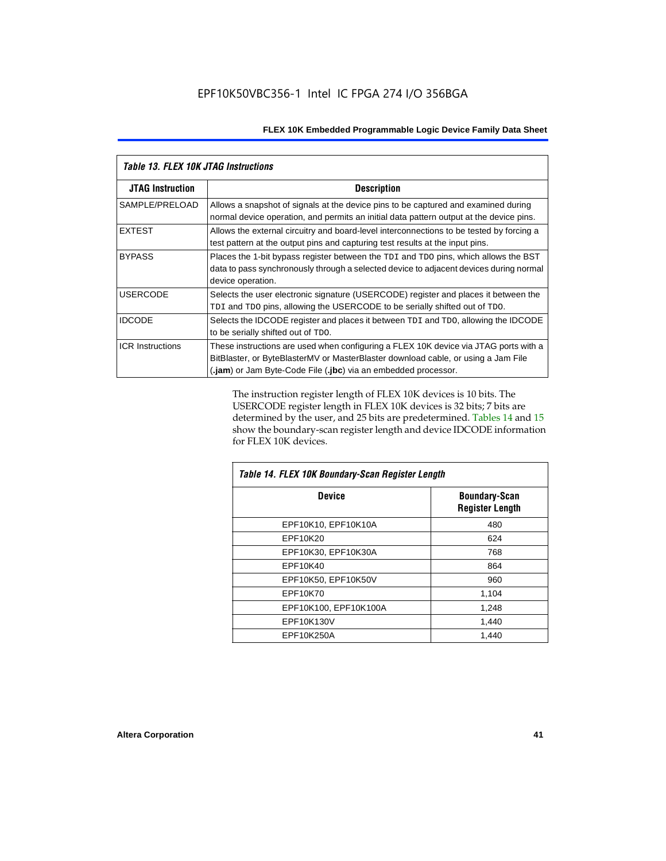|                         | <b>Table 13. FLEX 10K JTAG Instructions</b>                                                                                                                                                                                                 |  |  |  |  |
|-------------------------|---------------------------------------------------------------------------------------------------------------------------------------------------------------------------------------------------------------------------------------------|--|--|--|--|
| <b>JTAG Instruction</b> | <b>Description</b>                                                                                                                                                                                                                          |  |  |  |  |
| SAMPLE/PRELOAD          | Allows a snapshot of signals at the device pins to be captured and examined during<br>normal device operation, and permits an initial data pattern output at the device pins.                                                               |  |  |  |  |
| <b>EXTEST</b>           | Allows the external circuitry and board-level interconnections to be tested by forcing a<br>test pattern at the output pins and capturing test results at the input pins.                                                                   |  |  |  |  |
| <b>BYPASS</b>           | Places the 1-bit bypass register between the TDI and TDO pins, which allows the BST<br>data to pass synchronously through a selected device to adjacent devices during normal<br>device operation.                                          |  |  |  |  |
| <b>USERCODE</b>         | Selects the user electronic signature (USERCODE) register and places it between the<br>TDI and TDO pins, allowing the USERCODE to be serially shifted out of TDO.                                                                           |  |  |  |  |
| <b>IDCODE</b>           | Selects the IDCODE register and places it between TDI and TDO, allowing the IDCODE<br>to be serially shifted out of TDO.                                                                                                                    |  |  |  |  |
| <b>ICR Instructions</b> | These instructions are used when configuring a FLEX 10K device via JTAG ports with a<br>BitBlaster, or ByteBlasterMV or MasterBlaster download cable, or using a Jam File<br>(.jam) or Jam Byte-Code File (.jbc) via an embedded processor. |  |  |  |  |

The instruction register length of FLEX 10K devices is 10 bits. The USERCODE register length in FLEX 10K devices is 32 bits; 7 bits are determined by the user, and 25 bits are predetermined. Tables 14 and 15 show the boundary-scan register length and device IDCODE information for FLEX 10K devices.

| Table 14. FLEX 10K Boundary-Scan Register Length |                                                |  |  |  |
|--------------------------------------------------|------------------------------------------------|--|--|--|
| <b>Device</b>                                    | <b>Boundary-Scan</b><br><b>Register Length</b> |  |  |  |
| EPF10K10, EPF10K10A                              | 480                                            |  |  |  |
| EPF10K20                                         | 624                                            |  |  |  |
| EPF10K30, EPF10K30A                              | 768                                            |  |  |  |
| EPF10K40                                         | 864                                            |  |  |  |
| EPF10K50, EPF10K50V                              | 960                                            |  |  |  |
| EPF10K70                                         | 1,104                                          |  |  |  |
| EPF10K100, EPF10K100A                            | 1,248                                          |  |  |  |
| EPF10K130V                                       | 1,440                                          |  |  |  |
| EPF10K250A                                       | 1,440                                          |  |  |  |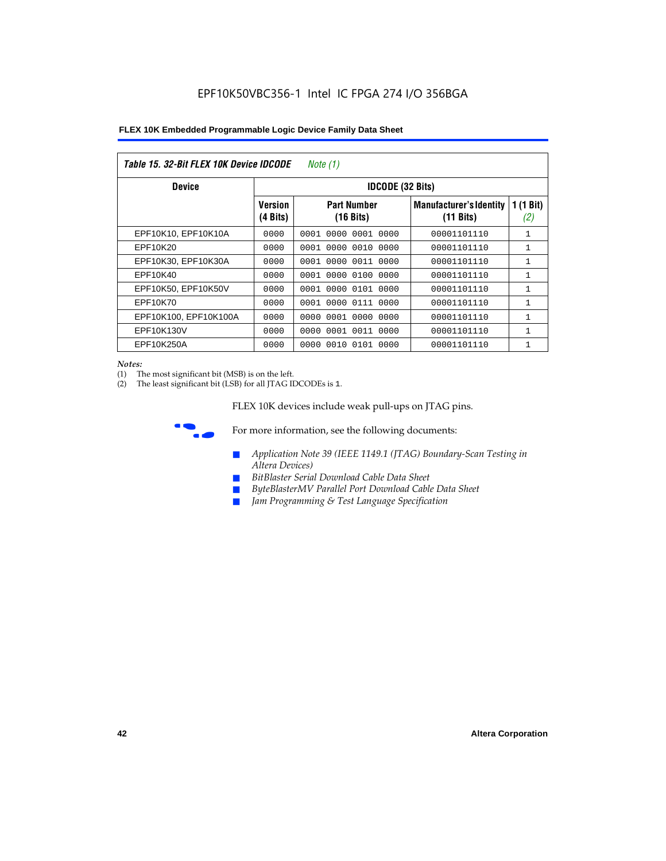| Table 15. 32-Bit FLEX 10K Device IDCODE<br>Note (1) |                            |                                           |                                                       |                  |  |  |  |
|-----------------------------------------------------|----------------------------|-------------------------------------------|-------------------------------------------------------|------------------|--|--|--|
| <b>Device</b>                                       | <b>IDCODE (32 Bits)</b>    |                                           |                                                       |                  |  |  |  |
|                                                     | <b>Version</b><br>(4 Bits) | <b>Part Number</b><br>$(16 \text{ Bits})$ | <b>Manufacturer's Identity</b><br>$(11 \text{ Bits})$ | 1 (1 Bit)<br>(2) |  |  |  |
| EPF10K10, EPF10K10A                                 | 0000                       | 0000<br>0001 0000<br>0001                 | 00001101110                                           | $\mathbf{1}$     |  |  |  |
| EPF10K20                                            | 0000                       | 0000 0010 0000<br>0001                    | 00001101110                                           | $\mathbf{1}$     |  |  |  |
| EPF10K30, EPF10K30A                                 | 0000                       | 0001 0000 0011 0000                       | 00001101110                                           | $\mathbf{1}$     |  |  |  |
| EPF10K40                                            | 0000                       | 0000<br>0100<br>0001<br>0000              | 00001101110                                           | $\mathbf{1}$     |  |  |  |
| EPF10K50, EPF10K50V                                 | 0000                       | 0001 0000 0101 0000                       | 00001101110                                           | $\mathbf{1}$     |  |  |  |
| EPF10K70                                            | 0000                       | 0000<br>0111 0000<br>0001                 | 00001101110                                           | $\mathbf{1}$     |  |  |  |
| EPF10K100, EPF10K100A                               | 0000                       | 0001 0000 0000<br>0000                    | 00001101110                                           | 1                |  |  |  |
| EPF10K130V                                          | 0000                       | 0001 0011 0000<br>0000                    | 00001101110                                           | $\mathbf{1}$     |  |  |  |
| EPF10K250A                                          | 0000                       | 0000 0010 0101 0000                       | 00001101110                                           | 1                |  |  |  |

#### *Notes:*

(1) The most significant bit (MSB) is on the left.

(2) The least significant bit (LSB) for all JTAG IDCODEs is 1.

FLEX 10K devices include weak pull-ups on JTAG pins.



**for more information, see the following documents:** 

- *Application Note 39 (IEEE 1149.1 (JTAG) Boundary-Scan Testing in Altera Devices)*
- *BitBlaster Serial Download Cable Data Sheet*
- *ByteBlasterMV Parallel Port Download Cable Data Sheet*
- *Jam Programming & Test Language Specification*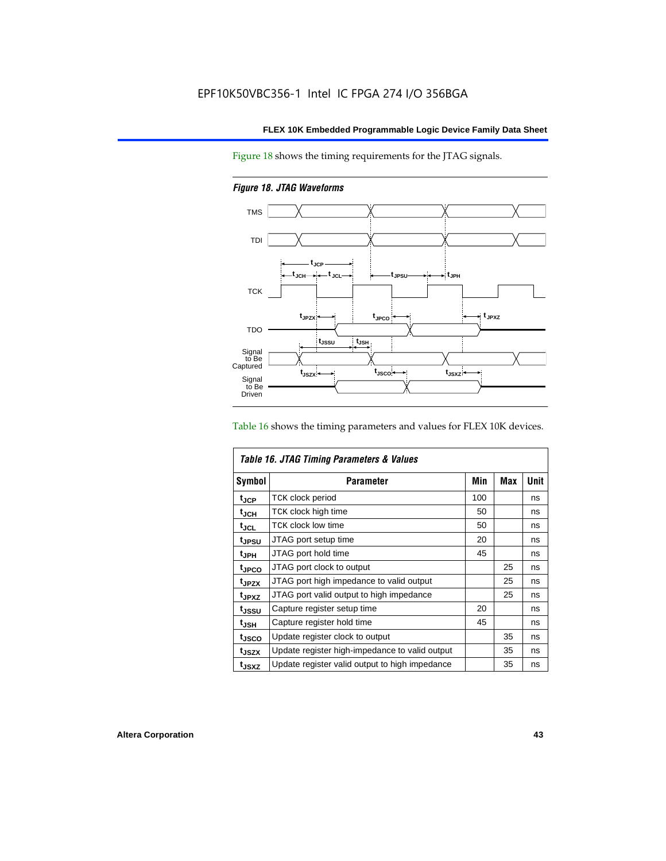Figure 18 shows the timing requirements for the JTAG signals.

*Figure 18. JTAG Waveforms*



Table 16 shows the timing parameters and values for FLEX 10K devices.

| Table 16. JTAG Timing Parameters & Values |                                                |     |            |      |  |  |
|-------------------------------------------|------------------------------------------------|-----|------------|------|--|--|
| <b>Symbol</b>                             | Parameter                                      | Min | <b>Max</b> | Unit |  |  |
| $t_{\rm JCP}$                             | <b>TCK clock period</b>                        | 100 |            | ns   |  |  |
| t <sub>JCH</sub>                          | TCK clock high time                            | 50  |            | ns   |  |  |
| $t_{JCL}$                                 | TCK clock low time                             | 50  |            | ns   |  |  |
| tjpsu                                     | JTAG port setup time                           | 20  |            | ns   |  |  |
| t <sub>JPH</sub>                          | JTAG port hold time                            | 45  |            | ns   |  |  |
| <sup>t</sup> JPCO                         | JTAG port clock to output                      |     | 25         | ns   |  |  |
| t <sub>JPZX</sub>                         | JTAG port high impedance to valid output       |     | 25         | ns   |  |  |
| t <sub>JPXZ</sub>                         | JTAG port valid output to high impedance       |     | 25         | ns   |  |  |
| tjssu                                     | Capture register setup time                    | 20  |            | ns   |  |  |
| $t_{\mathsf{JSH}}$                        | Capture register hold time                     | 45  |            | ns   |  |  |
| t <sub>JSCO</sub>                         | Update register clock to output                |     | 35         | ns   |  |  |
| t <sub>JSZX</sub>                         | Update register high-impedance to valid output |     | 35         | ns   |  |  |
| t <sub>JSXZ</sub>                         | Update register valid output to high impedance |     | 35         | ns   |  |  |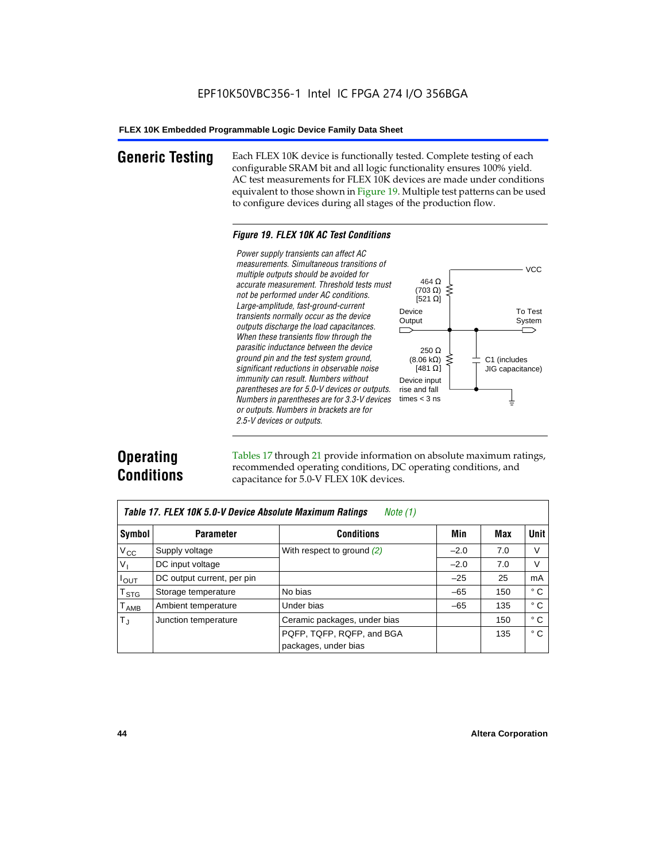**Generic Testing** Each FLEX 10K device is functionally tested. Complete testing of each configurable SRAM bit and all logic functionality ensures 100% yield. AC test measurements for FLEX 10K devices are made under conditions equivalent to those shown in Figure 19. Multiple test patterns can be used to configure devices during all stages of the production flow.

#### *Figure 19. FLEX 10K AC Test Conditions*

*Power supply transients can affect AC measurements. Simultaneous transitions of*  $V<sub>CC</sub>$ *multiple outputs should be avoided for* 464 Ω *accurate measurement. Threshold tests must* (703 Ω) ξ *not be performed under AC conditions.*  $[521 \Omega]$ *Large-amplitude, fast-ground-current* To Test Device *transients normally occur as the device* Output System *outputs discharge the load capacitances. When these transients flow through the parasitic inductance between the device* 250 Ω *ground pin and the test system ground,*  $(8.06 \text{ k}\Omega)$ C1 (includes *significant reductions in observable noise* [481 $\Omega$ ] JIG capacitance) *immunity can result. Numbers without*  Device input *parentheses are for 5.0-V devices or outputs.*  rise and fall *Numbers in parentheses are for 3.3-V devices*  times  $<$  3 ns ŧ *or outputs. Numbers in brackets are for 2.5-V devices or outputs.*

# **Operating Conditions**

Tables 17 through 21 provide information on absolute maximum ratings, recommended operating conditions, DC operating conditions, and capacitance for 5.0-V FLEX 10K devices.

| Table 17. FLEX 10K 5.0-V Device Absolute Maximum Ratings<br>Note (1) |                            |                              |        |     |              |  |
|----------------------------------------------------------------------|----------------------------|------------------------------|--------|-----|--------------|--|
| Symbol                                                               | <b>Parameter</b>           | <b>Conditions</b>            | Min    | Max | <b>Unit</b>  |  |
| $V_{\rm CC}$                                                         | Supply voltage             | With respect to ground $(2)$ | $-2.0$ | 7.0 | V            |  |
| $V_{I}$                                                              | DC input voltage           |                              | $-2.0$ | 7.0 | V            |  |
| $I_{\text{OUT}}$                                                     | DC output current, per pin |                              | $-25$  | 25  | mA           |  |
| $\mathsf{T}_{\textsf{STG}}$                                          | Storage temperature        | No bias                      | $-65$  | 150 | ° C          |  |
| $\mathsf{T}_{\mathsf{AMB}}$                                          | Ambient temperature        | Under bias                   | $-65$  | 135 | $^{\circ}$ C |  |
| $T_{\rm J}$                                                          | Junction temperature       | Ceramic packages, under bias |        | 150 | ° C          |  |
|                                                                      |                            | PQFP, TQFP, RQFP, and BGA    |        | 135 | $^{\circ}$ C |  |
|                                                                      |                            | packages, under bias         |        |     |              |  |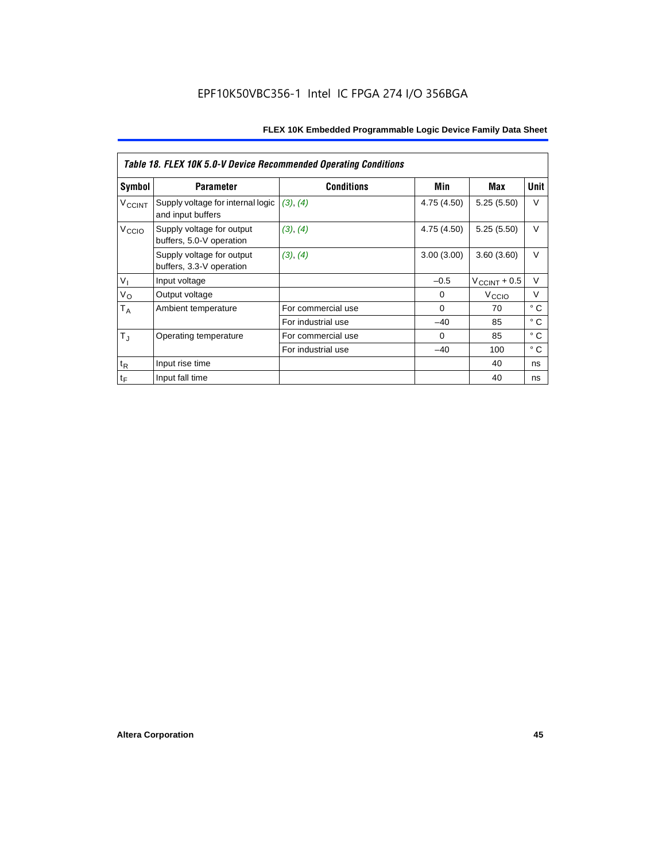|                    | <b>Table 18. FLEX 10K 5.0-V Device Recommended Operating Conditions</b> |                    |             |                       |              |  |  |
|--------------------|-------------------------------------------------------------------------|--------------------|-------------|-----------------------|--------------|--|--|
| Symbol             | <b>Parameter</b>                                                        | <b>Conditions</b>  | Min         | Max                   | <b>Unit</b>  |  |  |
| V <sub>CCINT</sub> | Supply voltage for internal logic<br>and input buffers                  | (3), (4)           | 4.75 (4.50) | 5.25(5.50)            | $\vee$       |  |  |
| V <sub>CCIO</sub>  | Supply voltage for output<br>buffers, 5.0-V operation                   | (3), (4)           | 4.75 (4.50) | 5.25(5.50)            | $\vee$       |  |  |
|                    | Supply voltage for output<br>buffers, 3.3-V operation                   | (3), (4)           | 3.00(3.00)  | 3.60(3.60)            | $\vee$       |  |  |
| $V_{I}$            | Input voltage                                                           |                    | $-0.5$      | $V_{\rm CCINT}$ + 0.5 | $\vee$       |  |  |
| $V_{\rm O}$        | Output voltage                                                          |                    | 0           | V <sub>CCIO</sub>     | $\vee$       |  |  |
| $T_A$              | Ambient temperature                                                     | For commercial use | $\Omega$    | 70                    | $^{\circ}$ C |  |  |
|                    |                                                                         | For industrial use | $-40$       | 85                    | $^{\circ}$ C |  |  |
| $T_{\rm J}$        | Operating temperature                                                   | For commercial use | $\Omega$    | 85                    | °C           |  |  |
|                    |                                                                         | For industrial use | $-40$       | 100                   | $^{\circ}$ C |  |  |
| $t_{R}$            | Input rise time                                                         |                    |             | 40                    | ns           |  |  |
| $t_F$              | Input fall time                                                         |                    |             | 40                    | ns           |  |  |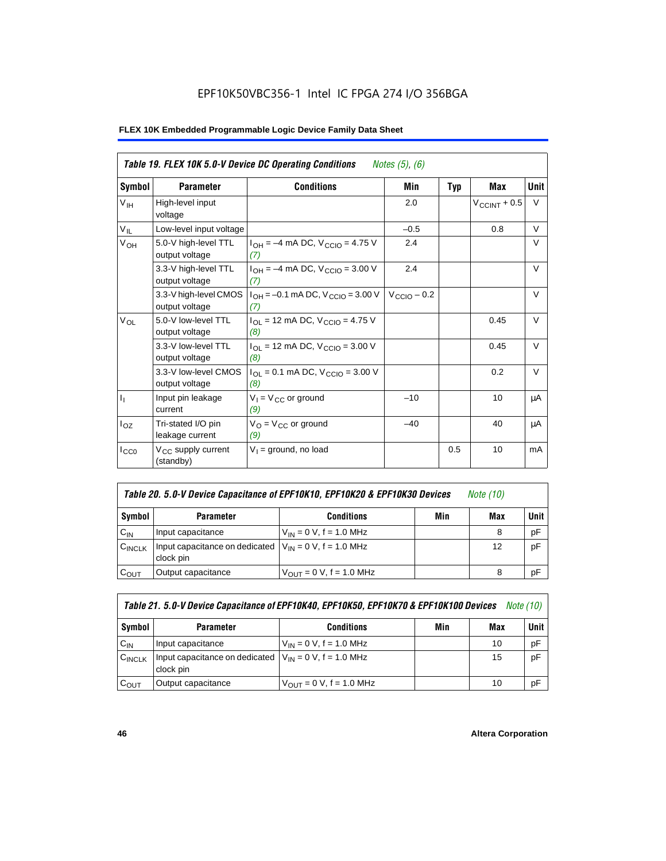# EPF10K50VBC356-1 Intel IC FPGA 274 I/O 356BGA

|                 | Table 19. FLEX 10K 5.0-V Device DC Operating Conditions<br><i>Notes</i> $(5)$ , $(6)$ |                                                                 |                         |            |                          |             |  |
|-----------------|---------------------------------------------------------------------------------------|-----------------------------------------------------------------|-------------------------|------------|--------------------------|-------------|--|
| Symbol          | <b>Parameter</b>                                                                      | <b>Conditions</b>                                               | Min                     | <b>Typ</b> | Max                      | <b>Unit</b> |  |
| $V_{\text{IH}}$ | High-level input<br>voltage                                                           |                                                                 | 2.0                     |            | $V_{\text{CCINT}} + 0.5$ | V           |  |
| $V_{IL}$        | Low-level input voltage                                                               |                                                                 | $-0.5$                  |            | 0.8                      | V           |  |
| V <sub>OH</sub> | 5.0-V high-level TTL<br>output voltage                                                | $I_{OH} = -4$ mA DC, $V_{CCIO} = 4.75$ V<br>(7)                 | 2.4                     |            |                          | V           |  |
|                 | 3.3-V high-level TTL<br>output voltage                                                | $I_{OH} = -4$ mA DC, $V_{CGIO} = 3.00$ V<br>(7)                 | 2.4                     |            |                          | $\vee$      |  |
|                 | 3.3-V high-level CMOS<br>output voltage                                               | I <sub>OH</sub> = -0.1 mA DC, V <sub>CCIO</sub> = 3.00 V<br>(7) | $V_{\text{CCIO}} - 0.2$ |            |                          | $\vee$      |  |
| V <sub>OL</sub> | 5.0-V low-level TTL<br>output voltage                                                 | $I_{\text{OI}}$ = 12 mA DC, $V_{\text{CCIO}}$ = 4.75 V<br>(8)   |                         |            | 0.45                     | $\vee$      |  |
|                 | 3.3-V low-level TTL<br>output voltage                                                 | $I_{OL}$ = 12 mA DC, $V_{CCIO}$ = 3.00 V<br>(8)                 |                         |            | 0.45                     | $\vee$      |  |
|                 | 3.3-V low-level CMOS<br>output voltage                                                | $I_{OL}$ = 0.1 mA DC, $V_{CClO}$ = 3.00 V<br>(8)                |                         |            | 0.2                      | $\vee$      |  |
| $I_{\rm L}$     | Input pin leakage<br>current                                                          | $V_1 = V_{CC}$ or ground<br>(9)                                 | $-10$                   |            | 10                       | μA          |  |
| $I_{OZ}$        | Tri-stated I/O pin<br>leakage current                                                 | $V_O = V_{CC}$ or ground<br>(9)                                 | $-40$                   |            | 40                       | μA          |  |
| $I_{CC0}$       | $V_{CC}$ supply current<br>(standby)                                                  | $V_1$ = ground, no load                                         |                         | 0.5        | 10                       | mA          |  |

| Table 20. 5.0-V Device Capacitance of EPF10K10, EPF10K20 & EPF10K30 Devices | Note (10) |  |
|-----------------------------------------------------------------------------|-----------|--|
|-----------------------------------------------------------------------------|-----------|--|

| Symbol             | <b>Parameter</b>                                                        | <b>Conditions</b>              | Min | Max | Unit |
|--------------------|-------------------------------------------------------------------------|--------------------------------|-----|-----|------|
| $C_{IN}$           | Input capacitance                                                       | $V_{IN} = 0 V$ , f = 1.0 MHz   |     |     | рF   |
| $C_{\text{INCLK}}$ | Input capacitance on dedicated $V_{IN} = 0$ V, f = 1.0 MHz<br>clock pin |                                |     | 12  | рF   |
| $C_{OUT}$          | Output capacitance                                                      | $V_{OIII} = 0 V$ , f = 1.0 MHz |     |     | рF   |

| Table 21. 5.0-V Device Capacitance of EPF10K40, EPF10K50, EPF10K70 & EPF10K100 Devices<br><i>Note</i> (10) |                                                                           |                               |     |     |             |  |
|------------------------------------------------------------------------------------------------------------|---------------------------------------------------------------------------|-------------------------------|-----|-----|-------------|--|
| Symbol                                                                                                     | <b>Parameter</b>                                                          | <b>Conditions</b>             | Min | Max | <b>Unit</b> |  |
| $C_{IN}$                                                                                                   | Input capacitance                                                         | $V_{IN} = 0 V$ , f = 1.0 MHz  |     | 10  | рF          |  |
| CINCLK                                                                                                     | Input capacitance on dedicated $ V_{IN} = 0 V$ , f = 1.0 MHz<br>clock pin |                               |     | 15  | pF          |  |
| $C_{OUT}$                                                                                                  | Output capacitance                                                        | $V_{OIII}$ = 0 V, f = 1.0 MHz |     | 10  | рF          |  |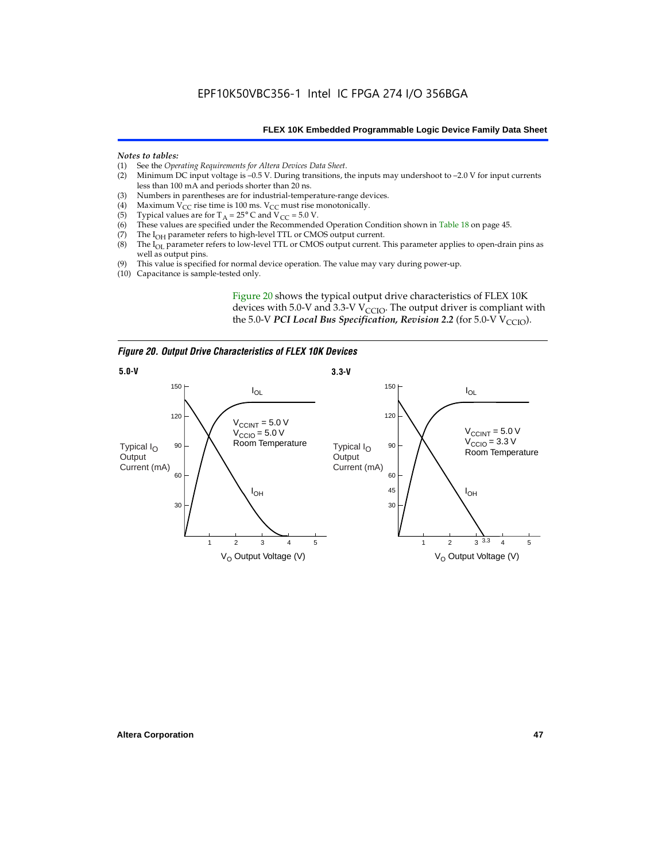#### *Notes to tables:*

- (1) See the *Operating Requirements for Altera Devices Data Sheet*.
- Minimum DC input voltage is  $-0.5$  V. During transitions, the inputs may undershoot to  $-2.0$  V for input currents less than 100 mA and periods shorter than 20 ns.
- (3) Numbers in parentheses are for industrial-temperature-range devices.<br>(4) Maximum  $V_{CC}$  rise time is 100 ms.  $V_{CC}$  must rise monotonically.
- (4) Maximum  $\hat{V_{CC}}$  rise time is 100 ms.  $V_{CC}$  must rise monotonically.<br>(5) Typical values are for T<sub>A</sub> = 25° C and V<sub>CC</sub> = 5.0 V.
- (5) Typical values are for  $T_A = 25^\circ$  C and  $V_{CC} = 5.0$  V.<br>(6) These values are specified under the Recommende
- (6) These values are specified under the Recommended Operation Condition shown in Table 18 on page 45.<br>(7) The  $I_{OH}$  parameter refers to high-level TTL or CMOS output current.
- (7) The  $I_{OH}$  parameter refers to high-level TTL or CMOS output current.<br>(8) The  $I_{OL}$  parameter refers to low-level TTL or CMOS output current. T
- The I<sub>OL</sub> parameter refers to low-level TTL or CMOS output current. This parameter applies to open-drain pins as well as output pins.
- (9) This value is specified for normal device operation. The value may vary during power-up.
- (10) Capacitance is sample-tested only.

Figure 20 shows the typical output drive characteristics of FLEX 10K devices with 5.0-V and 3.3-V  $V_{CCIO}$ . The output driver is compliant with the 5.0-V *PCI Local Bus Specification, Revision 2.2* (for 5.0-V  $V_{\text{CCIO}}$ ).

*Figure 20. Output Drive Characteristics of FLEX 10K Devices*

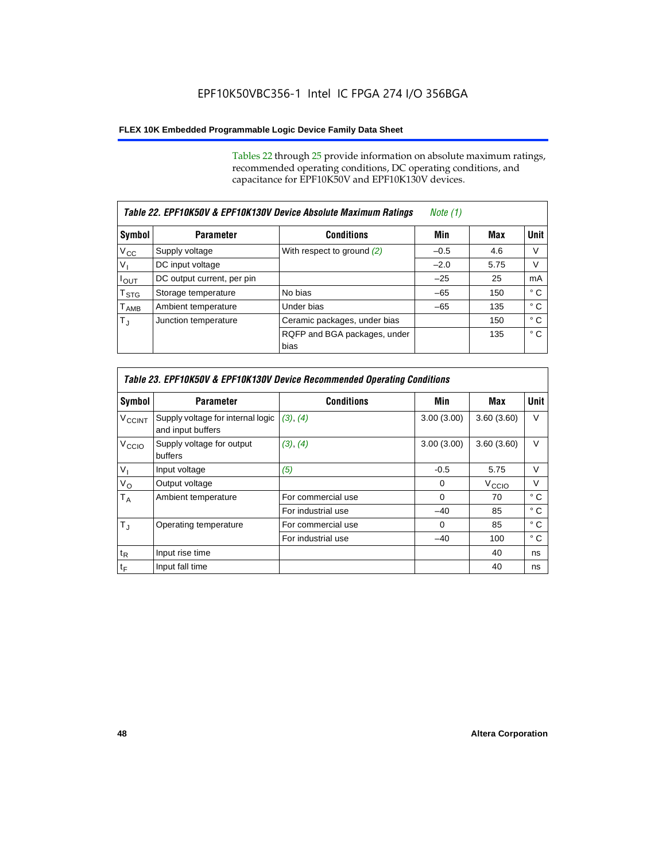Tables 22 through 25 provide information on absolute maximum ratings, recommended operating conditions, DC operating conditions, and capacitance for EPF10K50V and EPF10K130V devices.

| Table 22. EPF10K50V & EPF10K130V Device Absolute Maximum Ratings |                            |                                      |        |      |             |
|------------------------------------------------------------------|----------------------------|--------------------------------------|--------|------|-------------|
| Symbol                                                           | <b>Parameter</b>           | <b>Conditions</b>                    | Min    | Max  | <b>Unit</b> |
| $V_{\rm CC}$                                                     | Supply voltage             | With respect to ground $(2)$         | $-0.5$ | 4.6  | V           |
| $V_{I}$                                                          | DC input voltage           |                                      | $-2.0$ | 5.75 | V           |
| $I_{\text{OUT}}$                                                 | DC output current, per pin |                                      | $-25$  | 25   | mA          |
| $\mathsf{T}_{\text{STG}}$                                        | Storage temperature        | No bias                              | $-65$  | 150  | ° C         |
| $T_{\sf AMB}$                                                    | Ambient temperature        | Under bias                           | $-65$  | 135  | ° C         |
| $T_{\rm J}$                                                      | Junction temperature       | Ceramic packages, under bias         |        | 150  | ° C         |
|                                                                  |                            | RQFP and BGA packages, under<br>bias |        | 135  | ° C         |

|                          | Table 23. EPF10K50V & EPF10K130V Device Recommended Operating Conditions |                    |            |                   |              |  |  |
|--------------------------|--------------------------------------------------------------------------|--------------------|------------|-------------------|--------------|--|--|
| Symbol                   | <b>Parameter</b>                                                         | <b>Conditions</b>  | Min        | Max               | <b>Unit</b>  |  |  |
| <b>V<sub>CCINT</sub></b> | Supply voltage for internal logic<br>and input buffers                   | (3), (4)           | 3.00(3.00) | 3.60(3.60)        | V            |  |  |
| V <sub>CCIO</sub>        | Supply voltage for output<br>buffers                                     | (3), (4)           | 3.00(3.00) | 3.60(3.60)        | $\vee$       |  |  |
| $V_{1}$                  | Input voltage                                                            | (5)                | $-0.5$     | 5.75              | $\vee$       |  |  |
| $V_{\rm O}$              | Output voltage                                                           |                    | $\Omega$   | V <sub>CCIO</sub> | $\vee$       |  |  |
| $T_A$                    | Ambient temperature                                                      | For commercial use | $\Omega$   | 70                | $^{\circ}$ C |  |  |
|                          |                                                                          | For industrial use | $-40$      | 85                | ° C          |  |  |
| $T_{J}$                  | Operating temperature                                                    | For commercial use | $\Omega$   | 85                | ° C          |  |  |
|                          |                                                                          | For industrial use | $-40$      | 100               | ° C          |  |  |
| $t_{R}$                  | Input rise time                                                          |                    |            | 40                | ns           |  |  |
| $t_F$                    | Input fall time                                                          |                    |            | 40                | ns           |  |  |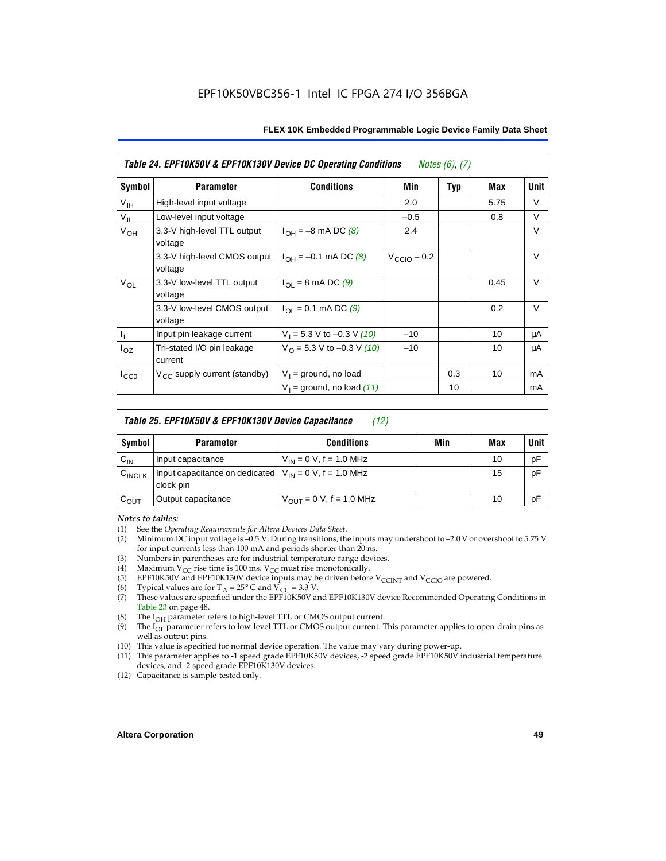| Table 24. EPF10K50V & EPF10K130V Device DC Operating Conditions<br><i>Notes</i> $(6)$ , $(7)$ |                                          |                                          |                         |            |      |      |
|-----------------------------------------------------------------------------------------------|------------------------------------------|------------------------------------------|-------------------------|------------|------|------|
| <b>Symbol</b>                                                                                 | <b>Parameter</b>                         | <b>Conditions</b>                        | Min                     | <b>Typ</b> | Max  | Unit |
| $\mathsf{V}_{\mathsf{IH}}$                                                                    | High-level input voltage                 |                                          | 2.0                     |            | 5.75 | V    |
| $V_{IL}$                                                                                      | Low-level input voltage                  |                                          | $-0.5$                  |            | 0.8  | V    |
| V <sub>OH</sub>                                                                               | 3.3-V high-level TTL output<br>voltage   | $I_{OH} = -8$ mA DC (8)                  | 2.4                     |            |      | V    |
|                                                                                               | 3.3-V high-level CMOS output<br>voltage  | $I_{OH} = -0.1$ mA DC (8)                | $V_{\text{CCIO}} - 0.2$ |            |      | V    |
| $V_{OL}$                                                                                      | 3.3-V low-level TTL output<br>voltage    | $I_{OL} = 8$ mA DC (9)                   |                         |            | 0.45 | V    |
|                                                                                               | 3.3-V low-level CMOS output<br>voltage   | $I_{\text{OI}} = 0.1 \text{ mA DC } (9)$ |                         |            | 0.2  | V    |
| H,                                                                                            | Input pin leakage current                | $V_1 = 5.3$ V to -0.3 V (10)             | $-10$                   |            | 10   | μA   |
| $I_{OZ}$                                                                                      | Tri-stated I/O pin leakage<br>current    | $V_O = 5.3$ V to -0.3 V (10)             | $-10$                   |            | 10   | μA   |
| $I_{CC0}$                                                                                     | $V_{\text{CC}}$ supply current (standby) | $V_1$ = ground, no load                  |                         | 0.3        | 10   | mA   |
|                                                                                               |                                          | $V_1$ = ground, no load (11)             |                         | 10         |      | mA   |

| Table 25. EPF10K50V & EPF10K130V Device Capacitance<br>(12) |                                                                           |                               |     |     |             |  |
|-------------------------------------------------------------|---------------------------------------------------------------------------|-------------------------------|-----|-----|-------------|--|
| Symbol                                                      | <b>Parameter</b>                                                          | <b>Conditions</b>             | Min | Max | <b>Unit</b> |  |
| $C_{IN}$                                                    | Input capacitance                                                         | $V_{IN} = 0$ V, f = 1.0 MHz   |     | 10  | pF          |  |
| C <sub>INCLK</sub>                                          | Input capacitance on dedicated $ V_{IN} = 0 V$ , f = 1.0 MHz<br>clock pin |                               |     | 15  | pF          |  |
| $C_{OUT}$                                                   | Output capacitance                                                        | $V_{OUT} = 0 V$ , f = 1.0 MHz |     | 10  | pF          |  |

#### *Notes to tables:*

- (1) See the *Operating Requirements for Altera Devices Data Sheet*.
- Minimum DC input voltage is –0.5 V. During transitions, the inputs may undershoot to –2.0 V or overshoot to 5.75 V for input currents less than 100 mA and periods shorter than 20 ns.
- (3) Numbers in parentheses are for industrial-temperature-range devices.<br>(4) Maximum  $V_{CC}$  rise time is 100 ms.  $V_{CC}$  must rise monotonically.
- (4) Maximum  $V_{CC}$  rise time is 100 ms.  $V_{CC}$  must rise monotonically.<br>(5) EPF10K50V and EPF10K130V device inputs may be driven before
- (5) EPF10K50V and EPF10K130V device inputs may be driven before V<sub>CCINT</sub> and V<sub>CCIO</sub> are powered.<br>(6) Typical values are for T<sub>A</sub> = 25° C and V<sub>CC</sub> = 3.3 V.
- Typical values are for  $T_A = 25^\circ$  C and  $V_{CC} = 3.3$  V.
- (7) These values are specified under the EPF10K50V and EPF10K130V device Recommended Operating Conditions in Table 23 on page 48.
- (8) The  $I<sub>OH</sub>$  parameter refers to high-level TTL or CMOS output current.
- (9) The  $I_{OL}$  parameter refers to low-level TTL or CMOS output current. This parameter applies to open-drain pins as well as output pins.
- (10) This value is specified for normal device operation. The value may vary during power-up.
- (11) This parameter applies to -1 speed grade EPF10K50V devices, -2 speed grade EPF10K50V industrial temperature devices, and -2 speed grade EPF10K130V devices.
- (12) Capacitance is sample-tested only.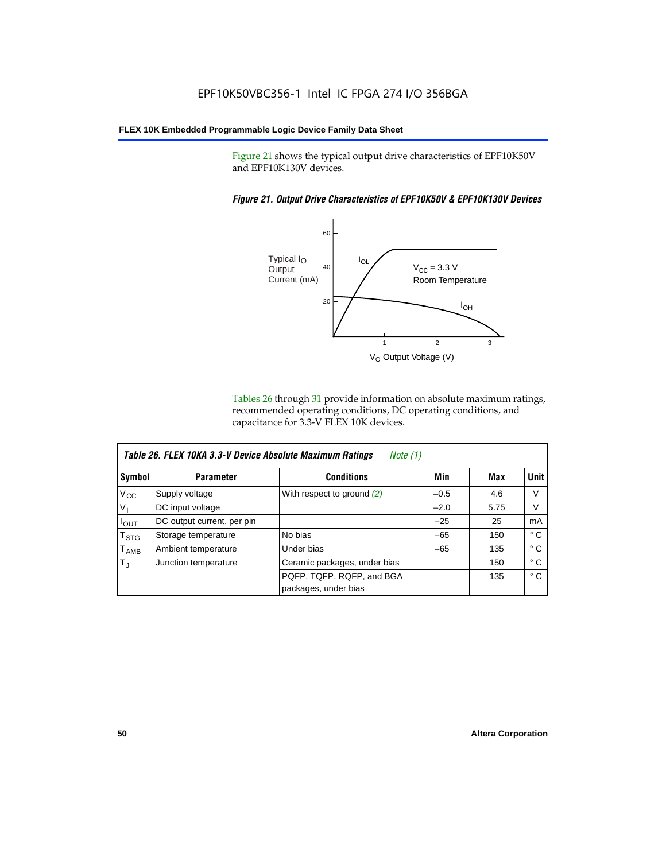Figure 21 shows the typical output drive characteristics of EPF10K50V and EPF10K130V devices.

#### *Figure 21. Output Drive Characteristics of EPF10K50V & EPF10K130V Devices*



Tables 26 through 31 provide information on absolute maximum ratings, recommended operating conditions, DC operating conditions, and capacitance for 3.3-V FLEX 10K devices.

|                  | Table 26. FLEX 10KA 3.3-V Device Absolute Maximum Ratings<br>Note (1) |                              |        |      |              |  |  |
|------------------|-----------------------------------------------------------------------|------------------------------|--------|------|--------------|--|--|
| Symbol           | <b>Parameter</b>                                                      | <b>Conditions</b>            | Min    | Max  | Unit         |  |  |
| $V_{\rm CC}$     | Supply voltage                                                        | With respect to ground $(2)$ | $-0.5$ | 4.6  | V            |  |  |
| $V_{I}$          | DC input voltage                                                      |                              | $-2.0$ | 5.75 | V            |  |  |
| $I_{OUT}$        | DC output current, per pin                                            |                              | $-25$  | 25   | mA           |  |  |
| $T_{\text{STG}}$ | Storage temperature                                                   | No bias                      | $-65$  | 150  | $^{\circ}$ C |  |  |
| $T_{\sf AMB}$    | Ambient temperature                                                   | Under bias                   | $-65$  | 135  | ° C          |  |  |
| $T_{\rm J}$      | Junction temperature                                                  | Ceramic packages, under bias |        | 150  | ° C          |  |  |
|                  |                                                                       | PQFP, TQFP, RQFP, and BGA    |        | 135  | $^{\circ}$ C |  |  |
|                  |                                                                       | packages, under bias         |        |      |              |  |  |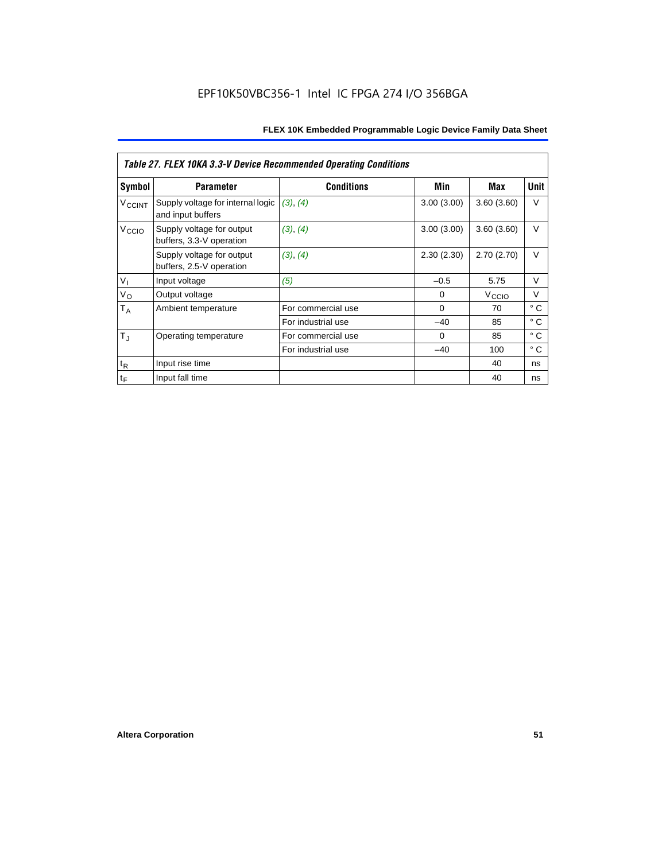| Table 27. FLEX 10KA 3.3-V Device Recommended Operating Conditions |                                                        |                    |            |                   |             |  |  |
|-------------------------------------------------------------------|--------------------------------------------------------|--------------------|------------|-------------------|-------------|--|--|
| Symbol                                                            | <b>Parameter</b>                                       | <b>Conditions</b>  | Min        | Max               | <b>Unit</b> |  |  |
| <b>V<sub>CCINT</sub></b>                                          | Supply voltage for internal logic<br>and input buffers | (3), (4)           | 3.00(3.00) | 3.60(3.60)        | $\vee$      |  |  |
| V <sub>CCIO</sub>                                                 | Supply voltage for output<br>buffers, 3.3-V operation  | (3), (4)           | 3.00(3.00) | 3.60(3.60)        | $\vee$      |  |  |
|                                                                   | Supply voltage for output<br>buffers, 2.5-V operation  | (3), (4)           | 2.30(2.30) | 2.70(2.70)        | $\vee$      |  |  |
| V <sub>1</sub>                                                    | Input voltage                                          | (5)                | $-0.5$     | 5.75              | $\vee$      |  |  |
| $V_{\rm O}$                                                       | Output voltage                                         |                    | 0          | V <sub>CCIO</sub> | $\vee$      |  |  |
| $T_A$                                                             | Ambient temperature                                    | For commercial use | $\Omega$   | 70                | °C          |  |  |
|                                                                   |                                                        | For industrial use | $-40$      | 85                | °C          |  |  |
| $T_{\rm J}$                                                       | Operating temperature                                  | For commercial use | $\Omega$   | 85                | °C          |  |  |
|                                                                   |                                                        | For industrial use | $-40$      | 100               | °C          |  |  |
| $t_{R}$                                                           | Input rise time                                        |                    |            | 40                | ns          |  |  |
| $t_F$                                                             | Input fall time                                        |                    |            | 40                | ns          |  |  |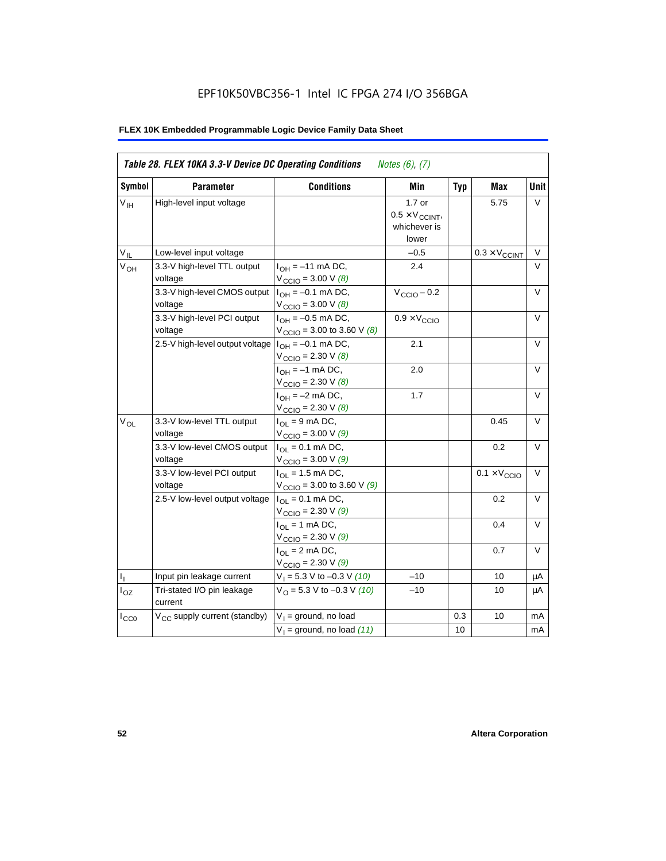# EPF10K50VBC356-1 Intel IC FPGA 274 I/O 356BGA

|                           | Table 28. FLEX 10KA 3.3-V Device DC Operating Conditions<br><i>Notes</i> $(6)$ , $(7)$ |                                                                   |                                                             |            |                              |        |  |
|---------------------------|----------------------------------------------------------------------------------------|-------------------------------------------------------------------|-------------------------------------------------------------|------------|------------------------------|--------|--|
| Symbol                    | <b>Parameter</b>                                                                       | <b>Conditions</b>                                                 | Min                                                         | <b>Typ</b> | Max                          | Unit   |  |
| $V_{\text{IH}}$           | High-level input voltage                                                               |                                                                   | $1.7$ or<br>$0.5 \times V_{CCINT}$<br>whichever is<br>lower |            | 5.75                         | V      |  |
| $V_{IL}$                  | Low-level input voltage                                                                |                                                                   | $-0.5$                                                      |            | $0.3 \times V_{CCINT}$       | V      |  |
| V <sub>OH</sub>           | 3.3-V high-level TTL output<br>voltage                                                 | $I_{OH} = -11$ mA DC,<br>$V_{\text{CCIO}} = 3.00 V (8)$           | 2.4                                                         |            |                              | V      |  |
|                           | 3.3-V high-level CMOS output<br>voltage                                                | $I_{OH} = -0.1$ mA DC,<br>$V_{\text{CCIO}} = 3.00 \text{ V } (8)$ | $V_{\text{CCIO}} - 0.2$                                     |            |                              | V      |  |
|                           | 3.3-V high-level PCI output<br>voltage                                                 | $I_{OH} = -0.5$ mA DC,<br>$V_{\text{CCIO}} = 3.00$ to 3.60 V (8)  | $0.9 \times V_{\text{CCIO}}$                                |            |                              | V      |  |
|                           | 2.5-V high-level output voltage                                                        | $I_{OH} = -0.1$ mA DC,<br>$V_{\text{CCIO}} = 2.30 \text{ V } (8)$ | 2.1                                                         |            |                              | V      |  |
|                           |                                                                                        | $I_{OH} = -1$ mA DC,<br>$V_{\text{CCIO}} = 2.30 \text{ V } (8)$   | 2.0                                                         |            |                              | $\vee$ |  |
|                           |                                                                                        | $I_{OH} = -2$ mA DC,<br>$V_{\text{CCIO}} = 2.30 V (8)$            | 1.7                                                         |            |                              | V      |  |
| V <sub>OL</sub>           | 3.3-V low-level TTL output<br>voltage                                                  | $I_{OL}$ = 9 mA DC,<br>$V_{\text{CCIO}} = 3.00 V (9)$             |                                                             |            | 0.45                         | V      |  |
|                           | 3.3-V low-level CMOS output<br>voltage                                                 | $I_{OL} = 0.1$ mA DC,<br>$V_{\text{CCIO}} = 3.00 \text{ V} (9)$   |                                                             |            | 0.2                          | $\vee$ |  |
|                           | 3.3-V low-level PCI output<br>voltage                                                  | $I_{OL}$ = 1.5 mA DC,<br>$V_{\text{CCIO}} = 3.00$ to 3.60 V (9)   |                                                             |            | $0.1 \times V_{\text{CCIO}}$ | $\vee$ |  |
|                           | 2.5-V low-level output voltage                                                         | $I_{OL} = 0.1$ mA DC,<br>$V_{\text{CCIO}} = 2.30 V (9)$           |                                                             |            | 0.2                          | V      |  |
|                           |                                                                                        | $I_{OL}$ = 1 mA DC,<br>$V_{\text{CCIO}} = 2.30 V (9)$             |                                                             |            | 0.4                          | V      |  |
|                           |                                                                                        | $I_{OL}$ = 2 mA DC,<br>$V_{\text{CCIO}} = 2.30 V(9)$              |                                                             |            | 0.7                          | V      |  |
| $\mathbf{I}_{\mathbf{I}}$ | Input pin leakage current                                                              | $V_1 = 5.3$ V to $-0.3$ V (10)                                    | $-10$                                                       |            | 10                           | μA     |  |
| $I_{OZ}$                  | Tri-stated I/O pin leakage<br>current                                                  | $V_O = 5.3 V to -0.3 V (10)$                                      | $-10$                                                       |            | 10                           | μA     |  |
| $I_{CC0}$                 | V <sub>CC</sub> supply current (standby)                                               | $V_1$ = ground, no load                                           |                                                             | 0.3        | 10                           | mA     |  |
|                           |                                                                                        | $V_1$ = ground, no load (11)                                      |                                                             | 10         |                              | mA     |  |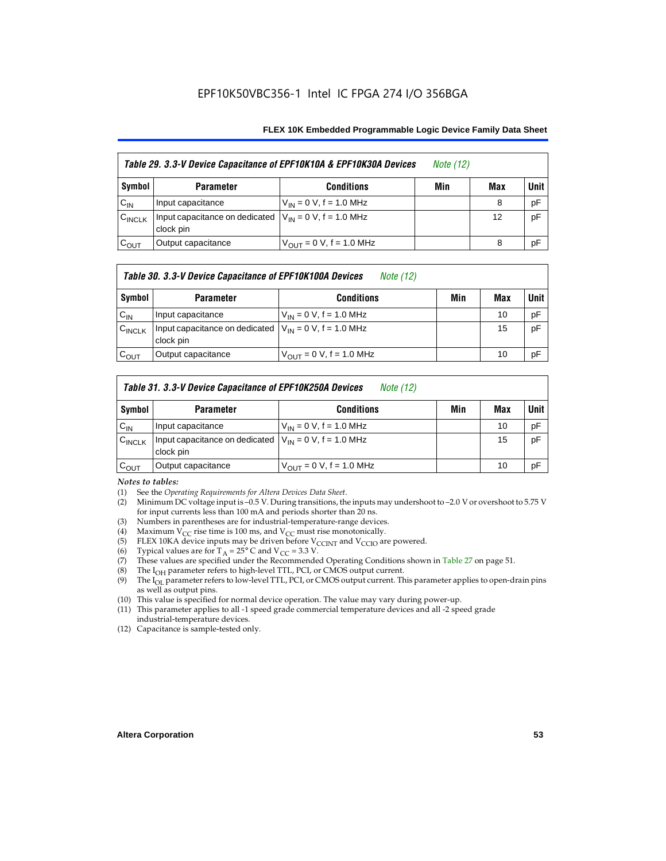| Table 29. 3.3-V Device Capacitance of EPF10K10A & EPF10K30A Devices |                                                                           |                               | <i>Note</i> (12) |     |        |
|---------------------------------------------------------------------|---------------------------------------------------------------------------|-------------------------------|------------------|-----|--------|
| Symbol                                                              | <b>Parameter</b>                                                          | <b>Conditions</b>             | Min              | Max | Unit I |
| $C_{IN}$                                                            | Input capacitance                                                         | $V_{IN} = 0 V$ , f = 1.0 MHz  |                  | 8   | pF     |
| $C_{\text{INCLK}}$                                                  | Input capacitance on dedicated $ V_{IN} = 0 V$ , f = 1.0 MHz<br>clock pin |                               |                  | 12  | pF     |
| $C_{OUT}$                                                           | Output capacitance                                                        | $V_{OUT} = 0 V$ , f = 1.0 MHz |                  | 8   | pF     |

#### *Table 30. 3.3-V Device Capacitance of EPF10K100A Devices Note (12)*

| Symbol    | <b>Parameter</b>                                                          | <b>Conditions</b>                   | Min | Max | <b>Unit</b> |
|-----------|---------------------------------------------------------------------------|-------------------------------------|-----|-----|-------------|
| $C_{IN}$  | Input capacitance                                                         | $V_{IN} = 0 V$ , f = 1.0 MHz        |     | 10  | pF          |
| CINCLK    | Input capacitance on dedicated $ V_{1N}  = 0$ V, f = 1.0 MHz<br>clock pin |                                     |     | 15  | pF          |
| $C_{OUT}$ | Output capacitance                                                        | $V_{\text{OUT}} = 0$ V, f = 1.0 MHz |     | 10  | pF          |

#### *Table 31. 3.3-V Device Capacitance of EPF10K250A Devices Note (12)*

| Symbol             | <b>Parameter</b>                                                          | <b>Conditions</b>                                           | Min | Max | <b>Unit</b> |
|--------------------|---------------------------------------------------------------------------|-------------------------------------------------------------|-----|-----|-------------|
| $C_{IN}$           | Input capacitance                                                         | $V_{IN} = 0 V$ , f = 1.0 MHz                                |     | 10  | pF          |
| $C_{\text{INCLK}}$ | Input capacitance on dedicated $ V_{IN} = 0 V$ , f = 1.0 MHz<br>clock pin |                                                             |     | 15  | pF          |
| $C_{\text{OUT}}$   | Output capacitance                                                        | $V_{\text{OUT}} = 0 \text{ V}, \text{ f} = 1.0 \text{ MHz}$ |     | 10  | pF          |

#### *Notes to tables:*

- (1) See the *Operating Requirements for Altera Devices Data Sheet*.
- (2) Minimum DC voltage input is –0.5 V. During transitions, the inputs may undershoot to –2.0 V or overshoot to 5.75 V for input currents less than 100 mA and periods shorter than 20 ns.
- (3) Numbers in parentheses are for industrial-temperature-range devices.
- (4) Maximum  $V_{CC}$  rise time is 100 ms, and  $V_{CC}$  must rise monotonically.<br>(5) FLEX 10KA device inputs may be driven before  $V_{CCIMT}$  and  $V_{CCIO}$  are
- (5) FLEX 10KA device inputs may be driven before  $V_{CCTN}$  and  $V_{CCIO}$  are powered.<br>(6) Typical values are for T<sub>A</sub> = 25° C and  $V_{CC}$  = 3.3 V.
- (6) Typical values are for  $T_A = 25^\circ$  C and  $V_{CC} = 3.3$  V.<br>(7) These values are specified under the Recommende
- These values are specified under the Recommended Operating Conditions shown in Table 27 on page 51.
- (8) The  $I_{OH}$  parameter refers to high-level TTL, PCI, or CMOS output current. The  $I_{OH}$  parameter refers to low-level TTL, PCI, or CMOS output current. The
- The I<sub>OL</sub> parameter refers to low-level TTL, PCI, or CMOS output current. This parameter applies to open-drain pins as well as output pins.
- (10) This value is specified for normal device operation. The value may vary during power-up.
- (11) This parameter applies to all -1 speed grade commercial temperature devices and all -2 speed grade industrial-temperature devices.
- (12) Capacitance is sample-tested only.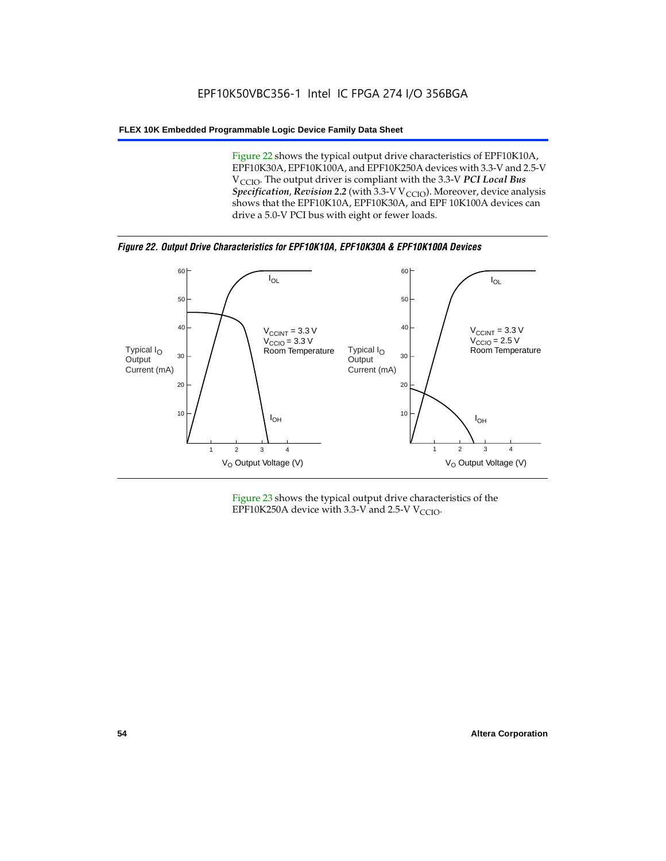Figure 22 shows the typical output drive characteristics of EPF10K10A, EPF10K30A, EPF10K100A, and EPF10K250A devices with 3.3-V and 2.5-V V<sub>CCIO</sub>. The output driver is compliant with the 3.3-V PCI Local Bus *Specification, Revision 2.2* (with 3.3-V V<sub>CCIO</sub>). Moreover, device analysis shows that the EPF10K10A, EPF10K30A, and EPF 10K100A devices can drive a 5.0-V PCI bus with eight or fewer loads.

*Figure 22. Output Drive Characteristics for EPF10K10A, EPF10K30A & EPF10K100A Devices*



Figure 23 shows the typical output drive characteristics of the EPF10K250A device with 3.3-V and 2.5-V  $V_{\text{CCIO}}$ .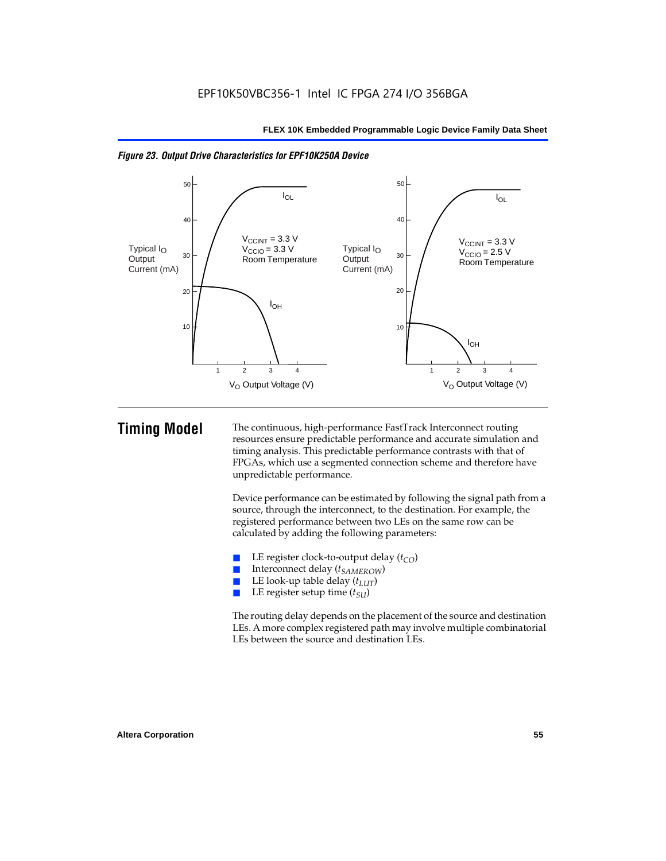

*Figure 23. Output Drive Characteristics for EPF10K250A Device*

**Timing Model** The continuous, high-performance FastTrack Interconnect routing resources ensure predictable performance and accurate simulation and timing analysis. This predictable performance contrasts with that of FPGAs, which use a segmented connection scheme and therefore have unpredictable performance.

> Device performance can be estimated by following the signal path from a source, through the interconnect, to the destination. For example, the registered performance between two LEs on the same row can be calculated by adding the following parameters:

- **E** LE register clock-to-output delay  $(t_{CO})$ <br> **E** Interconnect delay  $(t_{CMBOW})$
- Interconnect delay (*t<sub>SAMEROW</sub>*)
- LE look-up table delay  $(t_{LUT})$
- LE register setup time ( $t_{SI}$ )

The routing delay depends on the placement of the source and destination LEs. A more complex registered path may involve multiple combinatorial LEs between the source and destination LEs.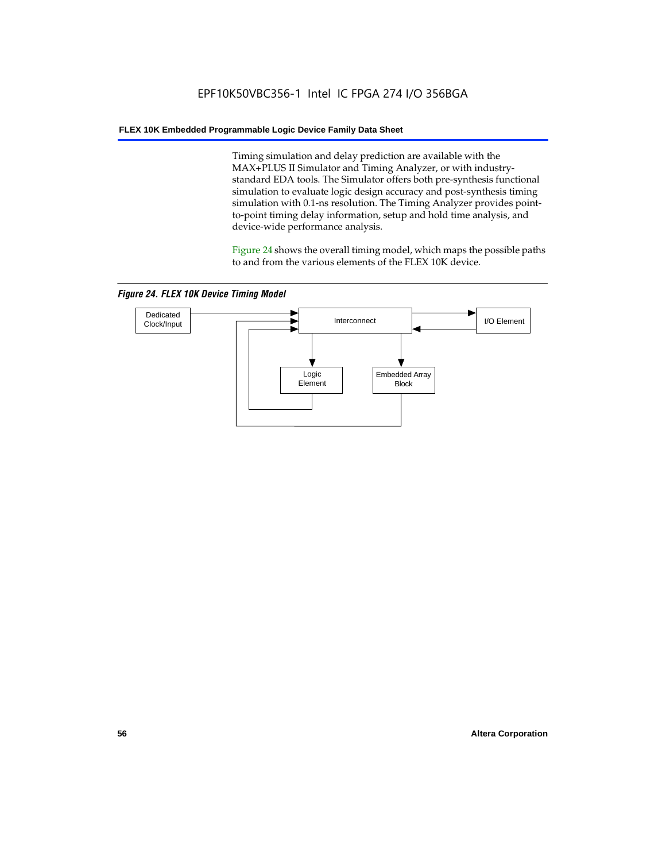Timing simulation and delay prediction are available with the MAX+PLUS II Simulator and Timing Analyzer, or with industrystandard EDA tools. The Simulator offers both pre-synthesis functional simulation to evaluate logic design accuracy and post-synthesis timing simulation with 0.1-ns resolution. The Timing Analyzer provides pointto-point timing delay information, setup and hold time analysis, and device-wide performance analysis.

Figure 24 shows the overall timing model, which maps the possible paths to and from the various elements of the FLEX 10K device.

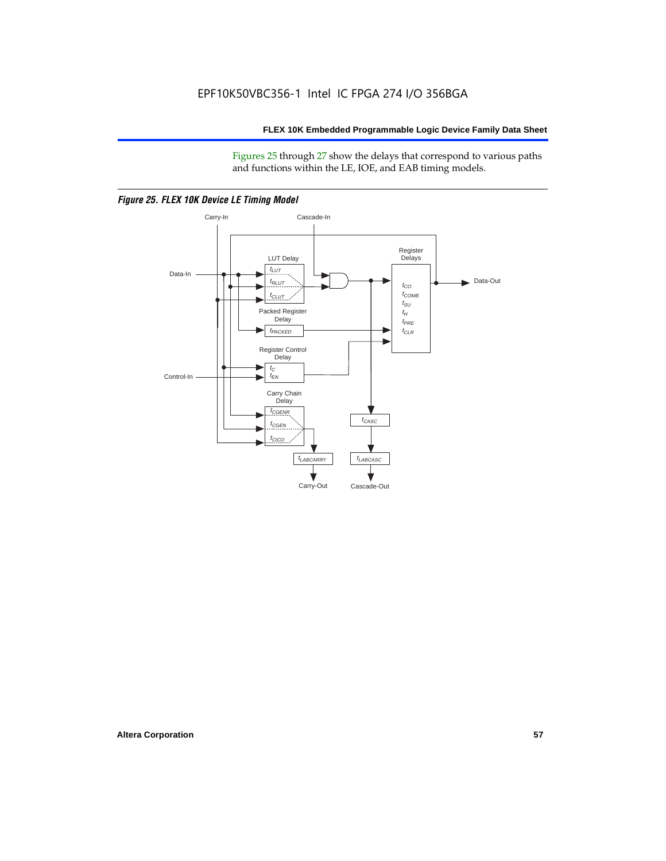Figures 25 through 27 show the delays that correspond to various paths and functions within the LE, IOE, and EAB timing models.



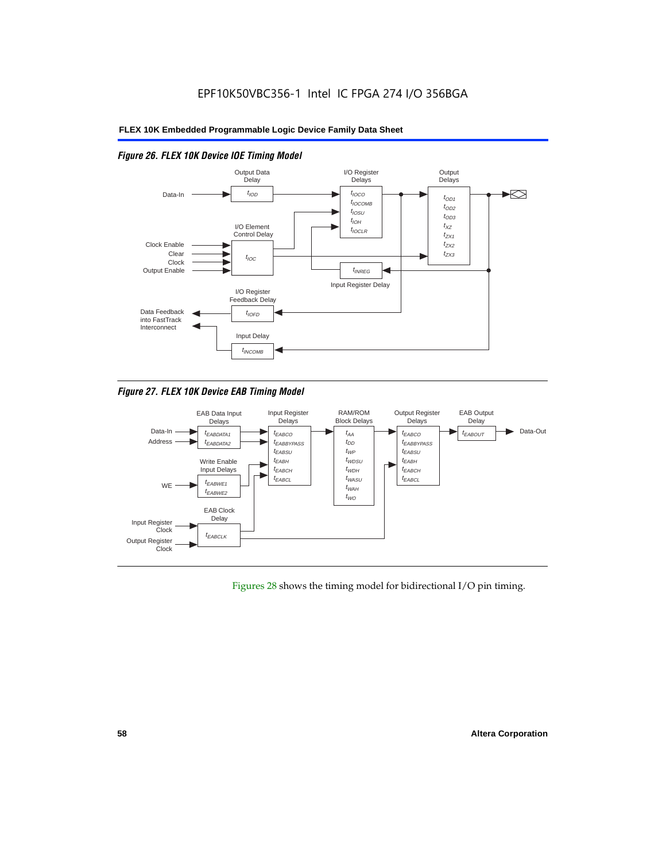

# *Figure 26. FLEX 10K Device IOE Timing Model*

*Figure 27. FLEX 10K Device EAB Timing Model*



Figures 28 shows the timing model for bidirectional I/O pin timing.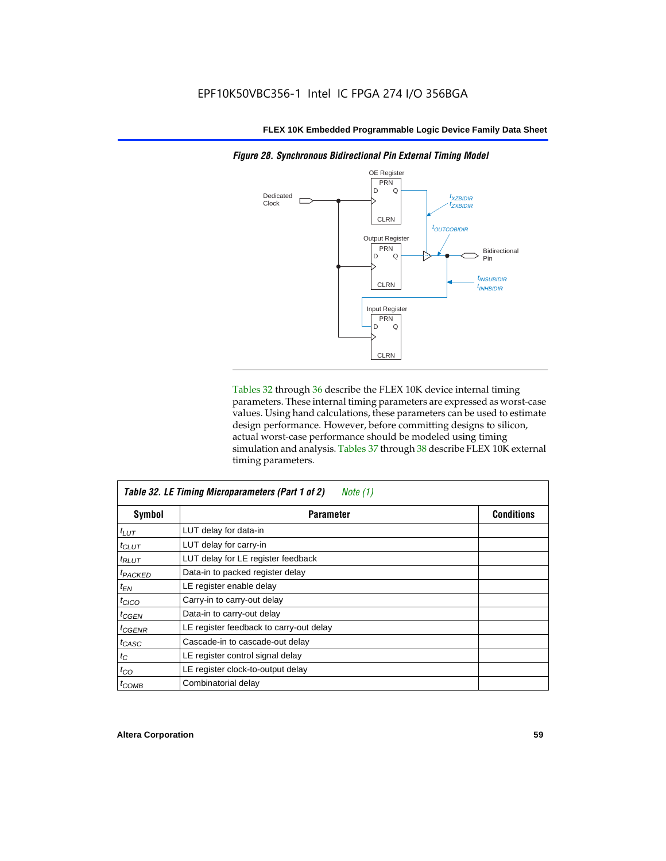

Tables 32 through 36 describe the FLEX 10K device internal timing parameters. These internal timing parameters are expressed as worst-case values. Using hand calculations, these parameters can be used to estimate design performance. However, before committing designs to silicon, actual worst-case performance should be modeled using timing simulation and analysis. Tables 37 through 38 describe FLEX 10K external timing parameters.

| Table 32. LE Timing Microparameters (Part 1 of 2)<br>Note $(1)$ |                                         |                   |  |  |  |
|-----------------------------------------------------------------|-----------------------------------------|-------------------|--|--|--|
| Symbol                                                          | <b>Parameter</b>                        | <b>Conditions</b> |  |  |  |
| $t_{LUT}$                                                       | LUT delay for data-in                   |                   |  |  |  |
| $t_{CLUT}$                                                      | LUT delay for carry-in                  |                   |  |  |  |
| $t_{RLUT}$                                                      | LUT delay for LE register feedback      |                   |  |  |  |
| <sup>t</sup> PACKED                                             | Data-in to packed register delay        |                   |  |  |  |
| $t_{EN}$                                                        | LE register enable delay                |                   |  |  |  |
| $t_{CICO}$                                                      | Carry-in to carry-out delay             |                   |  |  |  |
| $t_{GEN}$                                                       | Data-in to carry-out delay              |                   |  |  |  |
| <sup>t</sup> CGENR                                              | LE register feedback to carry-out delay |                   |  |  |  |
| $t_{CASC}$                                                      | Cascade-in to cascade-out delay         |                   |  |  |  |
| $t_C$                                                           | LE register control signal delay        |                   |  |  |  |
| $t_{CO}$                                                        | LE register clock-to-output delay       |                   |  |  |  |
| $t_{COMB}$                                                      | Combinatorial delay                     |                   |  |  |  |

*Figure 28. Synchronous Bidirectional Pin External Timing Model*

Г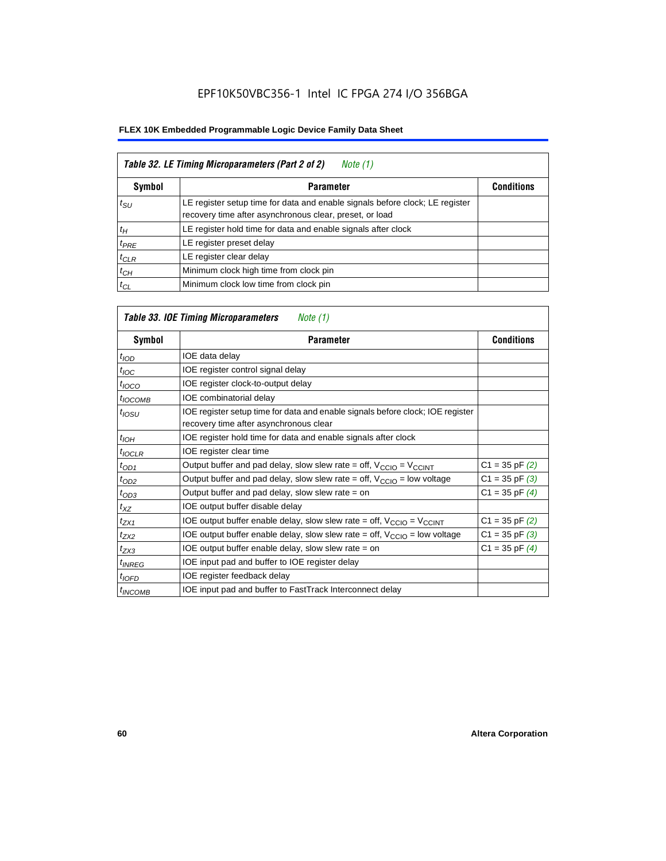| Table 32. LE Timing Microparameters (Part 2 of 2)<br>Note (1) |                                                                                                                                         |                   |  |  |  |
|---------------------------------------------------------------|-----------------------------------------------------------------------------------------------------------------------------------------|-------------------|--|--|--|
| <b>Symbol</b>                                                 | <b>Parameter</b>                                                                                                                        | <b>Conditions</b> |  |  |  |
| $t_{\rm SU}$                                                  | LE register setup time for data and enable signals before clock; LE register<br>recovery time after asynchronous clear, preset, or load |                   |  |  |  |
| $t_H$                                                         | LE register hold time for data and enable signals after clock                                                                           |                   |  |  |  |
| $t_{PRE}$                                                     | LE register preset delay                                                                                                                |                   |  |  |  |
| $t_{CLR}$                                                     | LE register clear delay                                                                                                                 |                   |  |  |  |
| $t_{CH}$                                                      | Minimum clock high time from clock pin                                                                                                  |                   |  |  |  |
| $t_{CL}$                                                      | Minimum clock low time from clock pin                                                                                                   |                   |  |  |  |

# *Table 33. IOE Timing Microparameters Note (1)*

| Symbol              | <b>Parameter</b>                                                                                                         | <b>Conditions</b>  |
|---------------------|--------------------------------------------------------------------------------------------------------------------------|--------------------|
| t <sub>IOD</sub>    | IOE data delay                                                                                                           |                    |
| $t_{\text{IOC}}$    | IOE register control signal delay                                                                                        |                    |
| $t_{IOCO}$          | IOE register clock-to-output delay                                                                                       |                    |
| $t_{IOCOMB}$        | IOE combinatorial delay                                                                                                  |                    |
| $t_{IOSU}$          | IOE register setup time for data and enable signals before clock; IOE register<br>recovery time after asynchronous clear |                    |
| $t_{IOH}$           | IOE register hold time for data and enable signals after clock                                                           |                    |
| $t_{IOCLR}$         | IOE register clear time                                                                                                  |                    |
| $t_{OD1}$           | Output buffer and pad delay, slow slew rate = off, $V_{\text{CCIO}} = V_{\text{CCINT}}$                                  | $C1 = 35$ pF $(2)$ |
| $t_{OD2}$           | Output buffer and pad delay, slow slew rate = off, $V_{\text{CCIO}}$ = low voltage                                       | $C1 = 35$ pF $(3)$ |
| $t_{OD3}$           | Output buffer and pad delay, slow slew rate $=$ on                                                                       | $C1 = 35$ pF $(4)$ |
| $t_{XZ}$            | IOE output buffer disable delay                                                                                          |                    |
| $t_{ZX1}$           | IOE output buffer enable delay, slow slew rate = off, $V_{\text{CCIO}} = V_{\text{CCINT}}$                               | $C1 = 35$ pF $(2)$ |
| $t_{ZX2}$           | IOE output buffer enable delay, slow slew rate = off, $V_{\text{CCIO}}$ = low voltage                                    | $C1 = 35$ pF $(3)$ |
| $t_{ZX3}$           | IOE output buffer enable delay, slow slew rate $=$ on                                                                    | $C1 = 35$ pF $(4)$ |
| <sup>t</sup> INREG  | IOE input pad and buffer to IOE register delay                                                                           |                    |
| $t_{IOFD}$          | IOE register feedback delay                                                                                              |                    |
| <sup>t</sup> INCOMB | IOE input pad and buffer to FastTrack Interconnect delay                                                                 |                    |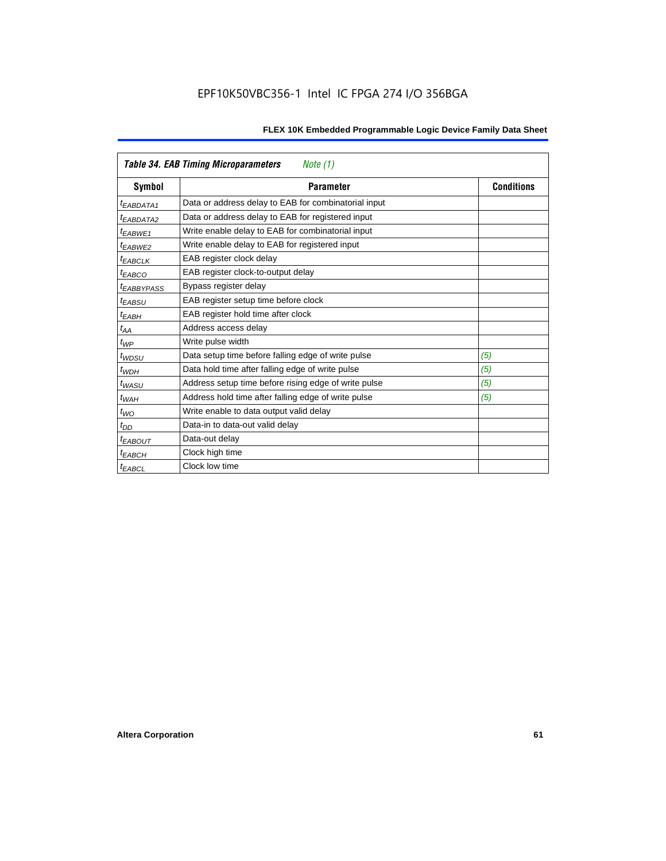| <b>Table 34. EAB Timing Microparameters</b><br>Note (1) |                                                      |                   |  |  |  |
|---------------------------------------------------------|------------------------------------------------------|-------------------|--|--|--|
| Symbol                                                  | <b>Parameter</b>                                     | <b>Conditions</b> |  |  |  |
| <i>EABDATA1</i>                                         | Data or address delay to EAB for combinatorial input |                   |  |  |  |
| <sup>t</sup> EABDATA2                                   | Data or address delay to EAB for registered input    |                   |  |  |  |
| $t_{EABWE1}$                                            | Write enable delay to EAB for combinatorial input    |                   |  |  |  |
| t <sub>EABWE2</sub>                                     | Write enable delay to EAB for registered input       |                   |  |  |  |
| <b>EABCLK</b>                                           | EAB register clock delay                             |                   |  |  |  |
| <sup>t</sup> EABCO                                      | EAB register clock-to-output delay                   |                   |  |  |  |
| <b><i>EABBYPASS</i></b>                                 | Bypass register delay                                |                   |  |  |  |
| <sup>t</sup> EABSU                                      | EAB register setup time before clock                 |                   |  |  |  |
| <sup>t</sup> EABH                                       | EAB register hold time after clock                   |                   |  |  |  |
| $t_{AA}$                                                | Address access delay                                 |                   |  |  |  |
| $t_{WP}$                                                | Write pulse width                                    |                   |  |  |  |
| $t_{WDSU}$                                              | Data setup time before falling edge of write pulse   | (5)               |  |  |  |
| $t_{WDH}$                                               | Data hold time after falling edge of write pulse     | (5)               |  |  |  |
| $t_{WASU}$                                              | Address setup time before rising edge of write pulse | (5)               |  |  |  |
| $t_{WAH}$                                               | Address hold time after falling edge of write pulse  | (5)               |  |  |  |
| $t_{WO}$                                                | Write enable to data output valid delay              |                   |  |  |  |
| $t_{DD}$                                                | Data-in to data-out valid delay                      |                   |  |  |  |
| $t_{EABOUT}$                                            | Data-out delay                                       |                   |  |  |  |
| <sup>t</sup> EABCH                                      | Clock high time                                      |                   |  |  |  |
| $t_{EABCL}$                                             | Clock low time                                       |                   |  |  |  |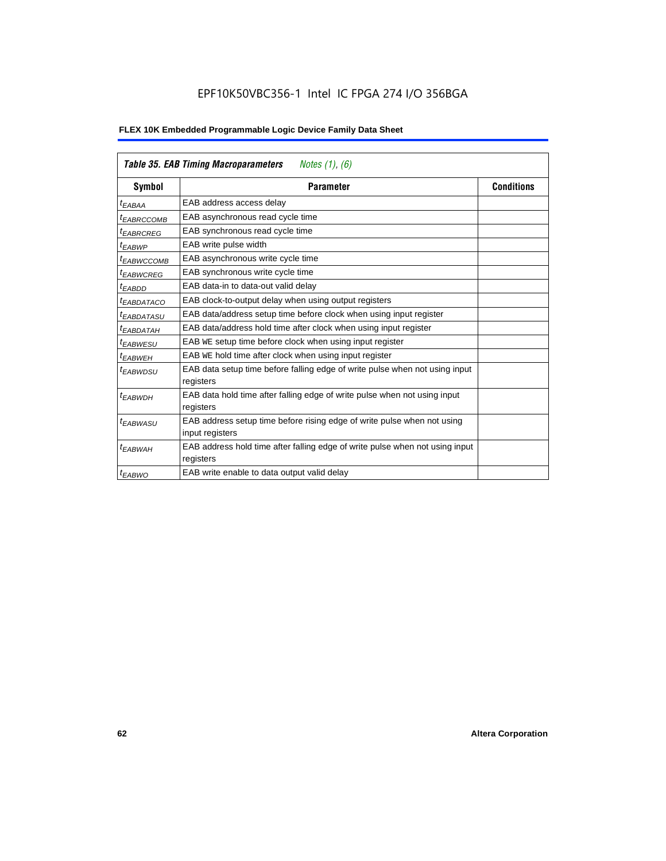|                        | <b>Table 35. EAB Timing Macroparameters</b><br>Notes $(1)$ , $(6)$                        |                   |  |  |  |  |  |
|------------------------|-------------------------------------------------------------------------------------------|-------------------|--|--|--|--|--|
| Symbol                 | <b>Parameter</b>                                                                          | <b>Conditions</b> |  |  |  |  |  |
| <sup>t</sup> EABAA     | EAB address access delay                                                                  |                   |  |  |  |  |  |
| <sup>t</sup> EABRCCOMB | EAB asynchronous read cycle time                                                          |                   |  |  |  |  |  |
| <sup>t</sup> EABRCREG  | EAB synchronous read cycle time                                                           |                   |  |  |  |  |  |
| t <sub>EABWP</sub>     | EAB write pulse width                                                                     |                   |  |  |  |  |  |
| <sup>t</sup> EABWCCOMB | EAB asynchronous write cycle time                                                         |                   |  |  |  |  |  |
| <sup>t</sup> EABWCREG  | EAB synchronous write cycle time                                                          |                   |  |  |  |  |  |
| <sup>t</sup> EABDD     | EAB data-in to data-out valid delay                                                       |                   |  |  |  |  |  |
| <sup>t</sup> EABDATACO | EAB clock-to-output delay when using output registers                                     |                   |  |  |  |  |  |
| <sup>t</sup> EABDATASU | EAB data/address setup time before clock when using input register                        |                   |  |  |  |  |  |
| <sup>t</sup> EABDATAH  | EAB data/address hold time after clock when using input register                          |                   |  |  |  |  |  |
| <sup>t</sup> EABWESU   | EAB WE setup time before clock when using input register                                  |                   |  |  |  |  |  |
| <sup>t</sup> EABWEH    | EAB WE hold time after clock when using input register                                    |                   |  |  |  |  |  |
| t <sub>EABWDSU</sub>   | EAB data setup time before falling edge of write pulse when not using input<br>registers  |                   |  |  |  |  |  |
| <sup>t</sup> EABWDH    | EAB data hold time after falling edge of write pulse when not using input                 |                   |  |  |  |  |  |
|                        | registers                                                                                 |                   |  |  |  |  |  |
| t <sub>EABWASU</sub>   | EAB address setup time before rising edge of write pulse when not using                   |                   |  |  |  |  |  |
|                        | input registers                                                                           |                   |  |  |  |  |  |
| $t_{FARMAH}$           | EAB address hold time after falling edge of write pulse when not using input<br>registers |                   |  |  |  |  |  |
| $t_{EABWO}$            | EAB write enable to data output valid delay                                               |                   |  |  |  |  |  |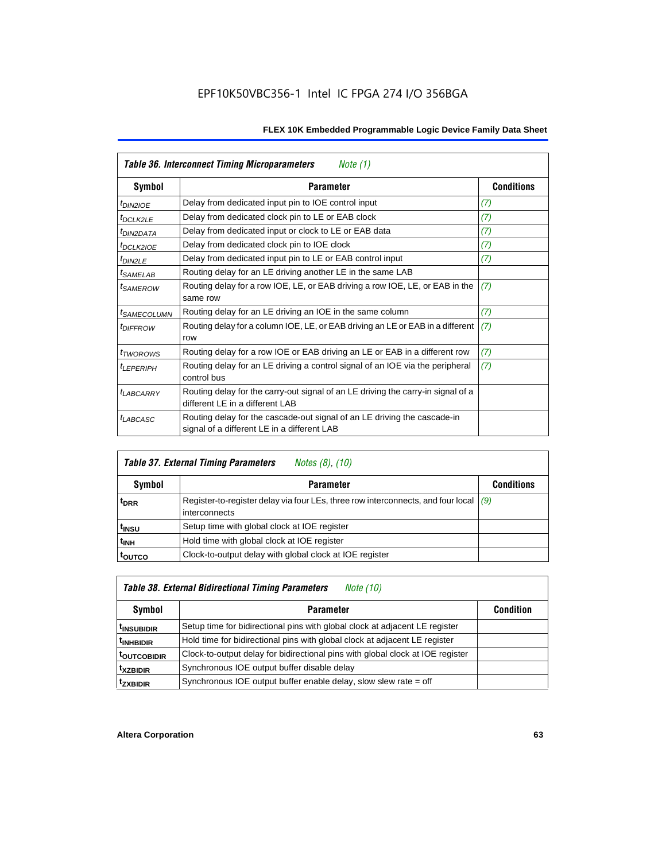| Table 36. Interconnect Timing Microparameters<br>Note $(1)$ |                                                                                                                         |                   |  |  |  |  |
|-------------------------------------------------------------|-------------------------------------------------------------------------------------------------------------------------|-------------------|--|--|--|--|
| Symbol                                                      | <b>Parameter</b>                                                                                                        | <b>Conditions</b> |  |  |  |  |
| <sup>t</sup> DIN2IOE                                        | Delay from dedicated input pin to IOE control input                                                                     | (7)               |  |  |  |  |
| <sup>t</sup> DCLK2LE                                        | Delay from dedicated clock pin to LE or EAB clock                                                                       | (7)               |  |  |  |  |
| <sup>t</sup> DIN2DATA                                       | Delay from dedicated input or clock to LE or EAB data                                                                   | (7)               |  |  |  |  |
| <sup>t</sup> DCLK2IOE                                       | Delay from dedicated clock pin to IOE clock                                                                             | (7)               |  |  |  |  |
| $t_{DIN2LE}$                                                | Delay from dedicated input pin to LE or EAB control input                                                               | (7)               |  |  |  |  |
| <sup>t</sup> SAMELAB                                        | Routing delay for an LE driving another LE in the same LAB                                                              |                   |  |  |  |  |
| <sup>t</sup> SAMEROW                                        | Routing delay for a row IOE, LE, or EAB driving a row IOE, LE, or EAB in the<br>same row                                | (7)               |  |  |  |  |
| <sup>t</sup> SAMECOLUMN                                     | Routing delay for an LE driving an IOE in the same column                                                               | (7)               |  |  |  |  |
| <i>t<sub>DIFFROW</sub></i>                                  | Routing delay for a column IOE, LE, or EAB driving an LE or EAB in a different<br>row                                   | (7)               |  |  |  |  |
| <i>t</i> TWOROWS                                            | Routing delay for a row IOE or EAB driving an LE or EAB in a different row                                              | (7)               |  |  |  |  |
| <sup>t</sup> LEPERIPH                                       | Routing delay for an LE driving a control signal of an IOE via the peripheral<br>control bus                            | (7)               |  |  |  |  |
| <b>LABCARRY</b>                                             | Routing delay for the carry-out signal of an LE driving the carry-in signal of a<br>different LE in a different LAB     |                   |  |  |  |  |
| $t_{LABCASC}$                                               | Routing delay for the cascade-out signal of an LE driving the cascade-in<br>signal of a different LE in a different LAB |                   |  |  |  |  |

| <b>Table 37. External Timing Parameters</b><br>Notes (8), (10) |                                                                                                         |                   |  |  |  |
|----------------------------------------------------------------|---------------------------------------------------------------------------------------------------------|-------------------|--|--|--|
| Symbol                                                         | <b>Parameter</b>                                                                                        | <b>Conditions</b> |  |  |  |
| <sup>t</sup> DRR                                               | Register-to-register delay via four LEs, three row interconnects, and four local $(9)$<br>interconnects |                   |  |  |  |
| t <sub>insu</sub>                                              | Setup time with global clock at IOE register                                                            |                   |  |  |  |
| t <sub>INH</sub>                                               | Hold time with global clock at IOE register                                                             |                   |  |  |  |
| <sup>I</sup> OUTCO                                             | Clock-to-output delay with global clock at IOE register                                                 |                   |  |  |  |

# *Table 38. External Bidirectional Timing Parameters Note (10)*

| Symbol                   | <b>Condition</b>                                                               |  |
|--------------------------|--------------------------------------------------------------------------------|--|
| <sup>  t</sup> INSUBIDIR | Setup time for bidirectional pins with global clock at adjacent LE register    |  |
| <sup>t</sup> INHBIDIR    | Hold time for bidirectional pins with global clock at adjacent LE register     |  |
| <sup>t</sup> outcobidir  | Clock-to-output delay for bidirectional pins with global clock at IOE register |  |
| <sup>t</sup> xzbidir     | Synchronous IOE output buffer disable delay                                    |  |
| <sup>t</sup> zxbidir     | Synchronous IOE output buffer enable delay, slow slew rate = off               |  |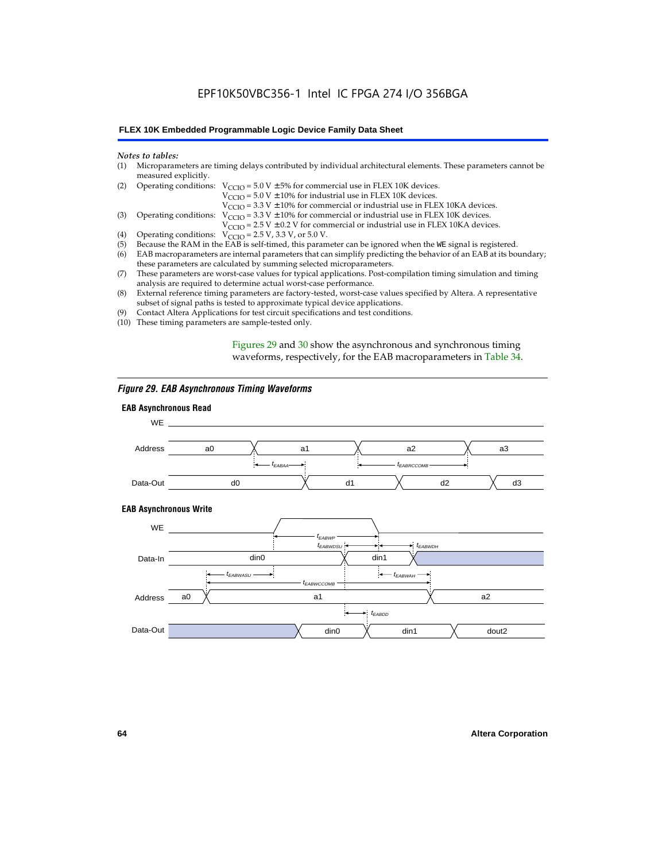# EPF10K50VBC356-1 Intel IC FPGA 274 I/O 356BGA

#### **FLEX 10K Embedded Programmable Logic Device Family Data Sheet**

#### *Notes to tables:*

| (1) Microparameters are timing delays contributed by individual architectural elements. These parameters cannot be |
|--------------------------------------------------------------------------------------------------------------------|
| measured explicitly.                                                                                               |

| (2) Operating conditions: $V_{CCIO} = 5.0 V \pm 5%$ for commercial use in FLEX 10K devices. |  |  |  |
|---------------------------------------------------------------------------------------------|--|--|--|
|                                                                                             |  |  |  |

 $V<sub>CCIO</sub>$  = 5.0 V  $\pm$  10% for industrial use in FLEX 10K devices.

 $V_{\text{CCIO}} = 3.3 \text{ V} \pm 10\%$  for commercial or industrial use in FLEX 10KA devices.

(3) Operating conditions:  $V_{\text{CCIO}} = 3.3 V \pm 10\%$  for commercial or industrial use in FLEX 10K devices.

 $V_{\text{CCIO}} = 2.5 \text{ V} \pm 0.2 \text{ V}$  for commercial or industrial use in FLEX 10KA devices.

- (4) Operating conditions:  $V_{\text{CCIO}} = 2.5 V$ , 3.3 V, or 5.0 V.<br>(5) Because the RAM in the EAB is self-timed, this param
- (5) Because the RAM in the EAB is self-timed, this parameter can be ignored when the WE signal is registered.<br>(6) EAB macroparameters are internal parameters that can simplify predicting the behavior of an EAB at its bou
- EAB macroparameters are internal parameters that can simplify predicting the behavior of an EAB at its boundary; these parameters are calculated by summing selected microparameters.
- (7) These parameters are worst-case values for typical applications. Post-compilation timing simulation and timing analysis are required to determine actual worst-case performance.
- (8) External reference timing parameters are factory-tested, worst-case values specified by Altera. A representative subset of signal paths is tested to approximate typical device applications.
- (9) Contact Altera Applications for test circuit specifications and test conditions.
- (10) These timing parameters are sample-tested only.

Figures 29 and 30 show the asynchronous and synchronous timing waveforms, respectively, for the EAB macroparameters in Table 34.

#### *Figure 29. EAB Asynchronous Timing Waveforms*

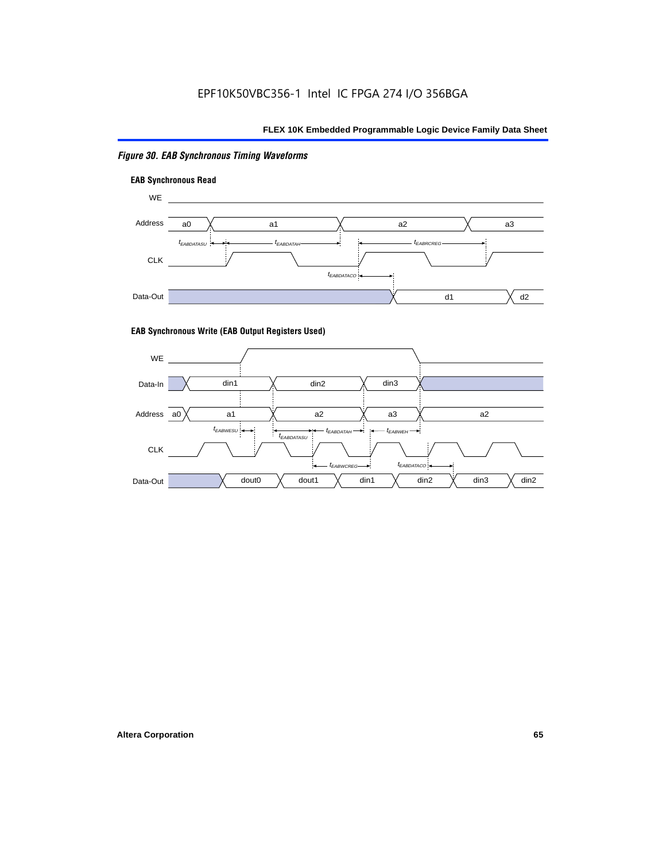# *Figure 30. EAB Synchronous Timing Waveforms*





#### **EAB Synchronous Write (EAB Output Registers Used)**

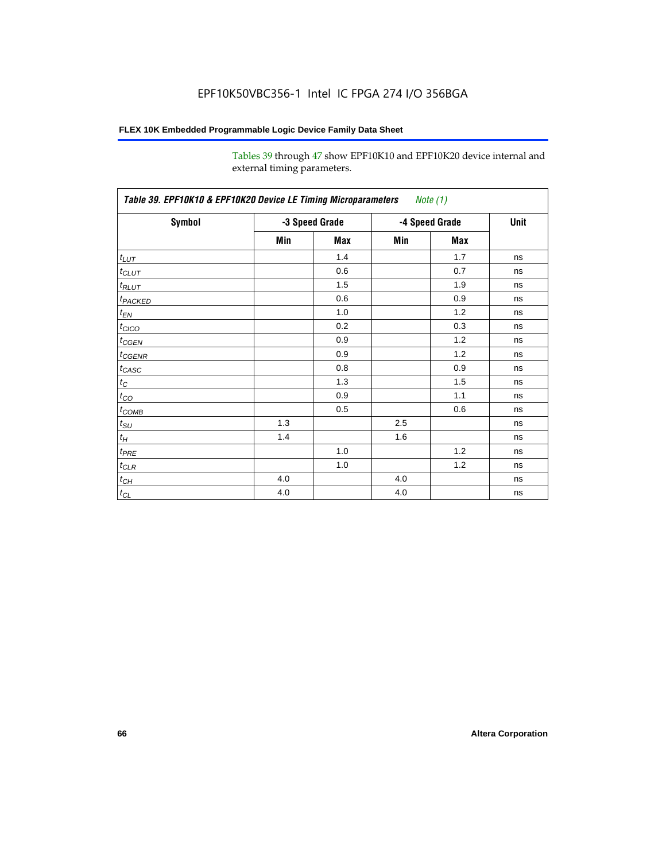Tables 39 through 47 show EPF10K10 and EPF10K20 device internal and external timing parameters.

| Table 39. EPF10K10 & EPF10K20 Device LE Timing Microparameters Note (1) |                |     |                |     |             |
|-------------------------------------------------------------------------|----------------|-----|----------------|-----|-------------|
| Symbol                                                                  | -3 Speed Grade |     | -4 Speed Grade |     | <b>Unit</b> |
|                                                                         | Min            | Max | Min            | Max |             |
| $t_{LUT}$                                                               |                | 1.4 |                | 1.7 | ns          |
| $t_{CLUT}$                                                              |                | 0.6 |                | 0.7 | ns          |
| $t_{RLUT}$                                                              |                | 1.5 |                | 1.9 | ns          |
| <b><i>t<sub>PACKED</sub></i></b>                                        |                | 0.6 |                | 0.9 | ns          |
| $t_{EN}$                                                                |                | 1.0 |                | 1.2 | ns          |
| $t_{CICO}$                                                              |                | 0.2 |                | 0.3 | ns          |
| $t_{\text{GEN}}$                                                        |                | 0.9 |                | 1.2 | ns          |
| $t_{CGENR}$                                                             |                | 0.9 |                | 1.2 | ns          |
| $t_{CASC}$                                                              |                | 0.8 |                | 0.9 | ns          |
| $t_C$                                                                   |                | 1.3 |                | 1.5 | ns          |
| $t_{CO}$                                                                |                | 0.9 |                | 1.1 | ns          |
| $t_{\text{COMB}}$                                                       |                | 0.5 |                | 0.6 | ns          |
| $t_{\text{SU}}$                                                         | 1.3            |     | 2.5            |     | ns          |
| $t_H$                                                                   | 1.4            |     | 1.6            |     | ns          |
| $t_{PRE}$                                                               |                | 1.0 |                | 1.2 | ns          |
| $t_{CLR}$                                                               |                | 1.0 |                | 1.2 | ns          |
| $t_{CH}$                                                                | 4.0            |     | 4.0            |     | ns          |
| $t_{CL}$                                                                | 4.0            |     | 4.0            |     | ns          |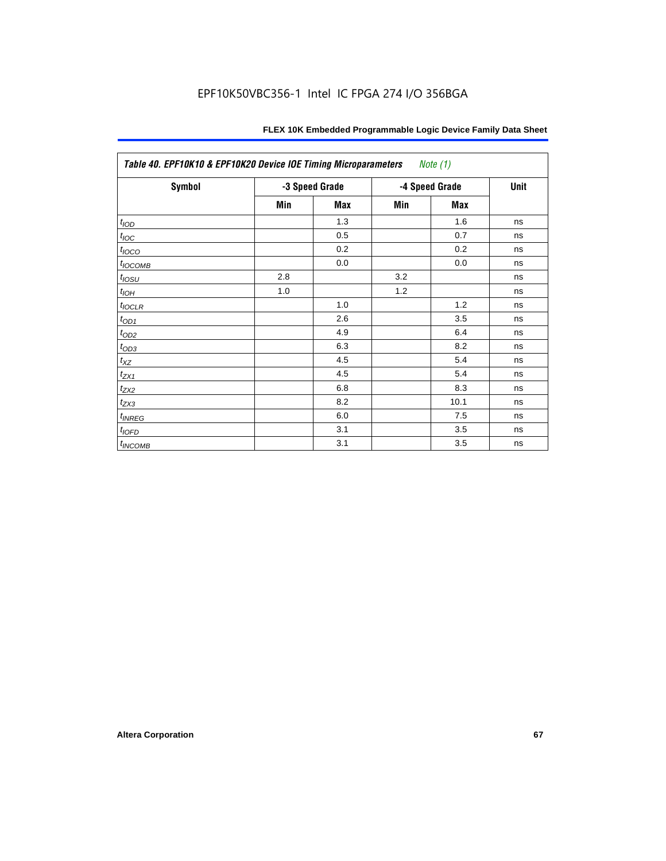| Table 40. EPF10K10 & EPF10K20 Device IOE Timing Microparameters<br>Note (1) |                |            |                |            |      |  |
|-----------------------------------------------------------------------------|----------------|------------|----------------|------------|------|--|
| <b>Symbol</b>                                                               | -3 Speed Grade |            | -4 Speed Grade |            | Unit |  |
|                                                                             | Min            | <b>Max</b> | Min            | <b>Max</b> |      |  |
| t <sub>IOD</sub>                                                            |                | 1.3        |                | 1.6        | ns   |  |
| $t_{\text{loc}}$                                                            |                | 0.5        |                | 0.7        | ns   |  |
| $t_{IOCO}$                                                                  |                | 0.2        |                | 0.2        | ns   |  |
| $t_{IOCOMB}$                                                                |                | 0.0        |                | 0.0        | ns   |  |
| $t_{IOSU}$                                                                  | 2.8            |            | 3.2            |            | ns   |  |
| $t_{IOH}$                                                                   | 1.0            |            | 1.2            |            | ns   |  |
| $t_{\mbox{\scriptsize\it IOCLR}}$                                           |                | 1.0        |                | 1.2        | ns   |  |
| $t_{OD1}$                                                                   |                | 2.6        |                | 3.5        | ns   |  |
| $t_{\rm OD2}$                                                               |                | 4.9        |                | 6.4        | ns   |  |
| $t_{\rm OD3}$                                                               |                | 6.3        |                | 8.2        | ns   |  |
| $t_{XZ}$                                                                    |                | 4.5        |                | 5.4        | ns   |  |
| $t_{ZX1}$                                                                   |                | 4.5        |                | 5.4        | ns   |  |
| $t_{ZX2}$                                                                   |                | 6.8        |                | 8.3        | ns   |  |
| $t_{ZX3}$                                                                   |                | 8.2        |                | 10.1       | ns   |  |
| $t_{INREG}$                                                                 |                | 6.0        |                | 7.5        | ns   |  |
| $t_{IOFD}$                                                                  |                | 3.1        |                | 3.5        | ns   |  |
| $t_{INCOMB}$                                                                |                | 3.1        |                | 3.5        | ns   |  |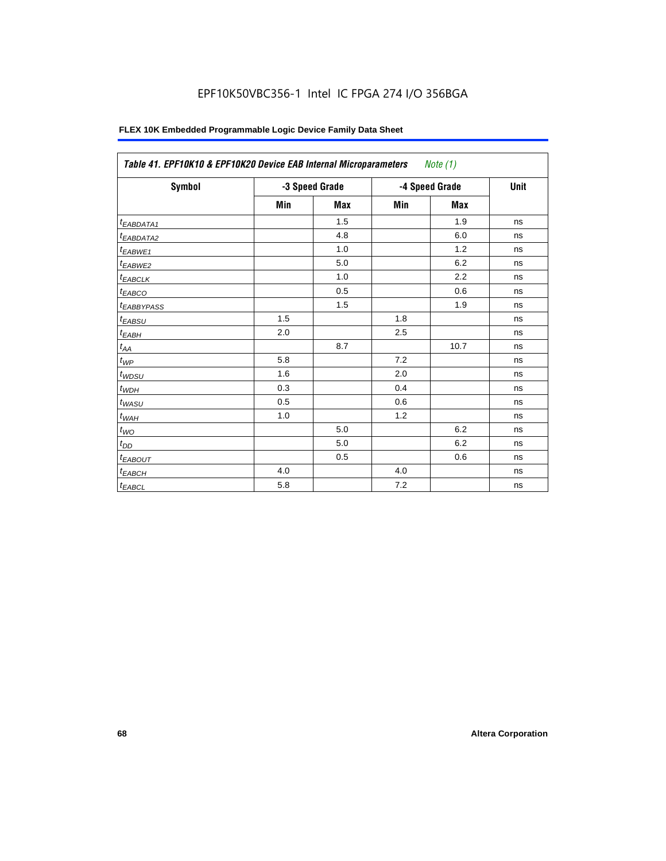| <b>Symbol</b>           |     | -3 Speed Grade | -4 Speed Grade |            | <b>Unit</b> |
|-------------------------|-----|----------------|----------------|------------|-------------|
|                         | Min | <b>Max</b>     | Min            | <b>Max</b> |             |
| $t_{EABDATA1}$          |     | 1.5            |                | 1.9        | ns          |
| $t_{EABDATA2}$          |     | 4.8            |                | 6.0        | ns          |
| t <sub>EABWE1</sub>     |     | 1.0            |                | 1.2        | ns          |
| t <sub>EABWE2</sub>     |     | 5.0            |                | 6.2        | ns          |
| $t_{EABCLK}$            |     | 1.0            |                | 2.2        | ns          |
| $t_{EABCO}$             |     | 0.5            |                | 0.6        | ns          |
| <b><i>EABBYPASS</i></b> |     | 1.5            |                | 1.9        | ns          |
| $t_{EABSU}$             | 1.5 |                | 1.8            |            | ns          |
| $t_{EABH}$              | 2.0 |                | 2.5            |            | ns          |
| $t_{AA}$                |     | 8.7            |                | 10.7       | ns          |
| $t_{\mathit{WP}}$       | 5.8 |                | 7.2            |            | ns          |
| $t_{WDSU}$              | 1.6 |                | 2.0            |            | ns          |
| $t_{WDH}$               | 0.3 |                | 0.4            |            | ns          |
| $t_{WASU}$              | 0.5 |                | 0.6            |            | ns          |
| $t_{WAH}$               | 1.0 |                | 1.2            |            | ns          |
| $t_{WO}$                |     | 5.0            |                | 6.2        | ns          |
| $t_{DD}$                |     | 5.0            |                | 6.2        | ns          |
| $t_{EABOUT}$            |     | 0.5            |                | 0.6        | ns          |
| $t_{EABCH}$             | 4.0 |                | 4.0            |            | ns          |
| $t_{EABCL}$             | 5.8 |                | 7.2            |            | ns          |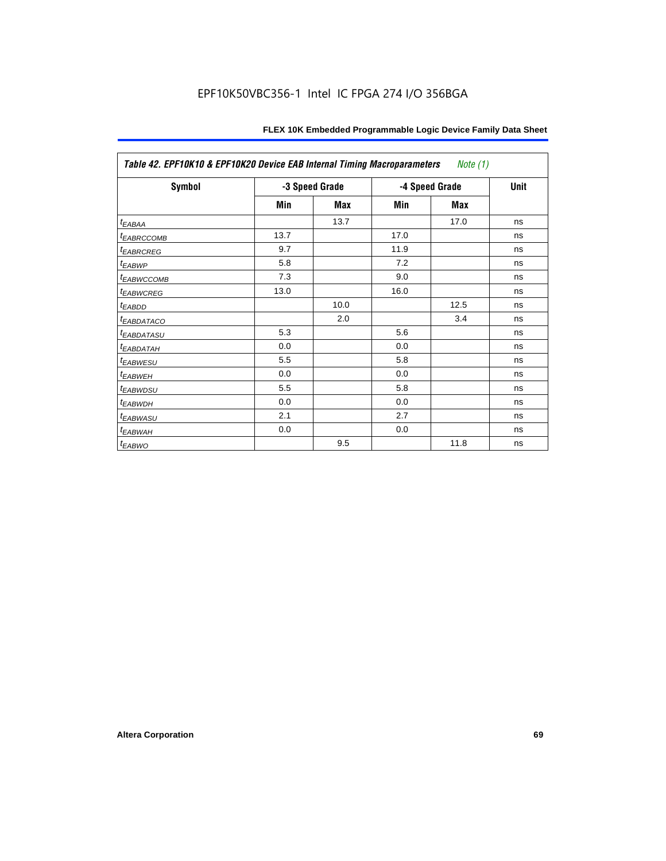| Table 42. EPF10K10 & EPF10K20 Device EAB Internal Timing Macroparameters<br><i>Note</i> $(1)$ |                |            |                |            |             |
|-----------------------------------------------------------------------------------------------|----------------|------------|----------------|------------|-------------|
| Symbol                                                                                        | -3 Speed Grade |            | -4 Speed Grade |            | <b>Unit</b> |
|                                                                                               | Min            | <b>Max</b> | Min            | <b>Max</b> |             |
| $t_{EABA}$                                                                                    |                | 13.7       |                | 17.0       | ns          |
| <sup>t</sup> EABRCCOMB                                                                        | 13.7           |            | 17.0           |            | ns          |
| <sup>t</sup> EABRCREG                                                                         | 9.7            |            | 11.9           |            | ns          |
| <sup>t</sup> EABWP                                                                            | 5.8            |            | 7.2            |            | ns          |
| <sup>t</sup> EABWCCOMB                                                                        | 7.3            |            | 9.0            |            | ns          |
| <sup>t</sup> EABWCREG                                                                         | 13.0           |            | 16.0           |            | ns          |
| t <sub>EABDD</sub>                                                                            |                | 10.0       |                | 12.5       | ns          |
| <sup>t</sup> EABDATACO                                                                        |                | 2.0        |                | 3.4        | ns          |
| <sup>t</sup> EABDATASU                                                                        | 5.3            |            | 5.6            |            | ns          |
| <sup>t</sup> EABDATAH                                                                         | 0.0            |            | 0.0            |            | ns          |
| <sup>t</sup> EABWESU                                                                          | 5.5            |            | 5.8            |            | ns          |
| <sup>t</sup> EABWEH                                                                           | 0.0            |            | 0.0            |            | ns          |
| <sup>t</sup> EABWDSU                                                                          | 5.5            |            | 5.8            |            | ns          |
| <sup>t</sup> EABWDH                                                                           | 0.0            |            | 0.0            |            | ns          |
| t <sub>EABWASU</sub>                                                                          | 2.1            |            | 2.7            |            | ns          |
| <sup>t</sup> EABWAH                                                                           | 0.0            |            | 0.0            |            | ns          |
| <sup>t</sup> EABWO                                                                            |                | 9.5        |                | 11.8       | ns          |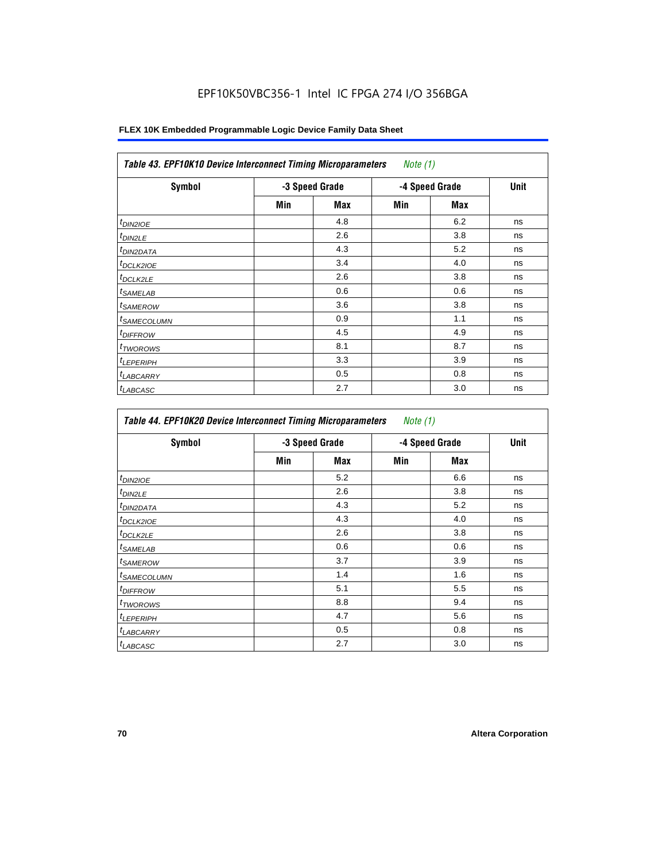| <b>Symbol</b>              | -3 Speed Grade |            | -4 Speed Grade |            | <b>Unit</b> |
|----------------------------|----------------|------------|----------------|------------|-------------|
|                            | Min            | <b>Max</b> | Min            | <b>Max</b> |             |
| <sup>t</sup> DIN2IOE       |                | 4.8        |                | 6.2        | ns          |
| $t_{DIN2LE}$               |                | 2.6        |                | 3.8        | ns          |
| <sup>t</sup> DIN2DATA      |                | 4.3        |                | 5.2        | ns          |
| <sup>t</sup> DCLK2IOE      |                | 3.4        |                | 4.0        | ns          |
| <sup>t</sup> DCLK2LE       |                | 2.6        |                | 3.8        | ns          |
| <sup>t</sup> SAMELAB       |                | 0.6        |                | 0.6        | ns          |
| <sup>t</sup> SAMEROW       |                | 3.6        |                | 3.8        | ns          |
| <sup>t</sup> SAMECOLUMN    |                | 0.9        |                | 1.1        | ns          |
| <i>t<sub>DIFFROW</sub></i> |                | 4.5        |                | 4.9        | ns          |
| <sup>t</sup> TWOROWS       |                | 8.1        |                | 8.7        | ns          |
| <sup>t</sup> LEPERIPH      |                | 3.3        |                | 3.9        | ns          |
| <sup>I</sup> LABCARRY      |                | 0.5        |                | 0.8        | ns          |
| <sup>t</sup> LABCASC       |                | 2.7        |                | 3.0        | ns          |

| Symbol                  | -3 Speed Grade |     | -4 Speed Grade |     | Unit |
|-------------------------|----------------|-----|----------------|-----|------|
|                         | Min            | Max | Min            | Max |      |
| $t_{DINZIOE}$           |                | 5.2 |                | 6.6 | ns   |
| <sup>t</sup> DIN2LE     |                | 2.6 |                | 3.8 | ns   |
| <sup>t</sup> DIN2DATA   |                | 4.3 |                | 5.2 | ns   |
| <sup>I</sup> DCLK2IOE   |                | 4.3 |                | 4.0 | ns   |
| t <sub>DCLK2LE</sub>    |                | 2.6 |                | 3.8 | ns   |
| <sup>t</sup> SAMELAB    |                | 0.6 |                | 0.6 | ns   |
| <sup>I</sup> SAMEROW    |                | 3.7 |                | 3.9 | ns   |
| <sup>t</sup> SAMECOLUMN |                | 1.4 |                | 1.6 | ns   |
| <sup>I</sup> DIFFROW    |                | 5.1 |                | 5.5 | ns   |
| <sup>t</sup> TWOROWS    |                | 8.8 |                | 9.4 | ns   |
| <sup>t</sup> LEPERIPH   |                | 4.7 |                | 5.6 | ns   |
| <b>LABCARRY</b>         |                | 0.5 |                | 0.8 | ns   |
| <sup>t</sup> LABCASC    |                | 2.7 |                | 3.0 | ns   |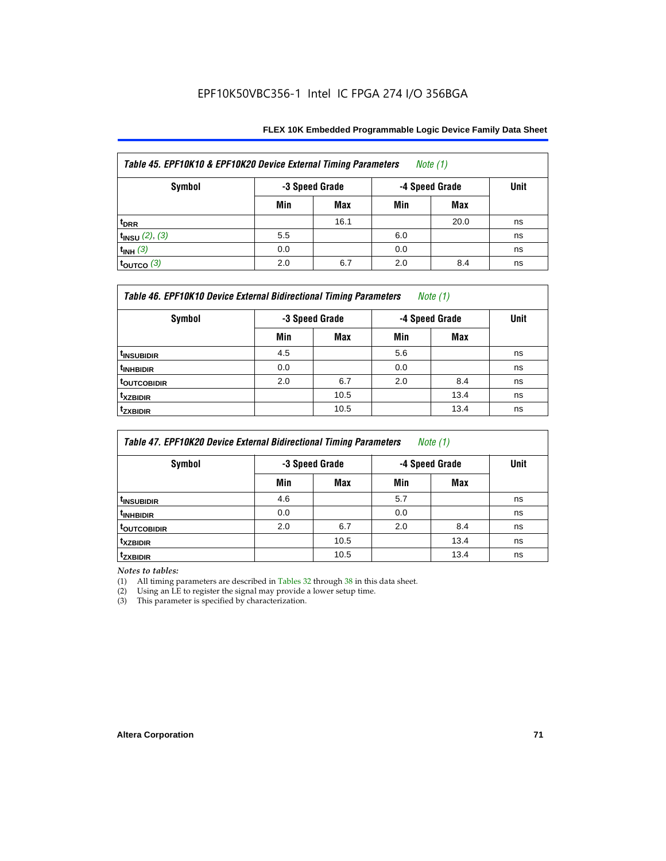| Table 45. EPF10K10 & EPF10K20 Device External Timing Parameters<br>Note (1) |                |      |                |      |             |  |  |
|-----------------------------------------------------------------------------|----------------|------|----------------|------|-------------|--|--|
| <b>Symbol</b>                                                               | -3 Speed Grade |      | -4 Speed Grade |      | <b>Unit</b> |  |  |
|                                                                             | Min            | Max  | Min            | Max  |             |  |  |
| t <sub>DRR</sub>                                                            |                | 16.1 |                | 20.0 | ns          |  |  |
| $t_{INSU}$ (2), (3)                                                         | 5.5            |      | 6.0            |      | ns          |  |  |
| $t_{INH}$ (3)                                                               | 0.0            |      | 0.0            |      | ns          |  |  |
| $\vert$ toutco (3)                                                          | 2.0            | 6.7  | 2.0            | 8.4  | ns          |  |  |

| Table 46. EPF10K10 Device External Bidirectional Timing Parameters<br>Note $(1)$ |                |            |                |      |             |  |  |
|----------------------------------------------------------------------------------|----------------|------------|----------------|------|-------------|--|--|
| Symbol                                                                           | -3 Speed Grade |            | -4 Speed Grade |      | <b>Unit</b> |  |  |
|                                                                                  | Min            | <b>Max</b> | Min            | Max  |             |  |  |
| <sup>t</sup> insubidir                                                           | 4.5            |            | 5.6            |      | ns          |  |  |
| <sup>t</sup> INHBIDIR                                                            | 0.0            |            | 0.0            |      | ns          |  |  |
| <sup>t</sup> OUTCOBIDIR                                                          | 2.0            | 6.7        | 2.0            | 8.4  | ns          |  |  |
| <sup>t</sup> xzbidir                                                             |                | 10.5       |                | 13.4 | ns          |  |  |
| <sup>t</sup> zxbidir                                                             |                | 10.5       |                | 13.4 | ns          |  |  |

| Table 47. EPF10K20 Device External Bidirectional Timing Parameters<br><i>Note</i> $(1)$ |                |      |                |      |             |  |
|-----------------------------------------------------------------------------------------|----------------|------|----------------|------|-------------|--|
| Symbol                                                                                  | -3 Speed Grade |      | -4 Speed Grade |      | <b>Unit</b> |  |
|                                                                                         | Min            | Max  | Min            | Max  |             |  |
| <sup>t</sup> INSUBIDIR                                                                  | 4.6            |      | 5.7            |      | ns          |  |
| <sup>t</sup> INHBIDIR                                                                   | 0.0            |      | 0.0            |      | ns          |  |
| <b>TOUTCOBIDIR</b>                                                                      | 2.0            | 6.7  | 2.0            | 8.4  | ns          |  |
| <sup>t</sup> xzbidir                                                                    |                | 10.5 |                | 13.4 | ns          |  |
| <sup>t</sup> zxbidir                                                                    |                | 10.5 |                | 13.4 | ns          |  |

*Notes to tables:*

(1) All timing parameters are described in Tables 32 through 38 in this data sheet.

(2) Using an LE to register the signal may provide a lower setup time.

(3) This parameter is specified by characterization.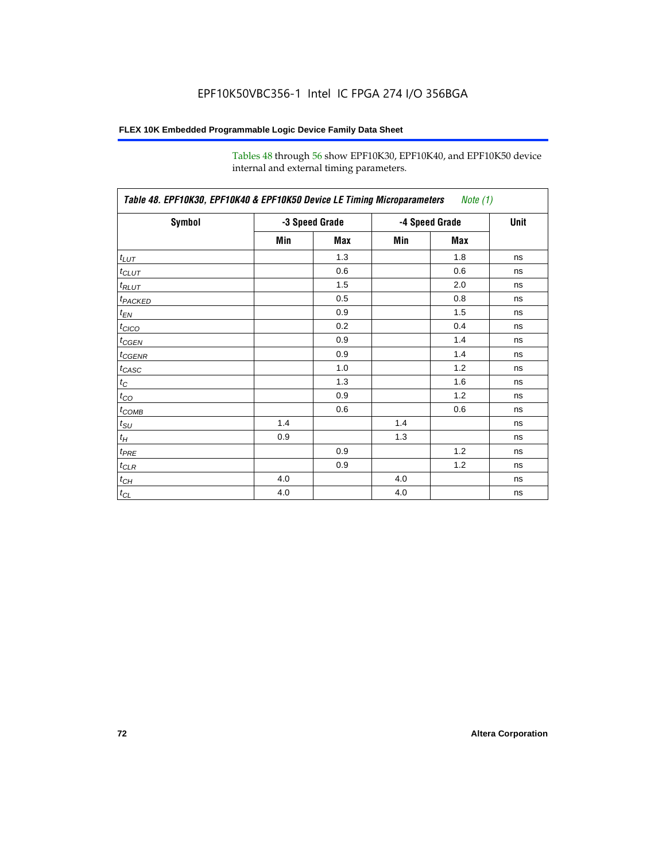Tables 48 through 56 show EPF10K30, EPF10K40, and EPF10K50 device internal and external timing parameters.

| Table 48. EPF10K30, EPF10K40 & EPF10K50 Device LE Timing Microparameters<br><i>Note</i> $(1)$ |     |                |                |      |    |  |  |  |
|-----------------------------------------------------------------------------------------------|-----|----------------|----------------|------|----|--|--|--|
| <b>Symbol</b>                                                                                 |     | -3 Speed Grade | -4 Speed Grade | Unit |    |  |  |  |
|                                                                                               | Min | Max            | Min            | Max  |    |  |  |  |
| $t_{LUT}$                                                                                     |     | 1.3            |                | 1.8  | ns |  |  |  |
| $t_{CLUT}$                                                                                    |     | 0.6            |                | 0.6  | ns |  |  |  |
| $t_{RLUT}$                                                                                    |     | 1.5            |                | 2.0  | ns |  |  |  |
| t <sub>PACKED</sub>                                                                           |     | 0.5            |                | 0.8  | ns |  |  |  |
| $t_{EN}$                                                                                      |     | 0.9            |                | 1.5  | ns |  |  |  |
| $t_{CICO}$                                                                                    |     | 0.2            |                | 0.4  | ns |  |  |  |
| $t_{\text{CGEN}}$                                                                             |     | 0.9            |                | 1.4  | ns |  |  |  |
| $t_{\sf GENR}$                                                                                |     | 0.9            |                | 1.4  | ns |  |  |  |
| $t_{CASC}$                                                                                    |     | 1.0            |                | 1.2  | ns |  |  |  |
| $t_{\rm C}$                                                                                   |     | 1.3            |                | 1.6  | ns |  |  |  |
| $t_{CO}$                                                                                      |     | 0.9            |                | 1.2  | ns |  |  |  |
| $t_{\text{COMB}}$                                                                             |     | 0.6            |                | 0.6  | ns |  |  |  |
| $t_{\sf SU}$                                                                                  | 1.4 |                | 1.4            |      | ns |  |  |  |
| $t_H$                                                                                         | 0.9 |                | 1.3            |      | ns |  |  |  |
| $t_{PRE}$                                                                                     |     | 0.9            |                | 1.2  | ns |  |  |  |
| $t_{\text{CLR}}$                                                                              |     | 0.9            |                | 1.2  | ns |  |  |  |
| $t_{CH}$                                                                                      | 4.0 |                | 4.0            |      | ns |  |  |  |
| $t_{CL}$                                                                                      | 4.0 |                | 4.0            |      | ns |  |  |  |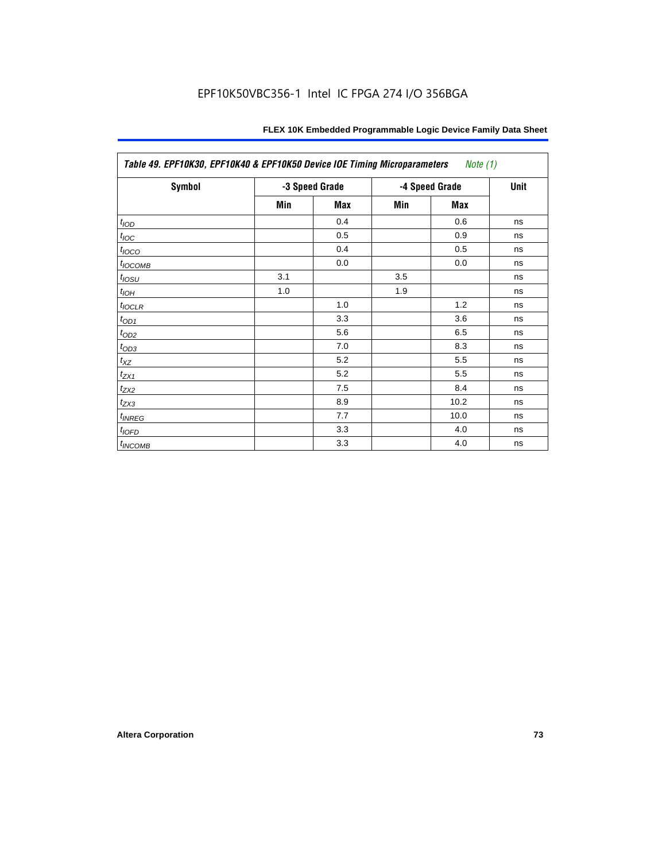| Table 49. EPF10K30, EPF10K40 & EPF10K50 Device IOE Timing Microparameters<br><i>Note</i> $(1)$ |     |                |                |             |    |  |  |  |
|------------------------------------------------------------------------------------------------|-----|----------------|----------------|-------------|----|--|--|--|
| <b>Symbol</b>                                                                                  |     | -3 Speed Grade | -4 Speed Grade | <b>Unit</b> |    |  |  |  |
|                                                                                                | Min | <b>Max</b>     | Min            | Max         |    |  |  |  |
| t <sub>IOD</sub>                                                                               |     | 0.4            |                | 0.6         | ns |  |  |  |
| $t_{\text{IOC}}$                                                                               |     | 0.5            |                | 0.9         | ns |  |  |  |
| $t_{IOCO}$                                                                                     |     | 0.4            |                | 0.5         | ns |  |  |  |
| $t_{IOCOMB}$                                                                                   |     | 0.0            |                | 0.0         | ns |  |  |  |
| $t_{IOSU}$                                                                                     | 3.1 |                | 3.5            |             | ns |  |  |  |
| $t_{IOH}$                                                                                      | 1.0 |                | 1.9            |             | ns |  |  |  |
| $t_{\text{IOCLR}}$                                                                             |     | 1.0            |                | 1.2         | ns |  |  |  |
| $t_{OD1}$                                                                                      |     | 3.3            |                | 3.6         | ns |  |  |  |
| $t_{OD2}$                                                                                      |     | 5.6            |                | 6.5         | ns |  |  |  |
| $t_{OD3}$                                                                                      |     | 7.0            |                | 8.3         | ns |  |  |  |
| $t_{\mathsf{XZ}}$                                                                              |     | 5.2            |                | 5.5         | ns |  |  |  |
| $t_{ZX1}$                                                                                      |     | 5.2            |                | 5.5         | ns |  |  |  |
| $t_{ZX2}$                                                                                      |     | 7.5            |                | 8.4         | ns |  |  |  |
| $t_{ZX3}$                                                                                      |     | 8.9            |                | 10.2        | ns |  |  |  |
| $t_{INREG}$                                                                                    |     | 7.7            |                | 10.0        | ns |  |  |  |
| $t_{IOFD}$                                                                                     |     | 3.3            |                | 4.0         | ns |  |  |  |
| $t_{INCOMB}$                                                                                   |     | 3.3            |                | 4.0         | ns |  |  |  |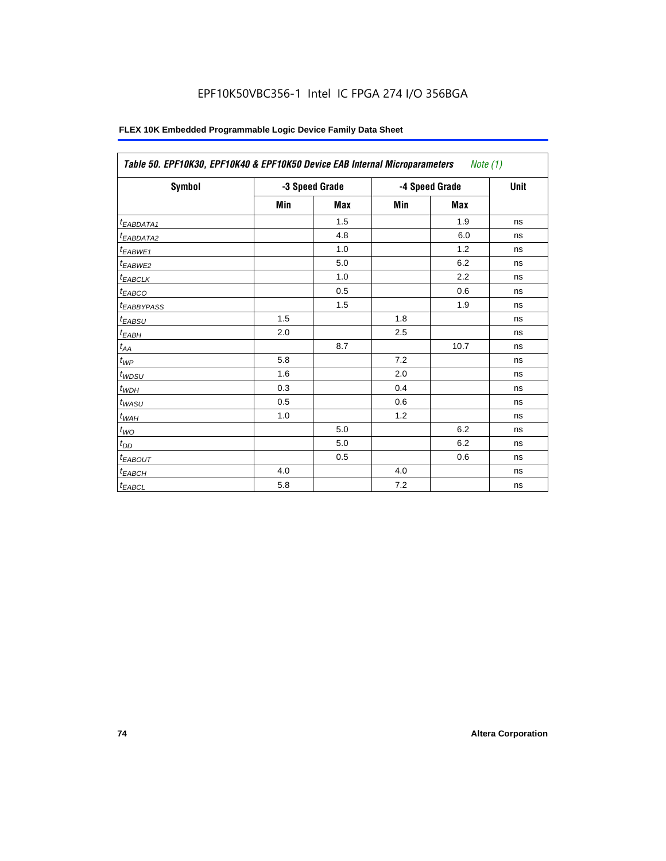| <b>Symbol</b>           |     | -3 Speed Grade |     | -4 Speed Grade | <b>Unit</b> |
|-------------------------|-----|----------------|-----|----------------|-------------|
|                         | Min | Max            | Min | Max            |             |
| <sup>t</sup> EABDATA1   |     | 1.5            |     | 1.9            | ns          |
| t <sub>EABDATA2</sub>   |     | 4.8            |     | 6.0            | ns          |
| t <sub>EABWE1</sub>     |     | 1.0            |     | 1.2            | ns          |
| <sup>t</sup> EABWE2     |     | 5.0            |     | 6.2            | ns          |
| $t_{EABCLK}$            |     | 1.0            |     | 2.2            | ns          |
| $t_{EABCO}$             |     | 0.5            |     | 0.6            | ns          |
| <b><i>EABBYPASS</i></b> |     | 1.5            |     | 1.9            | ns          |
| $t_{EABSU}$             | 1.5 |                | 1.8 |                | ns          |
| $t_{EABH}$              | 2.0 |                | 2.5 |                | ns          |
| $t_{AA}$                |     | 8.7            |     | 10.7           | ns          |
| $t_{WP}$                | 5.8 |                | 7.2 |                | ns          |
| $t_{WDSU}$              | 1.6 |                | 2.0 |                | ns          |
| $t_{WDH}$               | 0.3 |                | 0.4 |                | ns          |
| $t_{WASU}$              | 0.5 |                | 0.6 |                | ns          |
| $t_{WAH}$               | 1.0 |                | 1.2 |                | ns          |
| $t_{WO}$                |     | 5.0            |     | 6.2            | ns          |
| $t_{DD}$                |     | 5.0            |     | 6.2            | ns          |
| <sup>t</sup> EABOUT     |     | 0.5            |     | 0.6            | ns          |
| <sup>t</sup> ЕАВСН      | 4.0 |                | 4.0 |                | ns          |
| $t_{EABCL}$             | 5.8 |                | 7.2 |                | ns          |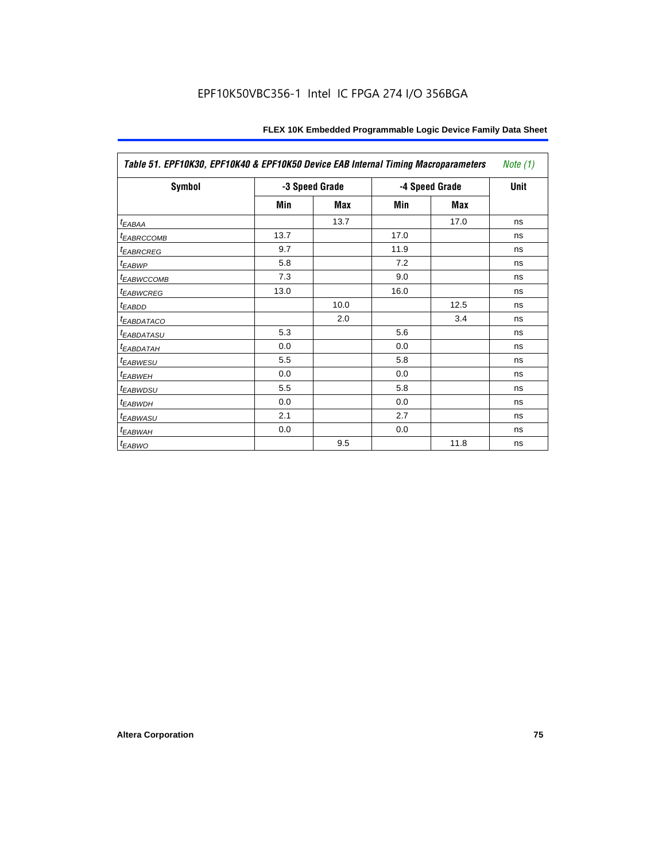| Table 51. EPF10K30, EPF10K40 & EPF10K50 Device EAB Internal Timing Macroparameters |      |                |      |                |             |  |  |
|------------------------------------------------------------------------------------|------|----------------|------|----------------|-------------|--|--|
| Symbol                                                                             |      | -3 Speed Grade |      | -4 Speed Grade | <b>Unit</b> |  |  |
|                                                                                    | Min  | Max            | Min  | Max            |             |  |  |
| $t_{EABA}$                                                                         |      | 13.7           |      | 17.0           | ns          |  |  |
| <b><i>EABRCCOMB</i></b>                                                            | 13.7 |                | 17.0 |                | ns          |  |  |
| <b><i>EABRCREG</i></b>                                                             | 9.7  |                | 11.9 |                | ns          |  |  |
| t <sub>EABWP</sub>                                                                 | 5.8  |                | 7.2  |                | ns          |  |  |
| <b><i>EABWCCOMB</i></b>                                                            | 7.3  |                | 9.0  |                | ns          |  |  |
| <b><i>EABWCREG</i></b>                                                             | 13.0 |                | 16.0 |                | ns          |  |  |
| <sup>t</sup> EABDD                                                                 |      | 10.0           |      | 12.5           | ns          |  |  |
| <b><i>EABDATACO</i></b>                                                            |      | 2.0            |      | 3.4            | ns          |  |  |
| <sup>t</sup> EABDATASU                                                             | 5.3  |                | 5.6  |                | ns          |  |  |
| <sup>T</sup> EABDATAH                                                              | 0.0  |                | 0.0  |                | ns          |  |  |
| <b><i>EABWESU</i></b>                                                              | 5.5  |                | 5.8  |                | ns          |  |  |
| <sup>t</sup> EABWEH                                                                | 0.0  |                | 0.0  |                | ns          |  |  |
| <sup>t</sup> EABWDSU                                                               | 5.5  |                | 5.8  |                | ns          |  |  |
| <sup>t</sup> EABWDH                                                                | 0.0  |                | 0.0  |                | ns          |  |  |
| <sup>t</sup> EABWASU                                                               | 2.1  |                | 2.7  |                | ns          |  |  |
| <sup>t</sup> EABWAH                                                                | 0.0  |                | 0.0  |                | ns          |  |  |
| $t_{EABWO}$                                                                        |      | 9.5            |      | 11.8           | ns          |  |  |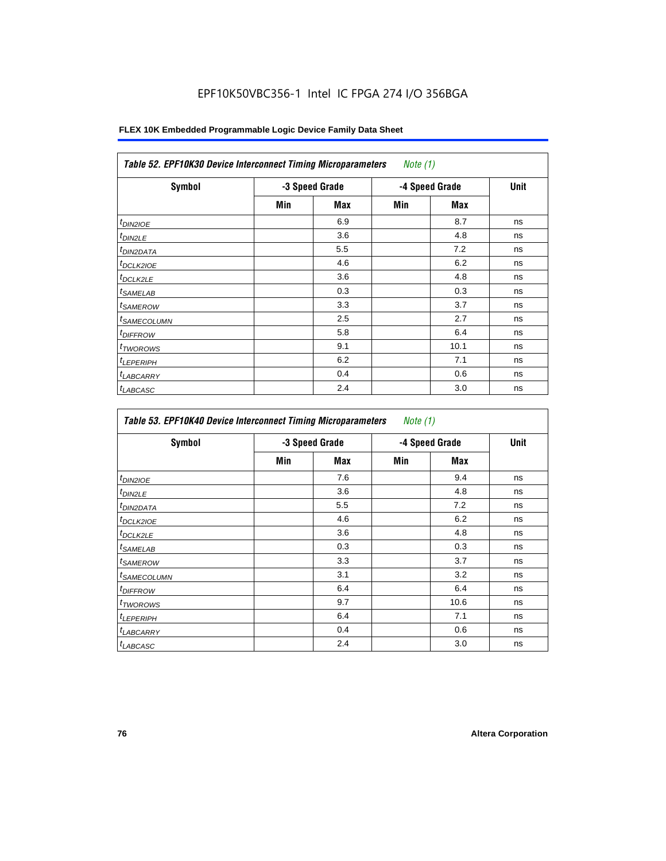| <b>Symbol</b>              |     | -3 Speed Grade |     | -4 Speed Grade | <b>Unit</b> |
|----------------------------|-----|----------------|-----|----------------|-------------|
|                            | Min | Max            | Min | <b>Max</b>     |             |
| $t_{DINZIOE}$              |     | 6.9            |     | 8.7            | ns          |
| <sup>t</sup> DIN2LE        |     | 3.6            |     | 4.8            | ns          |
| <sup>t</sup> DIN2DATA      |     | 5.5            |     | 7.2            | ns          |
| <sup>t</sup> DCLK2IOE      |     | 4.6            |     | 6.2            | ns          |
| ${}^t$ DCLK2LE             |     | 3.6            |     | 4.8            | ns          |
| <sup>t</sup> SAMELAB       |     | 0.3            |     | 0.3            | ns          |
| <sup>t</sup> SAMEROW       |     | 3.3            |     | 3.7            | ns          |
| <sup>t</sup> SAMECOLUMN    |     | 2.5            |     | 2.7            | ns          |
| <i>t<sub>DIFFROW</sub></i> |     | 5.8            |     | 6.4            | ns          |
| <sup>t</sup> TWOROWS       |     | 9.1            |     | 10.1           | ns          |
| <sup>t</sup> LEPERIPH      |     | 6.2            |     | 7.1            | ns          |
| <sup>t</sup> LABCARRY      |     | 0.4            |     | 0.6            | ns          |
| <sup>t</sup> LABCASC       |     | 2.4            |     | 3.0            | ns          |

| Symbol                  |     | -3 Speed Grade |     | -4 Speed Grade | Unit |
|-------------------------|-----|----------------|-----|----------------|------|
|                         | Min | Max            | Min | Max            |      |
| $t_{DINZIOE}$           |     | 7.6            |     | 9.4            | ns   |
| <sup>t</sup> DIN2LE     |     | 3.6            |     | 4.8            | ns   |
| <sup>I</sup> DIN2DATA   |     | 5.5            |     | 7.2            | ns   |
| <sup>I</sup> DCLK2IOE   |     | 4.6            |     | 6.2            | ns   |
| t <sub>DCLK2LE</sub>    |     | 3.6            |     | 4.8            | ns   |
| <sup>I</sup> SAMELAB    |     | 0.3            |     | 0.3            | ns   |
| <sup>I</sup> SAMEROW    |     | 3.3            |     | 3.7            | ns   |
| <sup>t</sup> SAMECOLUMN |     | 3.1            |     | 3.2            | ns   |
| <sup>I</sup> DIFFROW    |     | 6.4            |     | 6.4            | ns   |
| <sup>t</sup> TWOROWS    |     | 9.7            |     | 10.6           | ns   |
| <sup>t</sup> LEPERIPH   |     | 6.4            |     | 7.1            | ns   |
| <b>LABCARRY</b>         |     | 0.4            |     | 0.6            | ns   |
| <sup>t</sup> LABCASC    |     | 2.4            |     | 3.0            | ns   |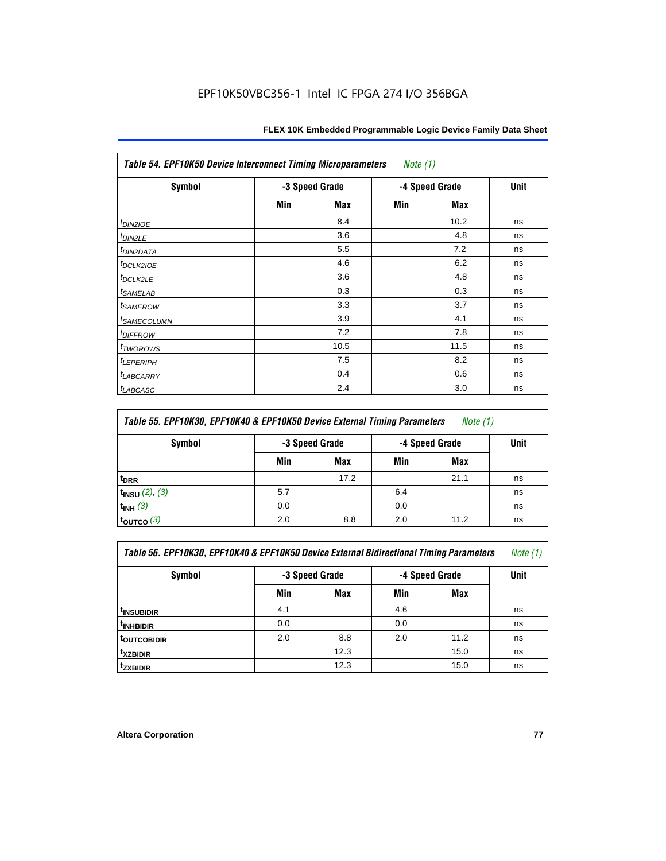| <b>Table 54. EPF10K50 Device Interconnect Timing Microparameters</b><br>Note $(1)$ |                |      |                |             |    |  |  |  |
|------------------------------------------------------------------------------------|----------------|------|----------------|-------------|----|--|--|--|
| <b>Symbol</b>                                                                      | -3 Speed Grade |      | -4 Speed Grade | <b>Unit</b> |    |  |  |  |
|                                                                                    | Min            | Max  | Min            | Max         |    |  |  |  |
| $t_{DIN2IOE}$                                                                      |                | 8.4  |                | 10.2        | ns |  |  |  |
| t <sub>DIN2LE</sub>                                                                |                | 3.6  |                | 4.8         | ns |  |  |  |
| <sup>t</sup> DIN2DATA                                                              |                | 5.5  |                | 7.2         | ns |  |  |  |
| t <sub>DCLK2IOE</sub>                                                              |                | 4.6  |                | 6.2         | ns |  |  |  |
| $t_{DCLK2LE}$                                                                      |                | 3.6  |                | 4.8         | ns |  |  |  |
| <i>t<sub>SAMELAB</sub></i>                                                         |                | 0.3  |                | 0.3         | ns |  |  |  |
| <i>t<sub>SAMEROW</sub></i>                                                         |                | 3.3  |                | 3.7         | ns |  |  |  |
| <sup>t</sup> SAMECOLUMN                                                            |                | 3.9  |                | 4.1         | ns |  |  |  |
| <i>t<sub>DIFFROW</sub></i>                                                         |                | 7.2  |                | 7.8         | ns |  |  |  |
| $t_{TWOROWS}$                                                                      |                | 10.5 |                | 11.5        | ns |  |  |  |
| <b><i>ILEPERIPH</i></b>                                                            |                | 7.5  |                | 8.2         | ns |  |  |  |
| t <sub>LABCARRY</sub>                                                              |                | 0.4  |                | 0.6         | ns |  |  |  |
| <b>LABCASC</b>                                                                     |                | 2.4  |                | 3.0         | ns |  |  |  |

| Table 55. EPF10K30, EPF10K40 & EPF10K50 Device External Timing Parameters<br><i>Note</i> $(1)$ |                |      |                |      |             |  |  |  |
|------------------------------------------------------------------------------------------------|----------------|------|----------------|------|-------------|--|--|--|
| Symbol                                                                                         | -3 Speed Grade |      | -4 Speed Grade |      | <b>Unit</b> |  |  |  |
|                                                                                                | Min            | Max  | Min            | Max  |             |  |  |  |
| <sup>t</sup> DRR                                                                               |                | 17.2 |                | 21.1 | ns          |  |  |  |
| $t_{INSU}$ (2), (3)                                                                            | 5.7            |      | 6.4            |      | ns          |  |  |  |
| $t_{INH}$ (3)                                                                                  | 0.0            |      | 0.0            |      | ns          |  |  |  |
| $t_{\text{OUTCO}}(3)$                                                                          | 2.0            | 8.8  | 2.0            | 11.2 | ns          |  |  |  |

| Table 56. EPF10K30, EPF10K40 & EPF10K50 Device External Bidirectional Timing Parameters<br>Note (1) |                |      |     |                |             |  |  |  |  |
|-----------------------------------------------------------------------------------------------------|----------------|------|-----|----------------|-------------|--|--|--|--|
| Symbol                                                                                              | -3 Speed Grade |      |     | -4 Speed Grade | <b>Unit</b> |  |  |  |  |
|                                                                                                     | Min            | Max  | Min | Max            |             |  |  |  |  |
| <sup>t</sup> INSUBIDIR                                                                              | 4.1            |      | 4.6 |                | ns          |  |  |  |  |
| <sup>t</sup> INHBIDIR                                                                               | 0.0            |      | 0.0 |                | ns          |  |  |  |  |
| t <sub>outcobidir</sub>                                                                             | 2.0            | 8.8  | 2.0 | 11.2           | ns          |  |  |  |  |
| <sup>t</sup> xzbidir                                                                                |                | 12.3 |     | 15.0           | ns          |  |  |  |  |
| <sup>t</sup> zxbidir                                                                                |                | 12.3 |     | 15.0           | ns          |  |  |  |  |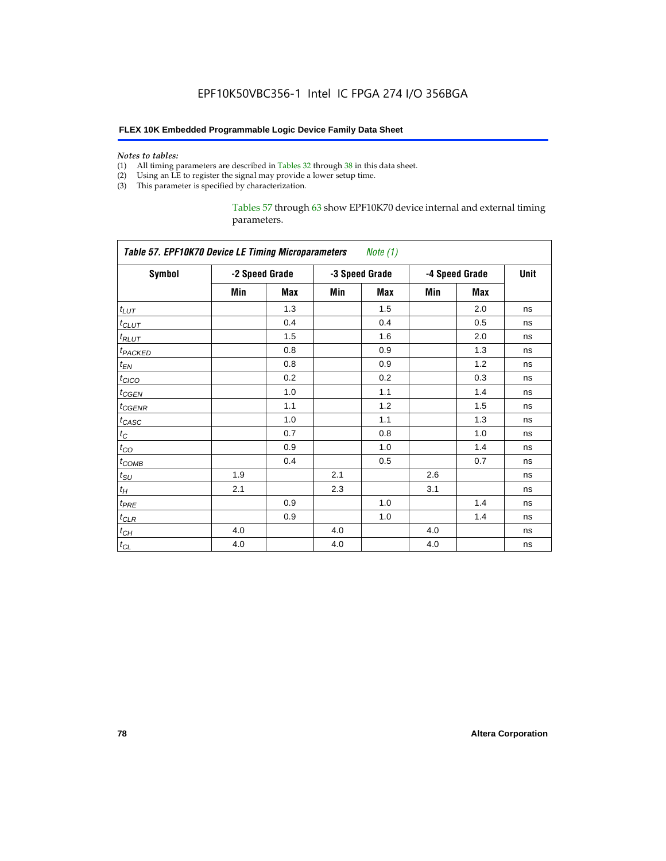#### *Notes to tables:*

- (1) All timing parameters are described in Tables 32 through 38 in this data sheet.
- (2) Using an LE to register the signal may provide a lower setup time.
- (3) This parameter is specified by characterization.

Tables 57 through 63 show EPF10K70 device internal and external timing parameters.

| Table 57. EPF10K70 Device LE Timing Microparameters<br>Note (1) |     |                |     |                |     |                |    |  |
|-----------------------------------------------------------------|-----|----------------|-----|----------------|-----|----------------|----|--|
| <b>Symbol</b>                                                   |     | -2 Speed Grade |     | -3 Speed Grade |     | -4 Speed Grade |    |  |
|                                                                 | Min | Max            | Min | <b>Max</b>     | Min | <b>Max</b>     |    |  |
| $t_{LUT}$                                                       |     | 1.3            |     | 1.5            |     | 2.0            | ns |  |
| $t_{CLUT}$                                                      |     | 0.4            |     | 0.4            |     | 0.5            | ns |  |
| $t_{RLUT}$                                                      |     | 1.5            |     | 1.6            |     | 2.0            | ns |  |
| t <sub>PACKED</sub>                                             |     | 0.8            |     | 0.9            |     | 1.3            | ns |  |
| $t_{EN}$                                                        |     | 0.8            |     | 0.9            |     | 1.2            | ns |  |
| $t_{CICO}$                                                      |     | 0.2            |     | 0.2            |     | 0.3            | ns |  |
| $t_{GEN}$                                                       |     | 1.0            |     | 1.1            |     | 1.4            | ns |  |
| t <sub>CGENR</sub>                                              |     | 1.1            |     | 1.2            |     | 1.5            | ns |  |
| $t_{CASC}$                                                      |     | 1.0            |     | 1.1            |     | 1.3            | ns |  |
| $t_C$                                                           |     | 0.7            |     | 0.8            |     | 1.0            | ns |  |
| $t_{CO}$                                                        |     | 0.9            |     | 1.0            |     | 1.4            | ns |  |
| $t_{COMB}$                                                      |     | 0.4            |     | 0.5            |     | 0.7            | ns |  |
| $t_{\text{SU}}$                                                 | 1.9 |                | 2.1 |                | 2.6 |                | ns |  |
| $t_H$                                                           | 2.1 |                | 2.3 |                | 3.1 |                | ns |  |
| $t_{PRE}$                                                       |     | 0.9            |     | 1.0            |     | 1.4            | ns |  |
| $t_{CLR}$                                                       |     | 0.9            |     | 1.0            |     | 1.4            | ns |  |
| $t_{CH}$                                                        | 4.0 |                | 4.0 |                | 4.0 |                | ns |  |
| $t_{CL}$                                                        | 4.0 |                | 4.0 |                | 4.0 |                | ns |  |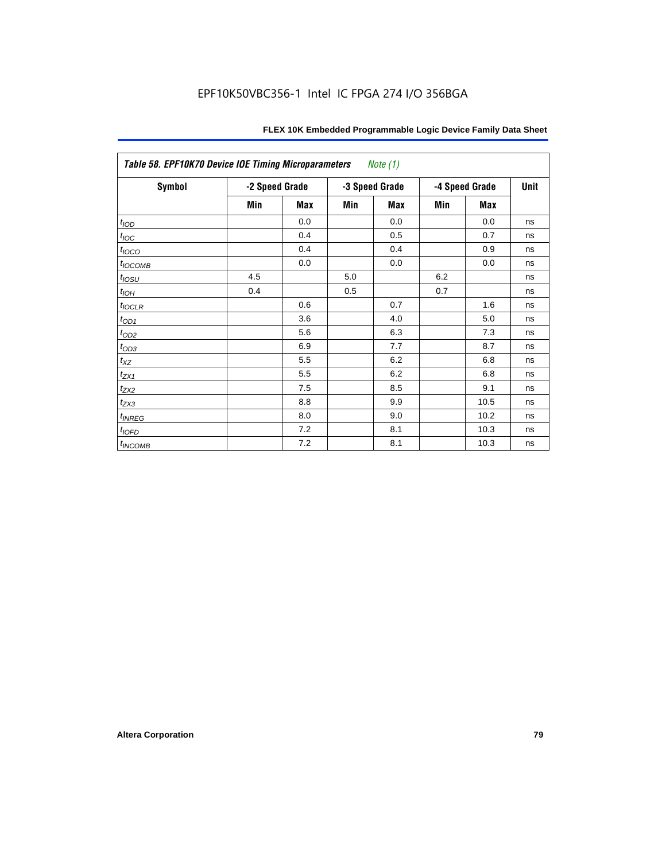| Table 58. EPF10K70 Device IOE Timing Microparameters<br>Note $(1)$ |                |            |     |                |                |      |      |  |  |
|--------------------------------------------------------------------|----------------|------------|-----|----------------|----------------|------|------|--|--|
| Symbol                                                             | -2 Speed Grade |            |     | -3 Speed Grade | -4 Speed Grade |      | Unit |  |  |
|                                                                    | Min            | <b>Max</b> | Min | <b>Max</b>     | Min            | Max  |      |  |  |
| t <sub>IOD</sub>                                                   |                | 0.0        |     | 0.0            |                | 0.0  | ns   |  |  |
| $t_{\text{IOC}}$                                                   |                | 0.4        |     | 0.5            |                | 0.7  | ns   |  |  |
| $t_{IOCO}$                                                         |                | 0.4        |     | 0.4            |                | 0.9  | ns   |  |  |
| $t_{IOCOMB}$                                                       |                | 0.0        |     | 0.0            |                | 0.0  | ns   |  |  |
| $t_{IOSU}$                                                         | 4.5            |            | 5.0 |                | 6.2            |      | ns   |  |  |
| $t_{IOH}$                                                          | 0.4            |            | 0.5 |                | 0.7            |      | ns   |  |  |
| $t_{IOCLR}$                                                        |                | 0.6        |     | 0.7            |                | 1.6  | ns   |  |  |
| $t_{OD1}$                                                          |                | 3.6        |     | 4.0            |                | 5.0  | ns   |  |  |
| $t_{OD2}$                                                          |                | 5.6        |     | 6.3            |                | 7.3  | ns   |  |  |
| $t_{\text{OD3}}$                                                   |                | 6.9        |     | 7.7            |                | 8.7  | ns   |  |  |
| $t_{XZ}$                                                           |                | 5.5        |     | 6.2            |                | 6.8  | ns   |  |  |
| $t_{ZX1}$                                                          |                | 5.5        |     | 6.2            |                | 6.8  | ns   |  |  |
| $t_{ZX2}$                                                          |                | 7.5        |     | 8.5            |                | 9.1  | ns   |  |  |
| $t_{ZX3}$                                                          |                | 8.8        |     | 9.9            |                | 10.5 | ns   |  |  |
| $t_{INREG}$                                                        |                | 8.0        |     | 9.0            |                | 10.2 | ns   |  |  |
| $t_{IOFD}$                                                         |                | 7.2        |     | 8.1            |                | 10.3 | ns   |  |  |
| $t_{INCOMB}$                                                       |                | 7.2        |     | 8.1            |                | 10.3 | ns   |  |  |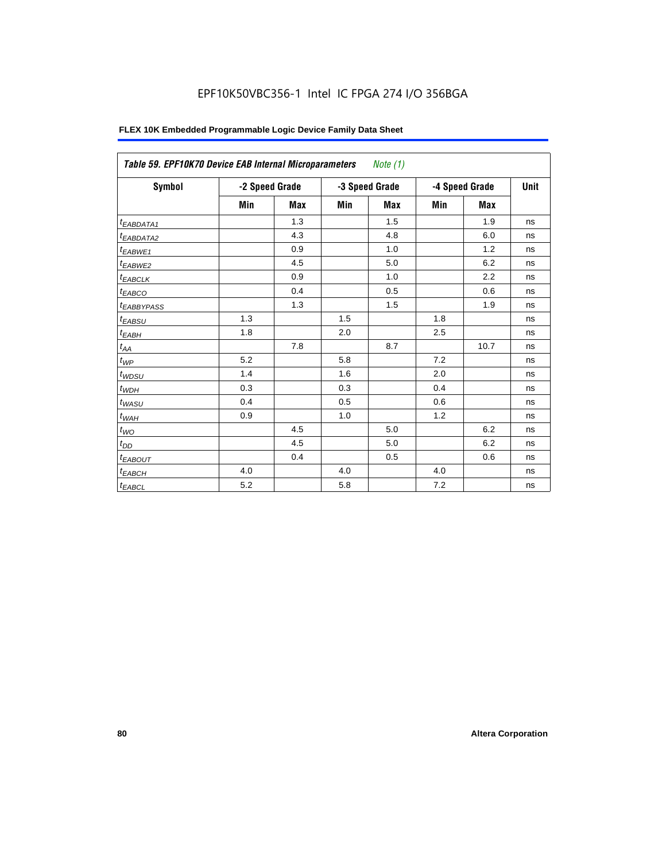# EPF10K50VBC356-1 Intel IC FPGA 274 I/O 356BGA

| Table 59. EPF10K70 Device EAB Internal Microparameters<br>Note (1) |                |     |     |                |     |                |    |  |  |
|--------------------------------------------------------------------|----------------|-----|-----|----------------|-----|----------------|----|--|--|
| Symbol                                                             | -2 Speed Grade |     |     | -3 Speed Grade |     | -4 Speed Grade |    |  |  |
|                                                                    | Min            | Max | Min | Max            | Min | Max            |    |  |  |
| <sup>t</sup> EABDATA1                                              |                | 1.3 |     | 1.5            |     | 1.9            | ns |  |  |
| t <sub>EABDATA2</sub>                                              |                | 4.3 |     | 4.8            |     | 6.0            | ns |  |  |
| <sup>t</sup> EABWE1                                                |                | 0.9 |     | 1.0            |     | 1.2            | ns |  |  |
| t <sub>EABWE2</sub>                                                |                | 4.5 |     | 5.0            |     | 6.2            | ns |  |  |
| $t_{EABCLK}$                                                       |                | 0.9 |     | 1.0            |     | 2.2            | ns |  |  |
| $t_{EABCO}$                                                        |                | 0.4 |     | 0.5            |     | 0.6            | ns |  |  |
| <i><b><i>EABBYPASS</i></b></i>                                     |                | 1.3 |     | 1.5            |     | 1.9            | ns |  |  |
| t <sub>EABSU</sub>                                                 | 1.3            |     | 1.5 |                | 1.8 |                | ns |  |  |
| $t_{EABH}$                                                         | 1.8            |     | 2.0 |                | 2.5 |                | ns |  |  |
| $t_{AA}$                                                           |                | 7.8 |     | 8.7            |     | 10.7           | ns |  |  |
| $t_{WP}$                                                           | 5.2            |     | 5.8 |                | 7.2 |                | ns |  |  |
| $t_{WDSU}$                                                         | 1.4            |     | 1.6 |                | 2.0 |                | ns |  |  |
| $t_{WDH}$                                                          | 0.3            |     | 0.3 |                | 0.4 |                | ns |  |  |
| $t_{WASU}$                                                         | 0.4            |     | 0.5 |                | 0.6 |                | ns |  |  |
| $t_{W\!AH}$                                                        | 0.9            |     | 1.0 |                | 1.2 |                | ns |  |  |
| $t_{WO}$                                                           |                | 4.5 |     | 5.0            |     | 6.2            | ns |  |  |
| $t_{DD}$                                                           |                | 4.5 |     | 5.0            |     | 6.2            | ns |  |  |
| <sup>t</sup> EABOUT                                                |                | 0.4 |     | 0.5            |     | 0.6            | ns |  |  |
| <sup>t</sup> ЕАВСН                                                 | 4.0            |     | 4.0 |                | 4.0 |                | ns |  |  |
| $t_{EABCL}$                                                        | 5.2            |     | 5.8 |                | 7.2 |                | ns |  |  |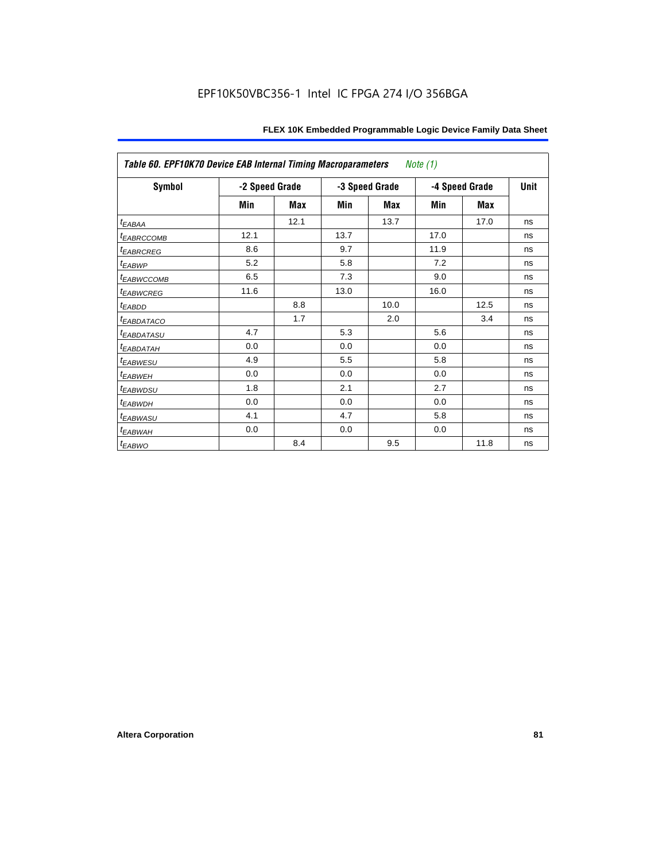| Table 60. EPF10K70 Device EAB Internal Timing Macroparameters<br>Note $(1)$ |      |                |      |                |      |                |    |  |  |
|-----------------------------------------------------------------------------|------|----------------|------|----------------|------|----------------|----|--|--|
| Symbol                                                                      |      | -2 Speed Grade |      | -3 Speed Grade |      | -4 Speed Grade |    |  |  |
|                                                                             | Min  | Max            | Min  | Max            | Min  | Max            |    |  |  |
| t <sub>EABAA</sub>                                                          |      | 12.1           |      | 13.7           |      | 17.0           | ns |  |  |
| <sup>t</sup> EABRCCOMB                                                      | 12.1 |                | 13.7 |                | 17.0 |                | ns |  |  |
| <sup>t</sup> EABRCREG                                                       | 8.6  |                | 9.7  |                | 11.9 |                | ns |  |  |
| <sup>t</sup> EABWP                                                          | 5.2  |                | 5.8  |                | 7.2  |                | ns |  |  |
| <sup>t</sup> EABWCCOMB                                                      | 6.5  |                | 7.3  |                | 9.0  |                | ns |  |  |
| <sup>t</sup> EABWCREG                                                       | 11.6 |                | 13.0 |                | 16.0 |                | ns |  |  |
| t <sub>EABDD</sub>                                                          |      | 8.8            |      | 10.0           |      | 12.5           | ns |  |  |
| <i>EABDATACO</i>                                                            |      | 1.7            |      | 2.0            |      | 3.4            | ns |  |  |
| <sup>t</sup> EABDATASU                                                      | 4.7  |                | 5.3  |                | 5.6  |                | ns |  |  |
| <sup>t</sup> EABDATAH                                                       | 0.0  |                | 0.0  |                | 0.0  |                | ns |  |  |
| <sup>t</sup> EABWESU                                                        | 4.9  |                | 5.5  |                | 5.8  |                | ns |  |  |
| <sup>t</sup> EABWEH                                                         | 0.0  |                | 0.0  |                | 0.0  |                | ns |  |  |
| <sup>t</sup> EABWDSU                                                        | 1.8  |                | 2.1  |                | 2.7  |                | ns |  |  |
| <sup>t</sup> EABWDH                                                         | 0.0  |                | 0.0  |                | 0.0  |                | ns |  |  |
| <sup>t</sup> EABWASU                                                        | 4.1  |                | 4.7  |                | 5.8  |                | ns |  |  |
| <sup>t</sup> EABWAH                                                         | 0.0  |                | 0.0  |                | 0.0  |                | ns |  |  |
| <sup>t</sup> EABWO                                                          |      | 8.4            |      | 9.5            |      | 11.8           | ns |  |  |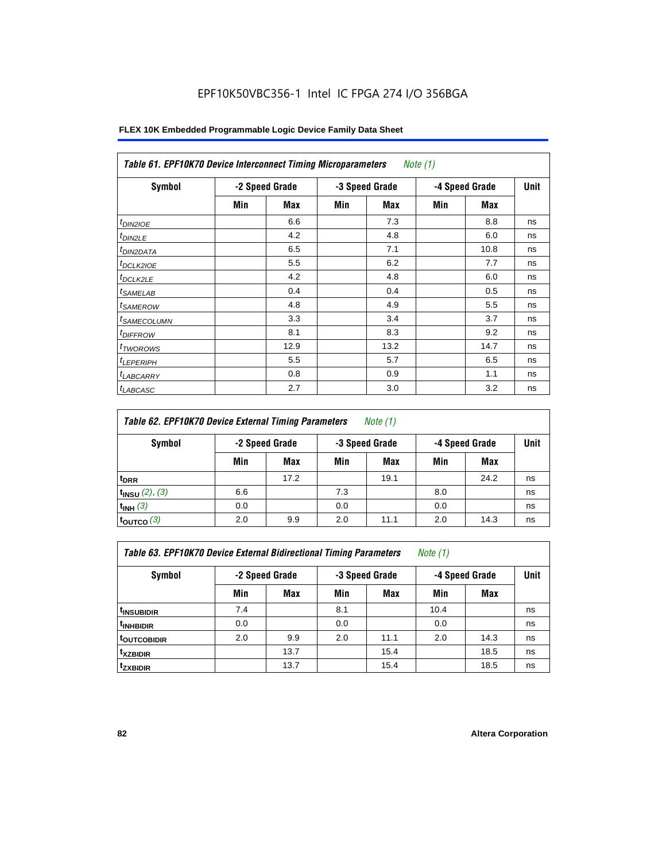| Symbol                  |     | -2 Speed Grade |     | -3 Speed Grade | -4 Speed Grade | Unit |    |
|-------------------------|-----|----------------|-----|----------------|----------------|------|----|
|                         | Min | Max            | Min | Max            | Min            | Max  |    |
| $t_{DIN2IOE}$           |     | 6.6            |     | 7.3            |                | 8.8  | ns |
| $t_{DIN2LE}$            |     | 4.2            |     | 4.8            |                | 6.0  | ns |
| <sup>t</sup> DIN2DATA   |     | 6.5            |     | 7.1            |                | 10.8 | ns |
| t <sub>DCLK2IOE</sub>   |     | 5.5            |     | 6.2            |                | 7.7  | ns |
| $t$ DCLK2LE             |     | 4.2            |     | 4.8            |                | 6.0  | ns |
| <sup>t</sup> SAMELAB    |     | 0.4            |     | 0.4            |                | 0.5  | ns |
| <sup>t</sup> SAMEROW    |     | 4.8            |     | 4.9            |                | 5.5  | ns |
| <sup>t</sup> SAMECOLUMN |     | 3.3            |     | 3.4            |                | 3.7  | ns |
| <sup>t</sup> DIFFROW    |     | 8.1            |     | 8.3            |                | 9.2  | ns |
| <sup>T</sup> TWOROWS    |     | 12.9           |     | 13.2           |                | 14.7 | ns |
| <sup>t</sup> LEPERIPH   |     | 5.5            |     | 5.7            |                | 6.5  | ns |
| <b>LABCARRY</b>         |     | 0.8            |     | 0.9            |                | 1.1  | ns |
| <sup>t</sup> LABCASC    |     | 2.7            |     | 3.0            |                | 3.2  | ns |

| Table 62. EPF10K70 Device External Timing Parameters<br>Note $(1)$ |                |      |     |                |     |                |    |  |  |  |
|--------------------------------------------------------------------|----------------|------|-----|----------------|-----|----------------|----|--|--|--|
| Symbol                                                             | -2 Speed Grade |      |     | -3 Speed Grade |     | -4 Speed Grade |    |  |  |  |
|                                                                    | Min            | Max  | Min | Max            | Min | Max            |    |  |  |  |
| <sup>t</sup> DRR                                                   |                | 17.2 |     | 19.1           |     | 24.2           | ns |  |  |  |
| $t_{INSU}$ (2), (3)                                                | 6.6            |      | 7.3 |                | 8.0 |                | ns |  |  |  |
| $t_{INH}$ (3)                                                      | 0.0            |      | 0.0 |                | 0.0 |                | ns |  |  |  |
| $t_{\text{OUTCO}}(3)$                                              | 2.0            | 9.9  | 2.0 | 11.1           | 2.0 | 14.3           | ns |  |  |  |

*Table 63. EPF10K70 Device External Bidirectional Timing Parameters Note (1)*

| <b>Symbol</b>           | -2 Speed Grade |            |     | -3 Speed Grade | -4 Speed Grade | Unit       |    |
|-------------------------|----------------|------------|-----|----------------|----------------|------------|----|
|                         | Min            | <b>Max</b> | Min | <b>Max</b>     | Min            | <b>Max</b> |    |
| <sup>t</sup> INSUBIDIR  | 7.4            |            | 8.1 |                | 10.4           |            | ns |
| <sup>t</sup> INHBIDIR   | 0.0            |            | 0.0 |                | 0.0            |            | ns |
| <sup>t</sup> OUTCOBIDIR | 2.0            | 9.9        | 2.0 | 11.1           | 2.0            | 14.3       | ns |
| <sup>t</sup> xzbidir    |                | 13.7       |     | 15.4           |                | 18.5       | ns |
| <sup>t</sup> zxbidir    |                | 13.7       |     | 15.4           |                | 18.5       | ns |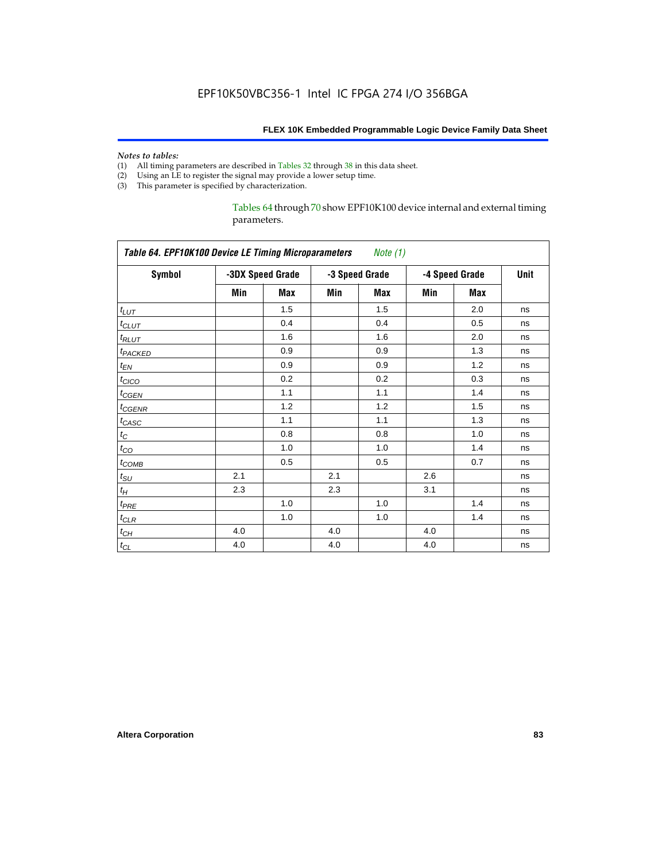#### *Notes to tables:*

- (1) All timing parameters are described in Tables 32 through 38 in this data sheet.
- (2) Using an LE to register the signal may provide a lower setup time.
- (3) This parameter is specified by characterization.

Tables 64 through 70 show EPF10K100 device internal and external timing parameters.

| <b>Symbol</b>       |     | -3DX Speed Grade |     | -3 Speed Grade | -4 Speed Grade | Unit       |    |
|---------------------|-----|------------------|-----|----------------|----------------|------------|----|
|                     | Min | Max              | Min | Max            | Min            | <b>Max</b> |    |
| $t_{LUT}$           |     | 1.5              |     | 1.5            |                | 2.0        | ns |
| $t_{CLUT}$          |     | 0.4              |     | 0.4            |                | 0.5        | ns |
| $t_{RLUT}$          |     | 1.6              |     | 1.6            |                | 2.0        | ns |
| t <sub>PACKED</sub> |     | 0.9              |     | 0.9            |                | 1.3        | ns |
| $t_{EN}$            |     | 0.9              |     | 0.9            |                | 1.2        | ns |
| $t_{CICO}$          |     | 0.2              |     | 0.2            |                | 0.3        | ns |
| $t_{GEN}$           |     | 1.1              |     | 1.1            |                | 1.4        | ns |
| $t_{GENR}$          |     | 1.2              |     | 1.2            |                | 1.5        | ns |
| $t_{CASC}$          |     | 1.1              |     | 1.1            |                | 1.3        | ns |
| $t_C$               |     | 0.8              |     | 0.8            |                | 1.0        | ns |
| $t_{CO}$            |     | 1.0              |     | 1.0            |                | 1.4        | ns |
| $t_{COMB}$          |     | 0.5              |     | 0.5            |                | 0.7        | ns |
| $t_{\rm SU}$        | 2.1 |                  | 2.1 |                | 2.6            |            | ns |
| $t_H$               | 2.3 |                  | 2.3 |                | 3.1            |            | ns |
| $t_{PRE}$           |     | 1.0              |     | 1.0            |                | 1.4        | ns |
| $t_{CLR}$           |     | 1.0              |     | 1.0            |                | 1.4        | ns |
| $t_{CH}$            | 4.0 |                  | 4.0 |                | 4.0            |            | ns |
| $t_{CL}$            | 4.0 |                  | 4.0 |                | 4.0            |            | ns |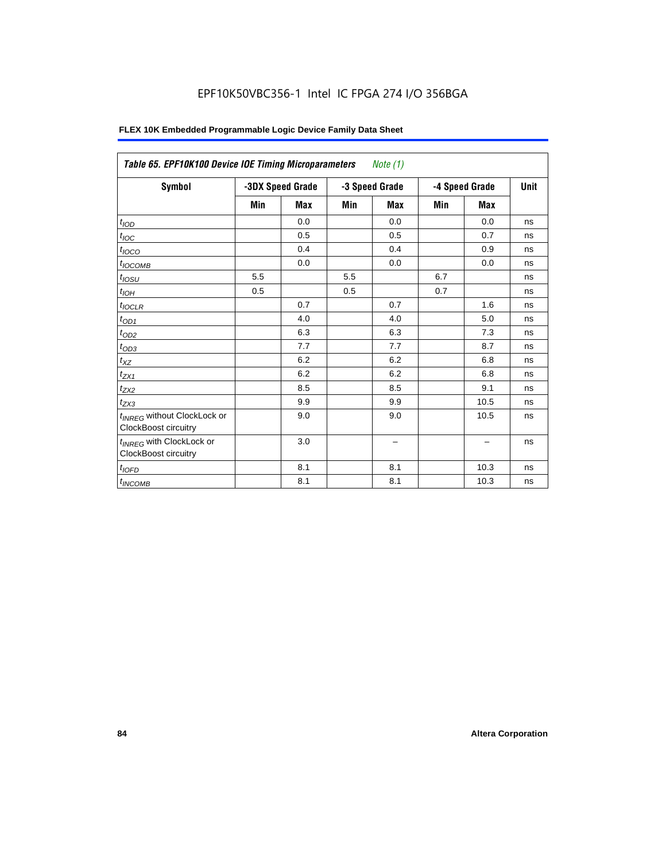# EPF10K50VBC356-1 Intel IC FPGA 274 I/O 356BGA

| FLEX 10K Embedded Programmable Logic Device Family Data Sheet |
|---------------------------------------------------------------|
|---------------------------------------------------------------|

| Table 65. EPF10K100 Device IOE Timing Microparameters<br>Note $(1)$    |                  |            |                |            |                |            |             |  |
|------------------------------------------------------------------------|------------------|------------|----------------|------------|----------------|------------|-------------|--|
| <b>Symbol</b>                                                          | -3DX Speed Grade |            | -3 Speed Grade |            | -4 Speed Grade |            | <b>Unit</b> |  |
|                                                                        | Min              | <b>Max</b> | Min            | <b>Max</b> | Min            | <b>Max</b> |             |  |
| t <sub>IOD</sub>                                                       |                  | 0.0        |                | 0.0        |                | 0.0        | ns          |  |
| $t_{\text{IOC}}$                                                       |                  | 0.5        |                | 0.5        |                | 0.7        | ns          |  |
| $t_{IOCO}$                                                             |                  | 0.4        |                | 0.4        |                | 0.9        | ns          |  |
| t <sub>IOCOMB</sub>                                                    |                  | 0.0        |                | 0.0        |                | 0.0        | ns          |  |
| $t_{IOSU}$                                                             | 5.5              |            | 5.5            |            | 6.7            |            | ns          |  |
| $t_{IOH}$                                                              | 0.5              |            | 0.5            |            | 0.7            |            | ns          |  |
| $t_{IOCLR}$                                                            |                  | 0.7        |                | 0.7        |                | 1.6        | ns          |  |
| $t_{OD1}$                                                              |                  | 4.0        |                | 4.0        |                | 5.0        | ns          |  |
| $t_{OD2}$                                                              |                  | 6.3        |                | 6.3        |                | 7.3        | ns          |  |
| $t_{OD3}$                                                              |                  | 7.7        |                | 7.7        |                | 8.7        | ns          |  |
| $t_{XZ}$                                                               |                  | 6.2        |                | 6.2        |                | 6.8        | ns          |  |
| $t_{ZX1}$                                                              |                  | 6.2        |                | 6.2        |                | 6.8        | ns          |  |
| $t_{ZX2}$                                                              |                  | 8.5        |                | 8.5        |                | 9.1        | ns          |  |
| $t_{ZX3}$                                                              |                  | 9.9        |                | 9.9        |                | 10.5       | ns          |  |
| t <sub>INREG</sub> without ClockLock or<br><b>ClockBoost circuitry</b> |                  | 9.0        |                | 9.0        |                | 10.5       | ns          |  |
| $t_{INREG}$ with ClockLock or<br>ClockBoost circuitry                  |                  | 3.0        |                |            |                |            | ns          |  |
| $t_{IOFD}$                                                             |                  | 8.1        |                | 8.1        |                | 10.3       | ns          |  |
| <sup>t</sup> INCOMB                                                    |                  | 8.1        |                | 8.1        |                | 10.3       | ns          |  |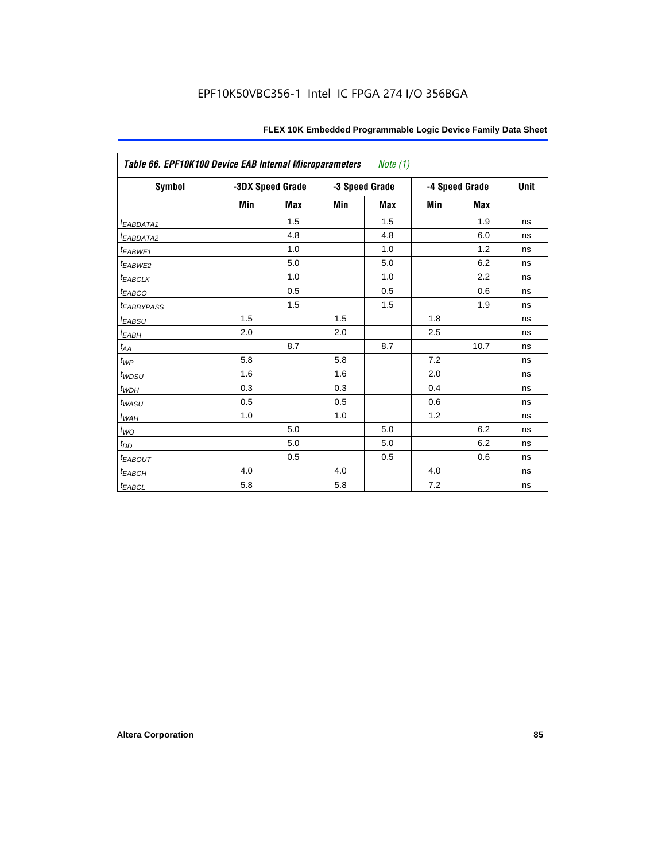| Table 66. EPF10K100 Device EAB Internal Microparameters Note (1) |     |                  |     |                |     |                |    |  |  |  |
|------------------------------------------------------------------|-----|------------------|-----|----------------|-----|----------------|----|--|--|--|
| Symbol                                                           |     | -3DX Speed Grade |     | -3 Speed Grade |     | -4 Speed Grade |    |  |  |  |
|                                                                  | Min | <b>Max</b>       | Min | <b>Max</b>     | Min | <b>Max</b>     |    |  |  |  |
| <i>EABDATA1</i>                                                  |     | 1.5              |     | 1.5            |     | 1.9            | ns |  |  |  |
| <sup>t</sup> EABDATA2                                            |     | 4.8              |     | 4.8            |     | 6.0            | ns |  |  |  |
| t <sub>EABWE1</sub>                                              |     | 1.0              |     | 1.0            |     | 1.2            | ns |  |  |  |
| t <sub>EABWE2</sub>                                              |     | 5.0              |     | 5.0            |     | 6.2            | ns |  |  |  |
| <sup>t</sup> EABCLK                                              |     | 1.0              |     | 1.0            |     | 2.2            | ns |  |  |  |
| t <sub>EABCO</sub>                                               |     | 0.5              |     | 0.5            |     | 0.6            | ns |  |  |  |
| <i><b>LEABBYPASS</b></i>                                         |     | 1.5              |     | 1.5            |     | 1.9            | ns |  |  |  |
| t <sub>EABSU</sub>                                               | 1.5 |                  | 1.5 |                | 1.8 |                | ns |  |  |  |
| $t_{EABH}$                                                       | 2.0 |                  | 2.0 |                | 2.5 |                | ns |  |  |  |
| $t_{\rm AA}$                                                     |     | 8.7              |     | 8.7            |     | 10.7           | ns |  |  |  |
| $t_{WP}$                                                         | 5.8 |                  | 5.8 |                | 7.2 |                | ns |  |  |  |
| $t_{WDSU}$                                                       | 1.6 |                  | 1.6 |                | 2.0 |                | ns |  |  |  |
| $t_{WDH}$                                                        | 0.3 |                  | 0.3 |                | 0.4 |                | ns |  |  |  |
| $t_{WASU}$                                                       | 0.5 |                  | 0.5 |                | 0.6 |                | ns |  |  |  |
| $t_{WAH}$                                                        | 1.0 |                  | 1.0 |                | 1.2 |                | ns |  |  |  |
| $t_{WO}$                                                         |     | 5.0              |     | 5.0            |     | 6.2            | ns |  |  |  |
| $t_{DD}$                                                         |     | 5.0              |     | 5.0            |     | 6.2            | ns |  |  |  |
| <b><i>EABOUT</i></b>                                             |     | 0.5              |     | 0.5            |     | 0.6            | ns |  |  |  |
| $t_{EABCH}$                                                      | 4.0 |                  | 4.0 |                | 4.0 |                | ns |  |  |  |
| $t_{EABCL}$                                                      | 5.8 |                  | 5.8 |                | 7.2 |                | ns |  |  |  |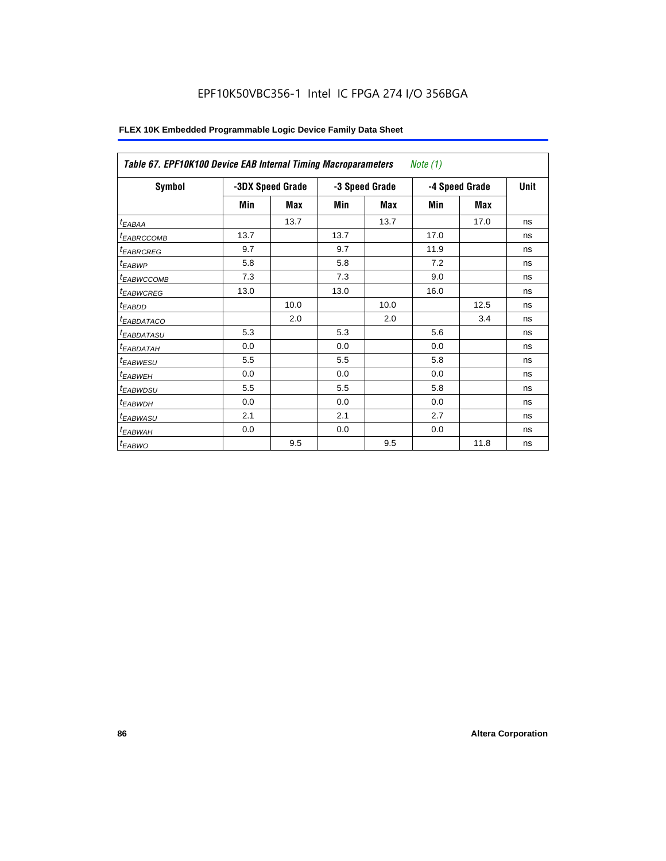|                        | Table 67. EPF10K100 Device EAB Internal Timing Macroparameters<br>Note $(1)$ |                  |      |                |      |                |    |  |  |  |  |
|------------------------|------------------------------------------------------------------------------|------------------|------|----------------|------|----------------|----|--|--|--|--|
| Symbol                 |                                                                              | -3DX Speed Grade |      | -3 Speed Grade |      | -4 Speed Grade |    |  |  |  |  |
|                        | Min                                                                          | Max              | Min  | Max            | Min  | Max            |    |  |  |  |  |
| <sup>t</sup> EABAA     |                                                                              | 13.7             |      | 13.7           |      | 17.0           | ns |  |  |  |  |
| <sup>t</sup> EABRCCOMB | 13.7                                                                         |                  | 13.7 |                | 17.0 |                | ns |  |  |  |  |
| <sup>t</sup> EABRCREG  | 9.7                                                                          |                  | 9.7  |                | 11.9 |                | ns |  |  |  |  |
| <sup>t</sup> EABWP     | 5.8                                                                          |                  | 5.8  |                | 7.2  |                | ns |  |  |  |  |
| <sup>t</sup> EABWCCOMB | 7.3                                                                          |                  | 7.3  |                | 9.0  |                | ns |  |  |  |  |
| <sup>t</sup> EABWCREG  | 13.0                                                                         |                  | 13.0 |                | 16.0 |                | ns |  |  |  |  |
| <sup>t</sup> EABDD     |                                                                              | 10.0             |      | 10.0           |      | 12.5           | ns |  |  |  |  |
| <sup>t</sup> EABDATACO |                                                                              | 2.0              |      | 2.0            |      | 3.4            | ns |  |  |  |  |
| <sup>t</sup> EABDATASU | 5.3                                                                          |                  | 5.3  |                | 5.6  |                | ns |  |  |  |  |
| <sup>t</sup> EABDATAH  | 0.0                                                                          |                  | 0.0  |                | 0.0  |                | ns |  |  |  |  |
| <sup>t</sup> EABWESU   | 5.5                                                                          |                  | 5.5  |                | 5.8  |                | ns |  |  |  |  |
| <sup>t</sup> EABWEH    | 0.0                                                                          |                  | 0.0  |                | 0.0  |                | ns |  |  |  |  |
| <sup>t</sup> EABWDSU   | 5.5                                                                          |                  | 5.5  |                | 5.8  |                | ns |  |  |  |  |
| <sup>t</sup> EABWDH    | 0.0                                                                          |                  | 0.0  |                | 0.0  |                | ns |  |  |  |  |
| <sup>t</sup> EABWASU   | 2.1                                                                          |                  | 2.1  |                | 2.7  |                | ns |  |  |  |  |
| <sup>t</sup> EABWAH    | 0.0                                                                          |                  | 0.0  |                | 0.0  |                | ns |  |  |  |  |
| $t_{EABWO}$            |                                                                              | 9.5              |      | 9.5            |      | 11.8           | ns |  |  |  |  |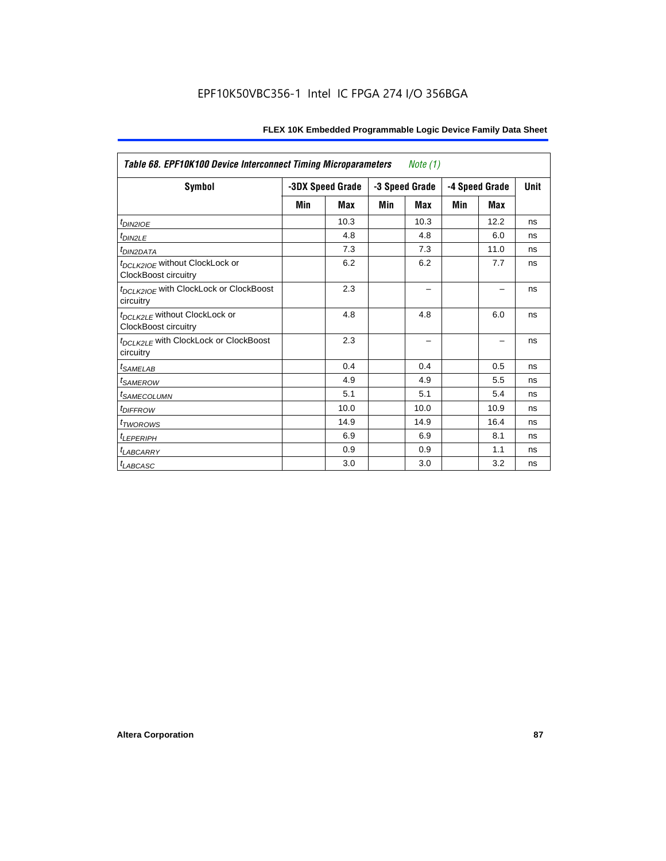| <b>Table 68. EPF10K100 Device Interconnect Timing Microparameters</b><br>Note (1) |     |                  |                |            |                |      |      |  |
|-----------------------------------------------------------------------------------|-----|------------------|----------------|------------|----------------|------|------|--|
| <b>Symbol</b>                                                                     |     | -3DX Speed Grade | -3 Speed Grade |            | -4 Speed Grade |      | Unit |  |
|                                                                                   | Min | Max              | Min            | <b>Max</b> | Min            | Max  |      |  |
| $t_{DINZIOE}$                                                                     |     | 10.3             |                | 10.3       |                | 12.2 | ns   |  |
| $t_{DIN2LE}$                                                                      |     | 4.8              |                | 4.8        |                | 6.0  | ns   |  |
| <sup>t</sup> DIN2DATA                                                             |     | 7.3              |                | 7.3        |                | 11.0 | ns   |  |
| t <sub>DCLK2IOE</sub> without ClockLock or<br><b>ClockBoost circuitry</b>         |     | 6.2              |                | 6.2        |                | 7.7  | ns   |  |
| t <sub>DCLK2IOE</sub> with ClockLock or ClockBoost<br>circuitry                   |     | 2.3              |                |            |                |      | ns   |  |
| t <sub>DCLK2LE</sub> without ClockLock or<br>ClockBoost circuitry                 |     | 4.8              |                | 4.8        |                | 6.0  | ns   |  |
| t <sub>DCLK2LE</sub> with ClockLock or ClockBoost<br>circuitry                    |     | 2.3              |                |            |                |      | ns   |  |
| <sup>t</sup> SAMELAB                                                              |     | 0.4              |                | 0.4        |                | 0.5  | ns   |  |
| <sup>t</sup> SAMEROW                                                              |     | 4.9              |                | 4.9        |                | 5.5  | ns   |  |
| <i>t<sub>SAMECOLUMN</sub></i>                                                     |     | 5.1              |                | 5.1        |                | 5.4  | ns   |  |
| <i>t<sub>DIFFROW</sub></i>                                                        |     | 10.0             |                | 10.0       |                | 10.9 | ns   |  |
| <sup>t</sup> TWOROWS                                                              |     | 14.9             |                | 14.9       |                | 16.4 | ns   |  |
| <sup>t</sup> LEPERIPH                                                             |     | 6.9              |                | 6.9        |                | 8.1  | ns   |  |
| <sup>t</sup> LABCARRY                                                             |     | 0.9              |                | 0.9        |                | 1.1  | ns   |  |
| $t_{LABCASC}$                                                                     |     | 3.0              |                | 3.0        |                | 3.2  | ns   |  |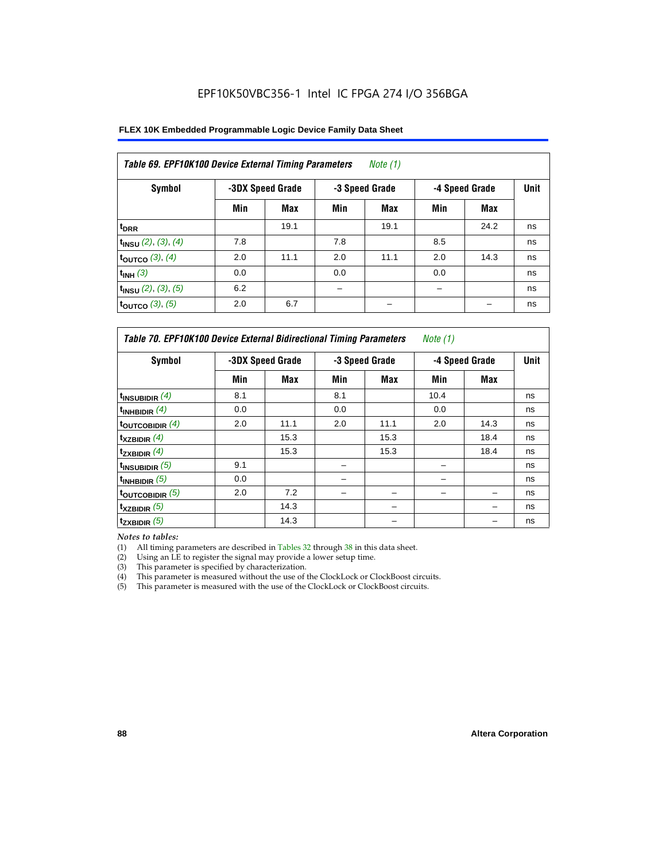| FLEX 10K Embedded Programmable Logic Device Family Data Sheet |  |  |  |  |  |  |
|---------------------------------------------------------------|--|--|--|--|--|--|
|                                                               |  |  |  |  |  |  |
|                                                               |  |  |  |  |  |  |

| Table 69. EPF10K100 Device External Timing Parameters<br>Note $(1)$ |                  |      |     |                |                |            |    |  |  |  |  |
|---------------------------------------------------------------------|------------------|------|-----|----------------|----------------|------------|----|--|--|--|--|
| Symbol                                                              | -3DX Speed Grade |      |     | -3 Speed Grade | -4 Speed Grade | Unit       |    |  |  |  |  |
|                                                                     | Min              | Max  | Min | <b>Max</b>     | Min            | <b>Max</b> |    |  |  |  |  |
| t <sub>DRR</sub>                                                    |                  | 19.1 |     | 19.1           |                | 24.2       | ns |  |  |  |  |
| $t_{INSU}$ (2), (3), (4)                                            | 7.8              |      | 7.8 |                | 8.5            |            | ns |  |  |  |  |
| toutco $(3)$ , $(4)$                                                | 2.0              | 11.1 | 2.0 | 11.1           | 2.0            | 14.3       | ns |  |  |  |  |
| $t_{INH}$ (3)                                                       | 0.0              |      | 0.0 |                | 0.0            |            | ns |  |  |  |  |
| $t_{INSU}$ (2), (3), (5)                                            | 6.2              |      |     |                |                |            | ns |  |  |  |  |
| toutco $(3)$ , $(5)$                                                | 2.0              | 6.7  |     |                |                |            | ns |  |  |  |  |

| Table 70. EPF10K100 Device External Bidirectional Timing Parameters<br><i>Note</i> $(1)$ |                  |      |     |                |                |             |    |  |  |  |  |
|------------------------------------------------------------------------------------------|------------------|------|-----|----------------|----------------|-------------|----|--|--|--|--|
| Symbol                                                                                   | -3DX Speed Grade |      |     | -3 Speed Grade | -4 Speed Grade | <b>Unit</b> |    |  |  |  |  |
|                                                                                          | Min              | Max  | Min | Max            | Min            | Max         |    |  |  |  |  |
| t <sub>insubidir</sub> $(4)$                                                             | 8.1              |      | 8.1 |                | 10.4           |             | ns |  |  |  |  |
| $t_{INHBIDIR}$ (4)                                                                       | 0.0              |      | 0.0 |                | 0.0            |             | ns |  |  |  |  |
| toutcobidir $(4)$                                                                        | 2.0              | 11.1 | 2.0 | 11.1           | 2.0            | 14.3        | ns |  |  |  |  |
| $t_{XZBIDIR}$ (4)                                                                        |                  | 15.3 |     | 15.3           |                | 18.4        | ns |  |  |  |  |
| $t_{ZXBIDIR}$ (4)                                                                        |                  | 15.3 |     | 15.3           |                | 18.4        | ns |  |  |  |  |
| $t_{INSUBIDIR}$ (5)                                                                      | 9.1              |      |     |                |                |             | ns |  |  |  |  |
| $t_{INHBIDIR}$ (5)                                                                       | 0.0              |      |     |                |                |             | ns |  |  |  |  |
| $t_{\text{OUTCOBIDIR}}$ (5)                                                              | 2.0              | 7.2  |     |                |                |             | ns |  |  |  |  |
| $t_{XZBIDIR}$ (5)                                                                        |                  | 14.3 |     |                |                |             | ns |  |  |  |  |
| $t_{ZXBIDIR}$ $(5)$                                                                      |                  | 14.3 |     |                |                |             | ns |  |  |  |  |

*Notes to tables:*

(1) All timing parameters are described in Tables 32 through 38 in this data sheet.<br>(2) Using an LE to register the signal may provide a lower setup time.

Using an LE to register the signal may provide a lower setup time.

(3) This parameter is specified by characterization.

(4) This parameter is measured without the use of the ClockLock or ClockBoost circuits.

(5) This parameter is measured with the use of the ClockLock or ClockBoost circuits.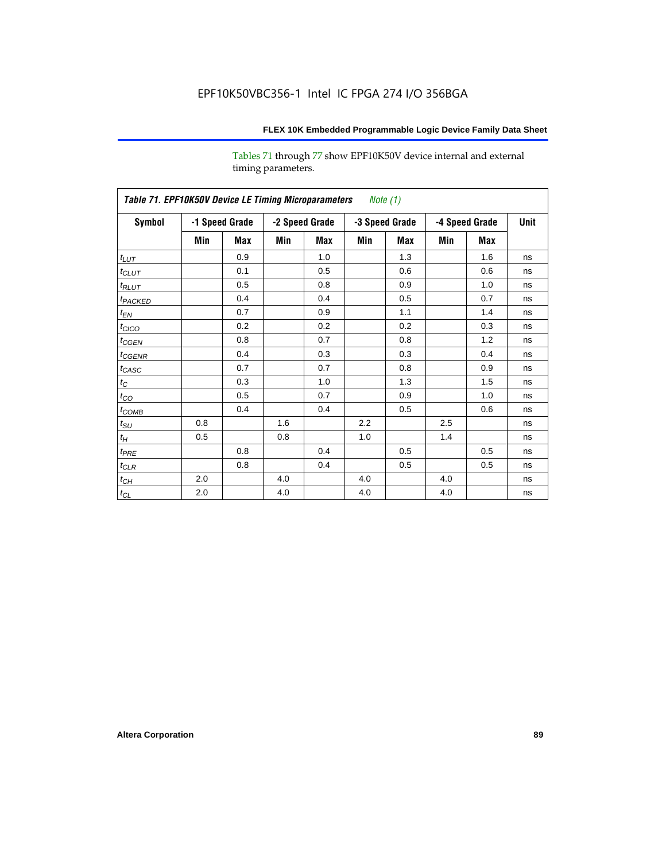Tables 71 through 77 show EPF10K50V device internal and external timing parameters.

| Table 71. EPF10K50V Device LE Timing Microparameters Note (1) |     |                |     |                |     |                |     |                |             |  |  |  |
|---------------------------------------------------------------|-----|----------------|-----|----------------|-----|----------------|-----|----------------|-------------|--|--|--|
| Symbol                                                        |     | -1 Speed Grade |     | -2 Speed Grade |     | -3 Speed Grade |     | -4 Speed Grade | <b>Unit</b> |  |  |  |
|                                                               | Min | Max            | Min | Max            | Min | Max            | Min | Max            |             |  |  |  |
| $t_{LUT}$                                                     |     | 0.9            |     | 1.0            |     | 1.3            |     | 1.6            | ns          |  |  |  |
| $t_{CLUT}$                                                    |     | 0.1            |     | 0.5            |     | 0.6            |     | 0.6            | ns          |  |  |  |
| $t_{RLUT}$                                                    |     | 0.5            |     | 0.8            |     | 0.9            |     | 1.0            | ns          |  |  |  |
| t <sub>PACKED</sub>                                           |     | 0.4            |     | 0.4            |     | 0.5            |     | 0.7            | ns          |  |  |  |
| $t_{EN}$                                                      |     | 0.7            |     | 0.9            |     | 1.1            |     | 1.4            | ns          |  |  |  |
| $t_{CICO}$                                                    |     | 0.2            |     | 0.2            |     | 0.2            |     | 0.3            | ns          |  |  |  |
| $t_{CGEN}$                                                    |     | 0.8            |     | 0.7            |     | 0.8            |     | 1.2            | ns          |  |  |  |
| $t_{\text{GENR}}$                                             |     | 0.4            |     | 0.3            |     | 0.3            |     | 0.4            | ns          |  |  |  |
| $t_{CASC}$                                                    |     | 0.7            |     | 0.7            |     | 0.8            |     | 0.9            | ns          |  |  |  |
| $t_C$                                                         |     | 0.3            |     | 1.0            |     | 1.3            |     | 1.5            | ns          |  |  |  |
| $t_{CO}$                                                      |     | 0.5            |     | 0.7            |     | 0.9            |     | 1.0            | ns          |  |  |  |
| $t_{COMB}$                                                    |     | 0.4            |     | 0.4            |     | 0.5            |     | 0.6            | ns          |  |  |  |
| $t_{\rm SU}$                                                  | 0.8 |                | 1.6 |                | 2.2 |                | 2.5 |                | ns          |  |  |  |
| $t_{\!H}$                                                     | 0.5 |                | 0.8 |                | 1.0 |                | 1.4 |                | ns          |  |  |  |
| $t_{PRE}$                                                     |     | 0.8            |     | 0.4            |     | 0.5            |     | 0.5            | ns          |  |  |  |
| $t_{CLR}$                                                     |     | 0.8            |     | 0.4            |     | 0.5            |     | 0.5            | ns          |  |  |  |
| $t_{\mathit{CH}}$                                             | 2.0 |                | 4.0 |                | 4.0 |                | 4.0 |                | ns          |  |  |  |
| $t_{\rm CL}$                                                  | 2.0 |                | 4.0 |                | 4.0 |                | 4.0 |                | ns          |  |  |  |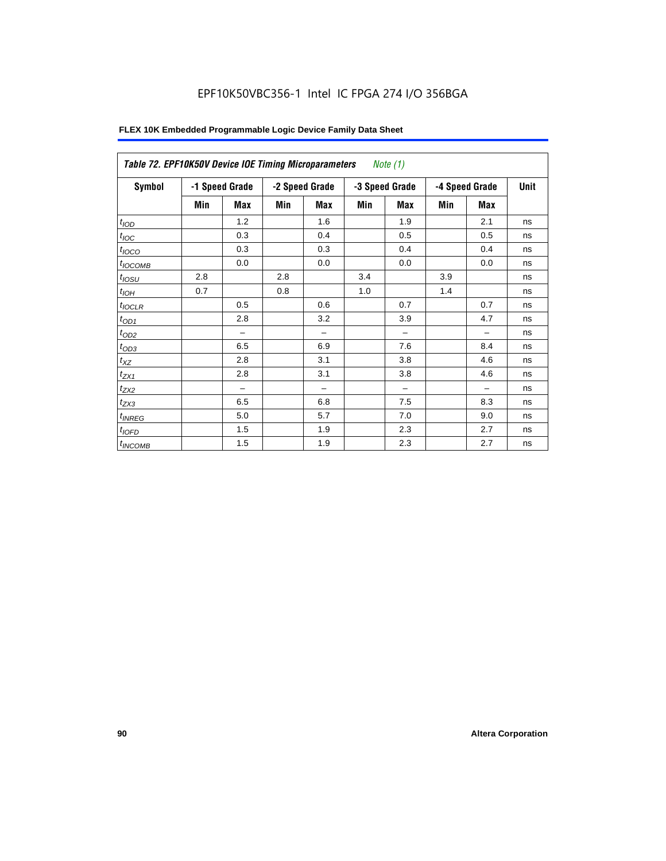# EPF10K50VBC356-1 Intel IC FPGA 274 I/O 356BGA

| Symbol           |     | -1 Speed Grade |     | -2 Speed Grade |     | -3 Speed Grade |     | -4 Speed Grade | Unit |
|------------------|-----|----------------|-----|----------------|-----|----------------|-----|----------------|------|
|                  | Min | Max            | Min | Max            | Min | Max            | Min | Max            |      |
| t <sub>IOD</sub> |     | 1.2            |     | 1.6            |     | 1.9            |     | 2.1            | ns   |
| $t_{\text{IOC}}$ |     | 0.3            |     | 0.4            |     | 0.5            |     | 0.5            | ns   |
| $t_{IOCO}$       |     | 0.3            |     | 0.3            |     | 0.4            |     | 0.4            | ns   |
| $t_{IOCOMB}$     |     | 0.0            |     | 0.0            |     | 0.0            |     | 0.0            | ns   |
| $t_{IOSU}$       | 2.8 |                | 2.8 |                | 3.4 |                | 3.9 |                | ns   |
| $t_{IOH}$        | 0.7 |                | 0.8 |                | 1.0 |                | 1.4 |                | ns   |
| $t_{IOCLR}$      |     | 0.5            |     | 0.6            |     | 0.7            |     | 0.7            | ns   |
| $t_{OD1}$        |     | 2.8            |     | 3.2            |     | 3.9            |     | 4.7            | ns   |
| $t_{OD2}$        |     |                |     |                |     |                |     |                | ns   |
| $t_{OD3}$        |     | 6.5            |     | 6.9            |     | 7.6            |     | 8.4            | ns   |
| $t_{XZ}$         |     | 2.8            |     | 3.1            |     | 3.8            |     | 4.6            | ns   |
| $t_{ZX1}$        |     | 2.8            |     | 3.1            |     | 3.8            |     | 4.6            | ns   |
| $t_{ZX2}$        |     |                |     |                |     |                |     |                | ns   |
| $t_{ZX3}$        |     | 6.5            |     | 6.8            |     | 7.5            |     | 8.3            | ns   |
| $t_{INREG}$      |     | 5.0            |     | 5.7            |     | 7.0            |     | 9.0            | ns   |
| $t_{IOFD}$       |     | 1.5            |     | 1.9            |     | 2.3            |     | 2.7            | ns   |
| $t_{INCOMB}$     |     | 1.5            |     | 1.9            |     | 2.3            |     | 2.7            | ns   |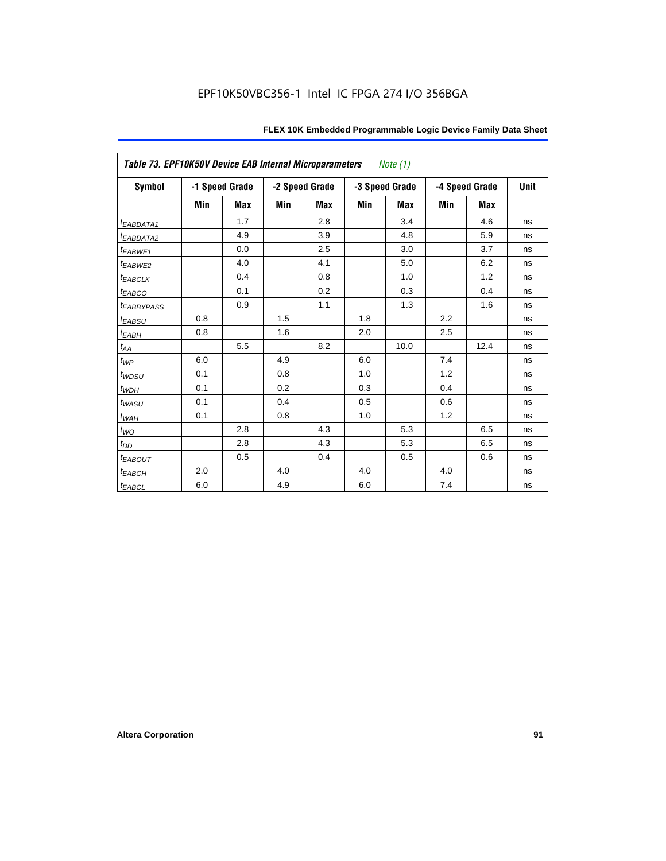|                         | Table 73. EPF10K50V Device EAB Internal Microparameters<br>Note (1) |                |     |                |                |            |     |                |             |  |  |  |  |
|-------------------------|---------------------------------------------------------------------|----------------|-----|----------------|----------------|------------|-----|----------------|-------------|--|--|--|--|
| Symbol                  |                                                                     | -1 Speed Grade |     | -2 Speed Grade | -3 Speed Grade |            |     | -4 Speed Grade | <b>Unit</b> |  |  |  |  |
|                         | Min                                                                 | Max            | Min | Max            | Min            | <b>Max</b> | Min | Max            |             |  |  |  |  |
| $t_{EABDATA1}$          |                                                                     | 1.7            |     | 2.8            |                | 3.4        |     | 4.6            | ns          |  |  |  |  |
| t <sub>EABDATA2</sub>   |                                                                     | 4.9            |     | 3.9            |                | 4.8        |     | 5.9            | ns          |  |  |  |  |
| t <sub>EABWE1</sub>     |                                                                     | 0.0            |     | 2.5            |                | 3.0        |     | 3.7            | ns          |  |  |  |  |
| t <sub>EABWE2</sub>     |                                                                     | 4.0            |     | 4.1            |                | 5.0        |     | 6.2            | ns          |  |  |  |  |
| $t_{EABCLK}$            |                                                                     | 0.4            |     | 0.8            |                | 1.0        |     | 1.2            | ns          |  |  |  |  |
| $t_{EABCO}$             |                                                                     | 0.1            |     | 0.2            |                | 0.3        |     | 0.4            | ns          |  |  |  |  |
| <i><b>EABBYPASS</b></i> |                                                                     | 0.9            |     | 1.1            |                | 1.3        |     | 1.6            | ns          |  |  |  |  |
| $t_{EABSU}$             | 0.8                                                                 |                | 1.5 |                | 1.8            |            | 2.2 |                | ns          |  |  |  |  |
| $t_{EABH}$              | 0.8                                                                 |                | 1.6 |                | 2.0            |            | 2.5 |                | ns          |  |  |  |  |
| $t_{AA}$                |                                                                     | 5.5            |     | 8.2            |                | 10.0       |     | 12.4           | ns          |  |  |  |  |
| $t_{WP}$                | 6.0                                                                 |                | 4.9 |                | 6.0            |            | 7.4 |                | ns          |  |  |  |  |
| $t_{WDSU}$              | 0.1                                                                 |                | 0.8 |                | 1.0            |            | 1.2 |                | ns          |  |  |  |  |
| $t_{WDH}$               | 0.1                                                                 |                | 0.2 |                | 0.3            |            | 0.4 |                | ns          |  |  |  |  |
| $t_{WASU}$              | 0.1                                                                 |                | 0.4 |                | 0.5            |            | 0.6 |                | ns          |  |  |  |  |
| $t_{WAH}$               | 0.1                                                                 |                | 0.8 |                | 1.0            |            | 1.2 |                | ns          |  |  |  |  |
| $t_{WO}$                |                                                                     | 2.8            |     | 4.3            |                | 5.3        |     | 6.5            | ns          |  |  |  |  |
| $t_{DD}$                |                                                                     | 2.8            |     | 4.3            |                | 5.3        |     | 6.5            | ns          |  |  |  |  |
| <b><i>EABOUT</i></b>    |                                                                     | 0.5            |     | 0.4            |                | 0.5        |     | 0.6            | ns          |  |  |  |  |
| $t_{EABCH}$             | 2.0                                                                 |                | 4.0 |                | 4.0            |            | 4.0 |                | ns          |  |  |  |  |
| $t_{EABCL}$             | 6.0                                                                 |                | 4.9 |                | 6.0            |            | 7.4 |                | ns          |  |  |  |  |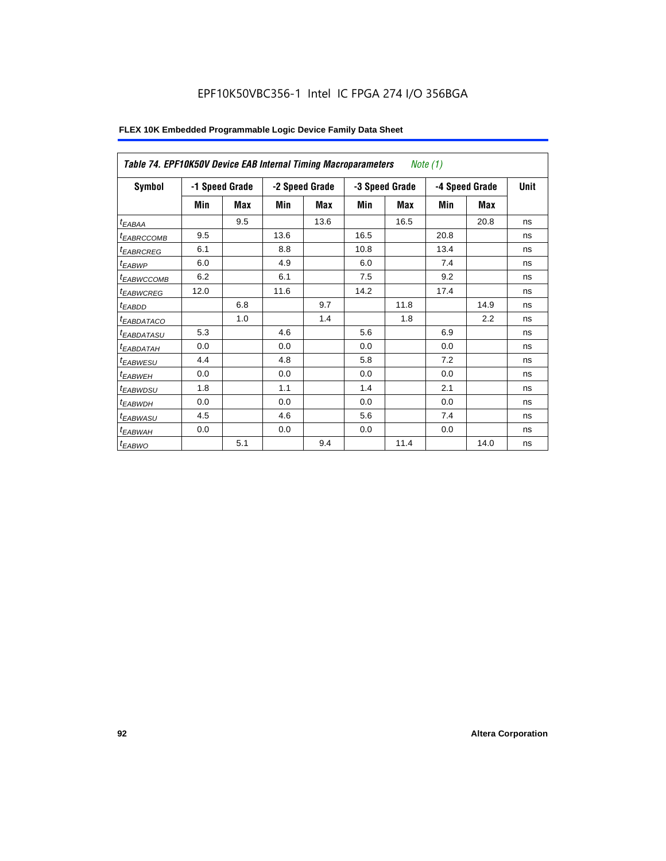| Table 74. EPF10K50V Device EAB Internal Timing Macroparameters |      |                |      |                |      | Note (1)       |      |                |             |
|----------------------------------------------------------------|------|----------------|------|----------------|------|----------------|------|----------------|-------------|
| Symbol                                                         |      | -1 Speed Grade |      | -2 Speed Grade |      | -3 Speed Grade |      | -4 Speed Grade | <b>Unit</b> |
|                                                                | Min  | Max            | Min  | Max            | Min  | Max            | Min  | Max            |             |
| $t_{EABA}$                                                     |      | 9.5            |      | 13.6           |      | 16.5           |      | 20.8           | ns          |
| <sup>t</sup> EABRCCOMB                                         | 9.5  |                | 13.6 |                | 16.5 |                | 20.8 |                | ns          |
| <sup>t</sup> EABRCREG                                          | 6.1  |                | 8.8  |                | 10.8 |                | 13.4 |                | ns          |
| <sup>t</sup> EABWP                                             | 6.0  |                | 4.9  |                | 6.0  |                | 7.4  |                | ns          |
| <sup>t</sup> EABWCCOMB                                         | 6.2  |                | 6.1  |                | 7.5  |                | 9.2  |                | ns          |
| <sup>t</sup> EABWCREG                                          | 12.0 |                | 11.6 |                | 14.2 |                | 17.4 |                | ns          |
| <sup>t</sup> EABDD                                             |      | 6.8            |      | 9.7            |      | 11.8           |      | 14.9           | ns          |
| <b><i>EABDATACO</i></b>                                        |      | 1.0            |      | 1.4            |      | 1.8            |      | 2.2            | ns          |
| <sup>t</sup> EABDATASU                                         | 5.3  |                | 4.6  |                | 5.6  |                | 6.9  |                | ns          |
| <sup>t</sup> EABDATAH                                          | 0.0  |                | 0.0  |                | 0.0  |                | 0.0  |                | ns          |
| <sup>t</sup> EABWESU                                           | 4.4  |                | 4.8  |                | 5.8  |                | 7.2  |                | ns          |
| <sup>t</sup> EABWEH                                            | 0.0  |                | 0.0  |                | 0.0  |                | 0.0  |                | ns          |
| <sup>t</sup> EABWDSU                                           | 1.8  |                | 1.1  |                | 1.4  |                | 2.1  |                | ns          |
| <sup>t</sup> EABWDH                                            | 0.0  |                | 0.0  |                | 0.0  |                | 0.0  |                | ns          |
| <sup>t</sup> EABWASU                                           | 4.5  |                | 4.6  |                | 5.6  |                | 7.4  |                | ns          |
| <sup>t</sup> EABWAH                                            | 0.0  |                | 0.0  |                | 0.0  |                | 0.0  |                | ns          |
| $t_{EABWO}$                                                    |      | 5.1            |      | 9.4            |      | 11.4           |      | 14.0           | ns          |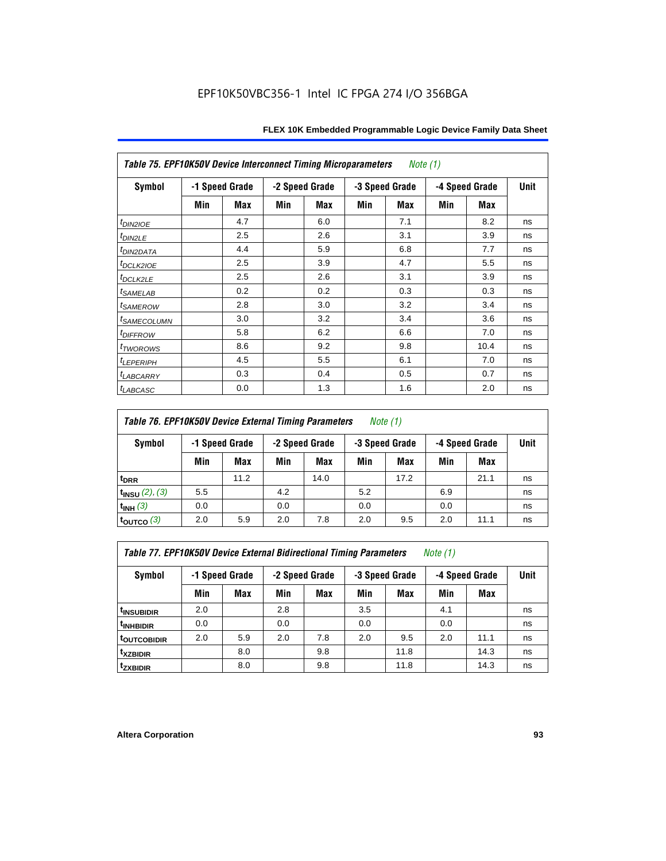| <b>Table 75. EPF10K50V Device Interconnect Timing Microparameters</b><br>Note (1) |     |                |     |                |     |                |     |                |    |  |  |
|-----------------------------------------------------------------------------------|-----|----------------|-----|----------------|-----|----------------|-----|----------------|----|--|--|
| Symbol                                                                            |     | -1 Speed Grade |     | -2 Speed Grade |     | -3 Speed Grade |     | -4 Speed Grade |    |  |  |
|                                                                                   | Min | Max            | Min | Max            | Min | Max            | Min | <b>Max</b>     |    |  |  |
| $t_{DINZIOE}$                                                                     |     | 4.7            |     | 6.0            |     | 7.1            |     | 8.2            | ns |  |  |
| t <sub>DIN2LE</sub>                                                               |     | 2.5            |     | 2.6            |     | 3.1            |     | 3.9            | ns |  |  |
| <sup>t</sup> DIN2DATA                                                             |     | 4.4            |     | 5.9            |     | 6.8            |     | 7.7            | ns |  |  |
| t <sub>DCLK2IOE</sub>                                                             |     | 2.5            |     | 3.9            |     | 4.7            |     | 5.5            | ns |  |  |
| t <sub>DCLK2LE</sub>                                                              |     | 2.5            |     | 2.6            |     | 3.1            |     | 3.9            | ns |  |  |
| <sup>t</sup> SAMELAB                                                              |     | 0.2            |     | 0.2            |     | 0.3            |     | 0.3            | ns |  |  |
| <i>t<sub>SAMEROW</sub></i>                                                        |     | 2.8            |     | 3.0            |     | 3.2            |     | 3.4            | ns |  |  |
| <sup>t</sup> SAMECOLUMN                                                           |     | 3.0            |     | 3.2            |     | 3.4            |     | 3.6            | ns |  |  |
| <i>t<sub>DIFFROW</sub></i>                                                        |     | 5.8            |     | 6.2            |     | 6.6            |     | 7.0            | ns |  |  |
| t <sub>TWOROWS</sub>                                                              |     | 8.6            |     | 9.2            |     | 9.8            |     | 10.4           | ns |  |  |
| $t_{LEPERIPH}$                                                                    |     | 4.5            |     | 5.5            |     | 6.1            |     | 7.0            | ns |  |  |
| t <sub>LABCARRY</sub>                                                             |     | 0.3            |     | 0.4            |     | 0.5            |     | 0.7            | ns |  |  |
| <i>t<sub>LABCASC</sub></i>                                                        |     | 0.0            |     | 1.3            |     | 1.6            |     | 2.0            | ns |  |  |

# *Table 76. EPF10K50V Device External Timing Parameters Note (1)*

| Symbol              | -1 Speed Grade |      | -2 Speed Grade |      | -3 Speed Grade |      | -4 Speed Grade |      | <b>Unit</b> |
|---------------------|----------------|------|----------------|------|----------------|------|----------------|------|-------------|
|                     | Min            | Max  | Min            | Max  | Min            | Max  | Min            | Max  |             |
| t <sub>DRR</sub>    |                | 11.2 |                | 14.0 |                | 17.2 |                | 21.1 | ns          |
| $t_{INSU}$ (2), (3) | 5.5            |      | 4.2            |      | 5.2            |      | 6.9            |      | ns          |
| $t_{INH}$ (3)       | 0.0            |      | 0.0            |      | 0.0            |      | 0.0            |      | ns          |
| $\vert$ toutco (3)  | 2.0            | 5.9  | 2.0            | 7.8  | 2.0            | 9.5  | 2.0            | 11.1 | ns          |

*Table 77. EPF10K50V Device External Bidirectional Timing Parameters Note (1)*

| Symbol                  |     | -1 Speed Grade |     | -2 Speed Grade |     | -3 Speed Grade |     | -4 Speed Grade | <b>Unit</b> |
|-------------------------|-----|----------------|-----|----------------|-----|----------------|-----|----------------|-------------|
|                         |     |                |     |                |     |                |     |                |             |
|                         | Min | Max            | Min | Max            | Min | Max            | Min | Max            |             |
| t <sub>insubidir</sub>  | 2.0 |                | 2.8 |                | 3.5 |                | 4.1 |                | ns          |
| <sup>t</sup> INHBIDIR   | 0.0 |                | 0.0 |                | 0.0 |                | 0.0 |                | ns          |
| t <sub>outcobidir</sub> | 2.0 | 5.9            | 2.0 | 7.8            | 2.0 | 9.5            | 2.0 | 11.1           | ns          |
| <sup>t</sup> xzbidir    |     | 8.0            |     | 9.8            |     | 11.8           |     | 14.3           | ns          |
| <sup>t</sup> zxbidir    |     | 8.0            |     | 9.8            |     | 11.8           |     | 14.3           | ns          |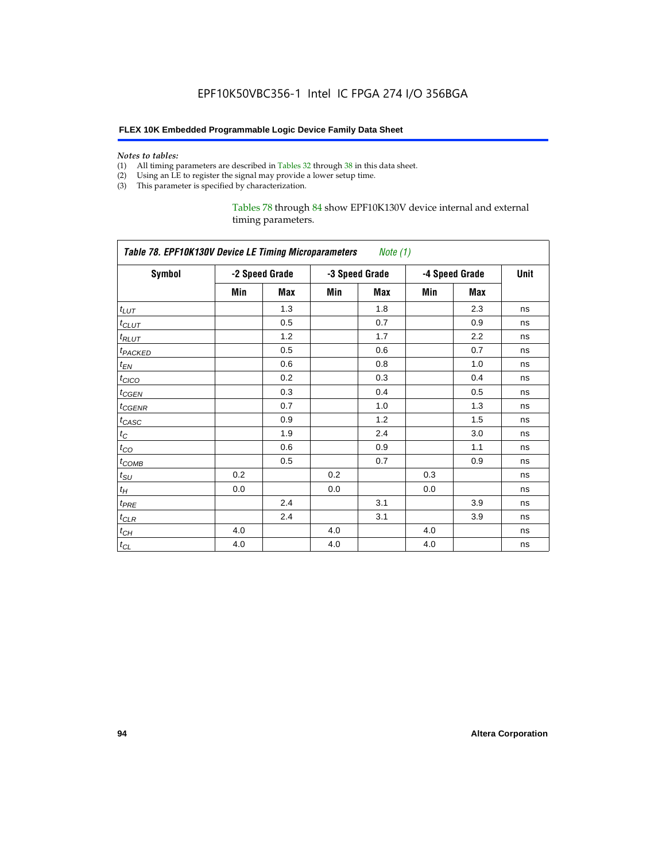#### *Notes to tables:*

- (1) All timing parameters are described in Tables 32 through 38 in this data sheet.
- (2) Using an LE to register the signal may provide a lower setup time.
- (3) This parameter is specified by characterization.

## Tables 78 through 84 show EPF10K130V device internal and external timing parameters.

| Table 78. EPF10K130V Device LE Timing Microparameters Note (1) |     |                |     |                |     |                |             |  |  |  |  |
|----------------------------------------------------------------|-----|----------------|-----|----------------|-----|----------------|-------------|--|--|--|--|
| <b>Symbol</b>                                                  |     | -2 Speed Grade |     | -3 Speed Grade |     | -4 Speed Grade | <b>Unit</b> |  |  |  |  |
|                                                                | Min | Max            | Min | <b>Max</b>     | Min | <b>Max</b>     |             |  |  |  |  |
| $t_{LUT}$                                                      |     | 1.3            |     | 1.8            |     | 2.3            | ns          |  |  |  |  |
| $t_{CLUT}$                                                     |     | 0.5            |     | 0.7            |     | 0.9            | ns          |  |  |  |  |
| $t_{RLUT}$                                                     |     | 1.2            |     | 1.7            |     | 2.2            | ns          |  |  |  |  |
| t <sub>PACKED</sub>                                            |     | 0.5            |     | 0.6            |     | 0.7            | ns          |  |  |  |  |
| $t_{EN}$                                                       |     | 0.6            |     | 0.8            |     | 1.0            | ns          |  |  |  |  |
| $t_{CICO}$                                                     |     | 0.2            |     | 0.3            |     | 0.4            | ns          |  |  |  |  |
| $t_{GEN}$                                                      |     | 0.3            |     | 0.4            |     | 0.5            | ns          |  |  |  |  |
| $t_{\text{GENR}}$                                              |     | 0.7            |     | 1.0            |     | 1.3            | ns          |  |  |  |  |
| $t_{CASC}$                                                     |     | 0.9            |     | 1.2            |     | 1.5            | ns          |  |  |  |  |
| $t_C$                                                          |     | 1.9            |     | 2.4            |     | 3.0            | ns          |  |  |  |  |
| $t_{CO}$                                                       |     | 0.6            |     | 0.9            |     | 1.1            | ns          |  |  |  |  |
| $t_{COMB}$                                                     |     | 0.5            |     | 0.7            |     | 0.9            | ns          |  |  |  |  |
| $t_{\rm SU}$                                                   | 0.2 |                | 0.2 |                | 0.3 |                | ns          |  |  |  |  |
| $t_H$                                                          | 0.0 |                | 0.0 |                | 0.0 |                | ns          |  |  |  |  |
| $t_{PRE}$                                                      |     | 2.4            |     | 3.1            |     | 3.9            | ns          |  |  |  |  |
| $t_{CLR}$                                                      |     | 2.4            |     | 3.1            |     | 3.9            | ns          |  |  |  |  |
| $t_{CH}$                                                       | 4.0 |                | 4.0 |                | 4.0 |                | ns          |  |  |  |  |
| $t_{CL}$                                                       | 4.0 |                | 4.0 |                | 4.0 |                | ns          |  |  |  |  |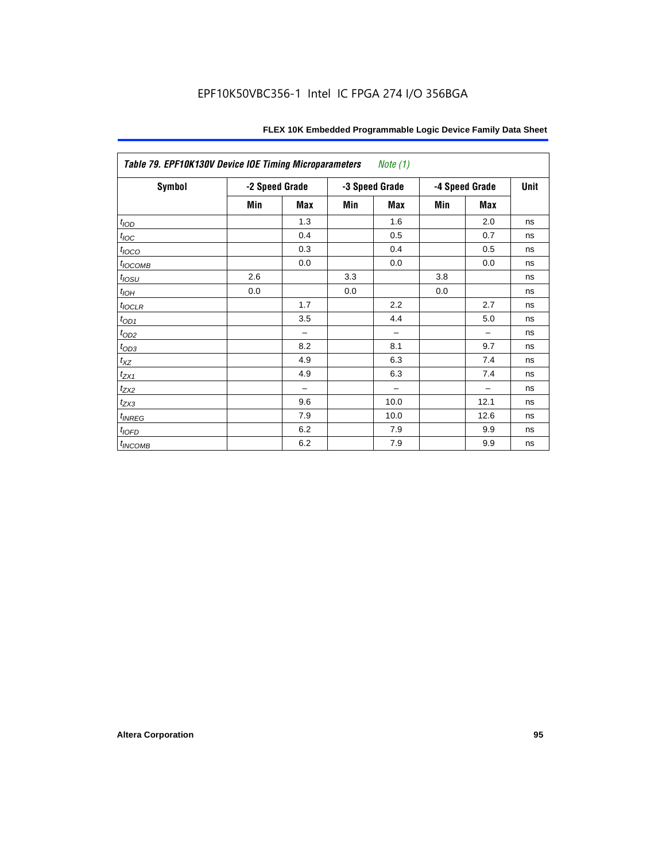| Table 79. EPF10K130V Device IOE Timing Microparameters<br>Note (1) |     |                |     |                |     |                |             |  |  |  |  |
|--------------------------------------------------------------------|-----|----------------|-----|----------------|-----|----------------|-------------|--|--|--|--|
| Symbol                                                             |     | -2 Speed Grade |     | -3 Speed Grade |     | -4 Speed Grade | <b>Unit</b> |  |  |  |  |
|                                                                    | Min | <b>Max</b>     | Min | <b>Max</b>     | Min | Max            |             |  |  |  |  |
| t <sub>IOD</sub>                                                   |     | 1.3            |     | 1.6            |     | 2.0            | ns          |  |  |  |  |
| $t_{\text{IOC}}$                                                   |     | 0.4            |     | 0.5            |     | 0.7            | ns          |  |  |  |  |
| $t_{IOCO}$                                                         |     | 0.3            |     | 0.4            |     | 0.5            | ns          |  |  |  |  |
| $t_{IOCOMB}$                                                       |     | 0.0            |     | 0.0            |     | 0.0            | ns          |  |  |  |  |
| $t_{IOSU}$                                                         | 2.6 |                | 3.3 |                | 3.8 |                | ns          |  |  |  |  |
| $t_{IOH}$                                                          | 0.0 |                | 0.0 |                | 0.0 |                | ns          |  |  |  |  |
| $t_{IOCLR}$                                                        |     | 1.7            |     | 2.2            |     | 2.7            | ns          |  |  |  |  |
| $t_{OD1}$                                                          |     | 3.5            |     | 4.4            |     | 5.0            | ns          |  |  |  |  |
| $t_{OD2}$                                                          |     | -              |     |                |     |                | ns          |  |  |  |  |
| $t_{OD3}$                                                          |     | 8.2            |     | 8.1            |     | 9.7            | ns          |  |  |  |  |
| $t_{\mathsf{XZ}}$                                                  |     | 4.9            |     | 6.3            |     | 7.4            | ns          |  |  |  |  |
| $t_{ZX1}$                                                          |     | 4.9            |     | 6.3            |     | 7.4            | ns          |  |  |  |  |
| $t_{ZX2}$                                                          |     |                |     |                |     |                | ns          |  |  |  |  |
| $t_{ZX3}$                                                          |     | 9.6            |     | 10.0           |     | 12.1           | ns          |  |  |  |  |
| $t_{INREG}$                                                        |     | 7.9            |     | 10.0           |     | 12.6           | ns          |  |  |  |  |
| $t_{IOFD}$                                                         |     | 6.2            |     | 7.9            |     | 9.9            | ns          |  |  |  |  |
| $t_{INCOMB}$                                                       |     | 6.2            |     | 7.9            |     | 9.9            | ns          |  |  |  |  |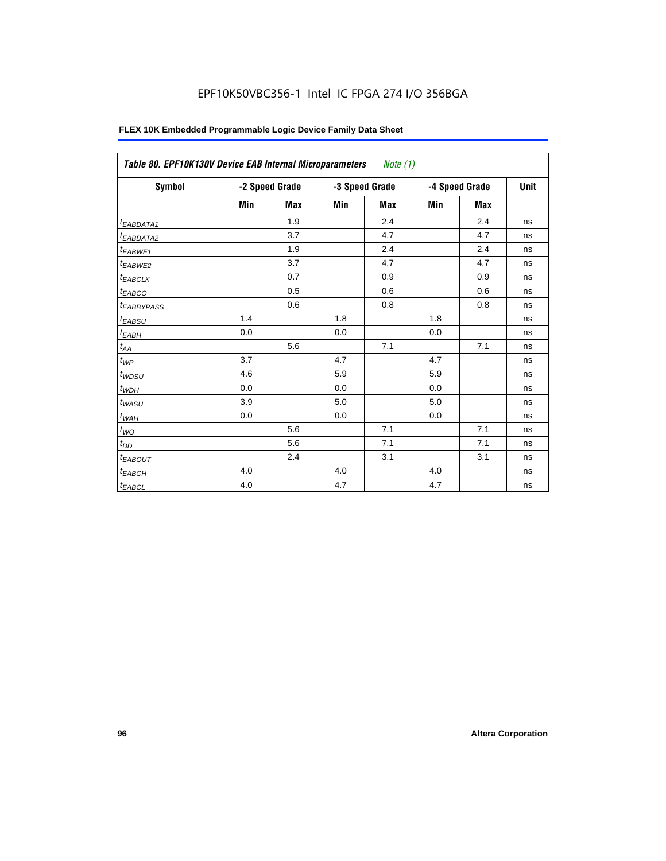| Symbol                 | -2 Speed Grade |            | -3 Speed Grade |     | -4 Speed Grade |     | Unit |
|------------------------|----------------|------------|----------------|-----|----------------|-----|------|
|                        | Min            | <b>Max</b> | Min            | Max | Min            | Max |      |
| <sup>t</sup> EABDATA1  |                | 1.9        |                | 2.4 |                | 2.4 | ns   |
| <sup>t</sup> EABDATA2  |                | 3.7        |                | 4.7 |                | 4.7 | ns   |
| t <sub>EABWE1</sub>    |                | 1.9        |                | 2.4 |                | 2.4 | ns   |
| <sup>t</sup> EABWE2    |                | 3.7        |                | 4.7 |                | 4.7 | ns   |
| t <sub>EABCLK</sub>    |                | 0.7        |                | 0.9 |                | 0.9 | ns   |
| t <sub>EABCO</sub>     |                | 0.5        |                | 0.6 |                | 0.6 | ns   |
| <sup>t</sup> EABBYPASS |                | 0.6        |                | 0.8 |                | 0.8 | ns   |
| t <sub>EABSU</sub>     | 1.4            |            | 1.8            |     | 1.8            |     | ns   |
| t <sub>ЕАВН</sub>      | 0.0            |            | 0.0            |     | 0.0            |     | ns   |
| $t_{AA}$               |                | 5.6        |                | 7.1 |                | 7.1 | ns   |
| $t_{WP}$               | 3.7            |            | 4.7            |     | 4.7            |     | ns   |
| $t_{WDSU}$             | 4.6            |            | 5.9            |     | 5.9            |     | ns   |
| $t_{WDH}$              | 0.0            |            | 0.0            |     | 0.0            |     | ns   |
| $t_{WASU}$             | 3.9            |            | 5.0            |     | 5.0            |     | ns   |
| $t_{W\underline{AH}}$  | 0.0            |            | 0.0            |     | 0.0            |     | ns   |
| $t_{WO}$               |                | 5.6        |                | 7.1 |                | 7.1 | ns   |
| $t_{DD}$               |                | 5.6        |                | 7.1 |                | 7.1 | ns   |
| <sup>t</sup> EABOUT    |                | 2.4        |                | 3.1 |                | 3.1 | ns   |
| <sup>t</sup> ЕАВСН     | 4.0            |            | 4.0            |     | 4.0            |     | ns   |
| $t_{EABCL}$            | 4.0            |            | 4.7            |     | 4.7            |     | ns   |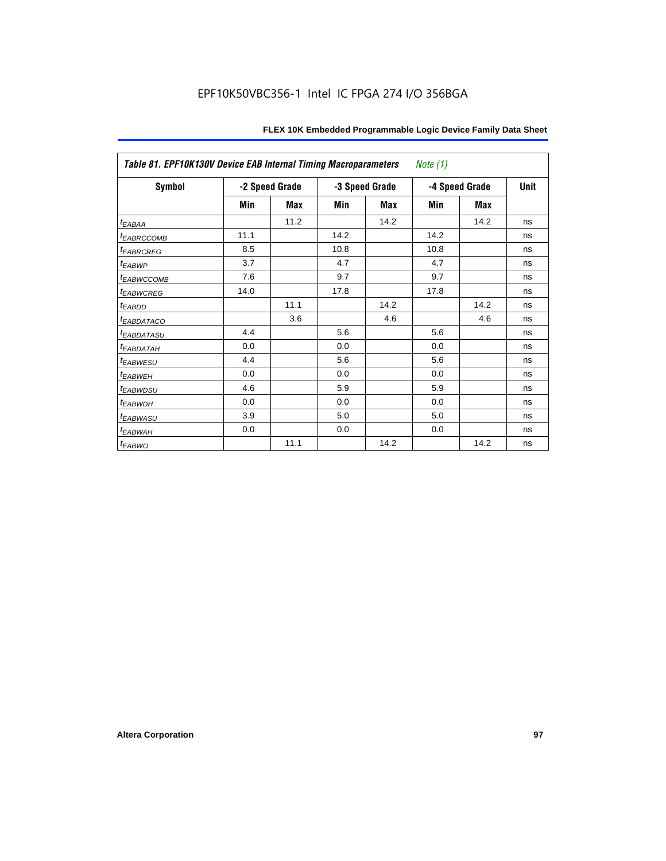| Table 81. EPF10K130V Device EAB Internal Timing Macroparameters<br>Note $(1)$ |      |                |      |                |      |                |    |  |  |  |  |
|-------------------------------------------------------------------------------|------|----------------|------|----------------|------|----------------|----|--|--|--|--|
| <b>Symbol</b>                                                                 |      | -2 Speed Grade |      | -3 Speed Grade |      | -4 Speed Grade |    |  |  |  |  |
|                                                                               | Min  | Max            | Min  | Max            | Min  | Max            |    |  |  |  |  |
| t <sub>EABAA</sub>                                                            |      | 11.2           |      | 14.2           |      | 14.2           | ns |  |  |  |  |
| <sup>t</sup> EABRCCOMB                                                        | 11.1 |                | 14.2 |                | 14.2 |                | ns |  |  |  |  |
| <b><i>EABRCREG</i></b>                                                        | 8.5  |                | 10.8 |                | 10.8 |                | ns |  |  |  |  |
| <sup>t</sup> EABWP                                                            | 3.7  |                | 4.7  |                | 4.7  |                | ns |  |  |  |  |
| <sup>t</sup> EABWCCOMB                                                        | 7.6  |                | 9.7  |                | 9.7  |                | ns |  |  |  |  |
| <sup>t</sup> EABWCREG                                                         | 14.0 |                | 17.8 |                | 17.8 |                | ns |  |  |  |  |
| <sup>t</sup> EABDD                                                            |      | 11.1           |      | 14.2           |      | 14.2           | ns |  |  |  |  |
| <sup>t</sup> EABDATACO                                                        |      | 3.6            |      | 4.6            |      | 4.6            | ns |  |  |  |  |
| <sup>t</sup> EABDATASU                                                        | 4.4  |                | 5.6  |                | 5.6  |                | ns |  |  |  |  |
| <sup>t</sup> EABDATAH                                                         | 0.0  |                | 0.0  |                | 0.0  |                | ns |  |  |  |  |
| <sup>t</sup> EABWESU                                                          | 4.4  |                | 5.6  |                | 5.6  |                | ns |  |  |  |  |
| <sup>t</sup> EABWEH                                                           | 0.0  |                | 0.0  |                | 0.0  |                | ns |  |  |  |  |
| <sup>t</sup> EABWDSU                                                          | 4.6  |                | 5.9  |                | 5.9  |                | ns |  |  |  |  |
| <sup>t</sup> EABWDH                                                           | 0.0  |                | 0.0  |                | 0.0  |                | ns |  |  |  |  |
| <sup>t</sup> EABWASU                                                          | 3.9  |                | 5.0  |                | 5.0  |                | ns |  |  |  |  |
| <sup>t</sup> EABWAH                                                           | 0.0  |                | 0.0  |                | 0.0  |                | ns |  |  |  |  |
| <sup>t</sup> EABWO                                                            |      | 11.1           |      | 14.2           |      | 14.2           | ns |  |  |  |  |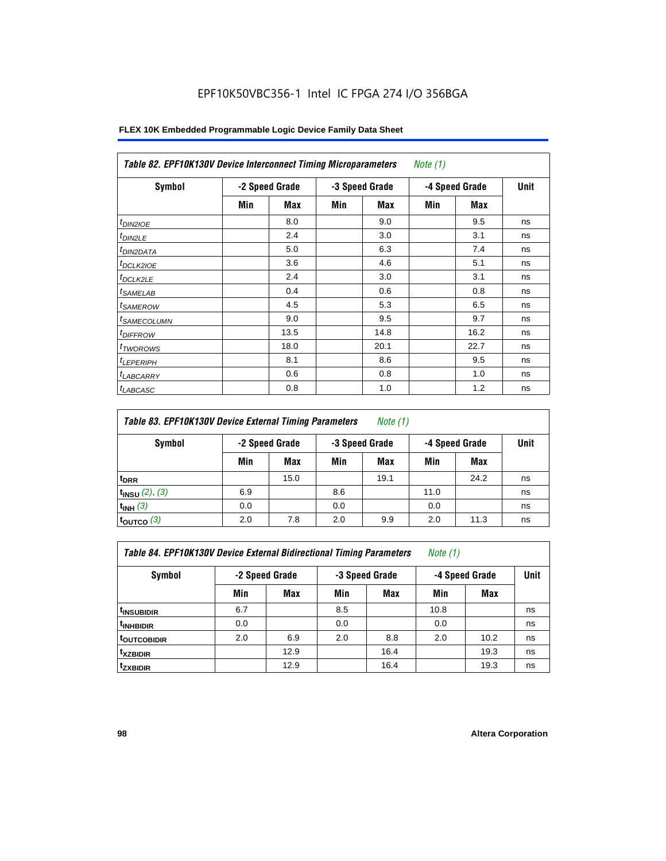| Symbol                  | -2 Speed Grade |      | -3 Speed Grade |      | -4 Speed Grade |      | <b>Unit</b> |
|-------------------------|----------------|------|----------------|------|----------------|------|-------------|
|                         | Min            | Max  | Min            | Max  | Min            | Max  |             |
| <sup>t</sup> DIN2IOE    |                | 8.0  |                | 9.0  |                | 9.5  | ns          |
| t <sub>DIN2LE</sub>     |                | 2.4  |                | 3.0  |                | 3.1  | ns          |
| <sup>t</sup> DIN2DATA   |                | 5.0  |                | 6.3  |                | 7.4  | ns          |
| <sup>t</sup> DCLK2IOE   |                | 3.6  |                | 4.6  |                | 5.1  | ns          |
| <sup>t</sup> DCLK2LE    |                | 2.4  |                | 3.0  |                | 3.1  | ns          |
| <sup>t</sup> SAMELAB    |                | 0.4  |                | 0.6  |                | 0.8  | ns          |
| <sup>t</sup> SAMEROW    |                | 4.5  |                | 5.3  |                | 6.5  | ns          |
| <sup>t</sup> SAMECOLUMN |                | 9.0  |                | 9.5  |                | 9.7  | ns          |
| <sup>t</sup> DIFFROW    |                | 13.5 |                | 14.8 |                | 16.2 | ns          |
| <sup>T</sup> TWOROWS    |                | 18.0 |                | 20.1 |                | 22.7 | ns          |
| <sup>t</sup> LEPERIPH   |                | 8.1  |                | 8.6  |                | 9.5  | ns          |
| <sup>t</sup> LABCARRY   |                | 0.6  |                | 0.8  |                | 1.0  | ns          |
| <sup>t</sup> LABCASC    |                | 0.8  |                | 1.0  |                | 1.2  | ns          |

| Table 83. EPF10K130V Device External Timing Parameters | Note (1) |
|--------------------------------------------------------|----------|
|--------------------------------------------------------|----------|

| Symbol                 | -2 Speed Grade |      |     | -3 Speed Grade |      | -4 Speed Grade |    |
|------------------------|----------------|------|-----|----------------|------|----------------|----|
|                        | Min            | Max  | Min | Max            | Min  | Max            |    |
| t <sub>DRR</sub>       |                | 15.0 |     | 19.1           |      | 24.2           | ns |
| $t_{INSU}$ (2), (3)    | 6.9            |      | 8.6 |                | 11.0 |                | ns |
| $t_{INH}$ (3)          | 0.0            |      | 0.0 |                | 0.0  |                | ns |
| $t_{\text{OUTCO}}$ (3) | 2.0            | 7.8  | 2.0 | 9.9            | 2.0  | 11.3           | ns |

| <b>Table 84. EPF10K130V Device External Bidirectional Timing Parameters</b> | Note (1) |  |
|-----------------------------------------------------------------------------|----------|--|
|-----------------------------------------------------------------------------|----------|--|

| Symbol                  | -2 Speed Grade |      |     | -3 Speed Grade |      | -4 Speed Grade |    |
|-------------------------|----------------|------|-----|----------------|------|----------------|----|
|                         | Min            | Max  | Min | Max            | Min  | Max            |    |
| <sup>t</sup> INSUBIDIR  | 6.7            |      | 8.5 |                | 10.8 |                | ns |
| <sup>t</sup> INHBIDIR   | 0.0            |      | 0.0 |                | 0.0  |                | ns |
| <sup>t</sup> OUTCOBIDIR | 2.0            | 6.9  | 2.0 | 8.8            | 2.0  | 10.2           | ns |
| <sup>t</sup> xzbidir    |                | 12.9 |     | 16.4           |      | 19.3           | ns |
| <sup>t</sup> zxbidir    |                | 12.9 |     | 16.4           |      | 19.3           | ns |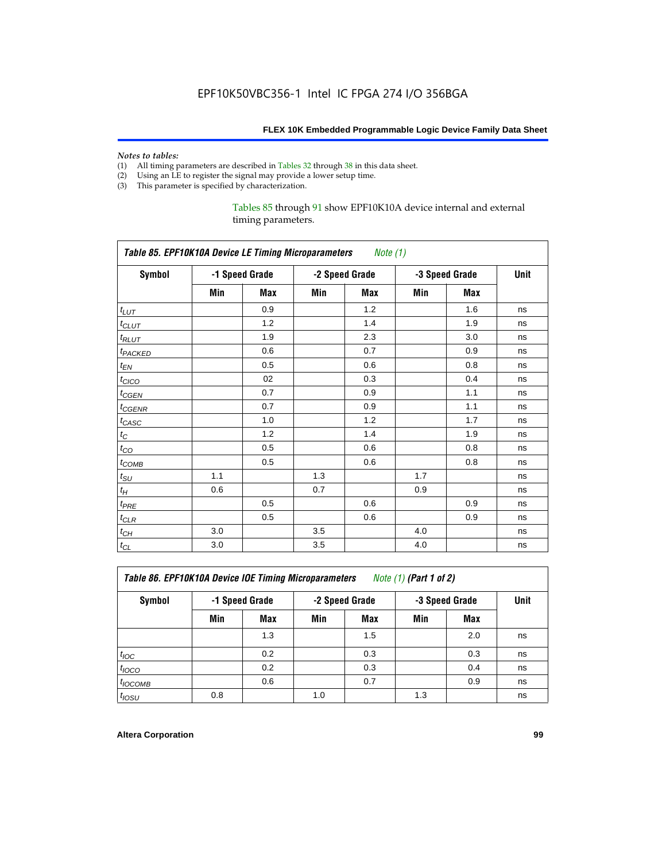# *Notes to tables:*<br>(1) All timing p

- All timing parameters are described in Tables 32 through 38 in this data sheet.
- (2) Using an LE to register the signal may provide a lower setup time.
- (3) This parameter is specified by characterization.

## Tables 85 through 91 show EPF10K10A device internal and external timing parameters.

| <b>Table 85. EPF10K10A Device LE Timing Microparameters</b> Note (1) |     |                |     |                |     |                |      |  |  |
|----------------------------------------------------------------------|-----|----------------|-----|----------------|-----|----------------|------|--|--|
| <b>Symbol</b>                                                        |     | -1 Speed Grade |     | -2 Speed Grade |     | -3 Speed Grade | Unit |  |  |
|                                                                      | Min | Max            | Min | <b>Max</b>     | Min | Max            |      |  |  |
| $t_{LUT}$                                                            |     | 0.9            |     | 1.2            |     | 1.6            | ns   |  |  |
| $t_{CLUT}$                                                           |     | 1.2            |     | 1.4            |     | 1.9            | ns   |  |  |
| $t_{RLUT}$                                                           |     | 1.9            |     | 2.3            |     | 3.0            | ns   |  |  |
| <b>t</b> PACKED                                                      |     | 0.6            |     | 0.7            |     | 0.9            | ns   |  |  |
| $t_{EN}$                                                             |     | 0.5            |     | 0.6            |     | 0.8            | ns   |  |  |
| $t_{CICO}$                                                           |     | 02             |     | 0.3            |     | 0.4            | ns   |  |  |
| $t_{GEN}$                                                            |     | 0.7            |     | 0.9            |     | 1.1            | ns   |  |  |
| $t_{GENR}$                                                           |     | 0.7            |     | 0.9            |     | 1.1            | ns   |  |  |
| $t_{CASC}$                                                           |     | 1.0            |     | 1.2            |     | 1.7            | ns   |  |  |
| $t_{\rm C}$                                                          |     | 1.2            |     | 1.4            |     | 1.9            | ns   |  |  |
| $t_{CO}$                                                             |     | 0.5            |     | 0.6            |     | 0.8            | ns   |  |  |
| $t_{COMB}$                                                           |     | 0.5            |     | 0.6            |     | 0.8            | ns   |  |  |
| $t_{\rm SU}$                                                         | 1.1 |                | 1.3 |                | 1.7 |                | ns   |  |  |
| $t_H\,$                                                              | 0.6 |                | 0.7 |                | 0.9 |                | ns   |  |  |
| $t_{PRE}$                                                            |     | 0.5            |     | 0.6            |     | 0.9            | ns   |  |  |
| $t_{CLR}$                                                            |     | 0.5            |     | 0.6            |     | 0.9            | ns   |  |  |
| $t_{\mathit{CH}}$                                                    | 3.0 |                | 3.5 |                | 4.0 |                | ns   |  |  |
| $t_{\rm CL}$                                                         | 3.0 |                | 3.5 |                | 4.0 |                | ns   |  |  |

*Table 86. EPF10K10A Device IOE Timing Microparameters Note (1) (Part 1 of 2)*

| Symbol            |     | -1 Speed Grade |     | -2 Speed Grade |     | -3 Speed Grade |    |  |
|-------------------|-----|----------------|-----|----------------|-----|----------------|----|--|
|                   | Min | Max            | Min | Max            | Min | <b>Max</b>     |    |  |
|                   |     | 1.3            |     | 1.5            |     | 2.0            | ns |  |
| $t_{\text{IOC}}$  |     | 0.2            |     | 0.3            |     | 0.3            | ns |  |
| $t_{IOCO}$        |     | 0.2            |     | 0.3            |     | 0.4            | ns |  |
| $t_{IOCOMB}$      |     | 0.6            |     | 0.7            |     | 0.9            | ns |  |
| t <sub>IOSU</sub> | 0.8 |                | 1.0 |                | 1.3 |                | ns |  |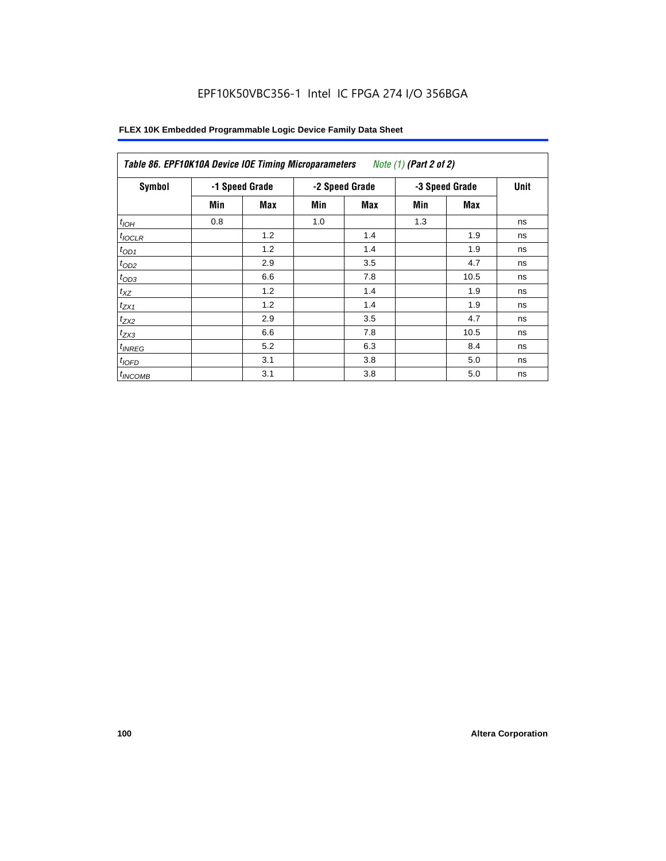# EPF10K50VBC356-1 Intel IC FPGA 274 I/O 356BGA

| Symbol             | -1 Speed Grade |     |     | -2 Speed Grade | -3 Speed Grade | <b>Unit</b> |    |
|--------------------|----------------|-----|-----|----------------|----------------|-------------|----|
|                    | Min            | Max | Min | Max            | Min            | Max         |    |
| $t_{IOH}$          | 0.8            |     | 1.0 |                | 1.3            |             | ns |
| $t_{IOCLR}$        |                | 1.2 |     | 1.4            |                | 1.9         | ns |
| $t_{OD1}$          |                | 1.2 |     | 1.4            |                | 1.9         | ns |
| $t_{OD2}$          |                | 2.9 |     | 3.5            |                | 4.7         | ns |
| $t_{OD3}$          |                | 6.6 |     | 7.8            |                | 10.5        | ns |
| $t_{XZ}$           |                | 1.2 |     | 1.4            |                | 1.9         | ns |
| $t_{ZX1}$          |                | 1.2 |     | 1.4            |                | 1.9         | ns |
| $t_{ZX2}$          |                | 2.9 |     | 3.5            |                | 4.7         | ns |
| $t_{ZX3}$          |                | 6.6 |     | 7.8            |                | 10.5        | ns |
| <sup>t</sup> INREG |                | 5.2 |     | 6.3            |                | 8.4         | ns |
| $t_{IOFD}$         |                | 3.1 |     | 3.8            |                | 5.0         | ns |
| $t_{INCOMB}$       |                | 3.1 |     | 3.8            |                | 5.0         | ns |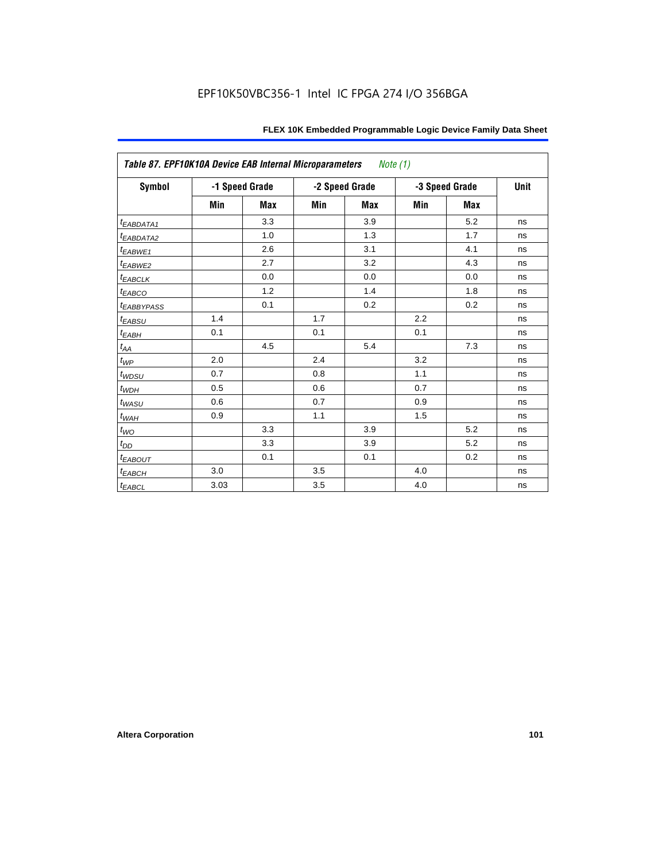| Table 87. EPF10K10A Device EAB Internal Microparameters<br>Note (1) |      |                |     |                |     |                |      |  |  |
|---------------------------------------------------------------------|------|----------------|-----|----------------|-----|----------------|------|--|--|
| <b>Symbol</b>                                                       |      | -1 Speed Grade |     | -2 Speed Grade |     | -3 Speed Grade | Unit |  |  |
|                                                                     | Min  | <b>Max</b>     | Min | <b>Max</b>     | Min | <b>Max</b>     |      |  |  |
| t <sub>EABDATA1</sub>                                               |      | 3.3            |     | 3.9            |     | 5.2            | ns   |  |  |
| t <sub>EABDATA2</sub>                                               |      | 1.0            |     | 1.3            |     | 1.7            | ns   |  |  |
| $t_{EABWE1}$                                                        |      | 2.6            |     | 3.1            |     | 4.1            | ns   |  |  |
| t <sub>EABWE2</sub>                                                 |      | 2.7            |     | 3.2            |     | 4.3            | ns   |  |  |
| $t_{EABCLK}$                                                        |      | 0.0            |     | 0.0            |     | 0.0            | ns   |  |  |
| $t_{EABCO}$                                                         |      | 1.2            |     | 1.4            |     | 1.8            | ns   |  |  |
| <i><b>EABBYPASS</b></i>                                             |      | 0.1            |     | 0.2            |     | 0.2            | ns   |  |  |
| $t_{EABSU}$                                                         | 1.4  |                | 1.7 |                | 2.2 |                | ns   |  |  |
| $t_{EABH}$                                                          | 0.1  |                | 0.1 |                | 0.1 |                | ns   |  |  |
| $t_{\mathit{AA}}$                                                   |      | 4.5            |     | 5.4            |     | 7.3            | ns   |  |  |
| $t_{\mathit{WP}}$                                                   | 2.0  |                | 2.4 |                | 3.2 |                | ns   |  |  |
| $t_{WDSU}$                                                          | 0.7  |                | 0.8 |                | 1.1 |                | ns   |  |  |
| $t_{WDH}$                                                           | 0.5  |                | 0.6 |                | 0.7 |                | ns   |  |  |
| $t_{WASU}$                                                          | 0.6  |                | 0.7 |                | 0.9 |                | ns   |  |  |
| $t_{WAH}$                                                           | 0.9  |                | 1.1 |                | 1.5 |                | ns   |  |  |
| $t_{WO}$                                                            |      | 3.3            |     | 3.9            |     | 5.2            | ns   |  |  |
| $t_{DD}$                                                            |      | 3.3            |     | 3.9            |     | 5.2            | ns   |  |  |
| $t_{EABOUT}$                                                        |      | 0.1            |     | 0.1            |     | 0.2            | ns   |  |  |
| $t_{EABCH}$                                                         | 3.0  |                | 3.5 |                | 4.0 |                | ns   |  |  |
| $t_{EABCL}$                                                         | 3.03 |                | 3.5 |                | 4.0 |                | ns   |  |  |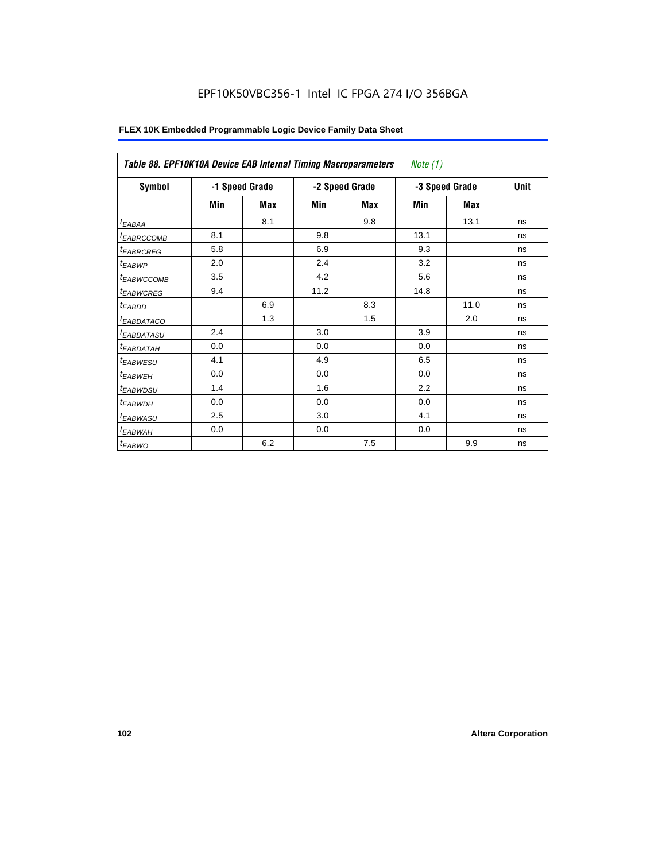|                               | Table 88. EPF10K10A Device EAB Internal Timing Macroparameters<br>Note (1) |                |      |                |      |                |             |  |  |  |  |
|-------------------------------|----------------------------------------------------------------------------|----------------|------|----------------|------|----------------|-------------|--|--|--|--|
| Symbol                        |                                                                            | -1 Speed Grade |      | -2 Speed Grade |      | -3 Speed Grade | <b>Unit</b> |  |  |  |  |
|                               | Min                                                                        | Max            | Min  | Max            | Min  | Max            |             |  |  |  |  |
| $t_{EABA}$                    |                                                                            | 8.1            |      | 9.8            |      | 13.1           | ns          |  |  |  |  |
| t <sub>EABRCCOMB</sub>        | 8.1                                                                        |                | 9.8  |                | 13.1 |                | ns          |  |  |  |  |
| <i><b>EABRCREG</b></i>        | 5.8                                                                        |                | 6.9  |                | 9.3  |                | ns          |  |  |  |  |
| $t_{EABWP}$                   | 2.0                                                                        |                | 2.4  |                | 3.2  |                | ns          |  |  |  |  |
| t <sub>ЕАВWССОМВ</sub>        | 3.5                                                                        |                | 4.2  |                | 5.6  |                | ns          |  |  |  |  |
| <b><i>EABWCREG</i></b>        | 9.4                                                                        |                | 11.2 |                | 14.8 |                | ns          |  |  |  |  |
| $t_{EABDD}$                   |                                                                            | 6.9            |      | 8.3            |      | 11.0           | ns          |  |  |  |  |
| <i>EABDATACO</i>              |                                                                            | 1.3            |      | 1.5            |      | 2.0            | ns          |  |  |  |  |
| <sup>t</sup> EABDATASU        | 2.4                                                                        |                | 3.0  |                | 3.9  |                | ns          |  |  |  |  |
| <sup>t</sup> EABD <u>ATAH</u> | 0.0                                                                        |                | 0.0  |                | 0.0  |                | ns          |  |  |  |  |
| <i>t<sub>EABWESU</sub></i>    | 4.1                                                                        |                | 4.9  |                | 6.5  |                | ns          |  |  |  |  |
| <sup>t</sup> EABWEH           | 0.0                                                                        |                | 0.0  |                | 0.0  |                | ns          |  |  |  |  |
| <sup>t</sup> EABWDSU          | 1.4                                                                        |                | 1.6  |                | 2.2  |                | ns          |  |  |  |  |
| $t_{EABWDH}$                  | 0.0                                                                        |                | 0.0  |                | 0.0  |                | ns          |  |  |  |  |
| <sup>t</sup> EABWASU          | 2.5                                                                        |                | 3.0  |                | 4.1  |                | ns          |  |  |  |  |
| t <sub>EABWAH</sub>           | 0.0                                                                        |                | 0.0  |                | 0.0  |                | ns          |  |  |  |  |
| $t_{EABWO}$                   |                                                                            | 6.2            |      | 7.5            |      | 9.9            | ns          |  |  |  |  |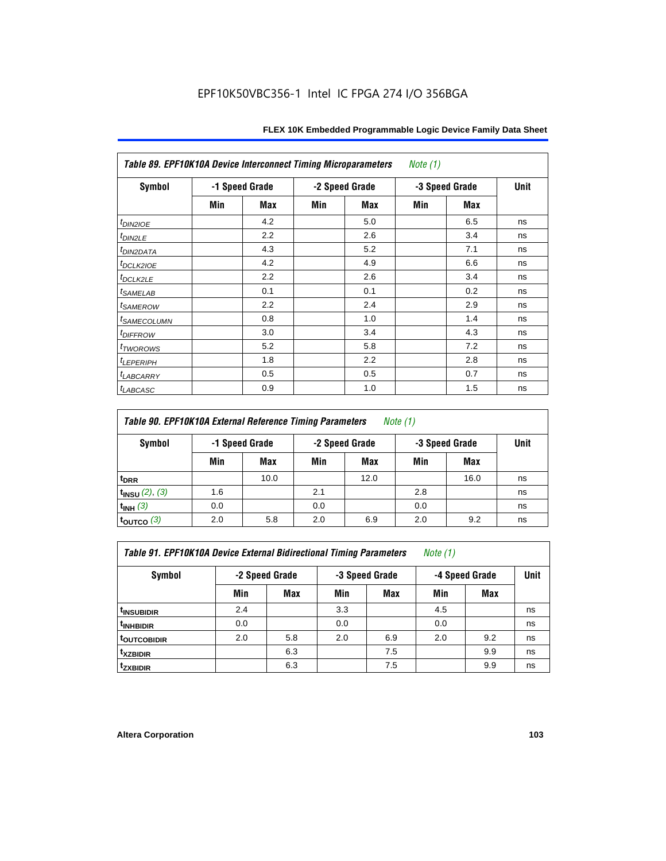| Table 89. EPF10K10A Device Interconnect Timing Microparameters<br>Note $(1)$ |                |     |                |     |                |     |      |  |  |
|------------------------------------------------------------------------------|----------------|-----|----------------|-----|----------------|-----|------|--|--|
| Symbol                                                                       | -1 Speed Grade |     | -2 Speed Grade |     | -3 Speed Grade |     | Unit |  |  |
|                                                                              | Min            | Max | Min            | Max | Min            | Max |      |  |  |
| $t_{DINZIOE}$                                                                |                | 4.2 |                | 5.0 |                | 6.5 | ns   |  |  |
| $t_{DIN2LE}$                                                                 |                | 2.2 |                | 2.6 |                | 3.4 | ns   |  |  |
| <sup>t</sup> DIN2DATA                                                        |                | 4.3 |                | 5.2 |                | 7.1 | ns   |  |  |
| t <sub>DCLK2IOE</sub>                                                        |                | 4.2 |                | 4.9 |                | 6.6 | ns   |  |  |
| $t_{DCLK2LE}$                                                                |                | 2.2 |                | 2.6 |                | 3.4 | ns   |  |  |
| <i>t</i> SAMELAB                                                             |                | 0.1 |                | 0.1 |                | 0.2 | ns   |  |  |
| <i>t</i> SAMEROW                                                             |                | 2.2 |                | 2.4 |                | 2.9 | ns   |  |  |
| <sup>t</sup> SAMECOLUMN                                                      |                | 0.8 |                | 1.0 |                | 1.4 | ns   |  |  |
| <i>t<sub>DIFFROW</sub></i>                                                   |                | 3.0 |                | 3.4 |                | 4.3 | ns   |  |  |
| t <sub>TWOROWS</sub>                                                         |                | 5.2 |                | 5.8 |                | 7.2 | ns   |  |  |
| <b><i>LEPERIPH</i></b>                                                       |                | 1.8 |                | 2.2 |                | 2.8 | ns   |  |  |
| <sup>t</sup> LABCARRY                                                        |                | 0.5 |                | 0.5 |                | 0.7 | ns   |  |  |
| <sup>t</sup> LABCASC                                                         |                | 0.9 |                | 1.0 |                | 1.5 | ns   |  |  |

| Table 90. EPF10K10A External Reference Timing Parameters | Note (1) |
|----------------------------------------------------------|----------|
|----------------------------------------------------------|----------|

| Symbol                 | -1 Speed Grade |      | -2 Speed Grade |      | -3 Speed Grade | Unit |    |
|------------------------|----------------|------|----------------|------|----------------|------|----|
|                        | Min            | Max  | Min            | Max  | Min            | Max  |    |
| t <sub>DRR</sub>       |                | 10.0 |                | 12.0 |                | 16.0 | ns |
| $t_{INSU} (2), (3)$    | 1.6            |      | 2.1            |      | 2.8            |      | ns |
| $t_{INH}$ (3)          | 0.0            |      | 0.0            |      | 0.0            |      | ns |
| $t_{\text{OUTCO}}$ (3) | 2.0            | 5.8  | 2.0            | 6.9  | 2.0            | 9.2  | ns |

*Table 91. EPF10K10A Device External Bidirectional Timing Parameters Note (1)*

| Symbol                  | -2 Speed Grade |     |     | -3 Speed Grade | -4 Speed Grade | <b>Unit</b> |    |
|-------------------------|----------------|-----|-----|----------------|----------------|-------------|----|
|                         | Min            | Max | Min | <b>Max</b>     | Min            | Max         |    |
| <sup>t</sup> INSUBIDIR  | 2.4            |     | 3.3 |                | 4.5            |             | ns |
| <sup>T</sup> INHBIDIR   | 0.0            |     | 0.0 |                | 0.0            |             | ns |
| <sup>t</sup> OUTCOBIDIR | 2.0            | 5.8 | 2.0 | 6.9            | 2.0            | 9.2         | ns |
| <sup>t</sup> xzbidir    |                | 6.3 |     | 7.5            |                | 9.9         | ns |
| <sup>t</sup> zxbidir    |                | 6.3 |     | 7.5            |                | 9.9         | ns |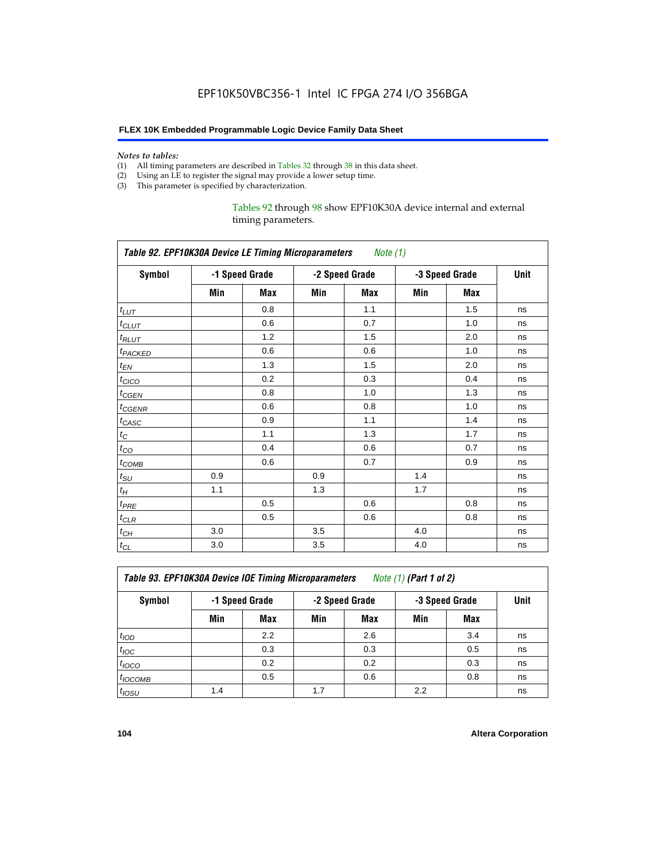#### *Notes to tables:*

- (1) All timing parameters are described in Tables 32 through 38 in this data sheet.
- (2) Using an LE to register the signal may provide a lower setup time.
- (3) This parameter is specified by characterization.

Tables 92 through 98 show EPF10K30A device internal and external timing parameters.

| Table 92. EPF10K30A Device LE Timing Microparameters Note (1) |                |     |                |     |                |     |      |  |  |
|---------------------------------------------------------------|----------------|-----|----------------|-----|----------------|-----|------|--|--|
| <b>Symbol</b>                                                 | -1 Speed Grade |     | -2 Speed Grade |     | -3 Speed Grade |     | Unit |  |  |
|                                                               | Min            | Max | Min            | Max | Min            | Max |      |  |  |
| $t_{LUT}$                                                     |                | 0.8 |                | 1.1 |                | 1.5 | ns   |  |  |
| $t_{CLUT}$                                                    |                | 0.6 |                | 0.7 |                | 1.0 | ns   |  |  |
| $t_{RLUT}$                                                    |                | 1.2 |                | 1.5 |                | 2.0 | ns   |  |  |
| <b><i>t<sub>PACKED</sub></i></b>                              |                | 0.6 |                | 0.6 |                | 1.0 | ns   |  |  |
| $t_{EN}$                                                      |                | 1.3 |                | 1.5 |                | 2.0 | ns   |  |  |
| $t_{CICO}$                                                    |                | 0.2 |                | 0.3 |                | 0.4 | ns   |  |  |
| $t_{\text{GEN}}$                                              |                | 0.8 |                | 1.0 |                | 1.3 | ns   |  |  |
| t <sub>CGENR</sub>                                            |                | 0.6 |                | 0.8 |                | 1.0 | ns   |  |  |
| $t_{CASC}$                                                    |                | 0.9 |                | 1.1 |                | 1.4 | ns   |  |  |
| $t_C$                                                         |                | 1.1 |                | 1.3 |                | 1.7 | ns   |  |  |
| $t_{CO}$                                                      |                | 0.4 |                | 0.6 |                | 0.7 | ns   |  |  |
| $t_{\text{COMB}}$                                             |                | 0.6 |                | 0.7 |                | 0.9 | ns   |  |  |
| $t_{\rm SU}$                                                  | 0.9            |     | 0.9            |     | 1.4            |     | ns   |  |  |
| $t_H$                                                         | 1.1            |     | 1.3            |     | 1.7            |     | ns   |  |  |
| $t_{PRE}$                                                     |                | 0.5 |                | 0.6 |                | 0.8 | ns   |  |  |
| $t_{CLR}$                                                     |                | 0.5 |                | 0.6 |                | 0.8 | ns   |  |  |
| $t_{CH}$                                                      | 3.0            |     | 3.5            |     | 4.0            |     | ns   |  |  |
| $t_{CL}$                                                      | 3.0            |     | 3.5            |     | 4.0            |     | ns   |  |  |

*Table 93. EPF10K30A Device IOE Timing Microparameters Note (1) (Part 1 of 2)*

| Symbol            |     | -1 Speed Grade |     | -2 Speed Grade |     | -3 Speed Grade |    |  |  |
|-------------------|-----|----------------|-----|----------------|-----|----------------|----|--|--|
|                   | Min | Max            | Min | <b>Max</b>     | Min | <b>Max</b>     |    |  |  |
| t <sub>IOD</sub>  |     | 2.2            |     | 2.6            |     | 3.4            | ns |  |  |
| $t_{\text{IOC}}$  |     | 0.3            |     | 0.3            |     | 0.5            | ns |  |  |
| $t_{IOCO}$        |     | 0.2            |     | 0.2            |     | 0.3            | ns |  |  |
| $t_{IOCOMB}$      |     | 0.5            |     | 0.6            |     | 0.8            | ns |  |  |
| t <sub>IOSU</sub> | 1.4 |                | 1.7 |                | 2.2 |                | ns |  |  |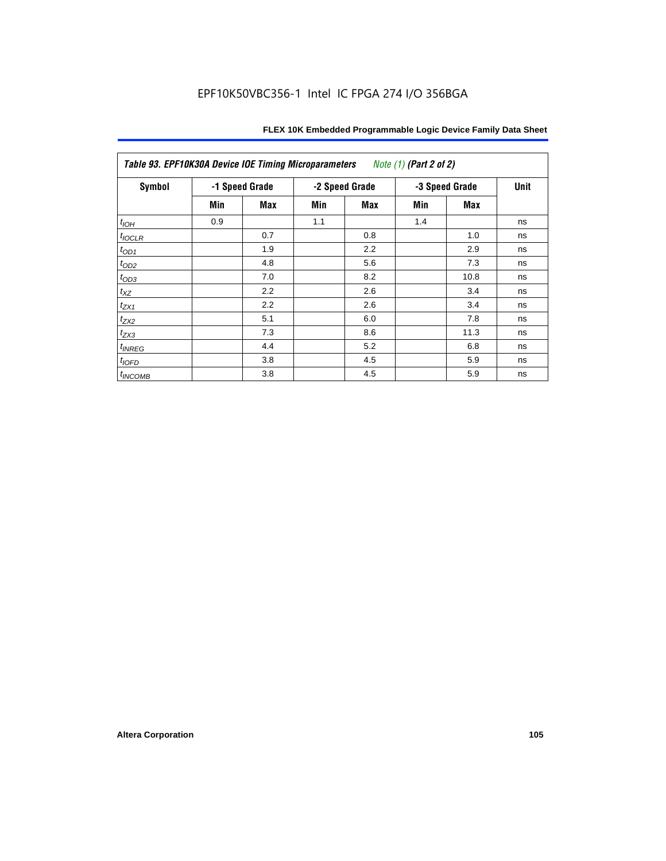| Table 93. EPF10K30A Device IOE Timing Microparameters<br>Note (1) (Part 2 of 2) |     |                |     |                |     |                |    |  |  |  |
|---------------------------------------------------------------------------------|-----|----------------|-----|----------------|-----|----------------|----|--|--|--|
| Symbol                                                                          |     | -1 Speed Grade |     | -2 Speed Grade |     | -3 Speed Grade |    |  |  |  |
|                                                                                 | Min | <b>Max</b>     | Min | Max            | Min | Max            |    |  |  |  |
| $t_{IOH}$                                                                       | 0.9 |                | 1.1 |                | 1.4 |                | ns |  |  |  |
| $t_{IOCLR}$                                                                     |     | 0.7            |     | 0.8            |     | 1.0            | ns |  |  |  |
| $t_{OD1}$                                                                       |     | 1.9            |     | 2.2            |     | 2.9            | ns |  |  |  |
| $t_{OD2}$                                                                       |     | 4.8            |     | 5.6            |     | 7.3            | ns |  |  |  |
| $t_{OD3}$                                                                       |     | 7.0            |     | 8.2            |     | 10.8           | ns |  |  |  |
| $t_{XZ}$                                                                        |     | 2.2            |     | 2.6            |     | 3.4            | ns |  |  |  |
| $t_{ZX1}$                                                                       |     | 2.2            |     | 2.6            |     | 3.4            | ns |  |  |  |
| $t_{ZX2}$                                                                       |     | 5.1            |     | 6.0            |     | 7.8            | ns |  |  |  |
| $t_{ZX3}$                                                                       |     | 7.3            |     | 8.6            |     | 11.3           | ns |  |  |  |
| $t_{INREG}$                                                                     |     | 4.4            |     | 5.2            |     | 6.8            | ns |  |  |  |
| $t_{IOFD}$                                                                      |     | 3.8            |     | 4.5            |     | 5.9            | ns |  |  |  |
| $t_{INCOMB}$                                                                    |     | 3.8            |     | 4.5            |     | 5.9            | ns |  |  |  |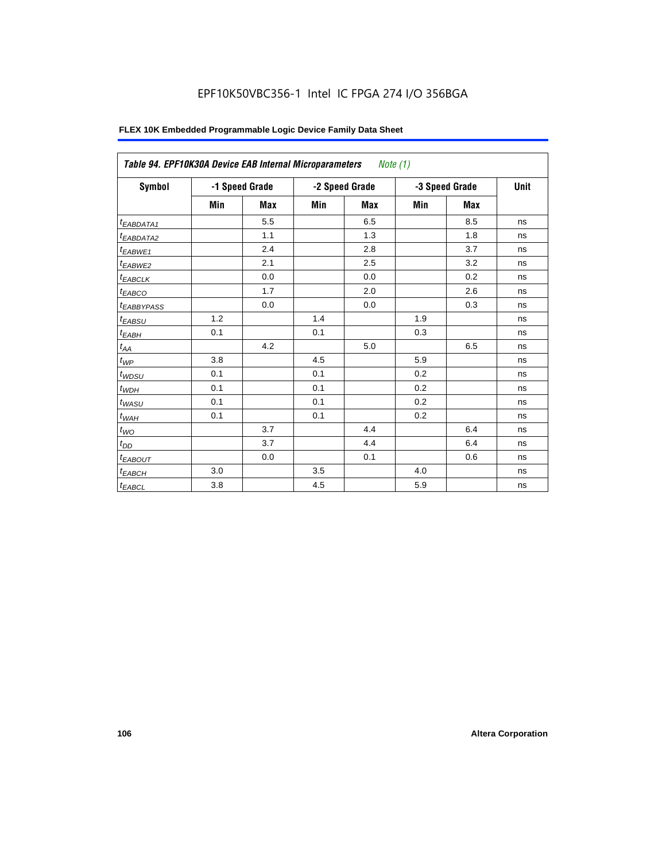# EPF10K50VBC356-1 Intel IC FPGA 274 I/O 356BGA

| <b>Symbol</b>                |     | -1 Speed Grade |     | -2 Speed Grade |     | -3 Speed Grade | Unit |
|------------------------------|-----|----------------|-----|----------------|-----|----------------|------|
|                              | Min | <b>Max</b>     | Min | <b>Max</b>     | Min | <b>Max</b>     |      |
| <sup>t</sup> EABDATA1        |     | 5.5            |     | 6.5            |     | 8.5            | ns   |
| <sup>t</sup> EABDATA2        |     | 1.1            |     | 1.3            |     | 1.8            | ns   |
| <sup>t</sup> EABWE1          |     | 2.4            |     | 2.8            |     | 3.7            | ns   |
| t <sub>EABWE2</sub>          |     | 2.1            |     | 2.5            |     | 3.2            | ns   |
| <sup>t</sup> EABCLK          |     | 0.0            |     | 0.0            |     | 0.2            | ns   |
| <sup>t</sup> EABCO           |     | 1.7            |     | 2.0            |     | 2.6            | ns   |
| <sup>t</sup> EABBYPASS       |     | 0.0            |     | 0.0            |     | 0.3            | ns   |
| <sup>t</sup> EABSU           | 1.2 |                | 1.4 |                | 1.9 |                | ns   |
| t <sub>ЕАВН</sub>            | 0.1 |                | 0.1 |                | 0.3 |                | ns   |
| $t_{\mathcal{A}\mathcal{A}}$ |     | 4.2            |     | 5.0            |     | 6.5            | ns   |
| $t_{\mathcal{WP}}$           | 3.8 |                | 4.5 |                | 5.9 |                | ns   |
| t <sub>WDSU</sub>            | 0.1 |                | 0.1 |                | 0.2 |                | ns   |
| $t_{WDH}$                    | 0.1 |                | 0.1 |                | 0.2 |                | ns   |
| t <sub>WASU</sub>            | 0.1 |                | 0.1 |                | 0.2 |                | ns   |
| $t_{WAH}$                    | 0.1 |                | 0.1 |                | 0.2 |                | ns   |
| $t_{WO}$                     |     | 3.7            |     | 4.4            |     | 6.4            | ns   |
| $t_{DD}$                     |     | 3.7            |     | 4.4            |     | 6.4            | ns   |
| <sup>t</sup> EABOUT          |     | 0.0            |     | 0.1            |     | 0.6            | ns   |
| $t_{EABCH}$                  | 3.0 |                | 3.5 |                | 4.0 |                | ns   |
| $t_{EABCL}$                  | 3.8 |                | 4.5 |                | 5.9 |                | ns   |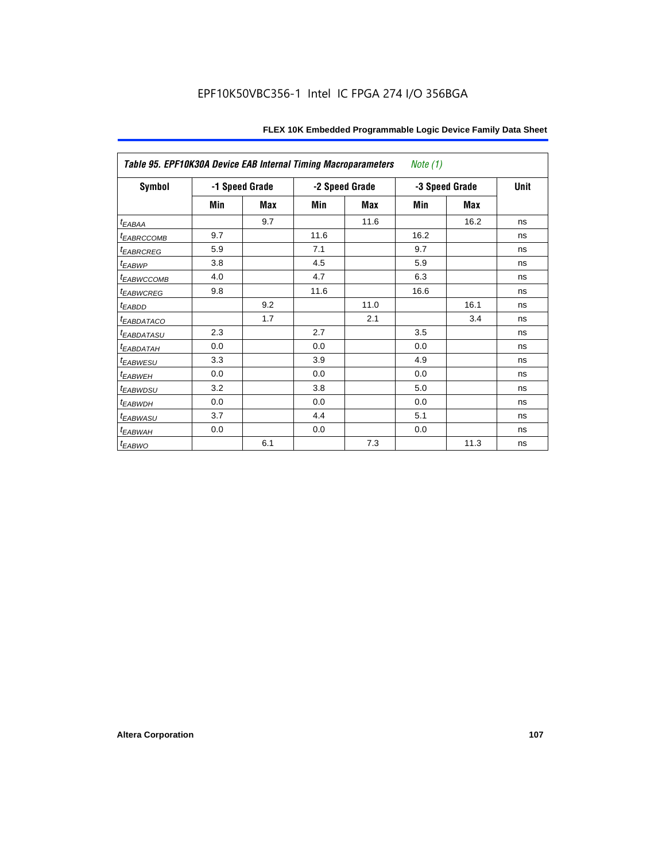| Table 95. EPF10K30A Device EAB Internal Timing Macroparameters<br>Note $(1)$ |                |     |                |            |                |            |      |  |  |
|------------------------------------------------------------------------------|----------------|-----|----------------|------------|----------------|------------|------|--|--|
| Symbol                                                                       | -1 Speed Grade |     | -2 Speed Grade |            | -3 Speed Grade |            | Unit |  |  |
|                                                                              | Min            | Max | Min            | <b>Max</b> | Min            | <b>Max</b> |      |  |  |
| $t_{EABA}$                                                                   |                | 9.7 |                | 11.6       |                | 16.2       | ns   |  |  |
| <sup>t</sup> EABRCCOMB                                                       | 9.7            |     | 11.6           |            | 16.2           |            | ns   |  |  |
| <sup>t</sup> EABRCREG                                                        | 5.9            |     | 7.1            |            | 9.7            |            | ns   |  |  |
| t <sub>EABWP</sub>                                                           | 3.8            |     | 4.5            |            | 5.9            |            | ns   |  |  |
| <sup>t</sup> ЕАВWССОМВ                                                       | 4.0            |     | 4.7            |            | 6.3            |            | ns   |  |  |
| <sup>t</sup> EABWCREG                                                        | 9.8            |     | 11.6           |            | 16.6           |            | ns   |  |  |
| $t_{EABDD}$                                                                  |                | 9.2 |                | 11.0       |                | 16.1       | ns   |  |  |
| <sup>t</sup> EABDATACO                                                       |                | 1.7 |                | 2.1        |                | 3.4        | ns   |  |  |
| <sup>t</sup> EABDATASU                                                       | 2.3            |     | 2.7            |            | 3.5            |            | ns   |  |  |
| <sup>t</sup> EABDATAH                                                        | 0.0            |     | 0.0            |            | 0.0            |            | ns   |  |  |
| <sup>t</sup> EABWESU                                                         | 3.3            |     | 3.9            |            | 4.9            |            | ns   |  |  |
| <sup>t</sup> ЕАВWЕН                                                          | 0.0            |     | 0.0            |            | 0.0            |            | ns   |  |  |
| t <sub>EABWDSU</sub>                                                         | 3.2            |     | 3.8            |            | 5.0            |            | ns   |  |  |
| <sup>t</sup> EABWDH                                                          | 0.0            |     | 0.0            |            | 0.0            |            | ns   |  |  |
| <sup>t</sup> EABWASU                                                         | 3.7            |     | 4.4            |            | 5.1            |            | ns   |  |  |
| <sup>t</sup> ЕАВWАН                                                          | 0.0            |     | 0.0            |            | 0.0            |            | ns   |  |  |
| $t_{EABWO}$                                                                  |                | 6.1 |                | 7.3        |                | 11.3       | ns   |  |  |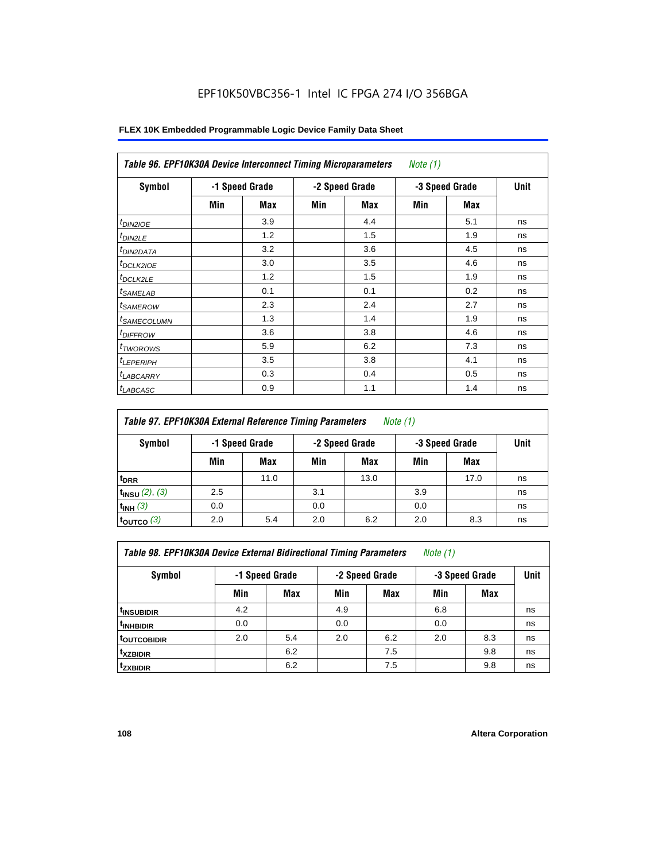# EPF10K50VBC356-1 Intel IC FPGA 274 I/O 356BGA

| <b>Symbol</b>           |     | -1 Speed Grade |     | -2 Speed Grade | -3 Speed Grade | <b>Unit</b> |    |
|-------------------------|-----|----------------|-----|----------------|----------------|-------------|----|
|                         | Min | Max            | Min | Max            | Min            | Max         |    |
| t <sub>DIN2IOE</sub>    |     | 3.9            |     | 4.4            |                | 5.1         | ns |
| t <sub>DIN2LE</sub>     |     | 1.2            |     | 1.5            |                | 1.9         | ns |
| <sup>t</sup> DIN2DATA   |     | 3.2            |     | 3.6            |                | 4.5         | ns |
| <sup>t</sup> DCLK2IOE   |     | 3.0            |     | 3.5            |                | 4.6         | ns |
| <sup>t</sup> DCLK2LE    |     | 1.2            |     | 1.5            |                | 1.9         | ns |
| <sup>t</sup> SAMELAB    |     | 0.1            |     | 0.1            |                | 0.2         | ns |
| <sup>t</sup> SAMEROW    |     | 2.3            |     | 2.4            |                | 2.7         | ns |
| <sup>t</sup> SAMECOLUMN |     | 1.3            |     | 1.4            |                | 1.9         | ns |
| <i><b>IDIFFROW</b></i>  |     | 3.6            |     | 3.8            |                | 4.6         | ns |
| <sup>t</sup> TWOROWS    |     | 5.9            |     | 6.2            |                | 7.3         | ns |
| <sup>t</sup> LEPERIPH   |     | 3.5            |     | 3.8            |                | 4.1         | ns |
| <b>LABCARRY</b>         |     | 0.3            |     | 0.4            |                | 0.5         | ns |
| <sup>t</sup> LABCASC    |     | 0.9            |     | 1.1            |                | 1.4         | ns |

## **FLEX 10K Embedded Programmable Logic Device Family Data Sheet**

| <b>Table 97. EPF10K30A External Reference Timing Parameters</b><br><i>Note</i> $(1)$ |     |                |     |                |     |                |    |  |  |  |
|--------------------------------------------------------------------------------------|-----|----------------|-----|----------------|-----|----------------|----|--|--|--|
| Symbol                                                                               |     | -1 Speed Grade |     | -2 Speed Grade |     | -3 Speed Grade |    |  |  |  |
|                                                                                      | Min | Max            | Min | Max            | Min | <b>Max</b>     |    |  |  |  |
| <sup>t</sup> DRR                                                                     |     | 11.0           |     | 13.0           |     | 17.0           | ns |  |  |  |
| $t_{INSU}$ (2), (3)                                                                  | 2.5 |                | 3.1 |                | 3.9 |                | ns |  |  |  |
| $t_{INH}$ (3)                                                                        | 0.0 |                | 0.0 |                | 0.0 |                | ns |  |  |  |
| $t_{\text{OUTCO}}$ (3)                                                               | 2.0 | 5.4            | 2.0 | 6.2            | 2.0 | 8.3            | ns |  |  |  |

*Table 98. EPF10K30A Device External Bidirectional Timing Parameters Note (1)*

| Symbol                 |     | -1 Speed Grade |     | -2 Speed Grade |     | -3 Speed Grade |    |  |
|------------------------|-----|----------------|-----|----------------|-----|----------------|----|--|
|                        | Min | <b>Max</b>     | Min | <b>Max</b>     | Min | <b>Max</b>     |    |  |
| <sup>t</sup> INSUBIDIR | 4.2 |                | 4.9 |                | 6.8 |                | ns |  |
| <sup>t</sup> INHBIDIR  | 0.0 |                | 0.0 |                | 0.0 |                | ns |  |
| <b>toutcobidir</b>     | 2.0 | 5.4            | 2.0 | 6.2            | 2.0 | 8.3            | ns |  |
| <sup>t</sup> xzbidir   |     | 6.2            |     | 7.5            |     | 9.8            | ns |  |
| <i>t</i> zxbidir       |     | 6.2            |     | 7.5            |     | 9.8            | ns |  |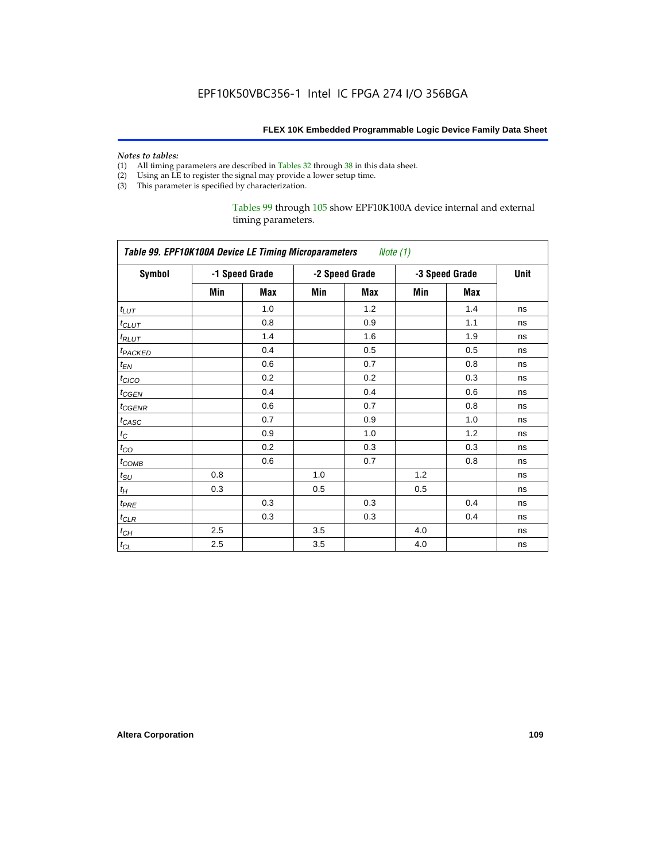#### *Notes to tables:*

- (1) All timing parameters are described in Tables 32 through 38 in this data sheet.
- (2) Using an LE to register the signal may provide a lower setup time.
- (3) This parameter is specified by characterization.

Tables 99 through 105 show EPF10K100A device internal and external timing parameters.

| Table 99. EPF10K100A Device LE Timing Microparameters Note (1) |     |                |     |                                  |     |     |      |  |
|----------------------------------------------------------------|-----|----------------|-----|----------------------------------|-----|-----|------|--|
| <b>Symbol</b>                                                  |     | -1 Speed Grade |     | -2 Speed Grade<br>-3 Speed Grade |     |     | Unit |  |
|                                                                | Min | <b>Max</b>     | Min | Max                              | Min | Max |      |  |
| $t_{LUT}$                                                      |     | 1.0            |     | 1.2                              |     | 1.4 | ns   |  |
| $t_{CLUT}$                                                     |     | 0.8            |     | 0.9                              |     | 1.1 | ns   |  |
| $t_{RLUT}$                                                     |     | 1.4            |     | 1.6                              |     | 1.9 | ns   |  |
| t <sub>PACKED</sub>                                            |     | 0.4            |     | 0.5                              |     | 0.5 | ns   |  |
| $t_{EN}$                                                       |     | 0.6            |     | 0.7                              |     | 0.8 | ns   |  |
| $t_{CICO}$                                                     |     | 0.2            |     | 0.2                              |     | 0.3 | ns   |  |
| $t_{\text{CGEN}}$                                              |     | 0.4            |     | 0.4                              |     | 0.6 | ns   |  |
| $t_{GENR}$                                                     |     | 0.6            |     | 0.7                              |     | 0.8 | ns   |  |
| $t_{CASC}$                                                     |     | 0.7            |     | 0.9                              |     | 1.0 | ns   |  |
| $t_{\rm C}$                                                    |     | 0.9            |     | 1.0                              |     | 1.2 | ns   |  |
| $t_{CO}$                                                       |     | 0.2            |     | 0.3                              |     | 0.3 | ns   |  |
| $t_{COMB}$                                                     |     | 0.6            |     | 0.7                              |     | 0.8 | ns   |  |
| $t_{\rm SU}$                                                   | 0.8 |                | 1.0 |                                  | 1.2 |     | ns   |  |
| $t_H\,$                                                        | 0.3 |                | 0.5 |                                  | 0.5 |     | ns   |  |
| $t_{PRE}$                                                      |     | 0.3            |     | 0.3                              |     | 0.4 | ns   |  |
| $t_{CLR}$                                                      |     | 0.3            |     | 0.3                              |     | 0.4 | ns   |  |
| $t_{CH}$                                                       | 2.5 |                | 3.5 |                                  | 4.0 |     | ns   |  |
| $t_{CL}$                                                       | 2.5 |                | 3.5 |                                  | 4.0 |     | ns   |  |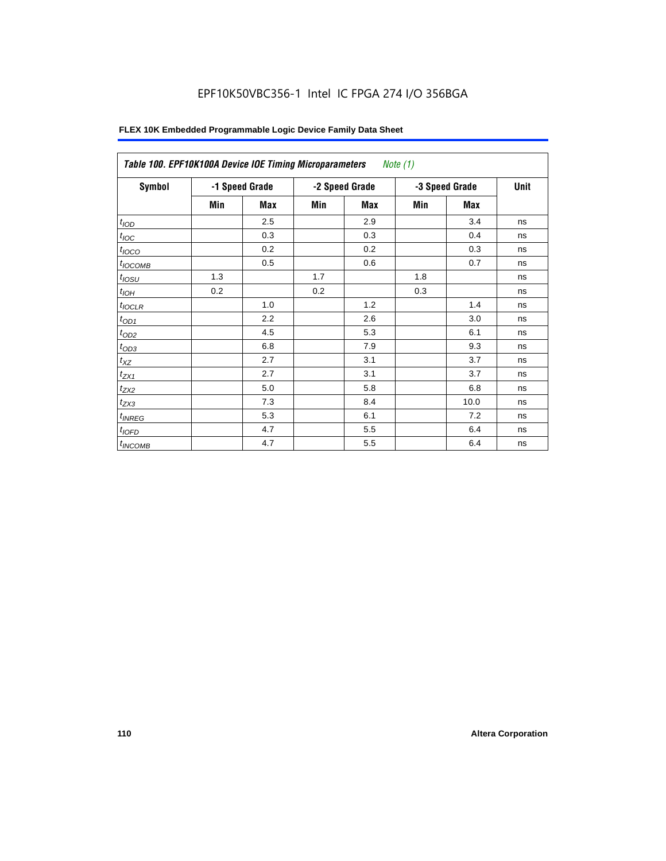# EPF10K50VBC356-1 Intel IC FPGA 274 I/O 356BGA

| Symbol              | -1 Speed Grade |     |     | -2 Speed Grade | -3 Speed Grade | Unit |    |
|---------------------|----------------|-----|-----|----------------|----------------|------|----|
|                     | Min            | Max | Min | Max            | Min            | Max  |    |
| t <sub>IOD</sub>    |                | 2.5 |     | 2.9            |                | 3.4  | ns |
| $t_{\text{IOC}}$    |                | 0.3 |     | 0.3            |                | 0.4  | ns |
| $t_{IOCO}$          |                | 0.2 |     | 0.2            |                | 0.3  | ns |
| t <sub>IOCOMB</sub> |                | 0.5 |     | 0.6            |                | 0.7  | ns |
| t <sub>iosu</sub>   | 1.3            |     | 1.7 |                | 1.8            |      | ns |
| $t_{IOH}$           | 0.2            |     | 0.2 |                | 0.3            |      | ns |
| $t_{IOCLR}$         |                | 1.0 |     | 1.2            |                | 1.4  | ns |
| $t_{OD1}$           |                | 2.2 |     | 2.6            |                | 3.0  | ns |
| $t_{OD2}$           |                | 4.5 |     | 5.3            |                | 6.1  | ns |
| $t_{OD3}$           |                | 6.8 |     | 7.9            |                | 9.3  | ns |
| $t_{XZ}$            |                | 2.7 |     | 3.1            |                | 3.7  | ns |
| $t_{ZX1}$           |                | 2.7 |     | 3.1            |                | 3.7  | ns |
| $t_{ZX2}$           |                | 5.0 |     | 5.8            |                | 6.8  | ns |
| $t_{ZX3}$           |                | 7.3 |     | 8.4            |                | 10.0 | ns |
| $t_{INREG}$         |                | 5.3 |     | 6.1            |                | 7.2  | ns |
| $t_{IOED}$          |                | 4.7 |     | 5.5            |                | 6.4  | ns |
| <sup>t</sup> INCOMB |                | 4.7 |     | 5.5            |                | 6.4  | ns |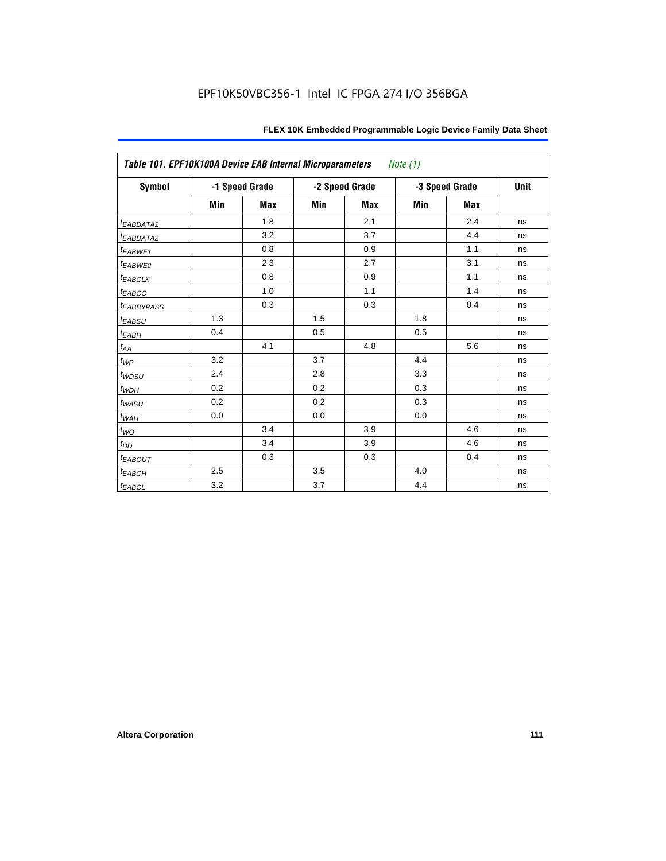| Table 101. EPF10K100A Device EAB Internal Microparameters |     |                |     |                | Note (1) |                |      |
|-----------------------------------------------------------|-----|----------------|-----|----------------|----------|----------------|------|
| <b>Symbol</b>                                             |     | -1 Speed Grade |     | -2 Speed Grade |          | -3 Speed Grade | Unit |
|                                                           | Min | <b>Max</b>     | Min | <b>Max</b>     | Min      | <b>Max</b>     |      |
| t <sub>EABDATA1</sub>                                     |     | 1.8            |     | 2.1            |          | 2.4            | ns   |
| t <sub>EABDATA2</sub>                                     |     | 3.2            |     | 3.7            |          | 4.4            | ns   |
| $t_{EABWE1}$                                              |     | 0.8            |     | 0.9            |          | 1.1            | ns   |
| $t_{EABWE2}$                                              |     | 2.3            |     | 2.7            |          | 3.1            | ns   |
| $t_{EABCLK}$                                              |     | 0.8            |     | 0.9            |          | 1.1            | ns   |
| $t_{EABCO}$                                               |     | 1.0            |     | 1.1            |          | 1.4            | ns   |
| <i><b>EABBYPASS</b></i>                                   |     | 0.3            |     | 0.3            |          | 0.4            | ns   |
| $t_{EABSU}$                                               | 1.3 |                | 1.5 |                | 1.8      |                | ns   |
| $t_{EABH}$                                                | 0.4 |                | 0.5 |                | 0.5      |                | ns   |
| $t_{\mathit{AA}}$                                         |     | 4.1            |     | 4.8            |          | 5.6            | ns   |
| $t_{\mathit{WP}}$                                         | 3.2 |                | 3.7 |                | 4.4      |                | ns   |
| $t_{WDSU}$                                                | 2.4 |                | 2.8 |                | 3.3      |                | ns   |
| $t_{WDH}$                                                 | 0.2 |                | 0.2 |                | 0.3      |                | ns   |
| $t_{WASU}$                                                | 0.2 |                | 0.2 |                | 0.3      |                | ns   |
| $t_{\underline{W\!A\!H}}$                                 | 0.0 |                | 0.0 |                | 0.0      |                | ns   |
| $t_{WO}$                                                  |     | 3.4            |     | 3.9            |          | 4.6            | ns   |
| $t_{DD}$                                                  |     | 3.4            |     | 3.9            |          | 4.6            | ns   |
| $t_{EABOUT}$                                              |     | 0.3            |     | 0.3            |          | 0.4            | ns   |
| $t_{EABCH}$                                               | 2.5 |                | 3.5 |                | 4.0      |                | ns   |
| $t_{EABCL}$                                               | 3.2 |                | 3.7 |                | 4.4      |                | ns   |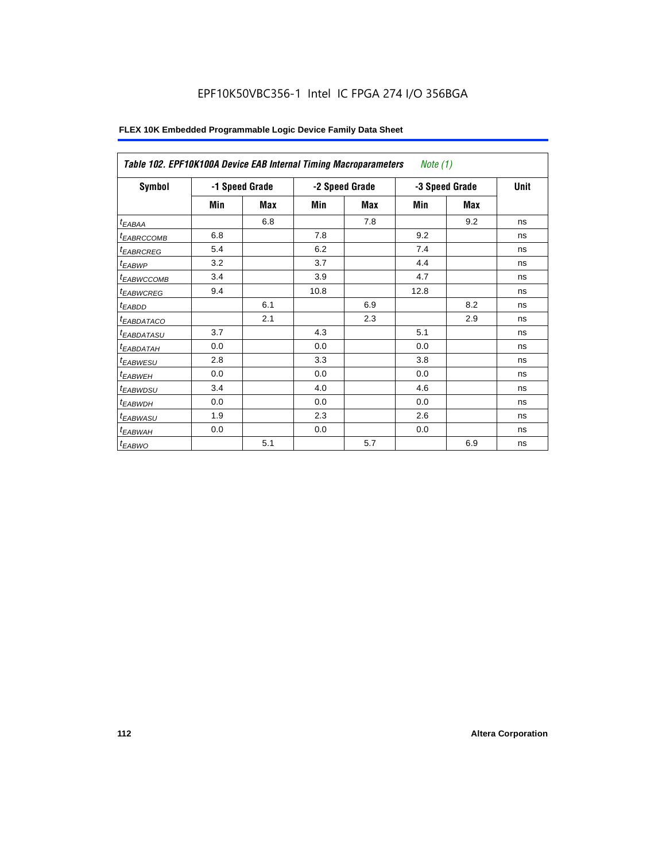| Table 102. EPF10K100A Device EAB Internal Timing Macroparameters |                |     |      |                | Note (1)       |      |    |
|------------------------------------------------------------------|----------------|-----|------|----------------|----------------|------|----|
| Symbol                                                           | -1 Speed Grade |     |      | -2 Speed Grade | -3 Speed Grade | Unit |    |
|                                                                  | Min            | Max | Min  | Max            | Min            | Max  |    |
| $t_{EABA}$                                                       |                | 6.8 |      | 7.8            |                | 9.2  | ns |
| <i><b>EABRCCOMB</b></i>                                          | 6.8            |     | 7.8  |                | 9.2            |      | ns |
| <b><i>EABRCREG</i></b>                                           | 5.4            |     | 6.2  |                | 7.4            |      | ns |
| $t_{EABWP}$                                                      | 3.2            |     | 3.7  |                | 4.4            |      | ns |
| <sup>t</sup> EABWCCOMB                                           | 3.4            |     | 3.9  |                | 4.7            |      | ns |
| <sup>t</sup> EABWCREG                                            | 9.4            |     | 10.8 |                | 12.8           |      | ns |
| $t_{EABDD}$                                                      |                | 6.1 |      | 6.9            |                | 8.2  | ns |
| <i>EABDATACO</i>                                                 |                | 2.1 |      | 2.3            |                | 2.9  | ns |
| <sup>t</sup> EABDATASU                                           | 3.7            |     | 4.3  |                | 5.1            |      | ns |
| <sup>t</sup> EABDATAH                                            | 0.0            |     | 0.0  |                | 0.0            |      | ns |
| t <sub>EABWESU</sub>                                             | 2.8            |     | 3.3  |                | 3.8            |      | ns |
| <sup>t</sup> EABWEH                                              | 0.0            |     | 0.0  |                | 0.0            |      | ns |
| <sup>t</sup> EABWDSU                                             | 3.4            |     | 4.0  |                | 4.6            |      | ns |
| $t_{EABWDH}$                                                     | 0.0            |     | 0.0  |                | 0.0            |      | ns |
| $t_{EABWASU}$                                                    | 1.9            |     | 2.3  |                | 2.6            |      | ns |
| <sup>t</sup> EABWAH                                              | 0.0            |     | 0.0  |                | 0.0            |      | ns |
| $t_{EABWO}$                                                      |                | 5.1 |      | 5.7            |                | 6.9  | ns |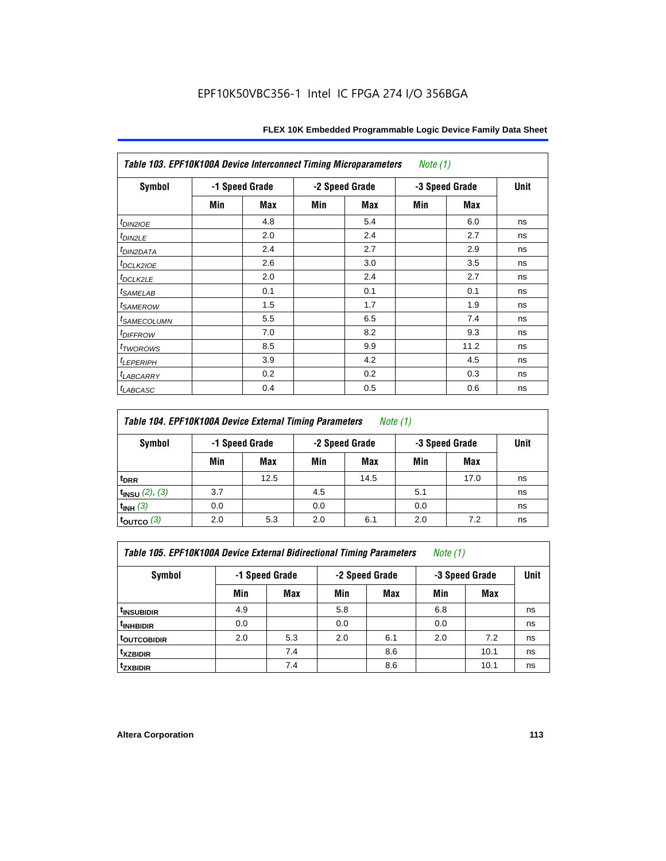| Table 103. EPF10K100A Device Interconnect Timing Microparameters<br>Note $(1)$ |                |     |     |                |                |            |    |  |  |  |
|--------------------------------------------------------------------------------|----------------|-----|-----|----------------|----------------|------------|----|--|--|--|
| <b>Symbol</b>                                                                  | -1 Speed Grade |     |     | -2 Speed Grade | -3 Speed Grade | Unit       |    |  |  |  |
|                                                                                | Min            | Max | Min | Max            | Min            | <b>Max</b> |    |  |  |  |
| $t_{DINZIOE}$                                                                  |                | 4.8 |     | 5.4            |                | 6.0        | ns |  |  |  |
| t <sub>DIN2LE</sub>                                                            |                | 2.0 |     | 2.4            |                | 2.7        | ns |  |  |  |
| <sup>t</sup> DIN2DATA                                                          |                | 2.4 |     | 2.7            |                | 2.9        | ns |  |  |  |
| t <sub>DCLK2IOE</sub>                                                          |                | 2.6 |     | 3.0            |                | 3.5        | ns |  |  |  |
| t <sub>DCLK2LE</sub>                                                           |                | 2.0 |     | 2.4            |                | 2.7        | ns |  |  |  |
| <i>t</i> SAMELAB                                                               |                | 0.1 |     | 0.1            |                | 0.1        | ns |  |  |  |
| <i>t<sub>SAMEROW</sub></i>                                                     |                | 1.5 |     | 1.7            |                | 1.9        | ns |  |  |  |
| <sup>t</sup> SAMECOLUMN                                                        |                | 5.5 |     | 6.5            |                | 7.4        | ns |  |  |  |
| t <sub>DIFFROW</sub>                                                           |                | 7.0 |     | 8.2            |                | 9.3        | ns |  |  |  |
| <i>t</i> <sub>TWOROWS</sub>                                                    |                | 8.5 |     | 9.9            |                | 11.2       | ns |  |  |  |
| <b><i>LEPERIPH</i></b>                                                         |                | 3.9 |     | 4.2            |                | 4.5        | ns |  |  |  |
| t <sub>LABCARRY</sub>                                                          |                | 0.2 |     | 0.2            |                | 0.3        | ns |  |  |  |
| $t_{LABCASC}$                                                                  |                | 0.4 |     | 0.5            |                | 0.6        | ns |  |  |  |

| Table 104. EPF10K100A Device External Timing Parameters | Note (1) |
|---------------------------------------------------------|----------|
|---------------------------------------------------------|----------|

| Symbol                 | -1 Speed Grade |      | -2 Speed Grade |      | -3 Speed Grade | Unit       |    |
|------------------------|----------------|------|----------------|------|----------------|------------|----|
|                        | Min            | Max  | Min            | Max  | Min            | <b>Max</b> |    |
| <sup>t</sup> DRR       |                | 12.5 |                | 14.5 |                | 17.0       | ns |
| $t_{INSU}$ (2), (3)    | 3.7            |      | 4.5            |      | 5.1            |            | ns |
| $t_{INH}$ (3)          | 0.0            |      | 0.0            |      | 0.0            |            | ns |
| $t_{\text{OUTCO}}$ (3) | 2.0            | 5.3  | 2.0            | 6.1  | 2.0            | 7.2        | ns |

| Table 105. EPF10K100A Device External Bidirectional Timing Parameters | Note (1) |  |  |
|-----------------------------------------------------------------------|----------|--|--|
|-----------------------------------------------------------------------|----------|--|--|

| Symbol                  | -1 Speed Grade |     |     | -2 Speed Grade | -3 Speed Grade | <b>Unit</b> |    |
|-------------------------|----------------|-----|-----|----------------|----------------|-------------|----|
|                         | Min            | Max | Min | <b>Max</b>     | Min            | Max         |    |
| <sup>t</sup> INSUBIDIR  | 4.9            |     | 5.8 |                | 6.8            |             | ns |
| <sup>t</sup> INHBIDIR   | 0.0            |     | 0.0 |                | 0.0            |             | ns |
| <sup>t</sup> OUTCOBIDIR | 2.0            | 5.3 | 2.0 | 6.1            | 2.0            | 7.2         | ns |
| <sup>t</sup> xzbidir    |                | 7.4 |     | 8.6            |                | 10.1        | ns |
| <sup>t</sup> zxbidir    |                | 7.4 |     | 8.6            |                | 10.1        | ns |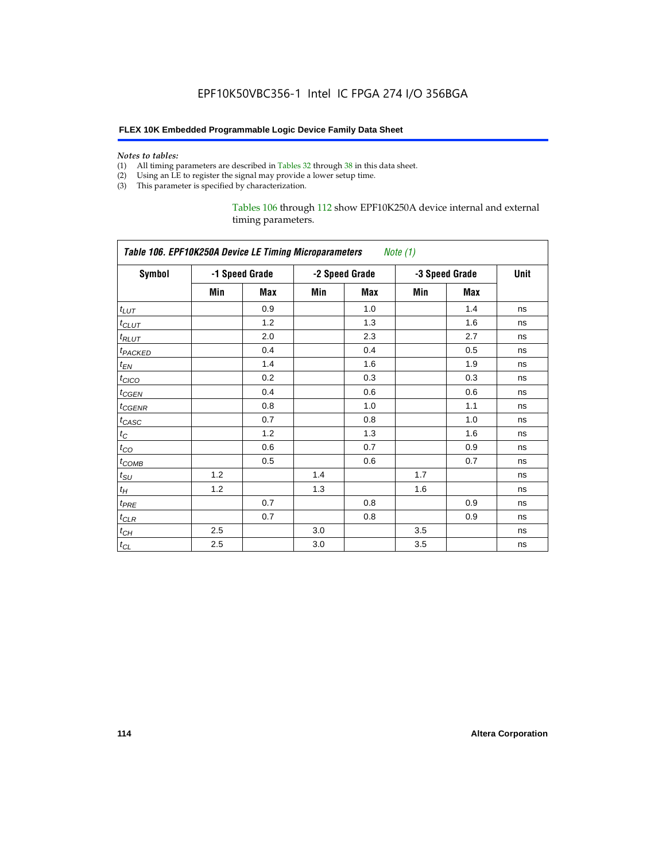#### *Notes to tables:*

- (1) All timing parameters are described in Tables 32 through 38 in this data sheet.
- (2) Using an LE to register the signal may provide a lower setup time.
- (3) This parameter is specified by characterization.

### Tables 106 through 112 show EPF10K250A device internal and external timing parameters.

| Table 106. EPF10K250A Device LE Timing Microparameters<br>Note (1) |     |                |     |                |                |            |    |  |
|--------------------------------------------------------------------|-----|----------------|-----|----------------|----------------|------------|----|--|
| <b>Symbol</b>                                                      |     | -1 Speed Grade |     | -2 Speed Grade | -3 Speed Grade | Unit       |    |  |
|                                                                    | Min | <b>Max</b>     | Min | <b>Max</b>     | Min            | <b>Max</b> |    |  |
| $t_{LUT}$                                                          |     | 0.9            |     | 1.0            |                | 1.4        | ns |  |
| $t_{CLUT}$                                                         |     | 1.2            |     | 1.3            |                | 1.6        | ns |  |
| $t_{RLUT}$                                                         |     | 2.0            |     | 2.3            |                | 2.7        | ns |  |
| t <sub>PACKED</sub>                                                |     | 0.4            |     | 0.4            |                | 0.5        | ns |  |
| $t_{EN}$                                                           |     | 1.4            |     | 1.6            |                | 1.9        | ns |  |
| $t_{CICO}$                                                         |     | 0.2            |     | 0.3            |                | 0.3        | ns |  |
| $t_{CSEN}$                                                         |     | 0.4            |     | 0.6            |                | 0.6        | ns |  |
| t <sub>CGENR</sub>                                                 |     | 0.8            |     | 1.0            |                | 1.1        | ns |  |
| $t_{CASC}$                                                         |     | 0.7            |     | 0.8            |                | 1.0        | ns |  |
| $t_C$                                                              |     | 1.2            |     | 1.3            |                | 1.6        | ns |  |
| $t_{CO}$                                                           |     | 0.6            |     | 0.7            |                | 0.9        | ns |  |
| $t_{\mathsf{COMB}}$                                                |     | 0.5            |     | 0.6            |                | 0.7        | ns |  |
| $t_{\rm SU}$                                                       | 1.2 |                | 1.4 |                | 1.7            |            | ns |  |
| $t_H$                                                              | 1.2 |                | 1.3 |                | 1.6            |            | ns |  |
| $t_{PRE}$                                                          |     | 0.7            |     | 0.8            |                | 0.9        | ns |  |
| $t_{CLR}$                                                          |     | 0.7            |     | 0.8            |                | 0.9        | ns |  |
| $t_{CH}$                                                           | 2.5 |                | 3.0 |                | 3.5            |            | ns |  |
| $t_{CL}$                                                           | 2.5 |                | 3.0 |                | 3.5            |            | ns |  |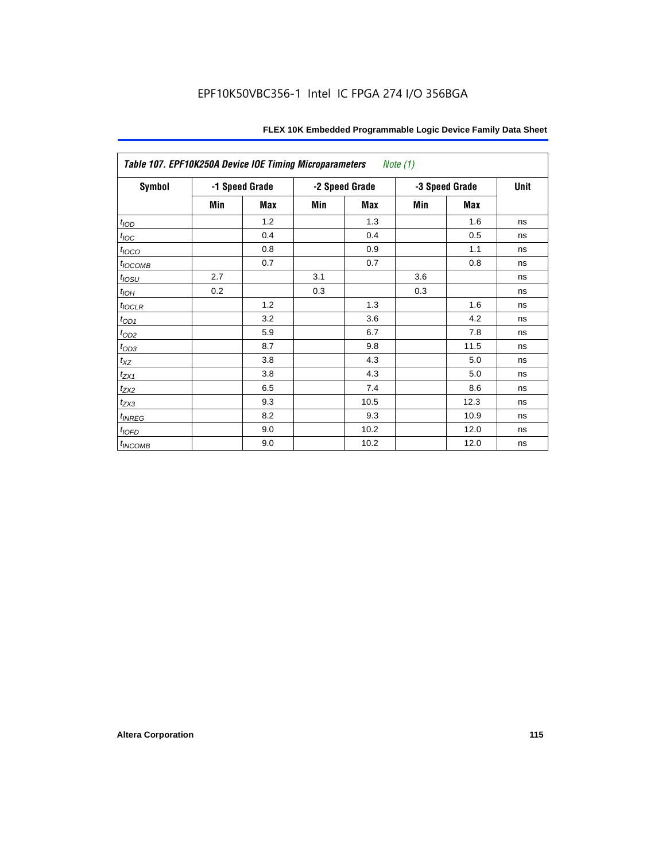| Table 107. EPF10K250A Device IOE Timing Microparameters<br><i>Note</i> $(1)$ |     |                |     |                |     |                |    |
|------------------------------------------------------------------------------|-----|----------------|-----|----------------|-----|----------------|----|
| <b>Symbol</b>                                                                |     | -1 Speed Grade |     | -2 Speed Grade |     | -3 Speed Grade |    |
|                                                                              | Min | Max            | Min | Max            | Min | Max            |    |
| t <sub>IOD</sub>                                                             |     | 1.2            |     | 1.3            |     | 1.6            | ns |
| $t_{\text{loc}}$                                                             |     | 0.4            |     | 0.4            |     | 0.5            | ns |
| $t_{IOCO}$                                                                   |     | 0.8            |     | 0.9            |     | 1.1            | ns |
| $t_{IOCOMB}$                                                                 |     | 0.7            |     | 0.7            |     | 0.8            | ns |
| $t_{IOSU}$                                                                   | 2.7 |                | 3.1 |                | 3.6 |                | ns |
| $t_{IOH}$                                                                    | 0.2 |                | 0.3 |                | 0.3 |                | ns |
| $t_{\text{OCLR}}$                                                            |     | 1.2            |     | 1.3            |     | 1.6            | ns |
| $t_{OD1}$                                                                    |     | 3.2            |     | 3.6            |     | 4.2            | ns |
| $t_{OD2}$                                                                    |     | 5.9            |     | 6.7            |     | 7.8            | ns |
| $t_{\text{OD3}}$                                                             |     | 8.7            |     | 9.8            |     | 11.5           | ns |
| $t_{XZ}$                                                                     |     | 3.8            |     | 4.3            |     | 5.0            | ns |
| $t_{ZX1}$                                                                    |     | 3.8            |     | 4.3            |     | 5.0            | ns |
| $t_{ZX2}$                                                                    |     | 6.5            |     | 7.4            |     | 8.6            | ns |
| $t_{ZX3}$                                                                    |     | 9.3            |     | 10.5           |     | 12.3           | ns |
| $t_{INREG}$                                                                  |     | 8.2            |     | 9.3            |     | 10.9           | ns |
| $t_{IOFD}$                                                                   |     | 9.0            |     | 10.2           |     | 12.0           | ns |
| $t_{INCOMB}$                                                                 |     | 9.0            |     | 10.2           |     | 12.0           | ns |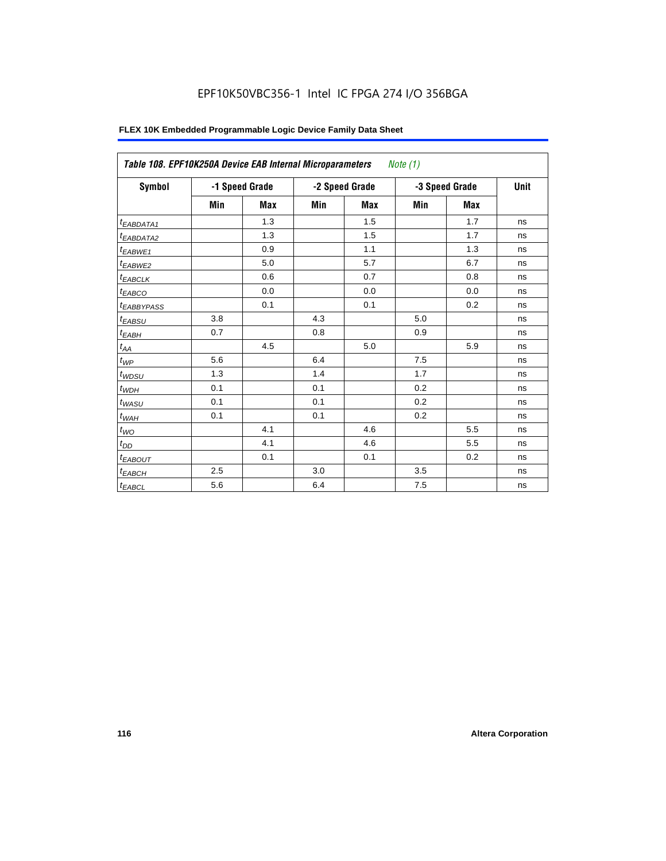# EPF10K50VBC356-1 Intel IC FPGA 274 I/O 356BGA

| Symbol                 |     | -1 Speed Grade |     | -2 Speed Grade |     | -3 Speed Grade | Unit |
|------------------------|-----|----------------|-----|----------------|-----|----------------|------|
|                        | Min | <b>Max</b>     | Min | <b>Max</b>     | Min | <b>Max</b>     |      |
| <sup>t</sup> EABDATA1  |     | 1.3            |     | 1.5            |     | 1.7            | ns   |
| <sup>t</sup> EABDATA2  |     | 1.3            |     | 1.5            |     | 1.7            | ns   |
| <sup>t</sup> EABWE1    |     | 0.9            |     | 1.1            |     | 1.3            | ns   |
| <sup>t</sup> EABWE2    |     | 5.0            |     | 5.7            |     | 6.7            | ns   |
| <sup>t</sup> EABCLK    |     | 0.6            |     | 0.7            |     | 0.8            | ns   |
| <sup>t</sup> EABCO     |     | 0.0            |     | 0.0            |     | 0.0            | ns   |
| <sup>t</sup> EABBYPASS |     | 0.1            |     | 0.1            |     | 0.2            | ns   |
| t <sub>EABSU</sub>     | 3.8 |                | 4.3 |                | 5.0 |                | ns   |
| $t_{EABH}$             | 0.7 |                | 0.8 |                | 0.9 |                | ns   |
| $t_{AA}$               |     | 4.5            |     | 5.0            |     | 5.9            | ns   |
| $t_{\mathcal{WP}}$     | 5.6 |                | 6.4 |                | 7.5 |                | ns   |
| t <sub>WDSU</sub>      | 1.3 |                | 1.4 |                | 1.7 |                | ns   |
| $t_{WDH}$              | 0.1 |                | 0.1 |                | 0.2 |                | ns   |
| $t_{WASU}$             | 0.1 |                | 0.1 |                | 0.2 |                | ns   |
| $t_{WAH}$              | 0.1 |                | 0.1 |                | 0.2 |                | ns   |
| $t_{WQ}$               |     | 4.1            |     | 4.6            |     | 5.5            | ns   |
| $t_{DD}$               |     | 4.1            |     | 4.6            |     | 5.5            | ns   |
| <b><i>EABOUT</i></b>   |     | 0.1            |     | 0.1            |     | 0.2            | ns   |
| t <sub>EABCH</sub>     | 2.5 |                | 3.0 |                | 3.5 |                | ns   |
| $t_{EABCL}$            | 5.6 |                | 6.4 |                | 7.5 |                | ns   |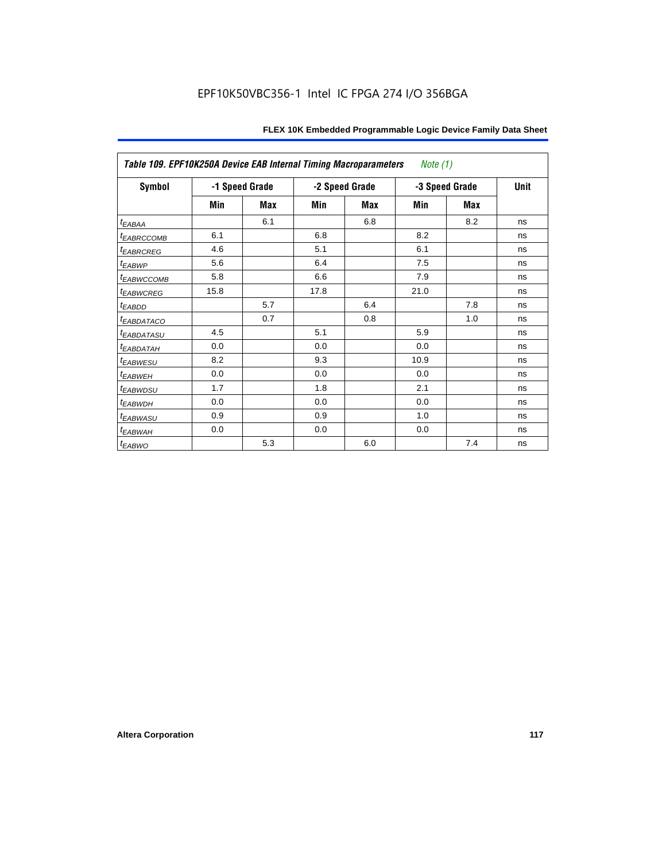| Table 109. EPF10K250A Device EAB Internal Timing Macroparameters<br>Note (1) |      |                |      |                |                |            |      |
|------------------------------------------------------------------------------|------|----------------|------|----------------|----------------|------------|------|
| Symbol                                                                       |      | -1 Speed Grade |      | -2 Speed Grade | -3 Speed Grade |            | Unit |
|                                                                              | Min  | Max            | Min  | Max            | Min            | <b>Max</b> |      |
| $t_{EABA}$                                                                   |      | 6.1            |      | 6.8            |                | 8.2        | ns   |
| <sup>t</sup> EABRCCOMB                                                       | 6.1  |                | 6.8  |                | 8.2            |            | ns   |
| <sup>t</sup> EABRCREG                                                        | 4.6  |                | 5.1  |                | 6.1            |            | ns   |
| t <sub>EABWP</sub>                                                           | 5.6  |                | 6.4  |                | 7.5            |            | ns   |
| <sup>t</sup> EABWCCOMB                                                       | 5.8  |                | 6.6  |                | 7.9            |            | ns   |
| <sup>t</sup> EABWCREG                                                        | 15.8 |                | 17.8 |                | 21.0           |            | ns   |
| $t_{EABDD}$                                                                  |      | 5.7            |      | 6.4            |                | 7.8        | ns   |
| <sup>t</sup> EABDATACO                                                       |      | 0.7            |      | 0.8            |                | 1.0        | ns   |
| <sup>t</sup> EABDATASU                                                       | 4.5  |                | 5.1  |                | 5.9            |            | ns   |
| <sup>t</sup> EABDATAH                                                        | 0.0  |                | 0.0  |                | 0.0            |            | ns   |
| <sup>t</sup> EABWESU                                                         | 8.2  |                | 9.3  |                | 10.9           |            | ns   |
| <sup>t</sup> ЕАВWЕН                                                          | 0.0  |                | 0.0  |                | 0.0            |            | ns   |
| <i>t<sub>EABWDSU</sub></i>                                                   | 1.7  |                | 1.8  |                | 2.1            |            | ns   |
| <sup>t</sup> EABWDH                                                          | 0.0  |                | 0.0  |                | 0.0            |            | ns   |
| <sup>t</sup> EABWASU                                                         | 0.9  |                | 0.9  |                | 1.0            |            | ns   |
| <sup>t</sup> EABWAH                                                          | 0.0  |                | 0.0  |                | 0.0            |            | ns   |
| $t_{EABWO}$                                                                  |      | 5.3            |      | 6.0            |                | 7.4        | ns   |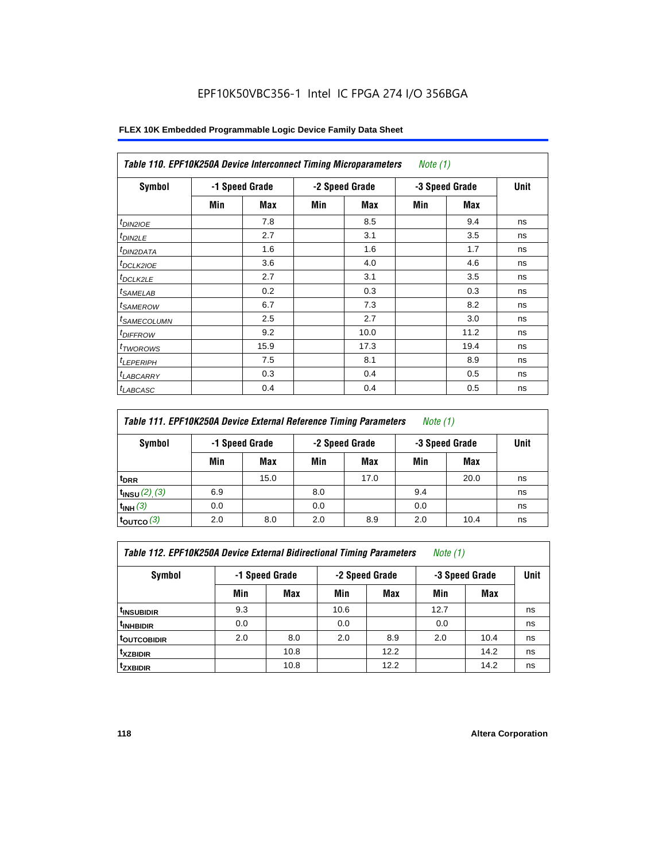# EPF10K50VBC356-1 Intel IC FPGA 274 I/O 356BGA

| <b>Symbol</b>              |     | -1 Speed Grade |     | -2 Speed Grade |     | -3 Speed Grade | <b>Unit</b> |  |
|----------------------------|-----|----------------|-----|----------------|-----|----------------|-------------|--|
|                            | Min | Max            | Min | Max            | Min | Max            |             |  |
| $t_{DIN2IOE}$              |     | 7.8            |     | 8.5            |     | 9.4            | ns          |  |
| t <sub>DIN2LE</sub>        |     | 2.7            |     | 3.1            |     | 3.5            | ns          |  |
| <sup>t</sup> DIN2DATA      |     | 1.6            |     | 1.6            |     | 1.7            | ns          |  |
| <sup>t</sup> DCLK2IOE      |     | 3.6            |     | 4.0            |     | 4.6            | ns          |  |
| <sup>t</sup> DCLK2LE       |     | 2.7            |     | 3.1            |     | 3.5            | ns          |  |
| <sup>t</sup> SAMELAB       |     | 0.2            |     | 0.3            |     | 0.3            | ns          |  |
| <sup>t</sup> SAMEROW       |     | 6.7            |     | 7.3            |     | 8.2            | ns          |  |
| <sup>t</sup> SAMECOLUMN    |     | 2.5            |     | 2.7            |     | 3.0            | ns          |  |
| <i>t<sub>DIFFROW</sub></i> |     | 9.2            |     | 10.0           |     | 11.2           | ns          |  |
| <sup>t</sup> TWOROWS       |     | 15.9           |     | 17.3           |     | 19.4           | ns          |  |
| <sup>t</sup> LEPERIPH      |     | 7.5            |     | 8.1            |     | 8.9            | ns          |  |
| <sup>t</sup> LABCARRY      |     | 0.3            |     | 0.4            |     | 0.5            | ns          |  |
| <sup>t</sup> LABCASC       |     | 0.4            |     | 0.4            |     | 0.5            | ns          |  |

| Table 111. EPF10K250A Device External Reference Timing Parameters<br><i>Note</i> $(1)$ |     |                |     |                |                |            |    |  |
|----------------------------------------------------------------------------------------|-----|----------------|-----|----------------|----------------|------------|----|--|
| Symbol                                                                                 |     | -1 Speed Grade |     | -2 Speed Grade | -3 Speed Grade | Unit       |    |  |
|                                                                                        | Min | Max            | Min | Max            | Min            | <b>Max</b> |    |  |
| <sup>t</sup> DRR                                                                       |     | 15.0           |     | 17.0           |                | 20.0       | ns |  |
| $t_{INSU} (2) (3)$                                                                     | 6.9 |                | 8.0 |                | 9.4            |            | ns |  |
| $t_{INH}$ (3)                                                                          | 0.0 |                | 0.0 |                | 0.0            |            | ns |  |
| $t_{\rm OUTCO}$ (3)                                                                    | 2.0 | 8.0            | 2.0 | 8.9            | 2.0            | 10.4       | ns |  |

| Table 112. EPF10K250A Device External Bidirectional Timing Parameters |  | Note (1) |
|-----------------------------------------------------------------------|--|----------|
|-----------------------------------------------------------------------|--|----------|

| Symbol                |     | -1 Speed Grade |      | -2 Speed Grade | -3 Speed Grade | <b>Unit</b> |    |
|-----------------------|-----|----------------|------|----------------|----------------|-------------|----|
|                       | Min | Max            | Min  | <b>Max</b>     | Min            | Max         |    |
| <b>t</b> INSUBIDIR    | 9.3 |                | 10.6 |                | 12.7           |             | ns |
| t <sub>INHBIDIR</sub> | 0.0 |                | 0.0  |                | 0.0            |             | ns |
| <b>toutcobidir</b>    | 2.0 | 8.0            | 2.0  | 8.9            | 2.0            | 10.4        | ns |
| t <sub>XZBIDIR</sub>  |     | 10.8           |      | 12.2           |                | 14.2        | ns |
| tzxbidir              |     | 10.8           |      | 12.2           |                | 14.2        | ns |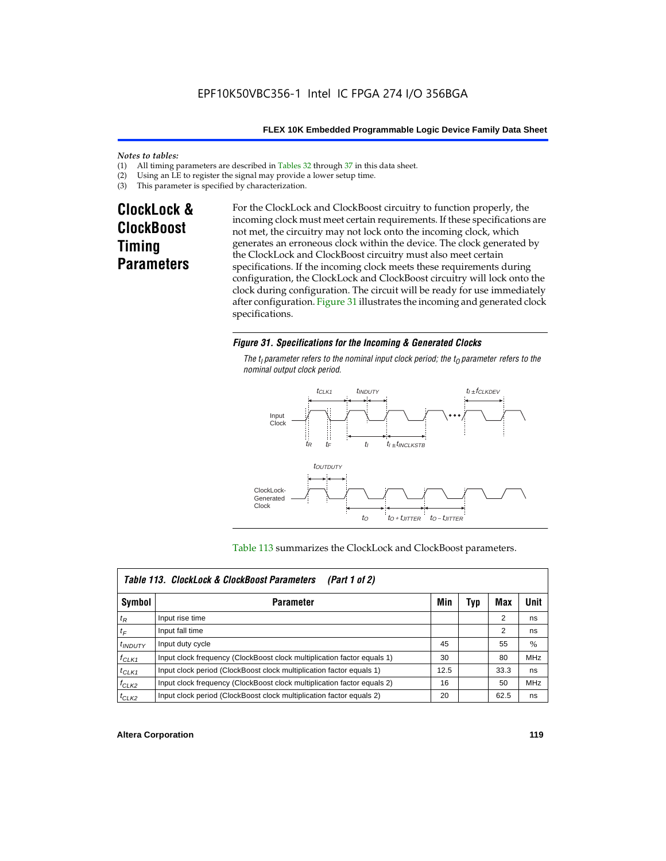#### *Notes to tables:*

- (1) All timing parameters are described in Tables  $32$  through  $37$  in this data sheet.<br>(2) Using an LE to register the signal may provide a lower setup time.
- (2) Using an LE to register the signal may provide a lower setup time.<br>(3) This parameter is specified by characterization.
- This parameter is specified by characterization.

# **ClockLock & ClockBoost Timing Parameters**

For the ClockLock and ClockBoost circuitry to function properly, the incoming clock must meet certain requirements. If these specifications are not met, the circuitry may not lock onto the incoming clock, which generates an erroneous clock within the device. The clock generated by the ClockLock and ClockBoost circuitry must also meet certain specifications. If the incoming clock meets these requirements during configuration, the ClockLock and ClockBoost circuitry will lock onto the clock during configuration. The circuit will be ready for use immediately after configuration. Figure 31 illustrates the incoming and generated clock specifications.

### *Figure 31. Specifications for the Incoming & Generated Clocks*

The  $t_i$  parameter refers to the nominal input clock period; the  $t_0$  parameter refers to the *nominal output clock period.*



#### Table 113 summarizes the ClockLock and ClockBoost parameters.

|              | Table 113. ClockLock & ClockBoost Parameters<br>(Part 1 of 2)           |      |     |                |            |  |  |  |  |
|--------------|-------------------------------------------------------------------------|------|-----|----------------|------------|--|--|--|--|
| Symbol       | <b>Parameter</b>                                                        | Min  | Typ | Max            | Unit       |  |  |  |  |
| $t_{R}$      | Input rise time                                                         |      |     | $\overline{2}$ | ns         |  |  |  |  |
| $t_F$        | Input fall time                                                         |      |     | 2              | ns         |  |  |  |  |
| $t_{INDUTY}$ | Input duty cycle                                                        | 45   |     | 55             | $\%$       |  |  |  |  |
| $f_{CLK1}$   | Input clock frequency (ClockBoost clock multiplication factor equals 1) | 30   |     | 80             | <b>MHz</b> |  |  |  |  |
| $t$ CLK1     | Input clock period (ClockBoost clock multiplication factor equals 1)    | 12.5 |     | 33.3           | ns         |  |  |  |  |
| $f_{CLK2}$   | Input clock frequency (ClockBoost clock multiplication factor equals 2) | 16   |     | 50             | <b>MHz</b> |  |  |  |  |
| $t_{CLK2}$   | Input clock period (ClockBoost clock multiplication factor equals 2)    | 20   |     | 62.5           | ns         |  |  |  |  |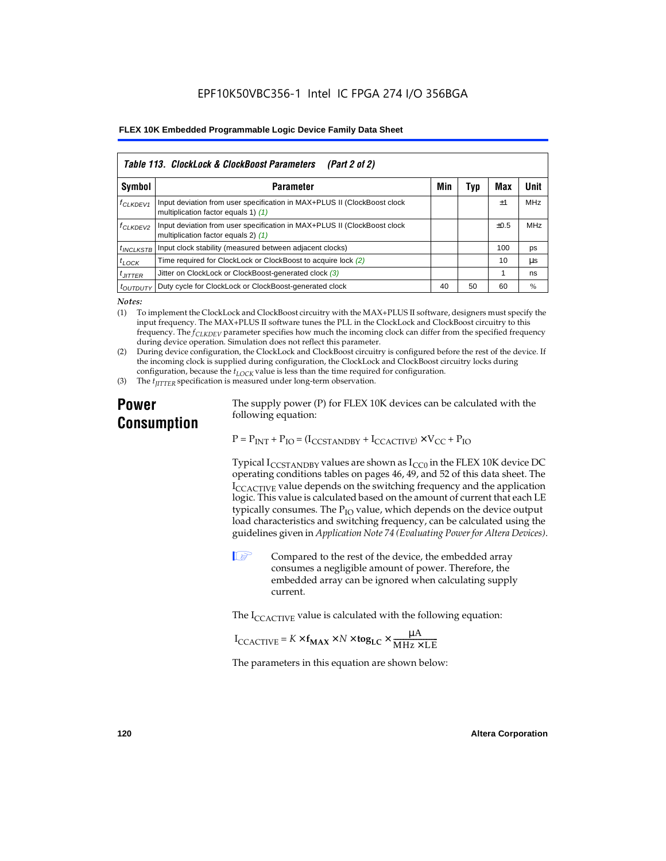| Table 113. ClockLock & ClockBoost Parameters<br>(Part 2 of 2) |                                                                                                                 |     |     |           |            |  |  |  |  |
|---------------------------------------------------------------|-----------------------------------------------------------------------------------------------------------------|-----|-----|-----------|------------|--|--|--|--|
| Symbol                                                        | <b>Parameter</b>                                                                                                | Min | Typ | Max       | Unit       |  |  |  |  |
| <b><i><u>LCLKDEV1</u></i></b>                                 | Input deviation from user specification in MAX+PLUS II (ClockBoost clock<br>multiplication factor equals 1) (1) |     |     | $\pm 1$   | <b>MHz</b> |  |  |  |  |
| <sup>f</sup> CLKDEV2                                          | Input deviation from user specification in MAX+PLUS II (ClockBoost clock<br>multiplication factor equals 2) (1) |     |     | $\pm 0.5$ | MHz        |  |  |  |  |
| <sup>t</sup> INCLKSTB                                         | Input clock stability (measured between adjacent clocks)                                                        |     |     | 100       | ps         |  |  |  |  |
| $t_{LOCK}$                                                    | Time required for ClockLock or ClockBoost to acquire lock (2)                                                   |     |     | 10        | μs         |  |  |  |  |
| $t_{JITTER}$                                                  | Jitter on ClockLock or ClockBoost-generated clock (3)                                                           |     |     |           | ns         |  |  |  |  |
| <i>toutbuty</i>                                               | Duty cycle for ClockLock or ClockBoost-generated clock                                                          | 40  | 50  | 60        | %          |  |  |  |  |

*Notes:*

(1) To implement the ClockLock and ClockBoost circuitry with the MAX+PLUS II software, designers must specify the input frequency. The MAX+PLUS II software tunes the PLL in the ClockLock and ClockBoost circuitry to this frequency. The *fCLKDEV* parameter specifies how much the incoming clock can differ from the specified frequency during device operation. Simulation does not reflect this parameter.

(2) During device configuration, the ClockLock and ClockBoost circuitry is configured before the rest of the device. If the incoming clock is supplied during configuration, the ClockLock and ClockBoost circuitry locks during configuration, because the  $t_{LOCK}$  value is less than the time required for configuration.

(3) The *t<sub>IITTER</sub>* specification is measured under long-term observation.

# **Power Consumption**

The supply power (P) for FLEX 10K devices can be calculated with the following equation:

 $P = P_{INT} + P_{IO} = (I_{CCSTANDBY} + I_{CCACTIVE}) \times V_{CC} + P_{IO}$ 

Typical  $I_{CCSTANDBY}$  values are shown as  $I_{CC0}$  in the FLEX 10K device DC operating conditions tables on pages 46, 49, and 52 of this data sheet. The  $I_{\text{CCACTIVE}}$  value depends on the switching frequency and the application logic. This value is calculated based on the amount of current that each LE typically consumes. The  $P_{IO}$  value, which depends on the device output load characteristics and switching frequency, can be calculated using the guidelines given in *Application Note 74 (Evaluating Power for Altera Devices)*.

 $\Box$  Compared to the rest of the device, the embedded array consumes a negligible amount of power. Therefore, the embedded array can be ignored when calculating supply current.

The  $I_{\text{CCACTIVE}}$  value is calculated with the following equation:

$$
I_{\text{CCACTIVE}} = K \times f_{\text{MAX}} \times N \times \text{tog}_{\text{LC}} \times \frac{\mu A}{\text{MHz} \times \text{LE}}
$$

The parameters in this equation are shown below: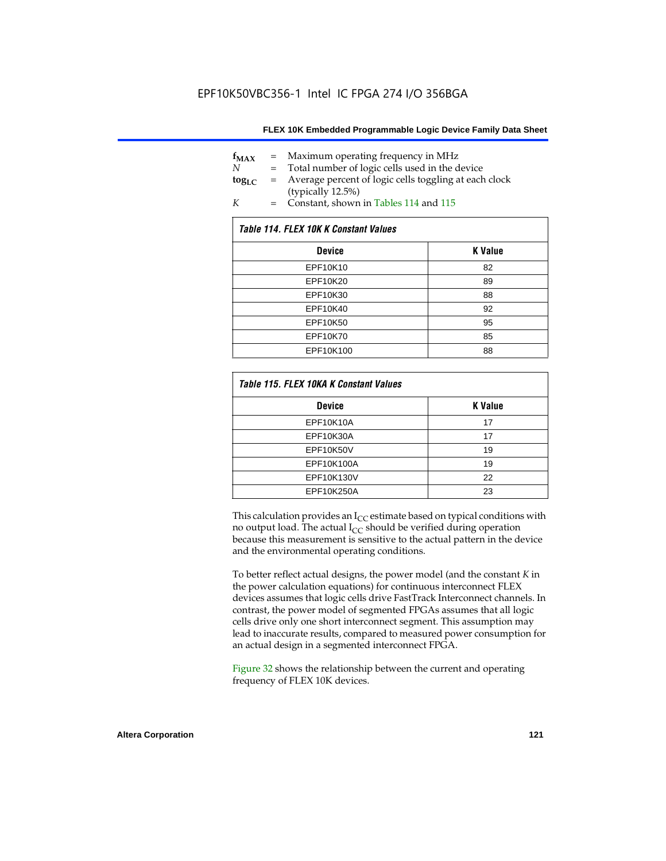| $f_{MAX}$  | $=$ | Maximum operating frequency in MHz                    |
|------------|-----|-------------------------------------------------------|
| N          |     | Total number of logic cells used in the device        |
| $log_{LC}$ | $=$ | Average percent of logic cells toggling at each clock |
|            |     | (typically 12.5%)                                     |
| K          | $=$ | Constant, shown in Tables 114 and 115                 |

| Table 114. FLEX 10K K Constant Values |                |  |  |  |  |
|---------------------------------------|----------------|--|--|--|--|
| <b>Device</b>                         | <b>K</b> Value |  |  |  |  |
| EPF10K10                              | 82             |  |  |  |  |
| EPF10K20                              | 89             |  |  |  |  |
| EPF10K30                              | 88             |  |  |  |  |
| EPF10K40                              | 92             |  |  |  |  |
| EPF10K50                              | 95             |  |  |  |  |
| EPF10K70                              | 85             |  |  |  |  |
| EPF10K100                             | 88             |  |  |  |  |

| Table 115. FLEX 10KA K Constant Values |                |
|----------------------------------------|----------------|
| <b>Device</b>                          | <b>K</b> Value |
| <b>EPF10K10A</b>                       | 17             |
| EPF10K30A                              | 17             |
| EPF10K50V                              | 19             |
| EPF10K100A                             | 19             |
| EPF10K130V                             | 22             |
| EPF10K250A                             | 23             |

This calculation provides an  $I_{CC}$  estimate based on typical conditions with no output load. The actual  $I_{CC}$  should be verified during operation because this measurement is sensitive to the actual pattern in the device and the environmental operating conditions.

To better reflect actual designs, the power model (and the constant *K* in the power calculation equations) for continuous interconnect FLEX devices assumes that logic cells drive FastTrack Interconnect channels. In contrast, the power model of segmented FPGAs assumes that all logic cells drive only one short interconnect segment. This assumption may lead to inaccurate results, compared to measured power consumption for an actual design in a segmented interconnect FPGA.

Figure 32 shows the relationship between the current and operating frequency of FLEX 10K devices.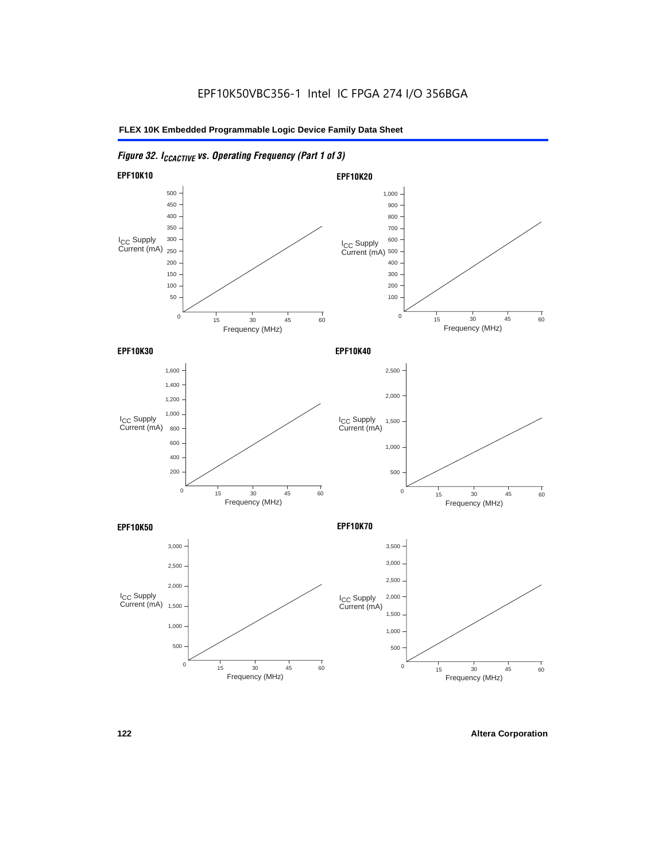# *Figure 32. ICCACTIVE vs. Operating Frequency (Part 1 of 3)*

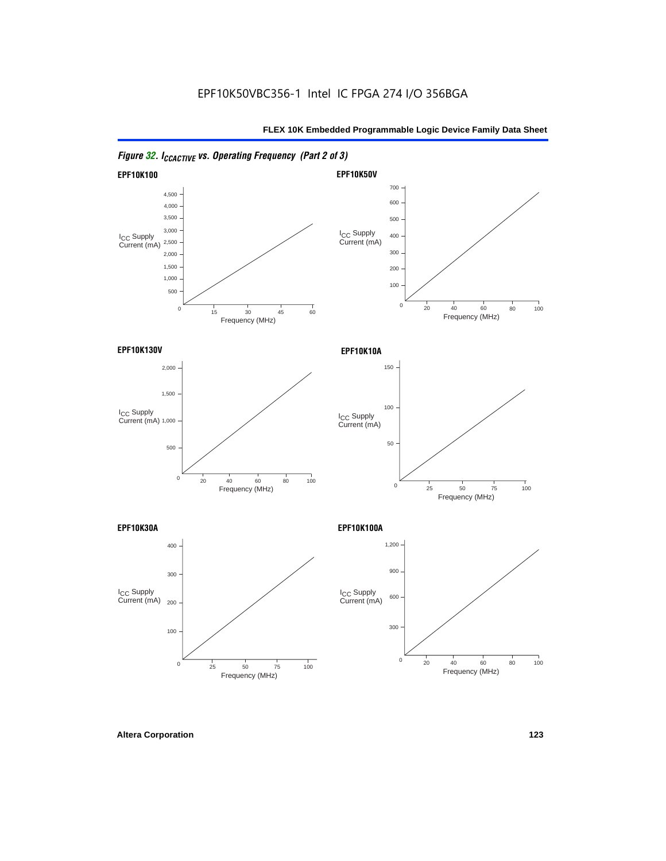

# *Figure 32. ICCACTIVE vs. Operating Frequency (Part 2 of 3)*

**Altera Corporation 123**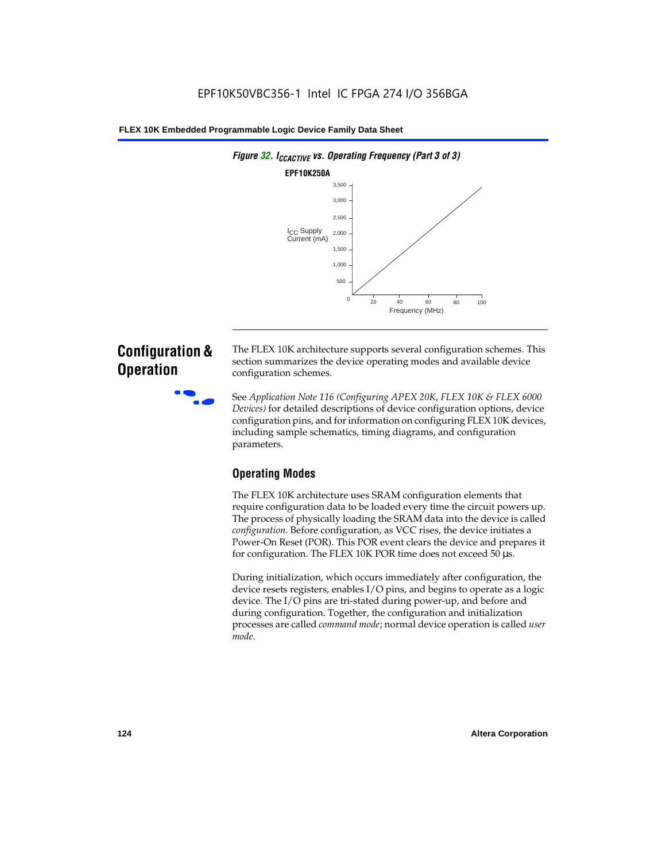

# **Configuration & Operation**

The FLEX 10K architecture supports several configuration schemes. This section summarizes the device operating modes and available device configuration schemes.

f See *Application Note 116 (Configuring APEX 20K, FLEX 10K & FLEX 6000 Devices)* for detailed descriptions of device configuration options, device configuration pins, and for information on configuring FLEX 10K devices, including sample schematics, timing diagrams, and configuration parameters.

# **Operating Modes**

The FLEX 10K architecture uses SRAM configuration elements that require configuration data to be loaded every time the circuit powers up. The process of physically loading the SRAM data into the device is called *configuration*. Before configuration, as VCC rises, the device initiates a Power-On Reset (POR). This POR event clears the device and prepares it for configuration. The FLEX 10K POR time does not exceed 50 µs.

During initialization, which occurs immediately after configuration, the device resets registers, enables I/O pins, and begins to operate as a logic device. The I/O pins are tri-stated during power-up, and before and during configuration. Together, the configuration and initialization processes are called *command mode*; normal device operation is called *user mode*.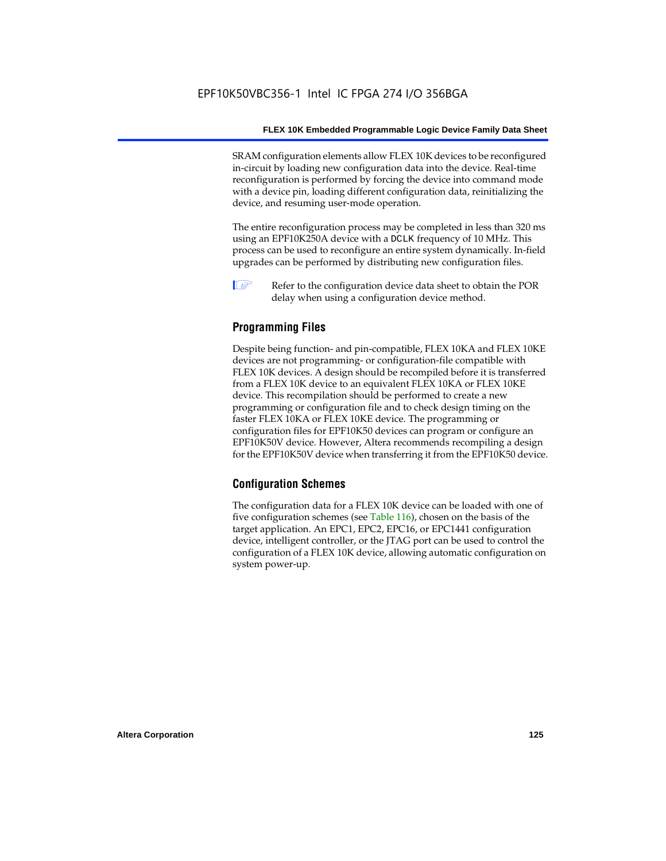SRAM configuration elements allow FLEX 10K devices to be reconfigured in-circuit by loading new configuration data into the device. Real-time reconfiguration is performed by forcing the device into command mode with a device pin, loading different configuration data, reinitializing the device, and resuming user-mode operation.

The entire reconfiguration process may be completed in less than 320 ms using an EPF10K250A device with a DCLK frequency of 10 MHz. This process can be used to reconfigure an entire system dynamically. In-field upgrades can be performed by distributing new configuration files.

 $\Box$  Refer to the configuration device data sheet to obtain the POR delay when using a configuration device method.

## **Programming Files**

Despite being function- and pin-compatible, FLEX 10KA and FLEX 10KE devices are not programming- or configuration-file compatible with FLEX 10K devices. A design should be recompiled before it is transferred from a FLEX 10K device to an equivalent FLEX 10KA or FLEX 10KE device. This recompilation should be performed to create a new programming or configuration file and to check design timing on the faster FLEX 10KA or FLEX 10KE device. The programming or configuration files for EPF10K50 devices can program or configure an EPF10K50V device. However, Altera recommends recompiling a design for the EPF10K50V device when transferring it from the EPF10K50 device.

### **Configuration Schemes**

The configuration data for a FLEX 10K device can be loaded with one of five configuration schemes (see Table 116), chosen on the basis of the target application. An EPC1, EPC2, EPC16, or EPC1441 configuration device, intelligent controller, or the JTAG port can be used to control the configuration of a FLEX 10K device, allowing automatic configuration on system power-up.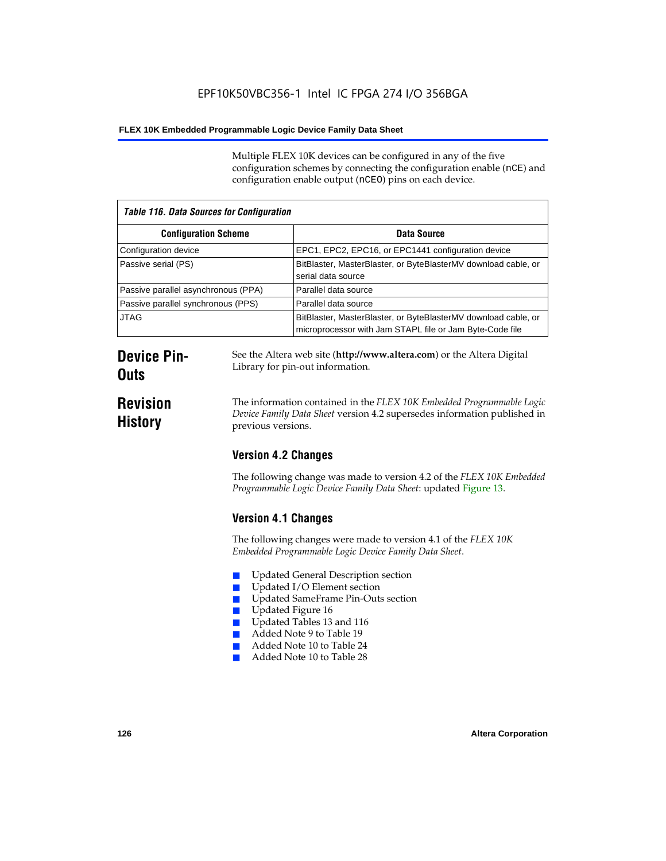Multiple FLEX 10K devices can be configured in any of the five configuration schemes by connecting the configuration enable (nCE) and configuration enable output (nCEO) pins on each device.

| <b>Table 116. Data Sources for Configuration</b> |                                                                                                                            |  |
|--------------------------------------------------|----------------------------------------------------------------------------------------------------------------------------|--|
| <b>Configuration Scheme</b>                      | Data Source                                                                                                                |  |
| Configuration device                             | EPC1, EPC2, EPC16, or EPC1441 configuration device                                                                         |  |
| Passive serial (PS)                              | BitBlaster, MasterBlaster, or ByteBlasterMV download cable, or<br>serial data source                                       |  |
| Passive parallel asynchronous (PPA)              | Parallel data source                                                                                                       |  |
| Passive parallel synchronous (PPS)               | Parallel data source                                                                                                       |  |
| <b>JTAG</b>                                      | BitBlaster, MasterBlaster, or ByteBlasterMV download cable, or<br>microprocessor with Jam STAPL file or Jam Byte-Code file |  |

# **Device Pin-Outs**

# **Revision History**

The information contained in the *FLEX 10K Embedded Programmable Logic Device Family Data Sheet* version 4.2 supersedes information published in

See the Altera web site (**http://www.altera.com**) or the Altera Digital

# **Version 4.2 Changes**

previous versions.

Library for pin-out information.

The following change was made to version 4.2 of the *FLEX 10K Embedded Programmable Logic Device Family Data Sheet*: updated Figure 13.

# **Version 4.1 Changes**

The following changes were made to version 4.1 of the *FLEX 10K Embedded Programmable Logic Device Family Data Sheet*.

- Updated General Description section
- Updated I/O Element section
- Updated SameFrame Pin-Outs section
- Updated Figure 16
- Updated Tables 13 and 116
- Added Note 9 to Table 19
- Added Note 10 to Table 24
- Added Note 10 to Table 28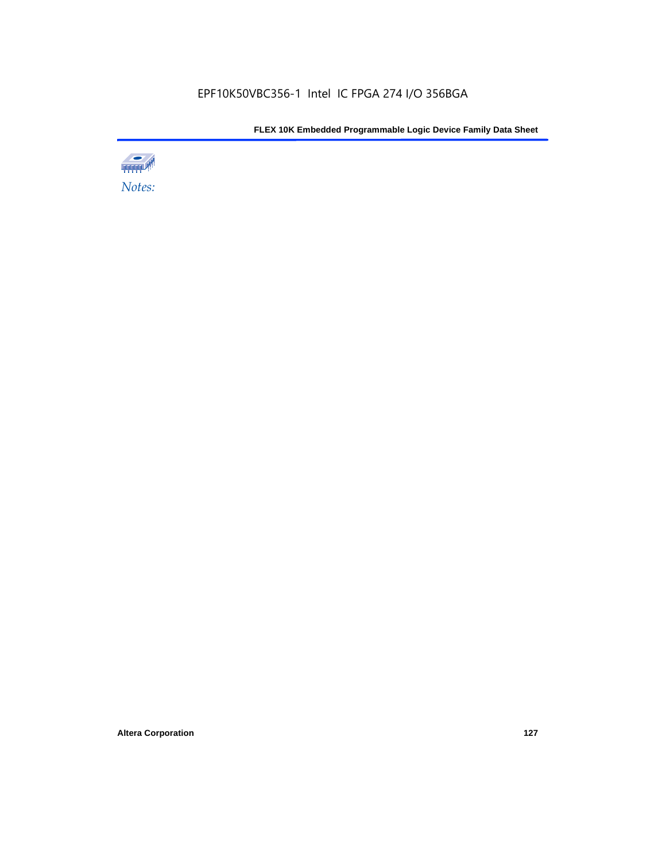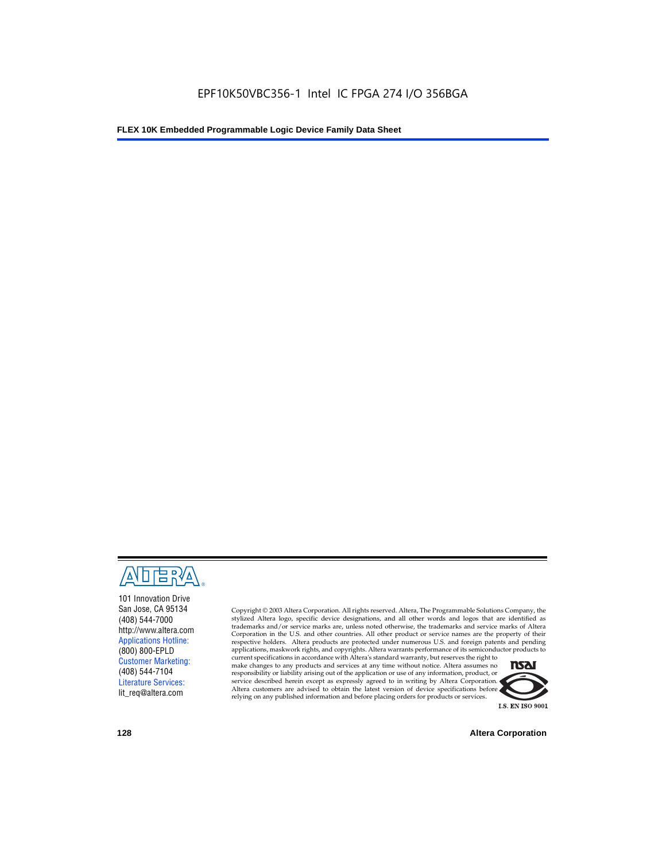

101 Innovation Drive San Jose, CA 95134 (408) 544-7000 http://www.altera.com Applications Hotline: (800) 800-EPLD Customer Marketing: (408) 544-7104 Literature Services: lit\_req@altera.com

Copyright © 2003 Altera Corporation. All rights reserved. Altera, The Programmable Solutions Company, the stylized Altera logo, specific device designations, and all other words and logos that are identified as trademarks and/or service marks are, unless noted otherwise, the trademarks and service marks of Altera Corporation in the U.S. and other countries. All other product or service names are the property of their respective holders. Altera products are protected under numerous U.S. and foreign patents and pending applications, maskwork rights, and copyrights. Altera warrants performance of its semiconductor products to

current specifications in accordance with Altera's standard warranty, but reserves the right to make changes to any products and services at any time without notice. Altera assumes no responsibility or liability arising out of the application or use of any information, product, or service described herein except as expressly agreed to in writing by Altera Corporation. Altera customers are advised to obtain the latest version of device specifications before relying on any published information and before placing orders for products or services.



**128 Altera Corporation**